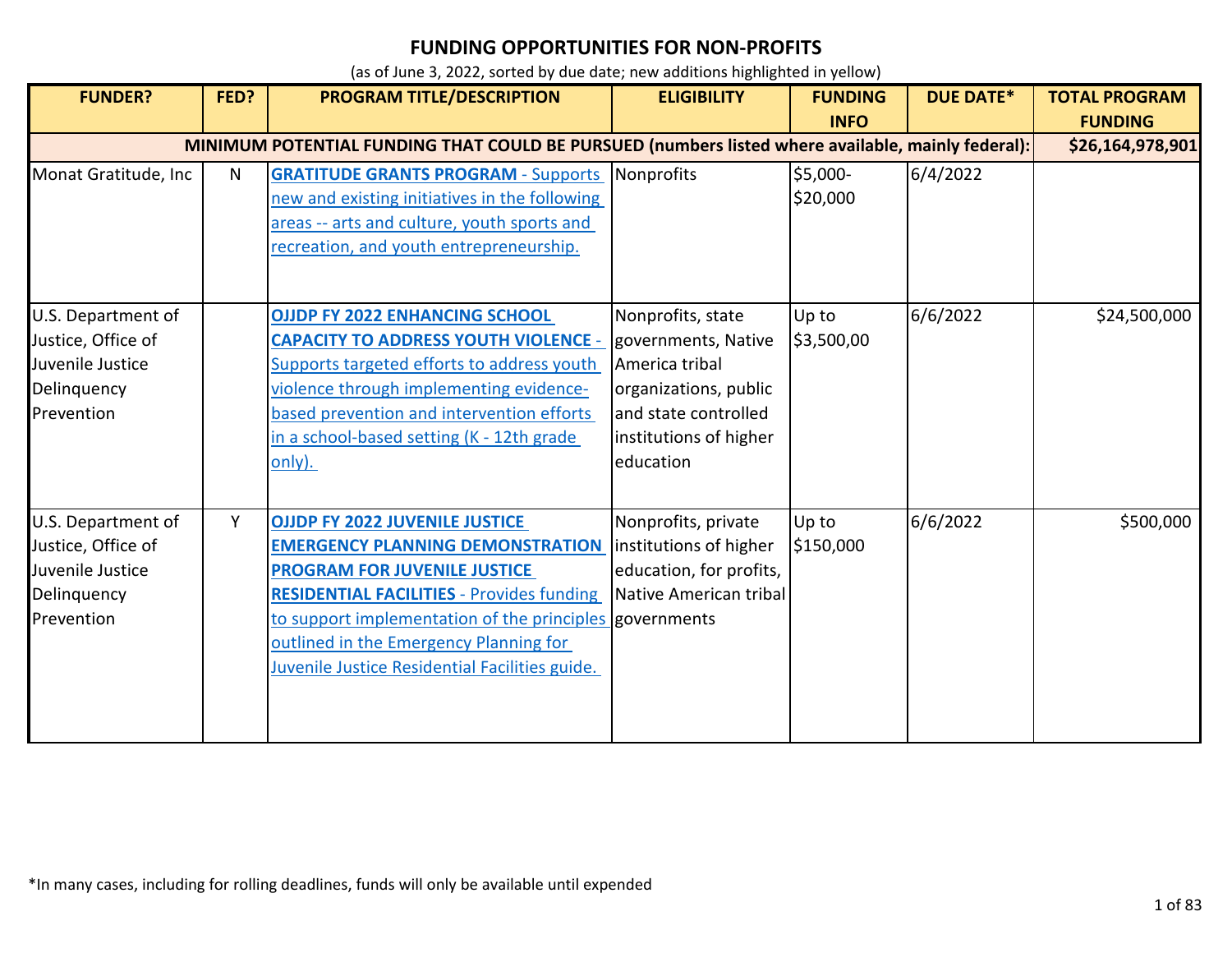| <b>FUNDER?</b>                                                                                    | FED? | <b>PROGRAM TITLE/DESCRIPTION</b>                                                                                                                                                                                                                                                                                                   | <b>ELIGIBILITY</b>                                                                                                                                 | <b>FUNDING</b><br><b>INFO</b> | <b>DUE DATE*</b> | <b>TOTAL PROGRAM</b><br><b>FUNDING</b> |  |
|---------------------------------------------------------------------------------------------------|------|------------------------------------------------------------------------------------------------------------------------------------------------------------------------------------------------------------------------------------------------------------------------------------------------------------------------------------|----------------------------------------------------------------------------------------------------------------------------------------------------|-------------------------------|------------------|----------------------------------------|--|
| MINIMUM POTENTIAL FUNDING THAT COULD BE PURSUED (numbers listed where available, mainly federal): |      |                                                                                                                                                                                                                                                                                                                                    |                                                                                                                                                    |                               |                  |                                        |  |
| Monat Gratitude, Inc                                                                              | N    | <b>GRATITUDE GRANTS PROGRAM - Supports Nonprofits</b><br>new and existing initiatives in the following<br>areas -- arts and culture, youth sports and<br>recreation, and youth entrepreneurship.                                                                                                                                   |                                                                                                                                                    | \$5,000-<br>\$20,000          | 6/4/2022         |                                        |  |
| U.S. Department of<br>Justice, Office of<br>Juvenile Justice<br>Delinquency<br>Prevention         |      | <b>OJJDP FY 2022 ENHANCING SCHOOL</b><br><b>CAPACITY TO ADDRESS YOUTH VIOLENCE -</b><br>Supports targeted efforts to address youth<br>violence through implementing evidence-<br>based prevention and intervention efforts<br>in a school-based setting (K - 12th grade<br>only).                                                  | Nonprofits, state<br>governments, Native<br>America tribal<br>organizations, public<br>and state controlled<br>institutions of higher<br>education | Up to<br>\$3,500,00           | 6/6/2022         | \$24,500,000                           |  |
| U.S. Department of<br>Justice, Office of<br>Juvenile Justice<br>Delinquency<br>Prevention         | Y    | <b>OJJDP FY 2022 JUVENILE JUSTICE</b><br><b>EMERGENCY PLANNING DEMONSTRATION</b><br><b>PROGRAM FOR JUVENILE JUSTICE</b><br><b>RESIDENTIAL FACILITIES - Provides funding</b><br>to support implementation of the principles governments<br>outlined in the Emergency Planning for<br>Juvenile Justice Residential Facilities guide. | Nonprofits, private<br>institutions of higher<br>education, for profits,<br>Native American tribal                                                 | Up to<br>\$150,000            | 6/6/2022         | \$500,000                              |  |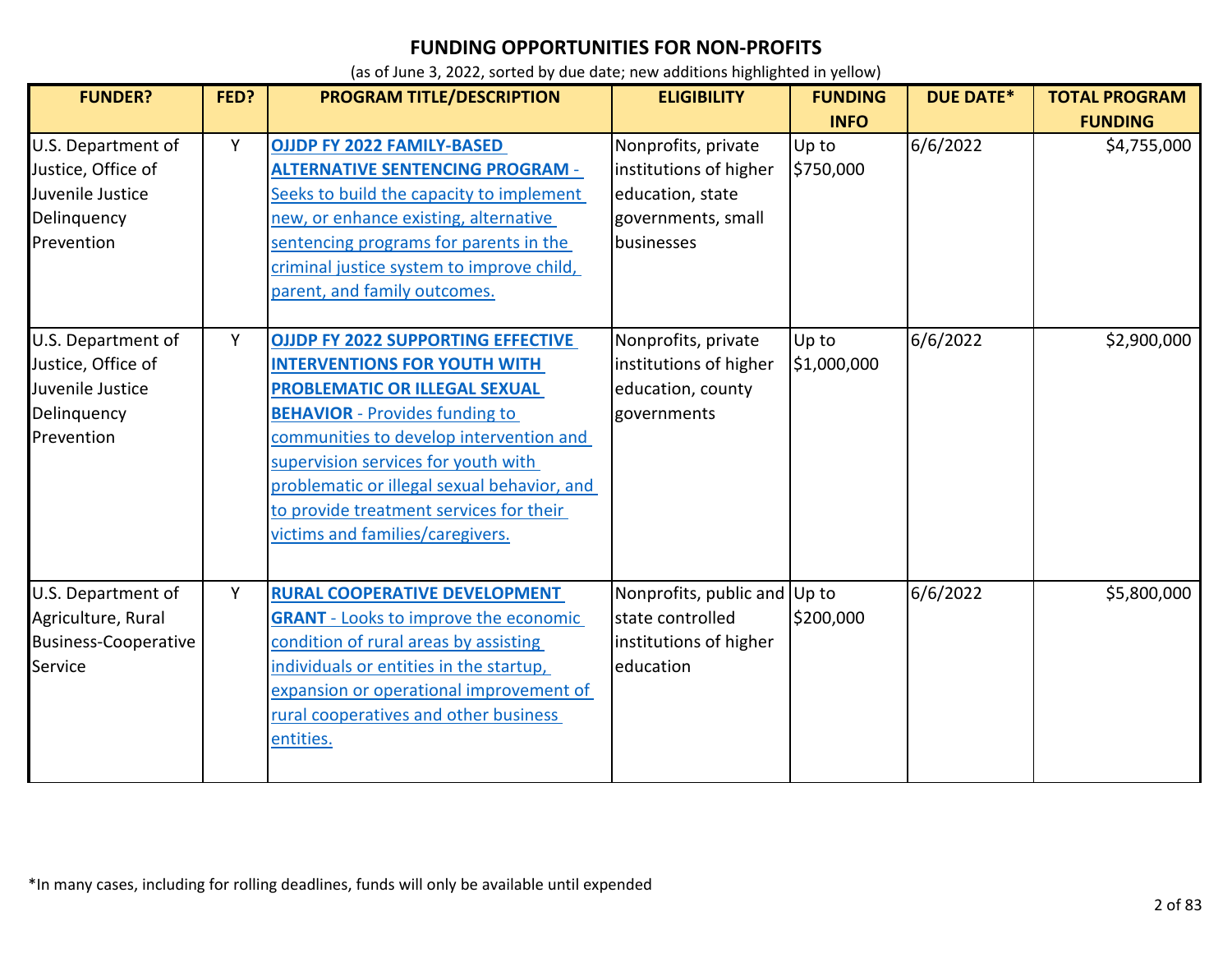| <b>FUNDER?</b>                                                                            | FED? | <b>PROGRAM TITLE/DESCRIPTION</b>                                                                                                                                                                                                                                                                                                                                           | <b>ELIGIBILITY</b>                                                                                    | <b>FUNDING</b>       | <b>DUE DATE*</b> | <b>TOTAL PROGRAM</b> |
|-------------------------------------------------------------------------------------------|------|----------------------------------------------------------------------------------------------------------------------------------------------------------------------------------------------------------------------------------------------------------------------------------------------------------------------------------------------------------------------------|-------------------------------------------------------------------------------------------------------|----------------------|------------------|----------------------|
|                                                                                           |      |                                                                                                                                                                                                                                                                                                                                                                            |                                                                                                       | <b>INFO</b>          |                  | <b>FUNDING</b>       |
| U.S. Department of<br>Justice, Office of<br>Juvenile Justice<br>Delinquency<br>Prevention | Y    | <b>OJJDP FY 2022 FAMILY-BASED</b><br><b>ALTERNATIVE SENTENCING PROGRAM -</b><br>Seeks to build the capacity to implement<br>new, or enhance existing, alternative<br>sentencing programs for parents in the<br>criminal justice system to improve child,<br>parent, and family outcomes.                                                                                   | Nonprofits, private<br>institutions of higher<br>education, state<br>governments, small<br>businesses | Up to<br>\$750,000   | 6/6/2022         | \$4,755,000          |
| U.S. Department of<br>Justice, Office of<br>Juvenile Justice<br>Delinquency<br>Prevention | Y    | <b>OJJDP FY 2022 SUPPORTING EFFECTIVE</b><br><b>INTERVENTIONS FOR YOUTH WITH</b><br>PROBLEMATIC OR ILLEGAL SEXUAL<br><b>BEHAVIOR</b> - Provides funding to<br>communities to develop intervention and<br>supervision services for youth with<br>problematic or illegal sexual behavior, and<br>to provide treatment services for their<br>victims and families/caregivers. | Nonprofits, private<br>institutions of higher<br>education, county<br>governments                     | Up to<br>\$1,000,000 | 6/6/2022         | \$2,900,000          |
| U.S. Department of<br>Agriculture, Rural<br><b>Business-Cooperative</b><br>Service        | Y    | RURAL COOPERATIVE DEVELOPMENT<br><b>GRANT</b> - Looks to improve the economic<br>condition of rural areas by assisting<br>individuals or entities in the startup,<br>expansion or operational improvement of<br>rural cooperatives and other business<br>entities.                                                                                                         | Nonprofits, public and Up to<br>state controlled<br>institutions of higher<br>education               | \$200,000            | 6/6/2022         | \$5,800,000          |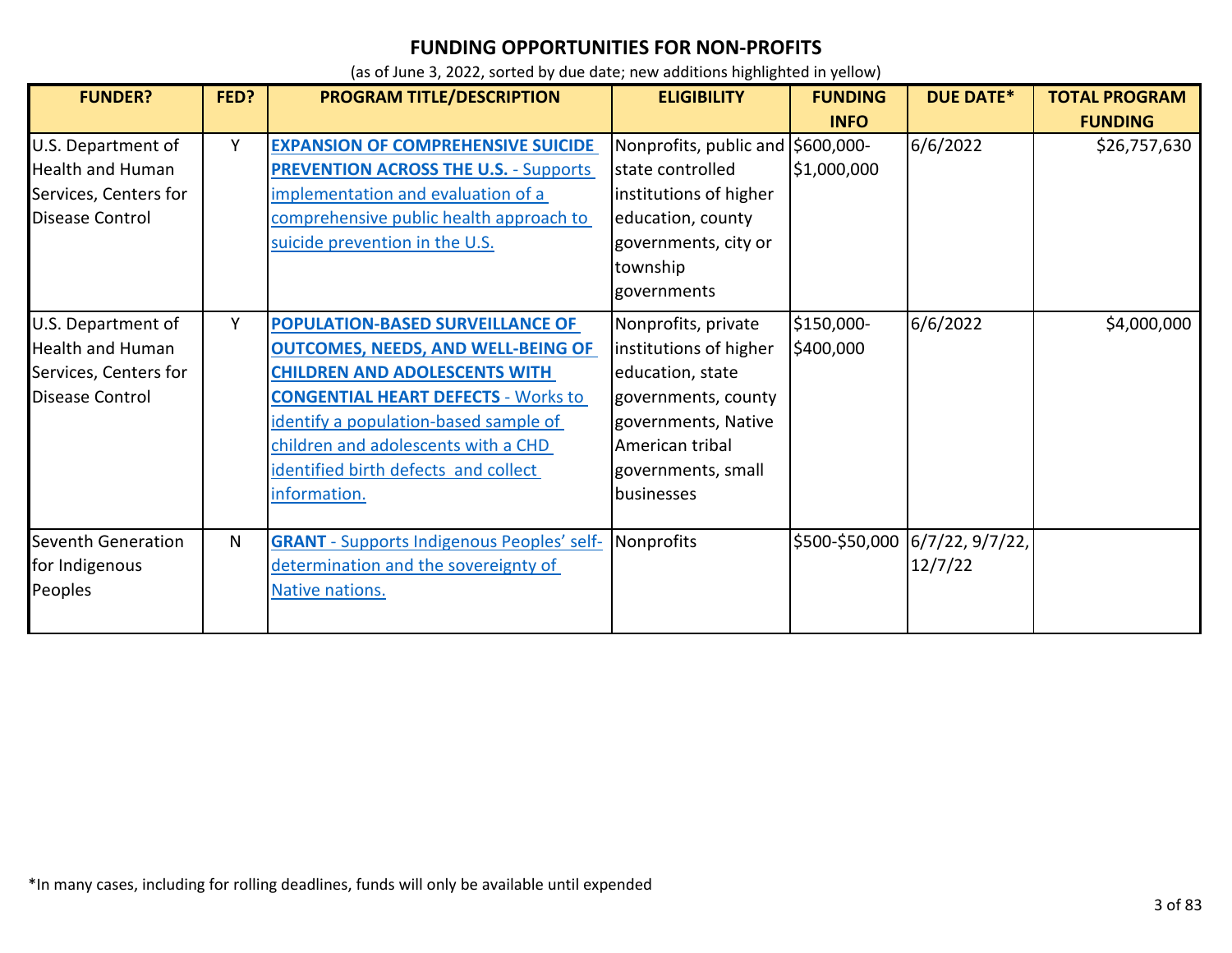| <b>FUNDER?</b>            | FED? | PROGRAM TITLE/DESCRIPTION                         | <b>ELIGIBILITY</b>                | <b>FUNDING</b> | <b>DUE DATE*</b>               | <b>TOTAL PROGRAM</b> |
|---------------------------|------|---------------------------------------------------|-----------------------------------|----------------|--------------------------------|----------------------|
|                           |      |                                                   |                                   | <b>INFO</b>    |                                | <b>FUNDING</b>       |
| U.S. Department of        | Y    | <b>EXPANSION OF COMPREHENSIVE SUICIDE</b>         | Nonprofits, public and \$600,000- |                | 6/6/2022                       | \$26,757,630         |
| <b>Health and Human</b>   |      | <b>PREVENTION ACROSS THE U.S. - Supports</b>      | state controlled                  | \$1,000,000    |                                |                      |
| Services, Centers for     |      | implementation and evaluation of a                | institutions of higher            |                |                                |                      |
| <b>Disease Control</b>    |      | comprehensive public health approach to           | education, county                 |                |                                |                      |
|                           |      | suicide prevention in the U.S.                    | governments, city or              |                |                                |                      |
|                           |      |                                                   | township                          |                |                                |                      |
|                           |      |                                                   | governments                       |                |                                |                      |
| U.S. Department of        | Y    | POPULATION-BASED SURVEILLANCE OF                  | Nonprofits, private               | \$150,000-     | 6/6/2022                       | \$4,000,000          |
| <b>Health and Human</b>   |      | <b>OUTCOMES, NEEDS, AND WELL-BEING OF</b>         | institutions of higher            | \$400,000      |                                |                      |
| Services, Centers for     |      | <b>CHILDREN AND ADOLESCENTS WITH</b>              | education, state                  |                |                                |                      |
| Disease Control           |      | <b>CONGENTIAL HEART DEFECTS - Works to</b>        | governments, county               |                |                                |                      |
|                           |      | identify a population-based sample of             | governments, Native               |                |                                |                      |
|                           |      | children and adolescents with a CHD               | American tribal                   |                |                                |                      |
|                           |      | identified birth defects and collect              | governments, small                |                |                                |                      |
|                           |      | information.                                      | businesses                        |                |                                |                      |
| <b>Seventh Generation</b> | N    | <b>GRANT</b> - Supports Indigenous Peoples' self- | Nonprofits                        |                | \$500-\$50,000 6/7/22, 9/7/22, |                      |
| for Indigenous            |      | determination and the sovereignty of              |                                   |                | 12/7/22                        |                      |
| Peoples                   |      | Native nations.                                   |                                   |                |                                |                      |
|                           |      |                                                   |                                   |                |                                |                      |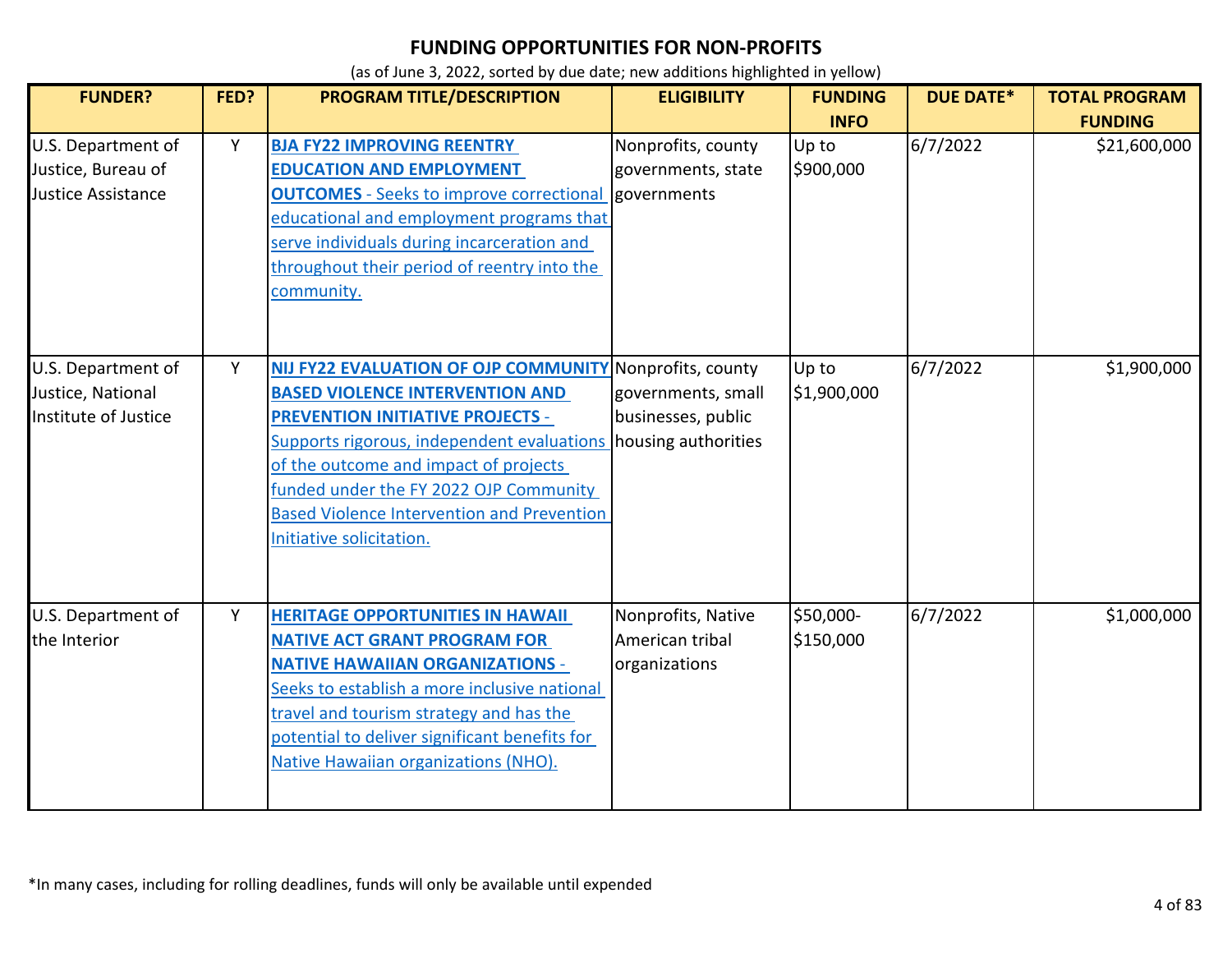| <b>FUNDER?</b>                                                  | FED? | <b>PROGRAM TITLE/DESCRIPTION</b>                                                                                                                                                                                                                                                                                                                                                   | <b>ELIGIBILITY</b>                                     | <b>FUNDING</b><br><b>INFO</b> | <b>DUE DATE*</b> | <b>TOTAL PROGRAM</b><br><b>FUNDING</b> |
|-----------------------------------------------------------------|------|------------------------------------------------------------------------------------------------------------------------------------------------------------------------------------------------------------------------------------------------------------------------------------------------------------------------------------------------------------------------------------|--------------------------------------------------------|-------------------------------|------------------|----------------------------------------|
| U.S. Department of<br>Justice, Bureau of<br>Justice Assistance  | Υ    | <b>BJA FY22 IMPROVING REENTRY</b><br><b>EDUCATION AND EMPLOYMENT</b><br><b>OUTCOMES</b> - Seeks to improve correctional governments<br>educational and employment programs that<br>serve individuals during incarceration and<br>throughout their period of reentry into the<br>community.                                                                                         | Nonprofits, county<br>governments, state               | Up to<br>\$900,000            | 6/7/2022         | \$21,600,000                           |
| U.S. Department of<br>Justice, National<br>Institute of Justice | Y    | NIJ FY22 EVALUATION OF OJP COMMUNITY Nonprofits, county<br><b>BASED VIOLENCE INTERVENTION AND</b><br><b>PREVENTION INITIATIVE PROJECTS -</b><br>Supports rigorous, independent evaluations housing authorities<br>of the outcome and impact of projects<br>funded under the FY 2022 OJP Community<br><b>Based Violence Intervention and Prevention</b><br>Initiative solicitation. | governments, small<br>businesses, public               | Up to<br>\$1,900,000          | 6/7/2022         | \$1,900,000                            |
| U.S. Department of<br>the Interior                              | Υ    | <b>HERITAGE OPPORTUNITIES IN HAWAII</b><br><b>NATIVE ACT GRANT PROGRAM FOR</b><br><b>NATIVE HAWAIIAN ORGANIZATIONS -</b><br>Seeks to establish a more inclusive national<br>travel and tourism strategy and has the<br>potential to deliver significant benefits for<br>Native Hawaiian organizations (NHO).                                                                       | Nonprofits, Native<br>American tribal<br>organizations | \$50,000-<br>\$150,000        | 6/7/2022         | \$1,000,000                            |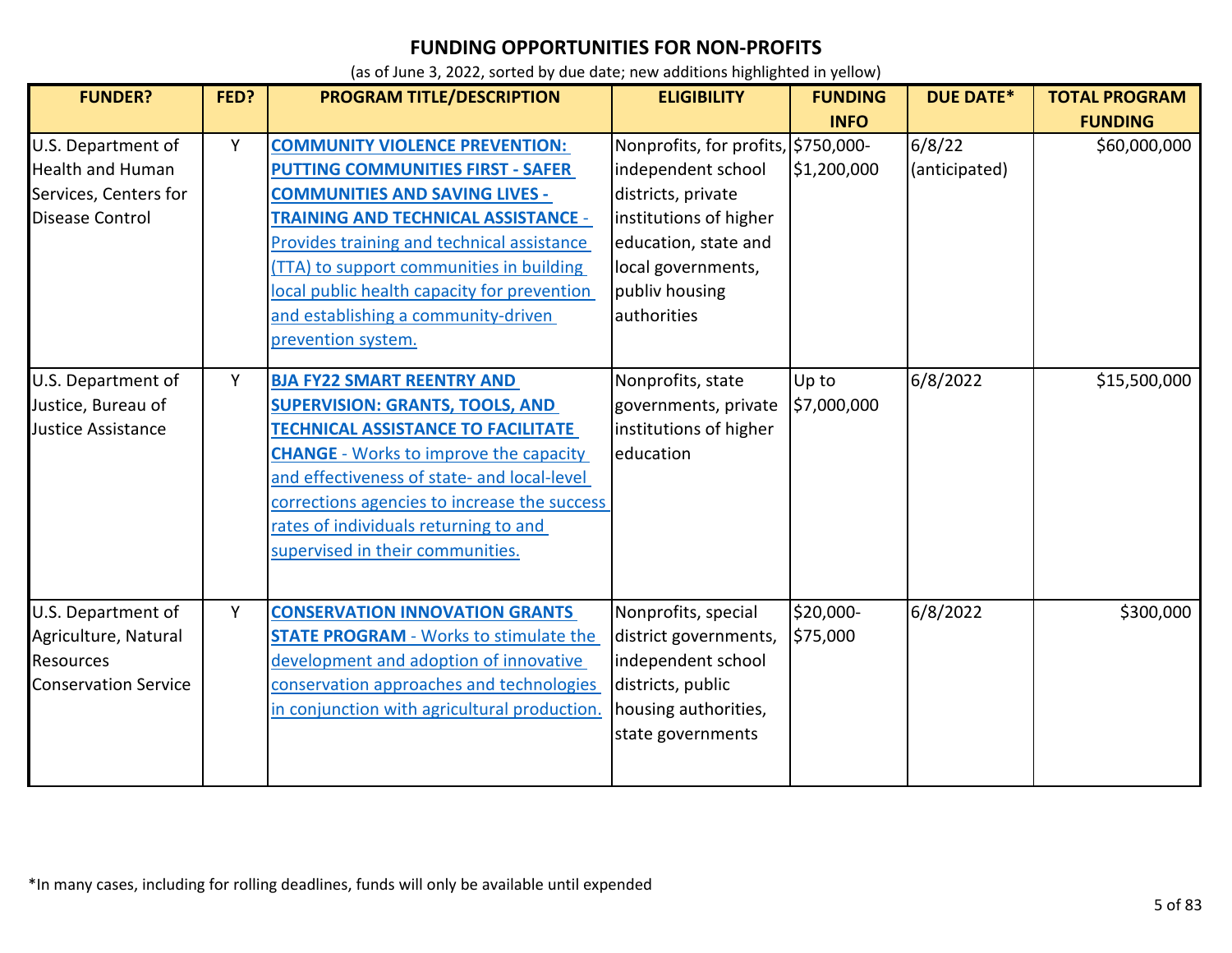| <b>FUNDER?</b>                                                                                   | FED? | PROGRAM TITLE/DESCRIPTION                                                                                                                                                                                                                                                                                                                                                      | <b>ELIGIBILITY</b>                                                                                                                                                                       | <b>FUNDING</b>             | <b>DUE DATE*</b>        | <b>TOTAL PROGRAM</b>           |
|--------------------------------------------------------------------------------------------------|------|--------------------------------------------------------------------------------------------------------------------------------------------------------------------------------------------------------------------------------------------------------------------------------------------------------------------------------------------------------------------------------|------------------------------------------------------------------------------------------------------------------------------------------------------------------------------------------|----------------------------|-------------------------|--------------------------------|
| U.S. Department of<br><b>Health and Human</b><br>Services, Centers for<br><b>Disease Control</b> | Y    | <b>COMMUNITY VIOLENCE PREVENTION:</b><br><b>PUTTING COMMUNITIES FIRST - SAFER</b><br><b>COMMUNITIES AND SAVING LIVES -</b><br><b>TRAINING AND TECHNICAL ASSISTANCE -</b><br>Provides training and technical assistance<br>(TTA) to support communities in building<br>local public health capacity for prevention<br>and establishing a community-driven<br>prevention system. | Nonprofits, for profits, \$750,000-<br>independent school<br>districts, private<br>institutions of higher<br>education, state and<br>local governments,<br>publiv housing<br>authorities | <b>INFO</b><br>\$1,200,000 | 6/8/22<br>(anticipated) | <b>FUNDING</b><br>\$60,000,000 |
| U.S. Department of<br>Justice, Bureau of<br><b>Justice Assistance</b>                            | Y    | <b>BJA FY22 SMART REENTRY AND</b><br><b>SUPERVISION: GRANTS, TOOLS, AND</b><br><b>TECHNICAL ASSISTANCE TO FACILITATE</b><br><b>CHANGE</b> - Works to improve the capacity<br>and effectiveness of state- and local-level<br>corrections agencies to increase the success<br>rates of individuals returning to and<br>supervised in their communities.                          | Nonprofits, state<br>governments, private<br>institutions of higher<br>education                                                                                                         | Up to<br>\$7,000,000       | 6/8/2022                | \$15,500,000                   |
| U.S. Department of<br>Agriculture, Natural<br>Resources<br><b>Conservation Service</b>           | Y    | <b>CONSERVATION INNOVATION GRANTS</b><br><b>STATE PROGRAM - Works to stimulate the</b><br>development and adoption of innovative<br>conservation approaches and technologies<br>in conjunction with agricultural production.                                                                                                                                                   | Nonprofits, special<br>district governments,<br>independent school<br>districts, public<br>housing authorities,<br>state governments                                                     | \$20,000-<br>\$75,000      | 6/8/2022                | \$300,000                      |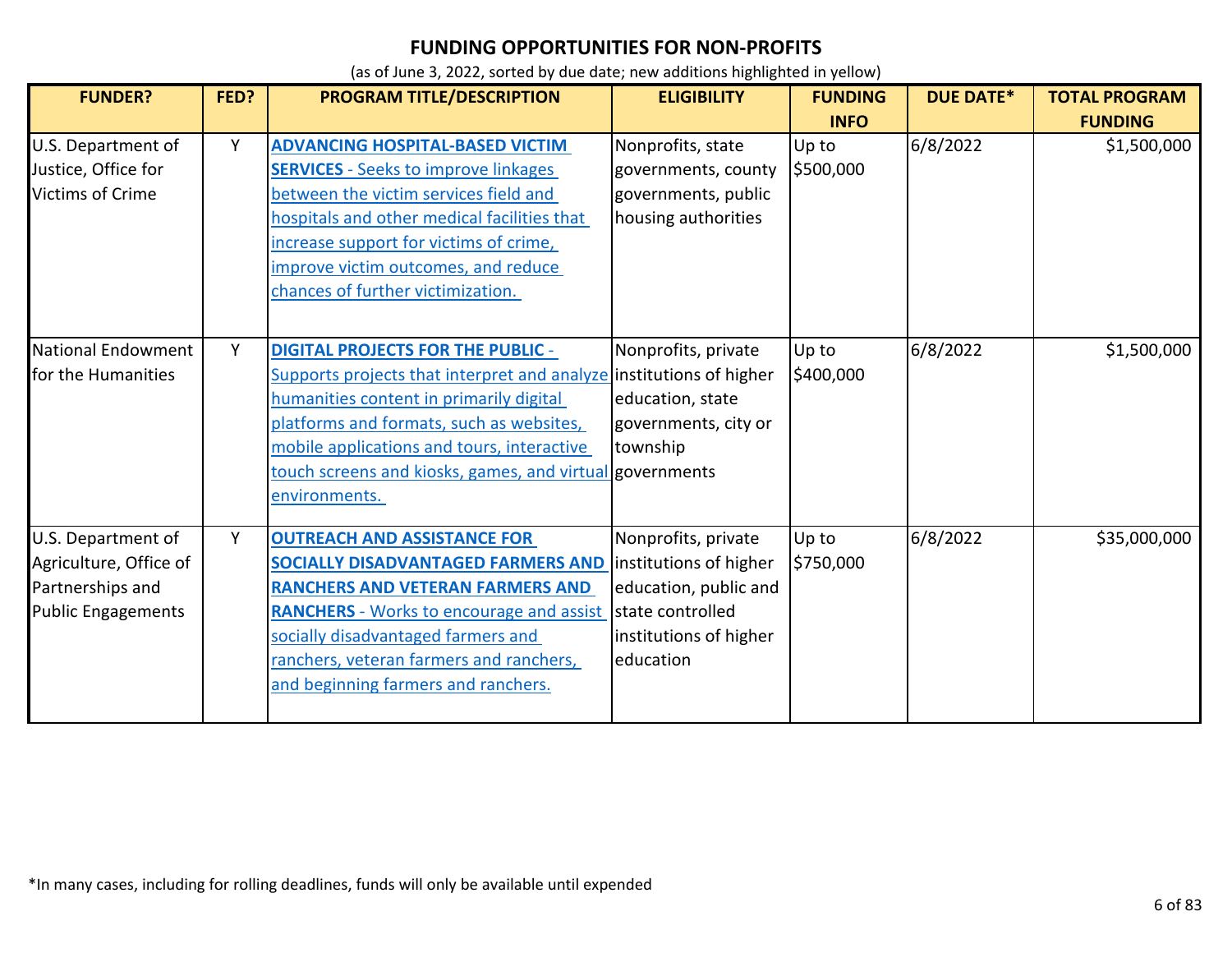| <b>FUNDER?</b>                                                                                | FED? | PROGRAM TITLE/DESCRIPTION                                                                                                                                                                                                                                                                                                         | <b>ELIGIBILITY</b>                                                                                                                | <b>FUNDING</b><br><b>INFO</b> | <b>DUE DATE*</b> | <b>TOTAL PROGRAM</b><br><b>FUNDING</b> |
|-----------------------------------------------------------------------------------------------|------|-----------------------------------------------------------------------------------------------------------------------------------------------------------------------------------------------------------------------------------------------------------------------------------------------------------------------------------|-----------------------------------------------------------------------------------------------------------------------------------|-------------------------------|------------------|----------------------------------------|
| U.S. Department of<br>Justice, Office for<br><b>Victims of Crime</b>                          | Y    | <b>ADVANCING HOSPITAL-BASED VICTIM</b><br><b>SERVICES</b> - Seeks to improve linkages<br>between the victim services field and<br>hospitals and other medical facilities that<br>increase support for victims of crime,<br>improve victim outcomes, and reduce<br>chances of further victimization.                               | Nonprofits, state<br>governments, county<br>governments, public<br>housing authorities                                            | Up to<br>\$500,000            | 6/8/2022         | \$1,500,000                            |
| <b>National Endowment</b><br>for the Humanities                                               | Y    | <b>DIGITAL PROJECTS FOR THE PUBLIC -</b><br>Supports projects that interpret and analyze institutions of higher<br>humanities content in primarily digital<br>platforms and formats, such as websites,<br>mobile applications and tours, interactive<br>touch screens and kiosks, games, and virtual governments<br>environments. | Nonprofits, private<br>education, state<br>governments, city or<br>township                                                       | Up to<br>\$400,000            | 6/8/2022         | \$1,500,000                            |
| U.S. Department of<br>Agriculture, Office of<br>Partnerships and<br><b>Public Engagements</b> | Y    | <b>OUTREACH AND ASSISTANCE FOR</b><br><b>SOCIALLY DISADVANTAGED FARMERS AND</b><br><b>RANCHERS AND VETERAN FARMERS AND</b><br><b>RANCHERS</b> - Works to encourage and assist<br>socially disadvantaged farmers and<br>ranchers, veteran farmers and ranchers,<br>and beginning farmers and ranchers.                             | Nonprofits, private<br>institutions of higher<br>education, public and<br>state controlled<br>institutions of higher<br>education | Up to<br>\$750,000            | 6/8/2022         | \$35,000,000                           |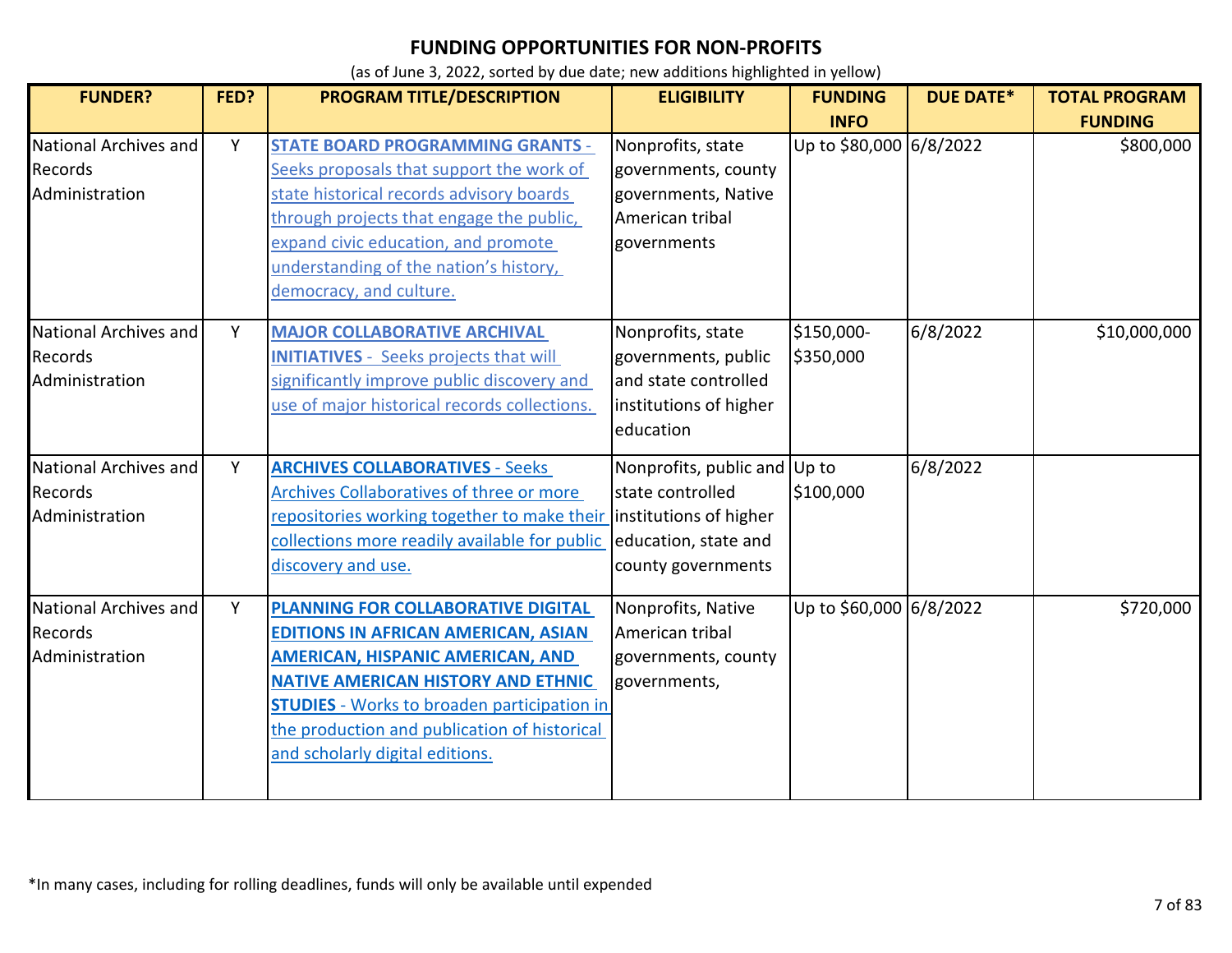| <b>FUNDER?</b>               | FED? | <b>PROGRAM TITLE/DESCRIPTION</b>                   | <b>ELIGIBILITY</b>           | <b>FUNDING</b>          | <b>DUE DATE*</b> | <b>TOTAL PROGRAM</b> |
|------------------------------|------|----------------------------------------------------|------------------------------|-------------------------|------------------|----------------------|
|                              |      |                                                    |                              | <b>INFO</b>             |                  | <b>FUNDING</b>       |
| National Archives and        | Y    | <b>STATE BOARD PROGRAMMING GRANTS -</b>            | Nonprofits, state            | Up to \$80,000 6/8/2022 |                  | \$800,000            |
| Records                      |      | Seeks proposals that support the work of           | governments, county          |                         |                  |                      |
| Administration               |      | state historical records advisory boards           | governments, Native          |                         |                  |                      |
|                              |      | through projects that engage the public,           | American tribal              |                         |                  |                      |
|                              |      | expand civic education, and promote                | governments                  |                         |                  |                      |
|                              |      | understanding of the nation's history,             |                              |                         |                  |                      |
|                              |      | democracy, and culture.                            |                              |                         |                  |                      |
| <b>National Archives and</b> | Y    | <b>MAJOR COLLABORATIVE ARCHIVAL</b>                | Nonprofits, state            | \$150,000-              | 6/8/2022         | \$10,000,000         |
| Records                      |      | <b>INITIATIVES</b> - Seeks projects that will      | governments, public          | \$350,000               |                  |                      |
| Administration               |      | significantly improve public discovery and         | and state controlled         |                         |                  |                      |
|                              |      | use of major historical records collections.       | institutions of higher       |                         |                  |                      |
|                              |      |                                                    | education                    |                         |                  |                      |
| National Archives and        | Y    | <b>ARCHIVES COLLABORATIVES - Seeks</b>             | Nonprofits, public and Up to |                         | 6/8/2022         |                      |
| Records                      |      | Archives Collaboratives of three or more           | state controlled             | \$100,000               |                  |                      |
| Administration               |      | repositories working together to make their        | institutions of higher       |                         |                  |                      |
|                              |      | collections more readily available for public      | education, state and         |                         |                  |                      |
|                              |      | discovery and use.                                 | county governments           |                         |                  |                      |
| National Archives and        | Y    | PLANNING FOR COLLABORATIVE DIGITAL                 | Nonprofits, Native           | Up to \$60,000 6/8/2022 |                  | \$720,000            |
| Records                      |      | <b>EDITIONS IN AFRICAN AMERICAN, ASIAN</b>         | American tribal              |                         |                  |                      |
| Administration               |      | <b>AMERICAN, HISPANIC AMERICAN, AND</b>            | governments, county          |                         |                  |                      |
|                              |      | <b>NATIVE AMERICAN HISTORY AND ETHNIC</b>          | governments,                 |                         |                  |                      |
|                              |      | <b>STUDIES</b> - Works to broaden participation in |                              |                         |                  |                      |
|                              |      | the production and publication of historical       |                              |                         |                  |                      |
|                              |      | and scholarly digital editions.                    |                              |                         |                  |                      |
|                              |      |                                                    |                              |                         |                  |                      |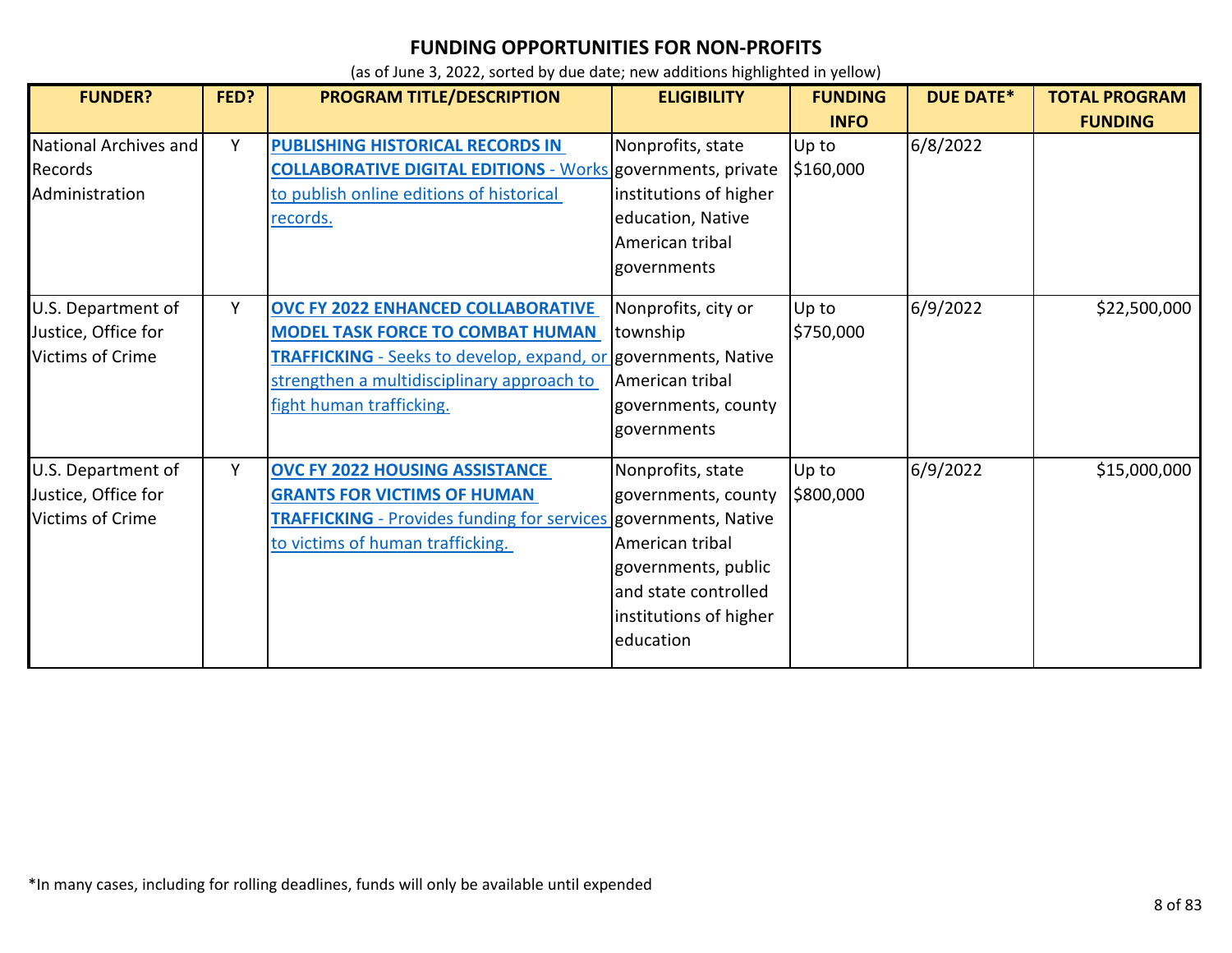| <b>FUNDER?</b>                                                       | FED? | PROGRAM TITLE/DESCRIPTION                                                                                                                                                                                                               | <b>ELIGIBILITY</b>                                                                                                                                | <b>FUNDING</b>     | <b>DUE DATE*</b> | <b>TOTAL PROGRAM</b> |
|----------------------------------------------------------------------|------|-----------------------------------------------------------------------------------------------------------------------------------------------------------------------------------------------------------------------------------------|---------------------------------------------------------------------------------------------------------------------------------------------------|--------------------|------------------|----------------------|
|                                                                      |      |                                                                                                                                                                                                                                         |                                                                                                                                                   | <b>INFO</b>        |                  | <b>FUNDING</b>       |
| National Archives and<br>Records<br>Administration                   | Y    | PUBLISHING HISTORICAL RECORDS IN<br><b>COLLABORATIVE DIGITAL EDITIONS - Works governments, private</b><br>to publish online editions of historical<br><u>records.</u>                                                                   | Nonprofits, state<br>institutions of higher<br>education, Native<br>American tribal<br>governments                                                | Up to<br>\$160,000 | 6/8/2022         |                      |
| U.S. Department of<br>Justice, Office for<br><b>Victims of Crime</b> | Y    | <b>OVC FY 2022 ENHANCED COLLABORATIVE</b><br><b>MODEL TASK FORCE TO COMBAT HUMAN</b><br><b>TRAFFICKING</b> - Seeks to develop, expand, or governments, Native<br>strengthen a multidisciplinary approach to<br>fight human trafficking. | Nonprofits, city or<br>township<br>American tribal<br>governments, county<br>governments                                                          | Up to<br>\$750,000 | 6/9/2022         | \$22,500,000         |
| U.S. Department of<br>Justice, Office for<br>Victims of Crime        | Y    | <b>OVC FY 2022 HOUSING ASSISTANCE</b><br><b>GRANTS FOR VICTIMS OF HUMAN</b><br><b>TRAFFICKING</b> - Provides funding for services governments, Native<br>to victims of human trafficking.                                               | Nonprofits, state<br>governments, county<br>American tribal<br>governments, public<br>and state controlled<br>institutions of higher<br>education | Up to<br>\$800,000 | 6/9/2022         | \$15,000,000         |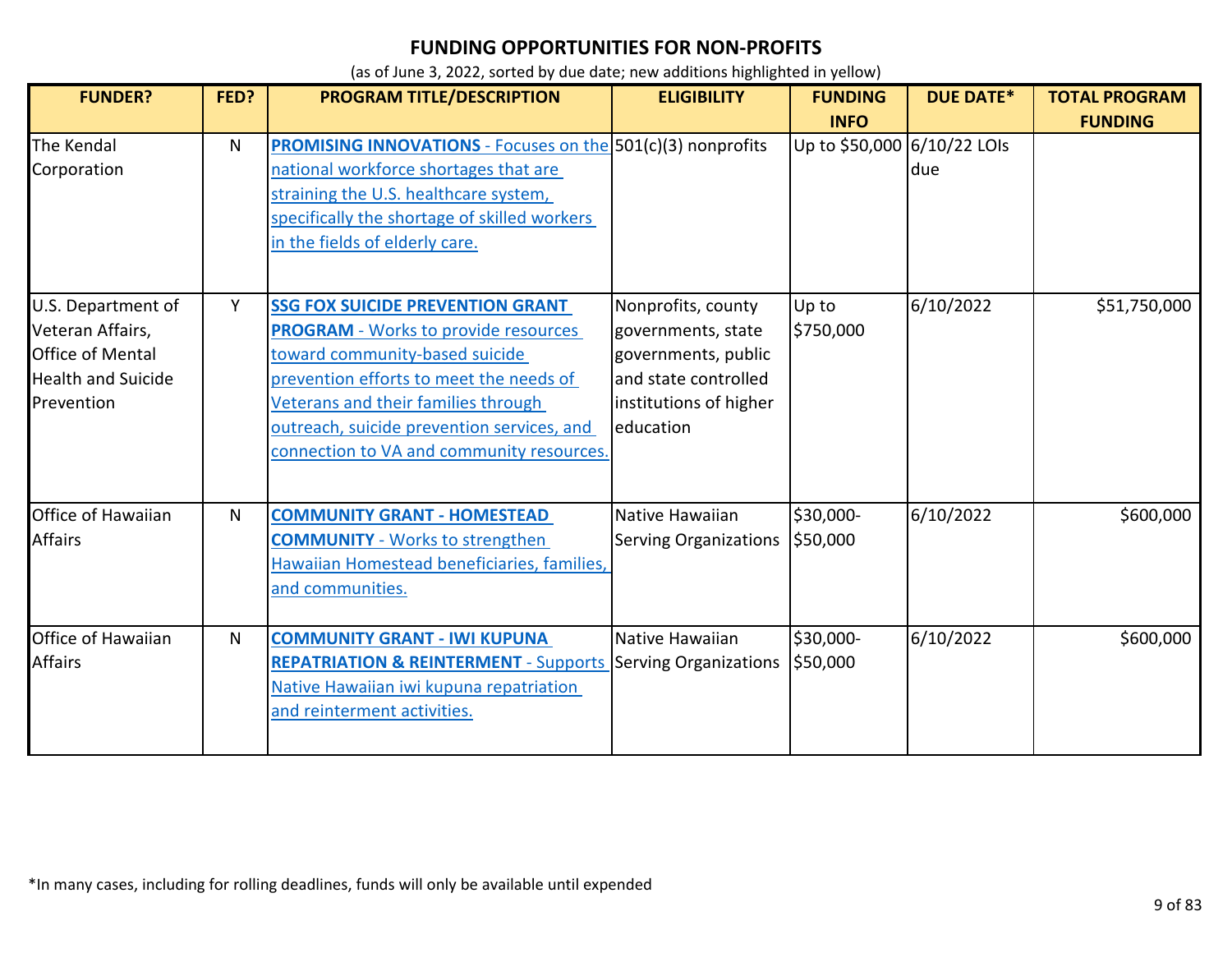| <b>FUNDER?</b>                                                                                               | FED? | PROGRAM TITLE/DESCRIPTION                                                                                                                                                                                                                                                                             | <b>ELIGIBILITY</b>                                                                                                             | <b>FUNDING</b>              | <b>DUE DATE*</b> | <b>TOTAL PROGRAM</b> |
|--------------------------------------------------------------------------------------------------------------|------|-------------------------------------------------------------------------------------------------------------------------------------------------------------------------------------------------------------------------------------------------------------------------------------------------------|--------------------------------------------------------------------------------------------------------------------------------|-----------------------------|------------------|----------------------|
|                                                                                                              |      |                                                                                                                                                                                                                                                                                                       |                                                                                                                                | <b>INFO</b>                 |                  | <b>FUNDING</b>       |
| The Kendal<br>Corporation                                                                                    | N    | <b>PROMISING INNOVATIONS</b> - Focuses on the 501(c)(3) nonprofits<br>national workforce shortages that are<br>straining the U.S. healthcare system,<br>specifically the shortage of skilled workers<br>in the fields of elderly care.                                                                |                                                                                                                                | Up to \$50,000 6/10/22 LOIs | due              |                      |
| U.S. Department of<br>Veteran Affairs,<br><b>Office of Mental</b><br><b>Health and Suicide</b><br>Prevention | Y    | <b>SSG FOX SUICIDE PREVENTION GRANT</b><br><b>PROGRAM</b> - Works to provide resources<br>toward community-based suicide<br>prevention efforts to meet the needs of<br>Veterans and their families through<br>outreach, suicide prevention services, and<br>connection to VA and community resources. | Nonprofits, county<br>governments, state<br>governments, public<br>and state controlled<br>institutions of higher<br>education | Up to<br>\$750,000          | 6/10/2022        | \$51,750,000         |
| Office of Hawaiian<br><b>Affairs</b>                                                                         | N    | <b>COMMUNITY GRANT - HOMESTEAD</b><br><b>COMMUNITY</b> - Works to strengthen<br>Hawaiian Homestead beneficiaries, families,<br>and communities.                                                                                                                                                       | Native Hawaiian<br><b>Serving Organizations</b>                                                                                | \$30,000-<br>\$50,000       | 6/10/2022        | \$600,000            |
| Office of Hawaiian<br><b>Affairs</b>                                                                         | N    | <b>COMMUNITY GRANT - IWI KUPUNA</b><br><b>REPATRIATION &amp; REINTERMENT - Supports</b><br>Native Hawaiian iwi kupuna repatriation<br>and reinterment activities.                                                                                                                                     | Native Hawaiian<br><b>Serving Organizations</b>                                                                                | \$30,000-<br>\$50,000       | 6/10/2022        | \$600,000            |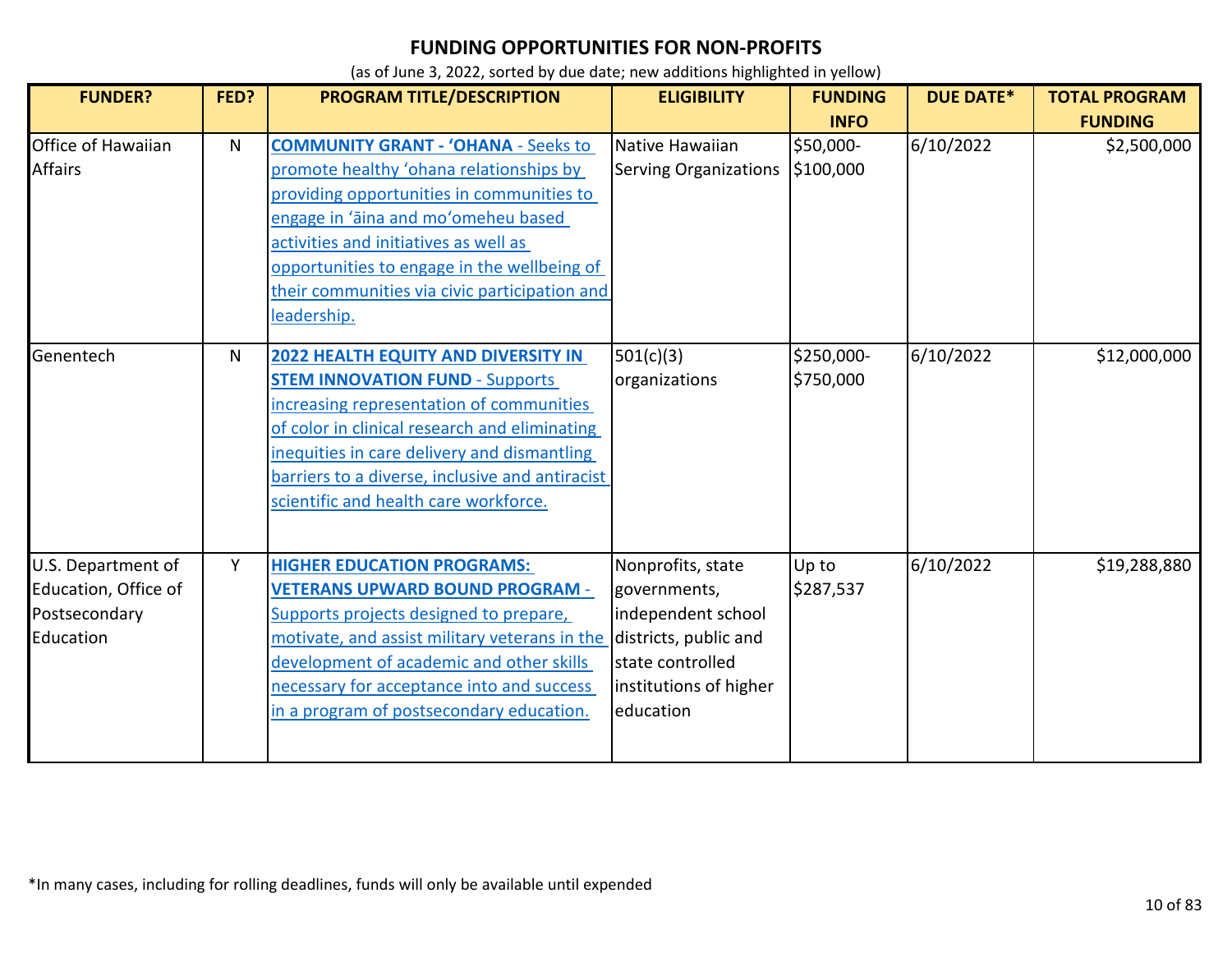| <b>FUNDER?</b>                                                           | FED?         | <b>PROGRAM TITLE/DESCRIPTION</b>                                                                                                                                                                                                                                                                                                  | <b>ELIGIBILITY</b>                                                                                                                          | <b>FUNDING</b><br><b>INFO</b> | <b>DUE DATE*</b> | <b>TOTAL PROGRAM</b><br><b>FUNDING</b> |
|--------------------------------------------------------------------------|--------------|-----------------------------------------------------------------------------------------------------------------------------------------------------------------------------------------------------------------------------------------------------------------------------------------------------------------------------------|---------------------------------------------------------------------------------------------------------------------------------------------|-------------------------------|------------------|----------------------------------------|
| Office of Hawaiian<br><b>Affairs</b>                                     | $\mathsf{N}$ | <b>COMMUNITY GRANT - 'OHANA - Seeks to</b><br>promote healthy 'ohana relationships by<br>providing opportunities in communities to<br>engage in 'āina and mo'omeheu based<br>activities and initiatives as well as<br>opportunities to engage in the wellbeing of<br>their communities via civic participation and<br>leadership. | Native Hawaiian<br><b>Serving Organizations</b>                                                                                             | \$50,000-<br>\$100,000        | 6/10/2022        | \$2,500,000                            |
| Genentech                                                                | N            | <b>2022 HEALTH EQUITY AND DIVERSITY IN</b><br><b>STEM INNOVATION FUND - Supports</b><br>increasing representation of communities<br>of color in clinical research and eliminating<br>inequities in care delivery and dismantling<br>barriers to a diverse, inclusive and antiracist<br>scientific and health care workforce.      | 501(c)(3)<br>organizations                                                                                                                  | \$250,000-<br>\$750,000       | 6/10/2022        | \$12,000,000                           |
| U.S. Department of<br>Education, Office of<br>Postsecondary<br>Education | Y            | <b>HIGHER EDUCATION PROGRAMS:</b><br><b>VETERANS UPWARD BOUND PROGRAM -</b><br>Supports projects designed to prepare,<br>motivate, and assist military veterans in the<br>development of academic and other skills<br>necessary for acceptance into and success<br>in a program of postsecondary education.                       | Nonprofits, state<br>governments,<br>independent school<br>districts, public and<br>state controlled<br>institutions of higher<br>education | Up to<br>\$287,537            | 6/10/2022        | \$19,288,880                           |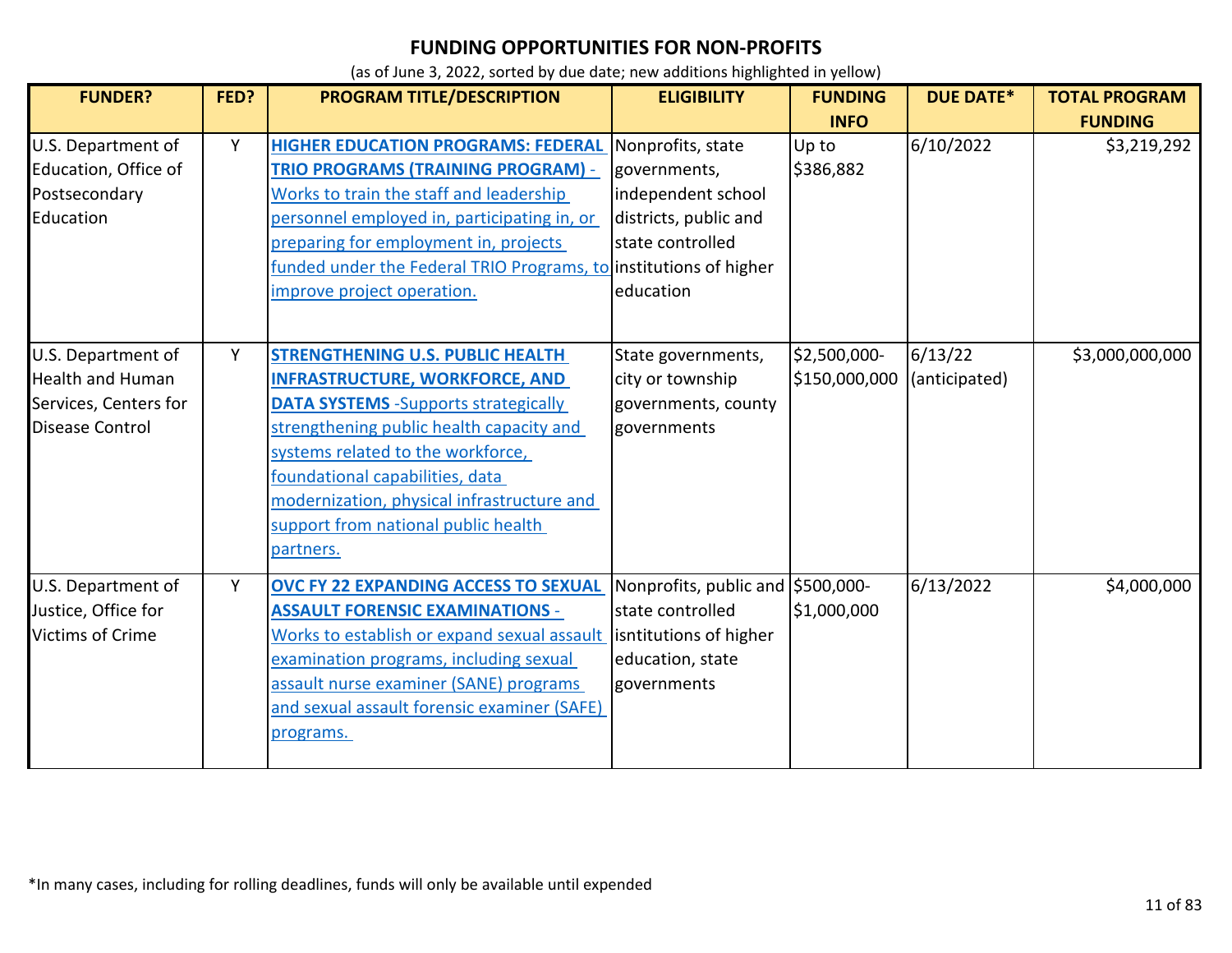| <b>FUNDER?</b>                                                                                   | FED? | <b>PROGRAM TITLE/DESCRIPTION</b>                                                                                                                                                                                                                                                                                                                       | <b>ELIGIBILITY</b>                                                                                                | <b>FUNDING</b>                | <b>DUE DATE*</b>         | <b>TOTAL PROGRAM</b> |
|--------------------------------------------------------------------------------------------------|------|--------------------------------------------------------------------------------------------------------------------------------------------------------------------------------------------------------------------------------------------------------------------------------------------------------------------------------------------------------|-------------------------------------------------------------------------------------------------------------------|-------------------------------|--------------------------|----------------------|
|                                                                                                  |      |                                                                                                                                                                                                                                                                                                                                                        |                                                                                                                   | <b>INFO</b>                   |                          | <b>FUNDING</b>       |
| U.S. Department of<br>Education, Office of<br>Postsecondary<br>Education                         | Y    | <b>HIGHER EDUCATION PROGRAMS: FEDERAL</b><br><b>TRIO PROGRAMS (TRAINING PROGRAM) -</b><br>Works to train the staff and leadership<br>personnel employed in, participating in, or<br>preparing for employment in, projects<br>funded under the Federal TRIO Programs, to institutions of higher<br>improve project operation.                           | Nonprofits, state<br>governments,<br>independent school<br>districts, public and<br>state controlled<br>education | Up to<br>\$386,882            | 6/10/2022                | \$3,219,292          |
| U.S. Department of<br><b>Health and Human</b><br>Services, Centers for<br><b>Disease Control</b> | Y    | <b>STRENGTHENING U.S. PUBLIC HEALTH</b><br><b>INFRASTRUCTURE, WORKFORCE, AND</b><br><b>DATA SYSTEMS</b> - Supports strategically<br>strengthening public health capacity and<br>systems related to the workforce,<br>foundational capabilities, data<br>modernization, physical infrastructure and<br>support from national public health<br>partners. | State governments,<br>city or township<br>governments, county<br>governments                                      | \$2,500,000-<br>\$150,000,000 | 6/13/22<br>(anticipated) | \$3,000,000,000      |
| U.S. Department of<br>Justice, Office for<br><b>Victims of Crime</b>                             | Y    | OVC FY 22 EXPANDING ACCESS TO SEXUAL<br><b>ASSAULT FORENSIC EXAMINATIONS -</b><br>Works to establish or expand sexual assault<br>examination programs, including sexual<br>assault nurse examiner (SANE) programs<br>and sexual assault forensic examiner (SAFE)<br>programs.                                                                          | Nonprofits, public and S500,000-<br>state controlled<br>isntitutions of higher<br>education, state<br>governments | \$1,000,000                   | 6/13/2022                | \$4,000,000          |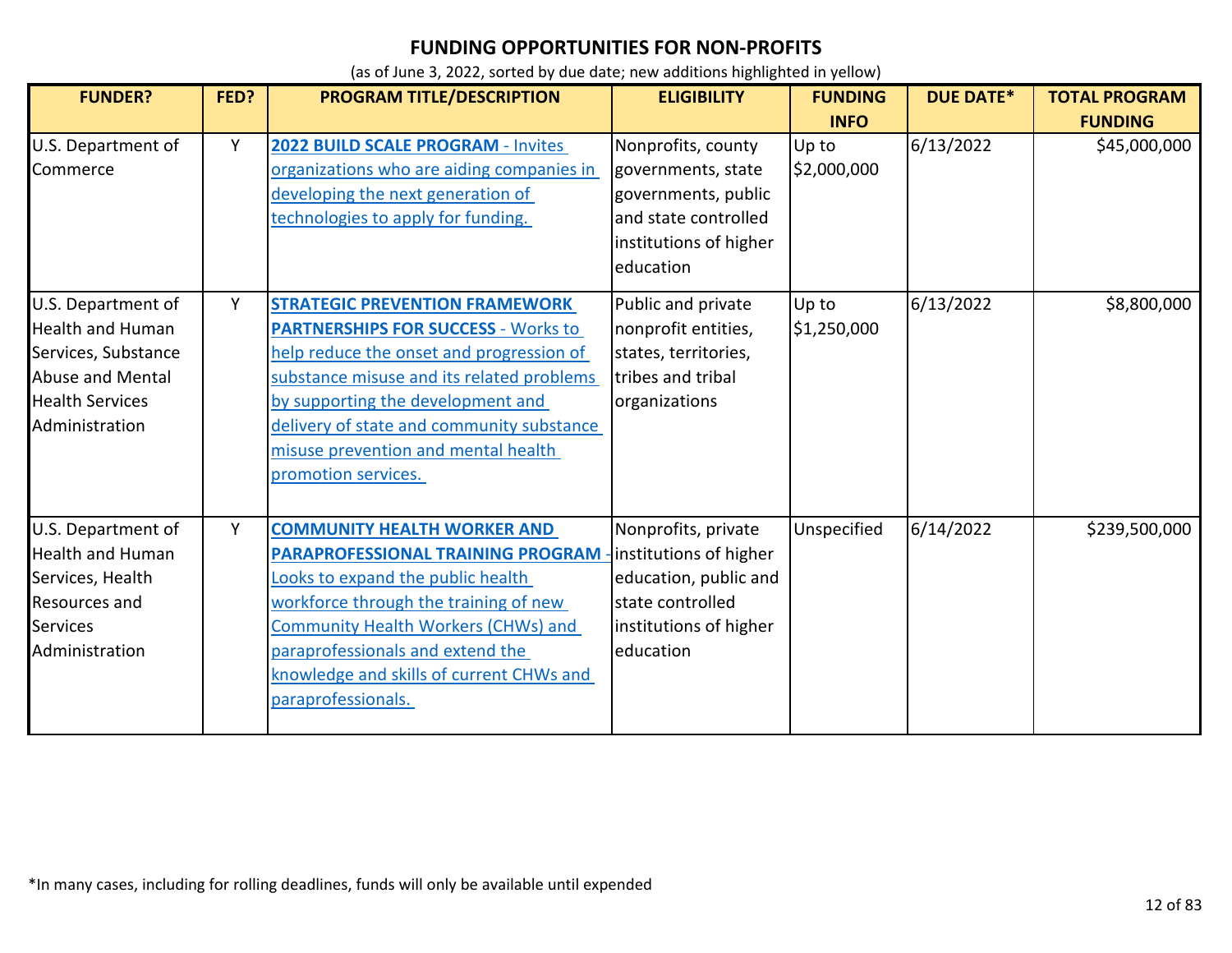| <b>FUNDER?</b>                                                                                                                              | FED? | <b>PROGRAM TITLE/DESCRIPTION</b>                                                                                                                                                                                                                                                                                             | <b>ELIGIBILITY</b>                                                                                                                | <b>FUNDING</b><br><b>INFO</b> | <b>DUE DATE*</b> | <b>TOTAL PROGRAM</b><br><b>FUNDING</b> |
|---------------------------------------------------------------------------------------------------------------------------------------------|------|------------------------------------------------------------------------------------------------------------------------------------------------------------------------------------------------------------------------------------------------------------------------------------------------------------------------------|-----------------------------------------------------------------------------------------------------------------------------------|-------------------------------|------------------|----------------------------------------|
| U.S. Department of<br>Commerce                                                                                                              | Y    | 2022 BUILD SCALE PROGRAM - Invites<br>organizations who are aiding companies in<br>developing the next generation of<br>technologies to apply for funding.                                                                                                                                                                   | Nonprofits, county<br>governments, state<br>governments, public<br>and state controlled<br>institutions of higher<br>education    | Up to<br>\$2,000,000          | 6/13/2022        | \$45,000,000                           |
| U.S. Department of<br><b>Health and Human</b><br>Services, Substance<br><b>Abuse and Mental</b><br><b>Health Services</b><br>Administration | Y    | <b>STRATEGIC PREVENTION FRAMEWORK</b><br><b>PARTNERSHIPS FOR SUCCESS - Works to</b><br>help reduce the onset and progression of<br>substance misuse and its related problems<br>by supporting the development and<br>delivery of state and community substance<br>misuse prevention and mental health<br>promotion services. | Public and private<br>nonprofit entities,<br>states, territories,<br>tribes and tribal<br>organizations                           | Up to<br>\$1,250,000          | 6/13/2022        | \$8,800,000                            |
| U.S. Department of<br><b>Health and Human</b><br>Services, Health<br><b>Resources and</b><br><b>Services</b><br>Administration              | Y    | <b>COMMUNITY HEALTH WORKER AND</b><br><b>PARAPROFESSIONAL TRAINING PROGRAM</b><br>Looks to expand the public health<br>workforce through the training of new<br><b>Community Health Workers (CHWs) and</b><br>paraprofessionals and extend the<br>knowledge and skills of current CHWs and<br>paraprofessionals.             | Nonprofits, private<br>institutions of higher<br>education, public and<br>state controlled<br>institutions of higher<br>education | Unspecified                   | 6/14/2022        | \$239,500,000                          |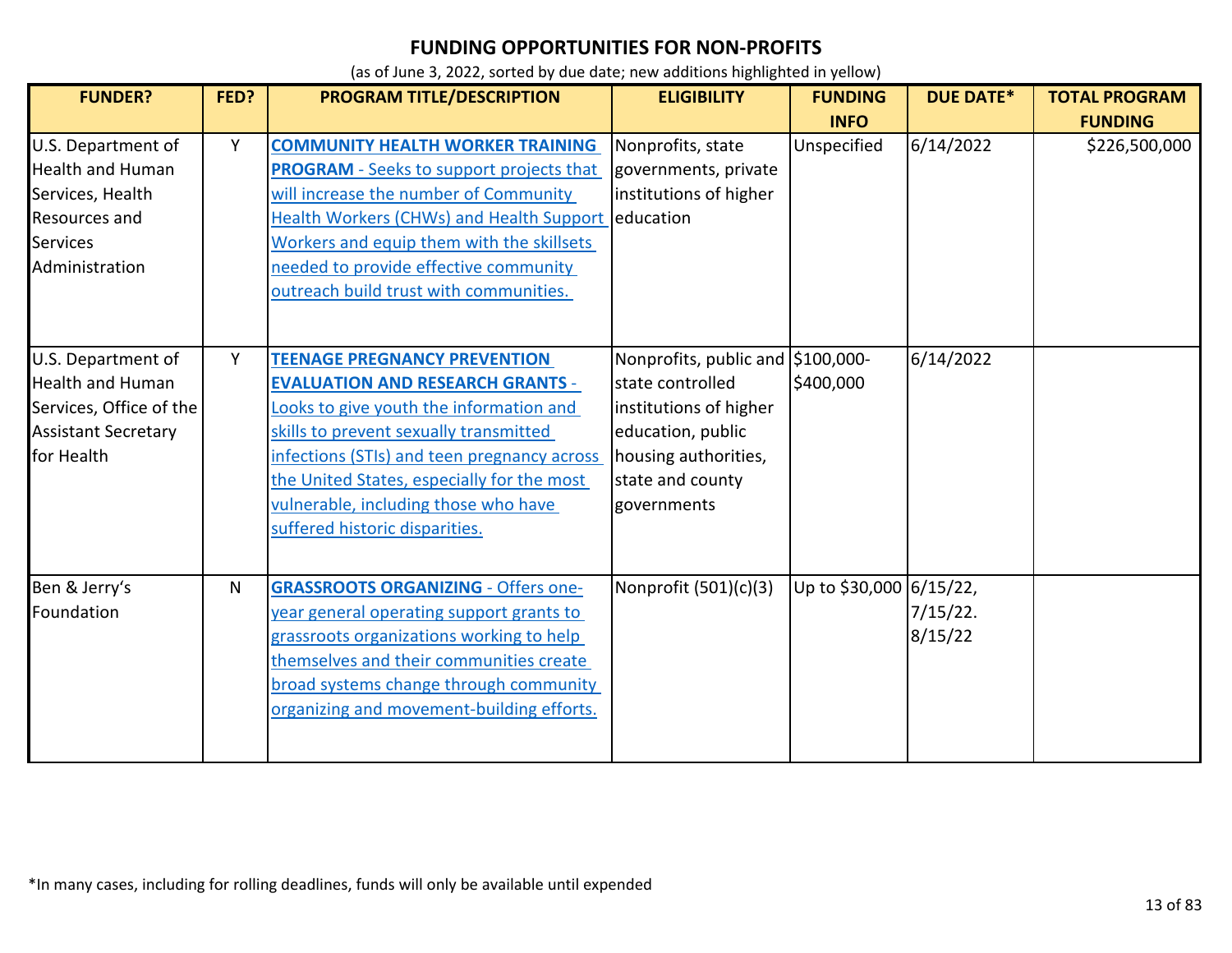| <b>FUNDER?</b>                                                                                                                 | FED? | PROGRAM TITLE/DESCRIPTION                                                                                                                                                                                                                                                                                                                  | <b>ELIGIBILITY</b>                                                                                                                                              | <b>FUNDING</b><br><b>INFO</b> | <b>DUE DATE*</b>       | <b>TOTAL PROGRAM</b><br><b>FUNDING</b> |
|--------------------------------------------------------------------------------------------------------------------------------|------|--------------------------------------------------------------------------------------------------------------------------------------------------------------------------------------------------------------------------------------------------------------------------------------------------------------------------------------------|-----------------------------------------------------------------------------------------------------------------------------------------------------------------|-------------------------------|------------------------|----------------------------------------|
| U.S. Department of<br><b>Health and Human</b><br>Services, Health<br><b>Resources and</b><br><b>Services</b><br>Administration | Y    | <b>COMMUNITY HEALTH WORKER TRAINING</b><br><b>PROGRAM</b> - Seeks to support projects that<br>will increase the number of Community<br>Health Workers (CHWs) and Health Support education<br>Workers and equip them with the skillsets<br>needed to provide effective community<br>outreach build trust with communities.                  | Nonprofits, state<br>governments, private<br>institutions of higher                                                                                             | Unspecified                   | 6/14/2022              | \$226,500,000                          |
| U.S. Department of<br><b>Health and Human</b><br>Services, Office of the<br><b>Assistant Secretary</b><br>for Health           | Y    | <b>TEENAGE PREGNANCY PREVENTION</b><br><b>EVALUATION AND RESEARCH GRANTS -</b><br>Looks to give youth the information and<br>skills to prevent sexually transmitted<br>infections (STIs) and teen pregnancy across<br>the United States, especially for the most<br>vulnerable, including those who have<br>suffered historic disparities. | Nonprofits, public and \$100,000-<br>state controlled<br>institutions of higher<br>education, public<br>housing authorities,<br>state and county<br>governments | \$400,000                     | 6/14/2022              |                                        |
| Ben & Jerry's<br>Foundation                                                                                                    | N    | <b>GRASSROOTS ORGANIZING - Offers one-</b><br>year general operating support grants to<br>grassroots organizations working to help<br>themselves and their communities create<br>broad systems change through community<br>organizing and movement-building efforts.                                                                       | Nonprofit $(501)(c)(3)$                                                                                                                                         | Up to \$30,000 6/15/22,       | $7/15/22$ .<br>8/15/22 |                                        |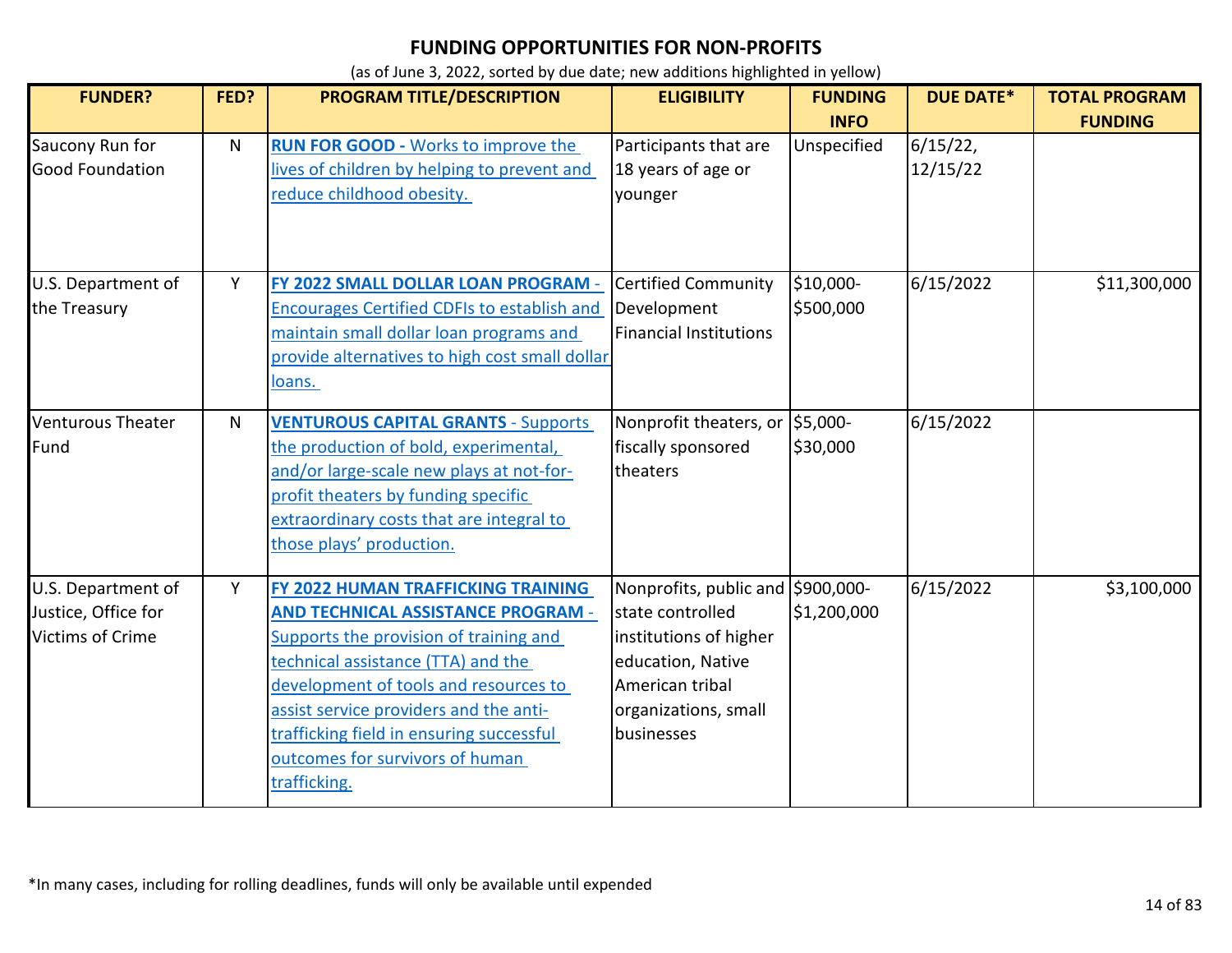| <b>FUNDER?</b>                                                       | FED? | <b>PROGRAM TITLE/DESCRIPTION</b>                                                                                                                                                                                                                                                                                                                  | <b>ELIGIBILITY</b>                                                                                                                                            | <b>FUNDING</b>         | <b>DUE DATE*</b>    | <b>TOTAL PROGRAM</b> |
|----------------------------------------------------------------------|------|---------------------------------------------------------------------------------------------------------------------------------------------------------------------------------------------------------------------------------------------------------------------------------------------------------------------------------------------------|---------------------------------------------------------------------------------------------------------------------------------------------------------------|------------------------|---------------------|----------------------|
|                                                                      |      |                                                                                                                                                                                                                                                                                                                                                   |                                                                                                                                                               | <b>INFO</b>            |                     | <b>FUNDING</b>       |
| Saucony Run for<br><b>Good Foundation</b>                            | N    | <b>RUN FOR GOOD - Works to improve the</b><br>lives of children by helping to prevent and<br>reduce childhood obesity.                                                                                                                                                                                                                            | Participants that are<br>18 years of age or<br>younger                                                                                                        | Unspecified            | 6/15/22<br>12/15/22 |                      |
| U.S. Department of<br>the Treasury                                   | Y    | FY 2022 SMALL DOLLAR LOAN PROGRAM -<br><b>Encourages Certified CDFIs to establish and</b><br>maintain small dollar loan programs and<br>provide alternatives to high cost small dollar<br><u>loans.</u>                                                                                                                                           | <b>Certified Community</b><br>Development<br><b>Financial Institutions</b>                                                                                    | \$10,000-<br>\$500,000 | 6/15/2022           | \$11,300,000         |
| <b>Venturous Theater</b><br>Fund                                     | N    | <b>VENTUROUS CAPITAL GRANTS - Supports</b><br>the production of bold, experimental,<br>and/or large-scale new plays at not-for-<br>profit theaters by funding specific<br>extraordinary costs that are integral to<br>those plays' production.                                                                                                    | Nonprofit theaters, or<br>fiscally sponsored<br>theaters                                                                                                      | \$5,000-<br>\$30,000   | 6/15/2022           |                      |
| U.S. Department of<br>Justice, Office for<br><b>Victims of Crime</b> | Y    | FY 2022 HUMAN TRAFFICKING TRAINING<br><b>AND TECHNICAL ASSISTANCE PROGRAM -</b><br>Supports the provision of training and<br>technical assistance (TTA) and the<br>development of tools and resources to<br>assist service providers and the anti-<br>trafficking field in ensuring successful<br>outcomes for survivors of human<br>trafficking. | Nonprofits, public and \$900,000-<br>state controlled<br>institutions of higher<br>education, Native<br>American tribal<br>organizations, small<br>businesses | \$1,200,000            | 6/15/2022           | \$3,100,000          |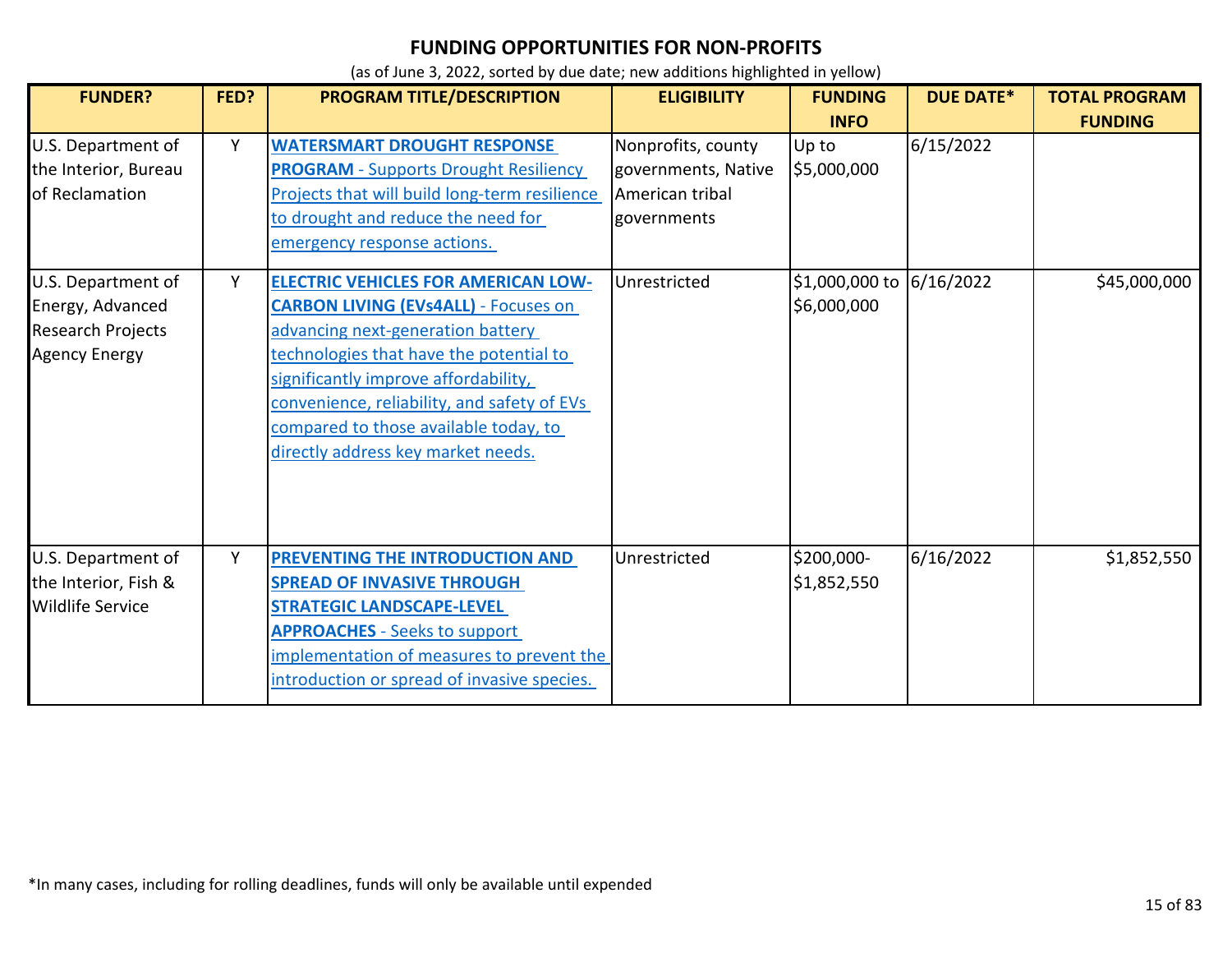| <b>FUNDER?</b>                                                                             | FED? | PROGRAM TITLE/DESCRIPTION                                                                                                                                                                                                                                                                                                                       | <b>ELIGIBILITY</b>                                                          | <b>FUNDING</b><br><b>INFO</b>           | <b>DUE DATE*</b> | <b>TOTAL PROGRAM</b><br><b>FUNDING</b> |
|--------------------------------------------------------------------------------------------|------|-------------------------------------------------------------------------------------------------------------------------------------------------------------------------------------------------------------------------------------------------------------------------------------------------------------------------------------------------|-----------------------------------------------------------------------------|-----------------------------------------|------------------|----------------------------------------|
| U.S. Department of<br>the Interior, Bureau<br>of Reclamation                               | Y    | <b>WATERSMART DROUGHT RESPONSE</b><br><b>PROGRAM - Supports Drought Resiliency</b><br>Projects that will build long-term resilience<br>to drought and reduce the need for<br>emergency response actions.                                                                                                                                        | Nonprofits, county<br>governments, Native<br>American tribal<br>governments | Up to<br>\$5,000,000                    | 6/15/2022        |                                        |
| U.S. Department of<br>Energy, Advanced<br><b>Research Projects</b><br><b>Agency Energy</b> | Y    | <b>ELECTRIC VEHICLES FOR AMERICAN LOW-</b><br><b>CARBON LIVING (EVs4ALL) - Focuses on</b><br>advancing next-generation battery<br>technologies that have the potential to<br>significantly improve affordability,<br>convenience, reliability, and safety of EVs<br>compared to those available today, to<br>directly address key market needs. | Unrestricted                                                                | \$1,000,000 to 6/16/2022<br>\$6,000,000 |                  | \$45,000,000                           |
| U.S. Department of<br>the Interior, Fish &<br><b>Wildlife Service</b>                      | Υ    | PREVENTING THE INTRODUCTION AND<br><b>SPREAD OF INVASIVE THROUGH</b><br><b>STRATEGIC LANDSCAPE-LEVEL</b><br><b>APPROACHES - Seeks to support</b><br>implementation of measures to prevent the<br>introduction or spread of invasive species.                                                                                                    | Unrestricted                                                                | \$200,000-<br>\$1,852,550               | 6/16/2022        | \$1,852,550                            |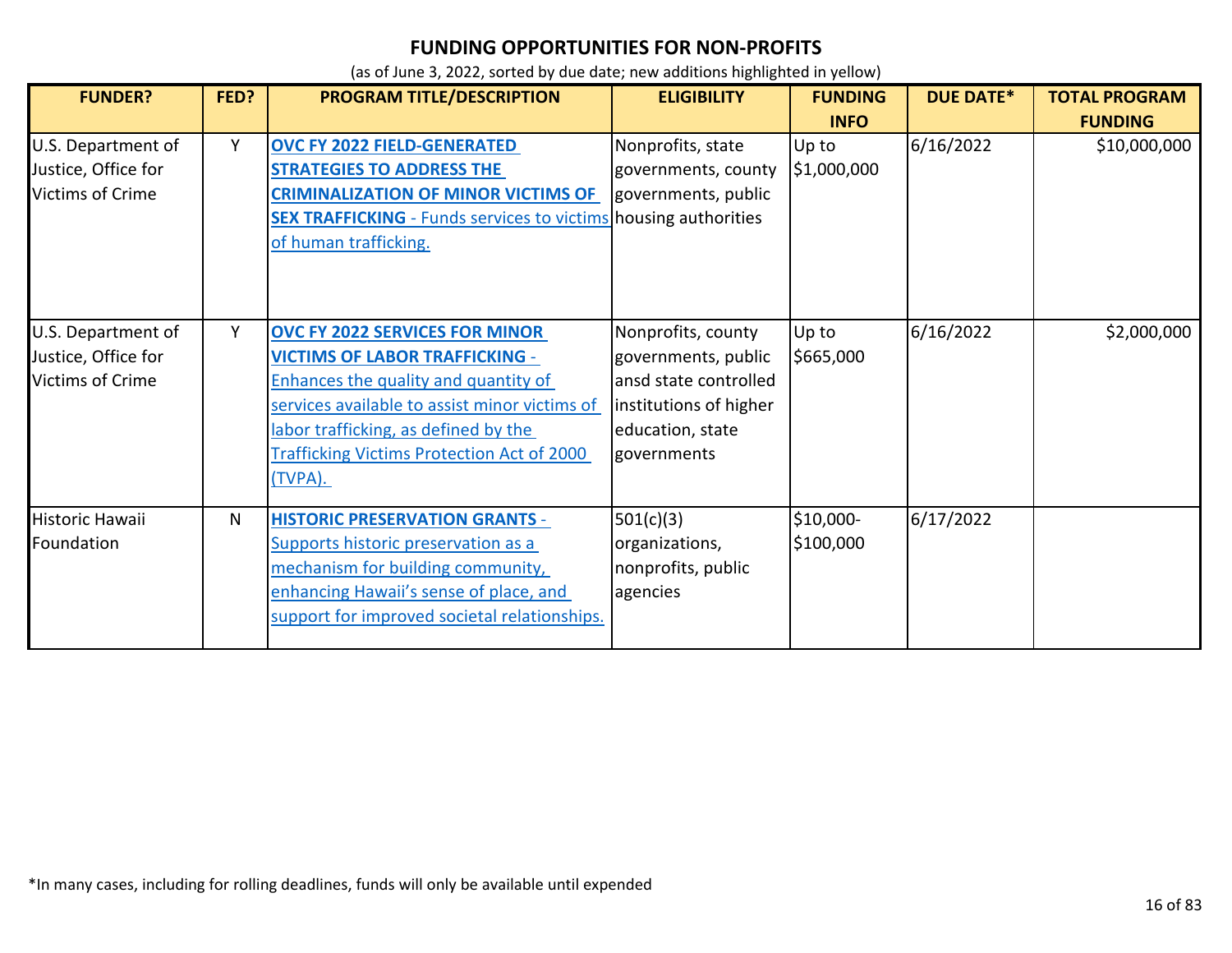| <b>FUNDER?</b>                                                       | FED? | PROGRAM TITLE/DESCRIPTION                                                                                                                                                                                                                                                       | <b>ELIGIBILITY</b>                                                                                                              | <b>FUNDING</b>         | <b>DUE DATE*</b> | <b>TOTAL PROGRAM</b> |
|----------------------------------------------------------------------|------|---------------------------------------------------------------------------------------------------------------------------------------------------------------------------------------------------------------------------------------------------------------------------------|---------------------------------------------------------------------------------------------------------------------------------|------------------------|------------------|----------------------|
|                                                                      |      |                                                                                                                                                                                                                                                                                 |                                                                                                                                 | <b>INFO</b>            |                  | <b>FUNDING</b>       |
| U.S. Department of<br>Justice, Office for<br><b>Victims of Crime</b> | Y    | <b>OVC FY 2022 FIELD-GENERATED</b><br><b>STRATEGIES TO ADDRESS THE</b><br><b>CRIMINALIZATION OF MINOR VICTIMS OF</b><br><b>SEX TRAFFICKING</b> - Funds services to victims housing authorities<br>of human trafficking.                                                         | Nonprofits, state<br>governments, county<br>governments, public                                                                 | Up to<br>\$1,000,000   | 6/16/2022        | \$10,000,000         |
| U.S. Department of<br>Justice, Office for<br><b>Victims of Crime</b> | Y    | <b>OVC FY 2022 SERVICES FOR MINOR</b><br><b>VICTIMS OF LABOR TRAFFICKING -</b><br>Enhances the quality and quantity of<br>services available to assist minor victims of<br>labor trafficking, as defined by the<br><b>Trafficking Victims Protection Act of 2000</b><br>(TVPA). | Nonprofits, county<br>governments, public<br>ansd state controlled<br>institutions of higher<br>education, state<br>governments | Up to<br>\$665,000     | 6/16/2022        | \$2,000,000          |
| Historic Hawaii<br>Foundation                                        | N    | <b>HISTORIC PRESERVATION GRANTS -</b><br>Supports historic preservation as a<br>mechanism for building community,<br>enhancing Hawaii's sense of place, and<br>support for improved societal relationships.                                                                     | 501(c)(3)<br>organizations,<br>nonprofits, public<br>agencies                                                                   | \$10,000-<br>\$100,000 | 6/17/2022        |                      |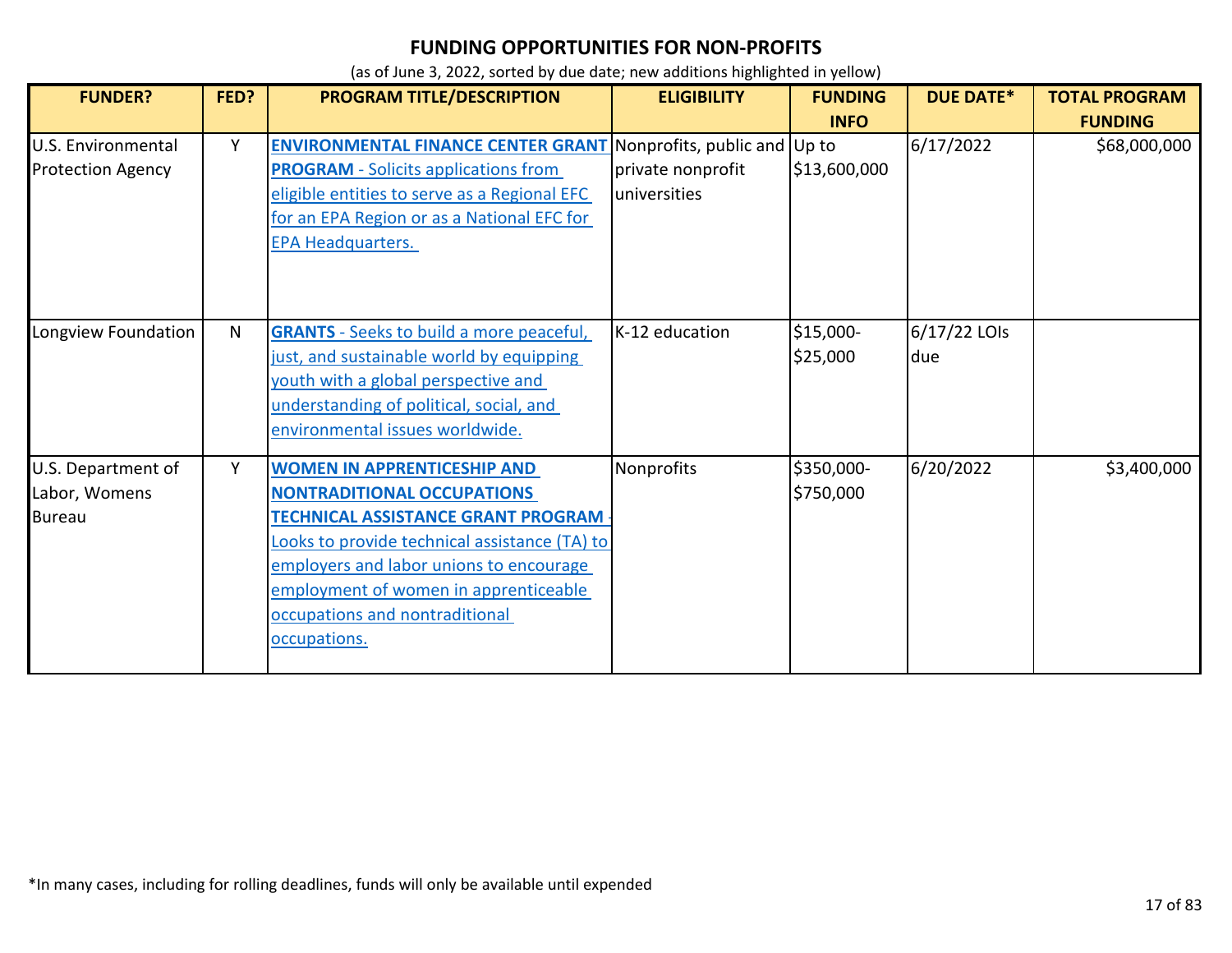| <b>FUNDER?</b>           | FED? | PROGRAM TITLE/DESCRIPTION                                              | <b>ELIGIBILITY</b> | <b>FUNDING</b> | <b>DUE DATE*</b> | <b>TOTAL PROGRAM</b> |
|--------------------------|------|------------------------------------------------------------------------|--------------------|----------------|------------------|----------------------|
|                          |      |                                                                        |                    | <b>INFO</b>    |                  | <b>FUNDING</b>       |
| U.S. Environmental       | Y    | <b>ENVIRONMENTAL FINANCE CENTER GRANT</b> Nonprofits, public and Up to |                    |                | 6/17/2022        | \$68,000,000         |
| <b>Protection Agency</b> |      | <b>PROGRAM</b> - Solicits applications from                            | private nonprofit  | \$13,600,000   |                  |                      |
|                          |      | eligible entities to serve as a Regional EFC                           | universities       |                |                  |                      |
|                          |      | for an EPA Region or as a National EFC for                             |                    |                |                  |                      |
|                          |      | <b>EPA Headquarters.</b>                                               |                    |                |                  |                      |
|                          |      |                                                                        |                    |                |                  |                      |
|                          |      |                                                                        |                    |                |                  |                      |
|                          |      |                                                                        |                    |                |                  |                      |
| Longview Foundation      | N    | <b>GRANTS</b> - Seeks to build a more peaceful,                        | K-12 education     | \$15,000-      | 6/17/22 LOIs     |                      |
|                          |      | just, and sustainable world by equipping                               |                    | \$25,000       | due              |                      |
|                          |      | youth with a global perspective and                                    |                    |                |                  |                      |
|                          |      | understanding of political, social, and                                |                    |                |                  |                      |
|                          |      | environmental issues worldwide.                                        |                    |                |                  |                      |
| U.S. Department of       | Y    | <b>WOMEN IN APPRENTICESHIP AND</b>                                     | Nonprofits         | \$350,000-     | 6/20/2022        | \$3,400,000          |
| Labor, Womens            |      | <b>NONTRADITIONAL OCCUPATIONS</b>                                      |                    | \$750,000      |                  |                      |
| <b>Bureau</b>            |      | <b>TECHNICAL ASSISTANCE GRANT PROGRAM</b>                              |                    |                |                  |                      |
|                          |      | Looks to provide technical assistance (TA) to                          |                    |                |                  |                      |
|                          |      | employers and labor unions to encourage                                |                    |                |                  |                      |
|                          |      | employment of women in apprenticeable                                  |                    |                |                  |                      |
|                          |      | occupations and nontraditional                                         |                    |                |                  |                      |
|                          |      | occupations.                                                           |                    |                |                  |                      |
|                          |      |                                                                        |                    |                |                  |                      |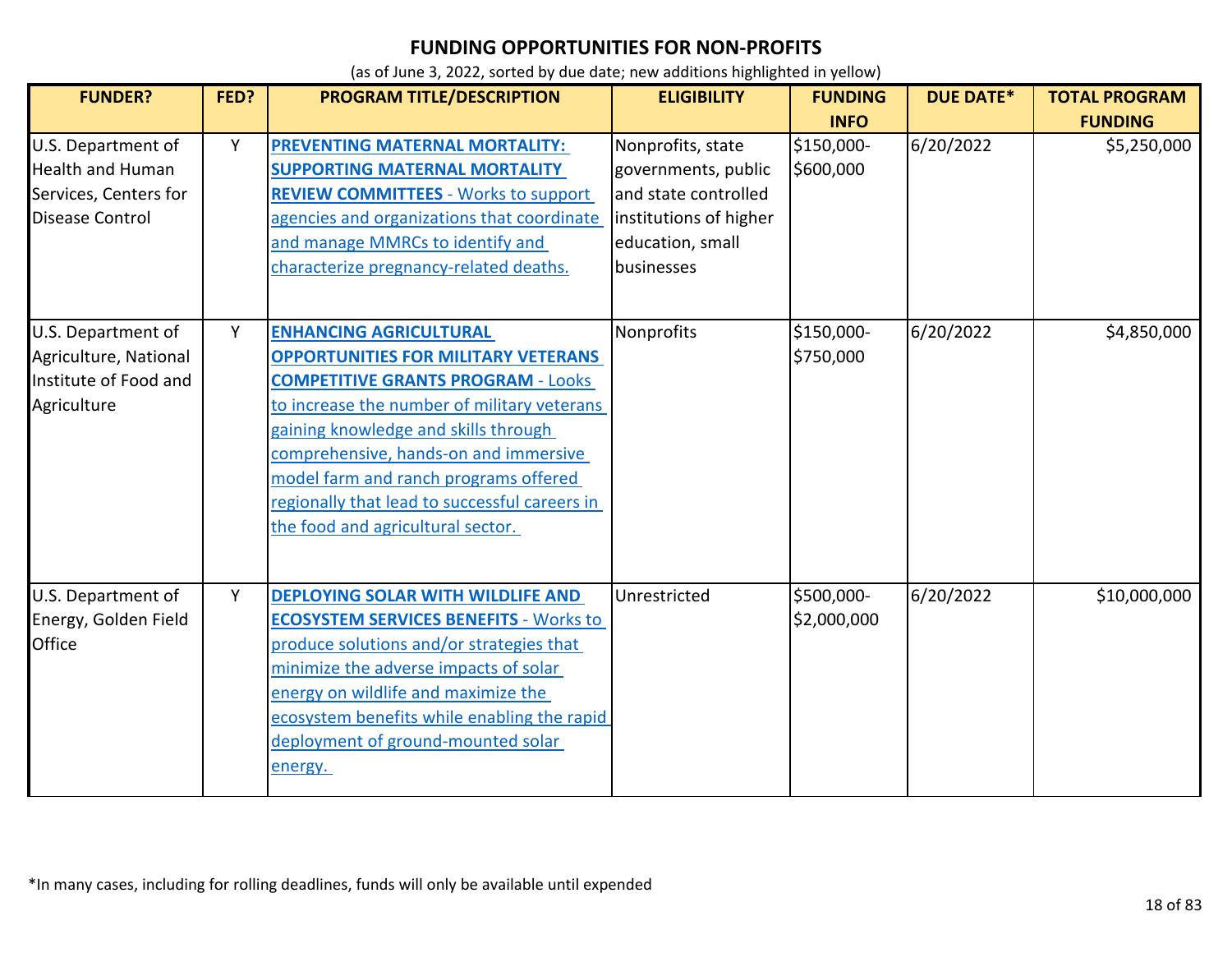| <b>FUNDER?</b>                                                                                   | FED? | PROGRAM TITLE/DESCRIPTION                                                                                                                                                                                                                                                                                                                                                               | <b>ELIGIBILITY</b>                                                                                                           | <b>FUNDING</b><br><b>INFO</b> | <b>DUE DATE*</b> | <b>TOTAL PROGRAM</b><br><b>FUNDING</b> |
|--------------------------------------------------------------------------------------------------|------|-----------------------------------------------------------------------------------------------------------------------------------------------------------------------------------------------------------------------------------------------------------------------------------------------------------------------------------------------------------------------------------------|------------------------------------------------------------------------------------------------------------------------------|-------------------------------|------------------|----------------------------------------|
| U.S. Department of<br><b>Health and Human</b><br>Services, Centers for<br><b>Disease Control</b> | Y    | <b>PREVENTING MATERNAL MORTALITY:</b><br><b>SUPPORTING MATERNAL MORTALITY</b><br><b>REVIEW COMMITTEES - Works to support</b><br>agencies and organizations that coordinate<br>and manage MMRCs to identify and<br>characterize pregnancy-related deaths.                                                                                                                                | Nonprofits, state<br>governments, public<br>and state controlled<br>institutions of higher<br>education, small<br>businesses | \$150,000-<br>\$600,000       | 6/20/2022        | \$5,250,000                            |
| U.S. Department of<br>Agriculture, National<br>Institute of Food and<br>Agriculture              | Y    | <b>ENHANCING AGRICULTURAL</b><br><b>OPPORTUNITIES FOR MILITARY VETERANS</b><br><b>COMPETITIVE GRANTS PROGRAM - Looks</b><br>to increase the number of military veterans<br>gaining knowledge and skills through<br>comprehensive, hands-on and immersive<br>model farm and ranch programs offered<br>regionally that lead to successful careers in<br>the food and agricultural sector. | Nonprofits                                                                                                                   | \$150,000-<br>\$750,000       | 6/20/2022        | \$4,850,000                            |
| U.S. Department of<br>Energy, Golden Field<br><b>Office</b>                                      | Y    | <b>DEPLOYING SOLAR WITH WILDLIFE AND</b><br><b>ECOSYSTEM SERVICES BENEFITS - Works to</b><br>produce solutions and/or strategies that<br>minimize the adverse impacts of solar<br>energy on wildlife and maximize the<br>ecosystem benefits while enabling the rapid<br>deployment of ground-mounted solar<br>energy.                                                                   | Unrestricted                                                                                                                 | \$500,000-<br>\$2,000,000     | 6/20/2022        | \$10,000,000                           |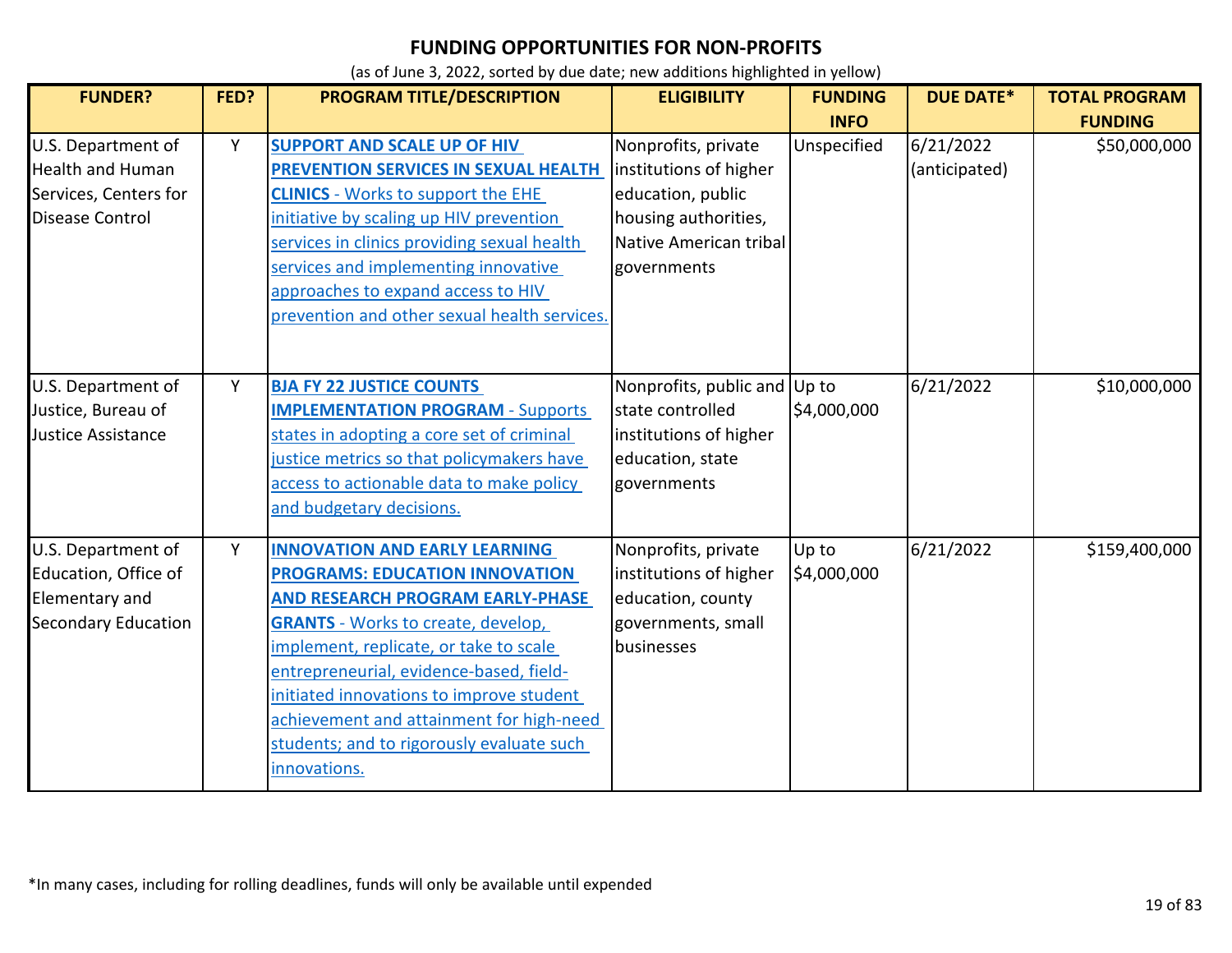| <b>FUNDER?</b>                                                                                   | FED? | PROGRAM TITLE/DESCRIPTION                                                                                                                                                                                                                                                                                                                                                                                       | <b>ELIGIBILITY</b>                                                                                                                  | <b>FUNDING</b>       | <b>DUE DATE*</b>           | <b>TOTAL PROGRAM</b> |
|--------------------------------------------------------------------------------------------------|------|-----------------------------------------------------------------------------------------------------------------------------------------------------------------------------------------------------------------------------------------------------------------------------------------------------------------------------------------------------------------------------------------------------------------|-------------------------------------------------------------------------------------------------------------------------------------|----------------------|----------------------------|----------------------|
|                                                                                                  |      |                                                                                                                                                                                                                                                                                                                                                                                                                 |                                                                                                                                     | <b>INFO</b>          |                            | <b>FUNDING</b>       |
| U.S. Department of<br><b>Health and Human</b><br>Services, Centers for<br><b>Disease Control</b> | Υ    | <b>SUPPORT AND SCALE UP OF HIV</b><br><b>PREVENTION SERVICES IN SEXUAL HEALTH</b><br><b>CLINICS</b> - Works to support the EHE<br>initiative by scaling up HIV prevention<br>services in clinics providing sexual health<br>services and implementing innovative<br>approaches to expand access to HIV<br>prevention and other sexual health services.                                                          | Nonprofits, private<br>institutions of higher<br>education, public<br>housing authorities,<br>Native American tribal<br>governments | Unspecified          | 6/21/2022<br>(anticipated) | \$50,000,000         |
|                                                                                                  |      |                                                                                                                                                                                                                                                                                                                                                                                                                 |                                                                                                                                     |                      |                            |                      |
| U.S. Department of<br>Justice, Bureau of<br>Justice Assistance                                   | Y    | <b>BJA FY 22 JUSTICE COUNTS</b><br><b>IMPLEMENTATION PROGRAM - Supports</b><br>states in adopting a core set of criminal<br>justice metrics so that policymakers have<br>access to actionable data to make policy<br>and budgetary decisions.                                                                                                                                                                   | Nonprofits, public and Up to<br>state controlled<br>institutions of higher<br>education, state<br>governments                       | \$4,000,000          | 6/21/2022                  | \$10,000,000         |
| U.S. Department of<br>Education, Office of<br>Elementary and<br><b>Secondary Education</b>       | Y    | <b>INNOVATION AND EARLY LEARNING</b><br><b>PROGRAMS: EDUCATION INNOVATION</b><br><b>AND RESEARCH PROGRAM EARLY-PHASE</b><br><b>GRANTS</b> - Works to create, develop,<br>implement, replicate, or take to scale<br>entrepreneurial, evidence-based, field-<br>initiated innovations to improve student<br>achievement and attainment for high-need<br>students; and to rigorously evaluate such<br>innovations. | Nonprofits, private<br>institutions of higher<br>education, county<br>governments, small<br>businesses                              | Up to<br>\$4,000,000 | 6/21/2022                  | \$159,400,000        |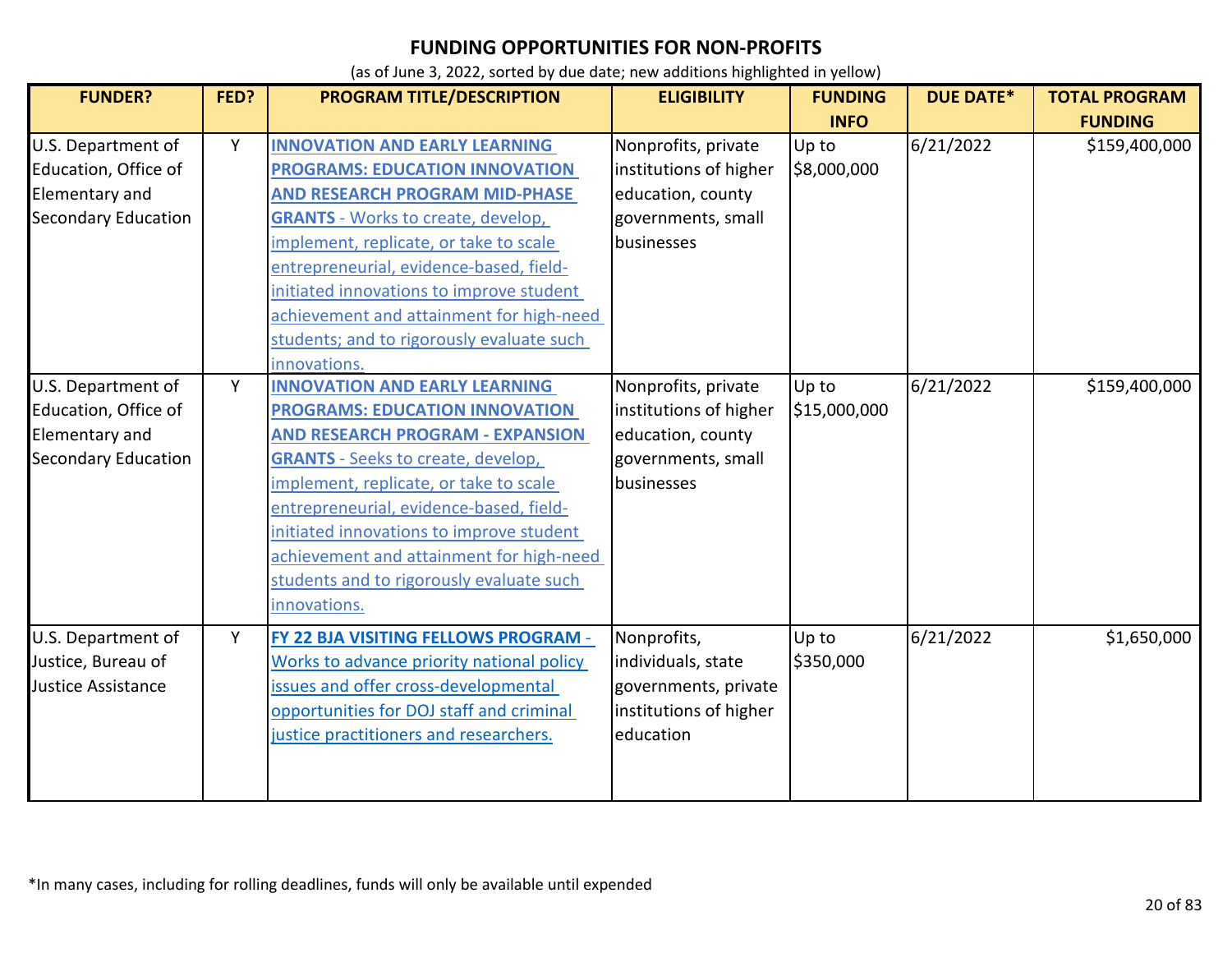| <b>FUNDER?</b>             | FED? | PROGRAM TITLE/DESCRIPTION                 | <b>ELIGIBILITY</b>     | <b>FUNDING</b> | <b>DUE DATE*</b> | <b>TOTAL PROGRAM</b> |
|----------------------------|------|-------------------------------------------|------------------------|----------------|------------------|----------------------|
|                            |      |                                           |                        | <b>INFO</b>    |                  | <b>FUNDING</b>       |
| U.S. Department of         | Y    | <b>INNOVATION AND EARLY LEARNING</b>      | Nonprofits, private    | Up to          | 6/21/2022        | \$159,400,000        |
| Education, Office of       |      | <b>PROGRAMS: EDUCATION INNOVATION</b>     | institutions of higher | \$8,000,000    |                  |                      |
| Elementary and             |      | <b>AND RESEARCH PROGRAM MID-PHASE</b>     | education, county      |                |                  |                      |
| <b>Secondary Education</b> |      | <b>GRANTS</b> - Works to create, develop, | governments, small     |                |                  |                      |
|                            |      | implement, replicate, or take to scale    | businesses             |                |                  |                      |
|                            |      | entrepreneurial, evidence-based, field-   |                        |                |                  |                      |
|                            |      | initiated innovations to improve student  |                        |                |                  |                      |
|                            |      | achievement and attainment for high-need  |                        |                |                  |                      |
|                            |      | students; and to rigorously evaluate such |                        |                |                  |                      |
|                            |      | innovations.                              |                        |                |                  |                      |
| U.S. Department of         | Y    | <b>INNOVATION AND EARLY LEARNING</b>      | Nonprofits, private    | Up to          | 6/21/2022        | \$159,400,000        |
| Education, Office of       |      | <b>PROGRAMS: EDUCATION INNOVATION</b>     | institutions of higher | \$15,000,000   |                  |                      |
| Elementary and             |      | <b>AND RESEARCH PROGRAM - EXPANSION</b>   | education, county      |                |                  |                      |
| <b>Secondary Education</b> |      | <b>GRANTS</b> - Seeks to create, develop, | governments, small     |                |                  |                      |
|                            |      | implement, replicate, or take to scale    | businesses             |                |                  |                      |
|                            |      | entrepreneurial, evidence-based, field-   |                        |                |                  |                      |
|                            |      | initiated innovations to improve student  |                        |                |                  |                      |
|                            |      | achievement and attainment for high-need  |                        |                |                  |                      |
|                            |      | students and to rigorously evaluate such  |                        |                |                  |                      |
|                            |      | innovations.                              |                        |                |                  |                      |
| U.S. Department of         | Y    | FY 22 BJA VISITING FELLOWS PROGRAM -      | Nonprofits,            | Up to          | 6/21/2022        | \$1,650,000          |
| Justice, Bureau of         |      | Works to advance priority national policy | individuals, state     | \$350,000      |                  |                      |
| <b>Justice Assistance</b>  |      | issues and offer cross-developmental      | governments, private   |                |                  |                      |
|                            |      | opportunities for DOJ staff and criminal  | institutions of higher |                |                  |                      |
|                            |      | justice practitioners and researchers.    | education              |                |                  |                      |
|                            |      |                                           |                        |                |                  |                      |
|                            |      |                                           |                        |                |                  |                      |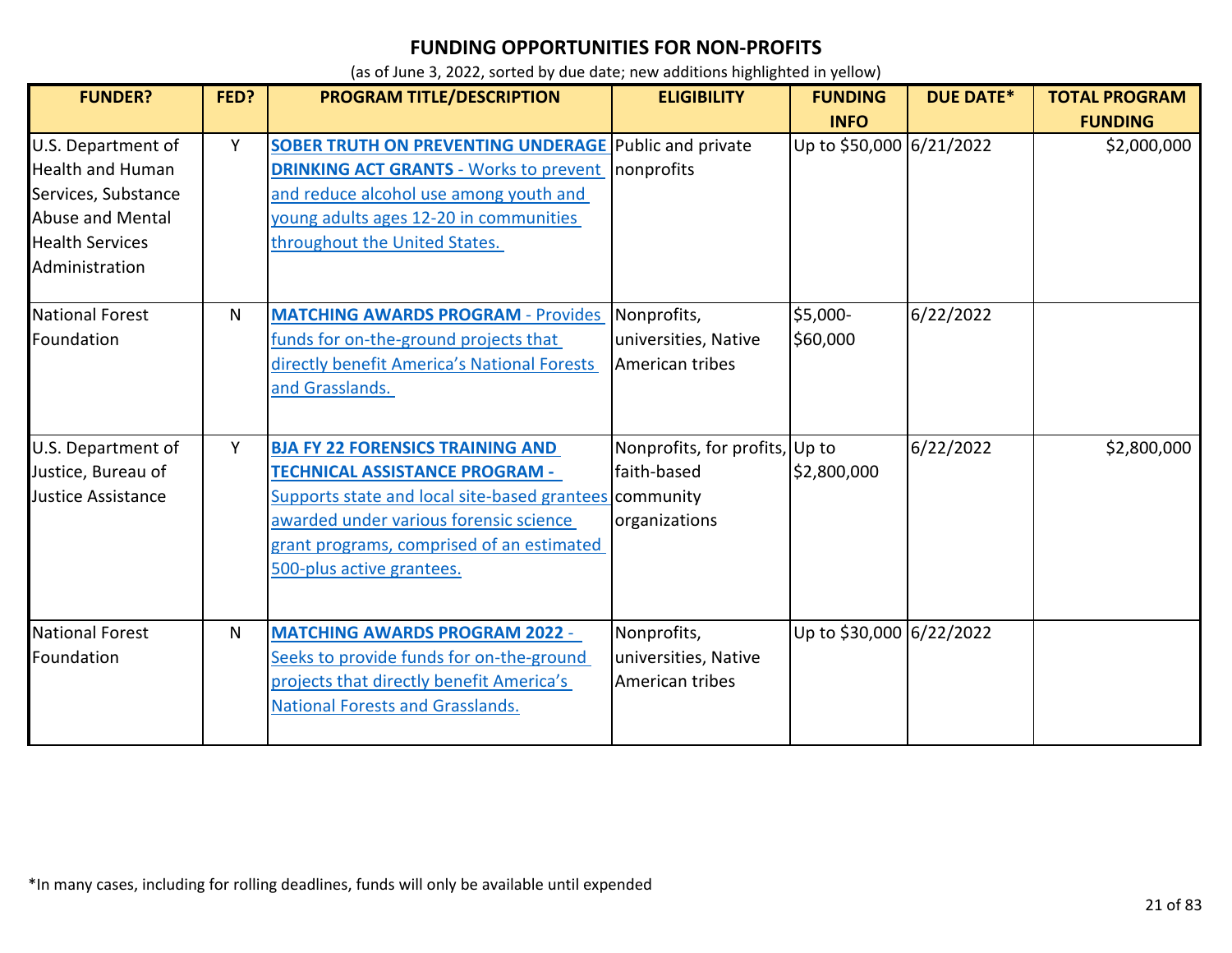| <b>FUNDER?</b>                                                                                                                       | FED? | <b>PROGRAM TITLE/DESCRIPTION</b>                                                                                                                                                                                                                               | <b>ELIGIBILITY</b>                                             | <b>FUNDING</b><br><b>INFO</b> | <b>DUE DATE*</b> | <b>TOTAL PROGRAM</b><br><b>FUNDING</b> |
|--------------------------------------------------------------------------------------------------------------------------------------|------|----------------------------------------------------------------------------------------------------------------------------------------------------------------------------------------------------------------------------------------------------------------|----------------------------------------------------------------|-------------------------------|------------------|----------------------------------------|
| U.S. Department of<br><b>Health and Human</b><br>Services, Substance<br>Abuse and Mental<br><b>Health Services</b><br>Administration | Y    | <b>SOBER TRUTH ON PREVENTING UNDERAGE Public and private</b><br><b>DRINKING ACT GRANTS - Works to prevent</b><br>and reduce alcohol use among youth and<br>voung adults ages 12-20 in communities<br>throughout the United States.                             | nonprofits                                                     | Up to \$50,000 6/21/2022      |                  | \$2,000,000                            |
| National Forest<br>Foundation                                                                                                        | N    | <b>MATCHING AWARDS PROGRAM - Provides</b><br>funds for on-the-ground projects that<br>directly benefit America's National Forests<br>and Grasslands.                                                                                                           | Nonprofits,<br>universities, Native<br>American tribes         | \$5,000-<br>\$60,000          | 6/22/2022        |                                        |
| U.S. Department of<br>Justice, Bureau of<br>Justice Assistance                                                                       | Y    | <b>BJA FY 22 FORENSICS TRAINING AND</b><br><b>TECHNICAL ASSISTANCE PROGRAM -</b><br>Supports state and local site-based grantees community<br>awarded under various forensic science<br>grant programs, comprised of an estimated<br>500-plus active grantees. | Nonprofits, for profits, Up to<br>faith-based<br>organizations | \$2,800,000                   | 6/22/2022        | \$2,800,000                            |
| <b>National Forest</b><br>Foundation                                                                                                 | N.   | <b>MATCHING AWARDS PROGRAM 2022 -</b><br>Seeks to provide funds for on-the-ground<br>projects that directly benefit America's<br><b>National Forests and Grasslands.</b>                                                                                       | Nonprofits,<br>universities, Native<br>American tribes         | Up to \$30,000 6/22/2022      |                  |                                        |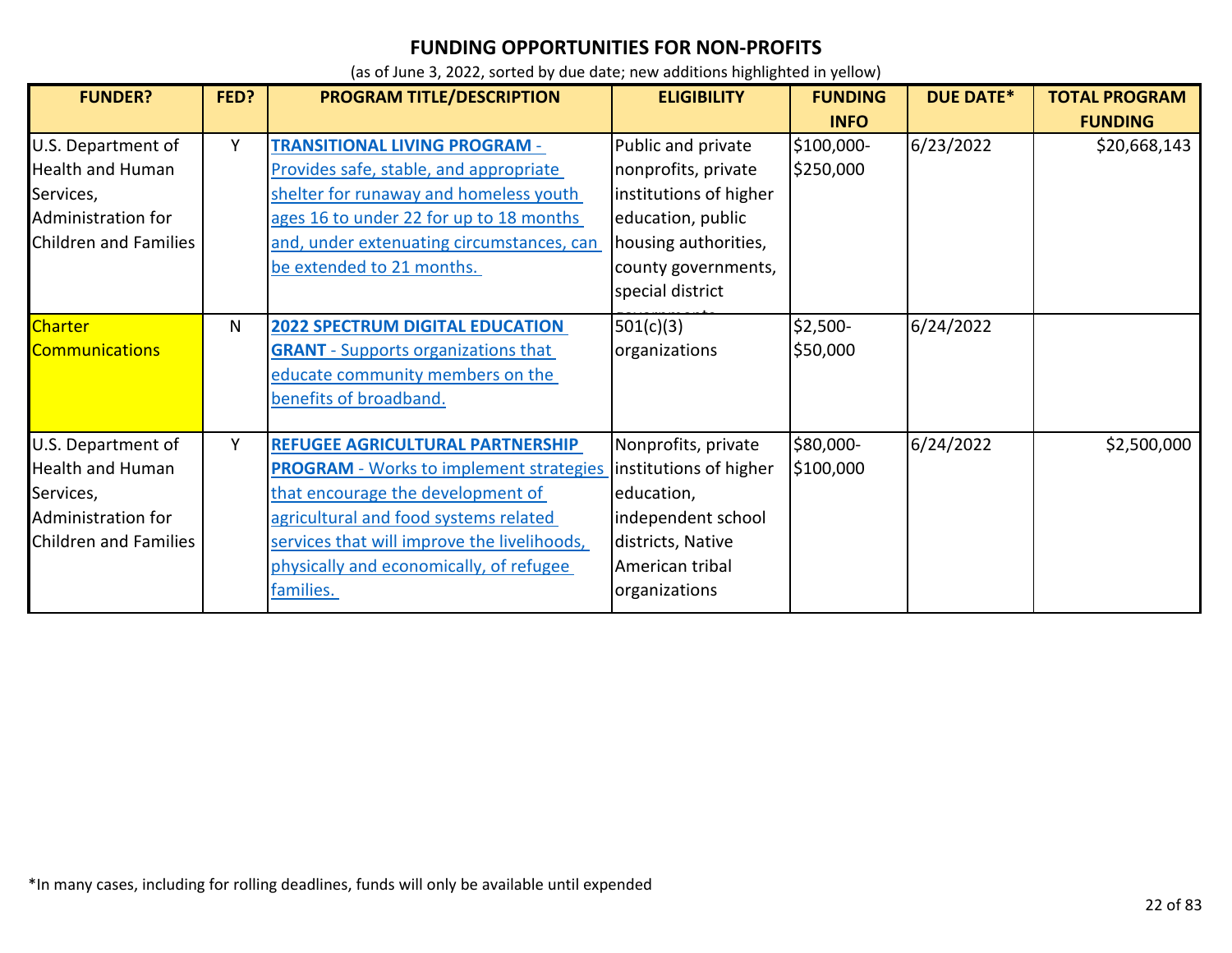| <b>FUNDER?</b>                                                                                                   | FED? | PROGRAM TITLE/DESCRIPTION                                                                                                                                                                                                                                               | <b>ELIGIBILITY</b>                                                                                                                                          | <b>FUNDING</b><br><b>INFO</b> | <b>DUE DATE*</b> | <b>TOTAL PROGRAM</b><br><b>FUNDING</b> |
|------------------------------------------------------------------------------------------------------------------|------|-------------------------------------------------------------------------------------------------------------------------------------------------------------------------------------------------------------------------------------------------------------------------|-------------------------------------------------------------------------------------------------------------------------------------------------------------|-------------------------------|------------------|----------------------------------------|
| U.S. Department of<br><b>Health and Human</b><br>Services,<br>Administration for<br><b>Children and Families</b> | Y    | <b>TRANSITIONAL LIVING PROGRAM -</b><br>Provides safe, stable, and appropriate<br>shelter for runaway and homeless youth<br>ages 16 to under 22 for up to 18 months<br>and, under extenuating circumstances, can<br>be extended to 21 months.                           | Public and private<br>nonprofits, private<br>institutions of higher<br>education, public<br>housing authorities,<br>county governments,<br>special district | \$100,000-<br>\$250,000       | 6/23/2022        | \$20,668,143                           |
| <b>Charter</b><br><b>Communications</b>                                                                          | N    | <b>2022 SPECTRUM DIGITAL EDUCATION</b><br><b>GRANT</b> - Supports organizations that<br>educate community members on the<br>benefits of broadband.                                                                                                                      | 501(c)(3)<br>organizations                                                                                                                                  | $$2,500-$<br>\$50,000         | 6/24/2022        |                                        |
| U.S. Department of<br><b>Health and Human</b><br>Services,<br>Administration for<br><b>Children and Families</b> | Υ    | REFUGEE AGRICULTURAL PARTNERSHIP<br><b>PROGRAM</b> - Works to implement strategies<br>that encourage the development of<br>agricultural and food systems related<br>services that will improve the livelihoods,<br>physically and economically, of refugee<br>families. | Nonprofits, private<br>institutions of higher<br>education,<br>independent school<br>districts, Native<br>American tribal<br>organizations                  | \$80,000-<br>\$100,000        | 6/24/2022        | \$2,500,000                            |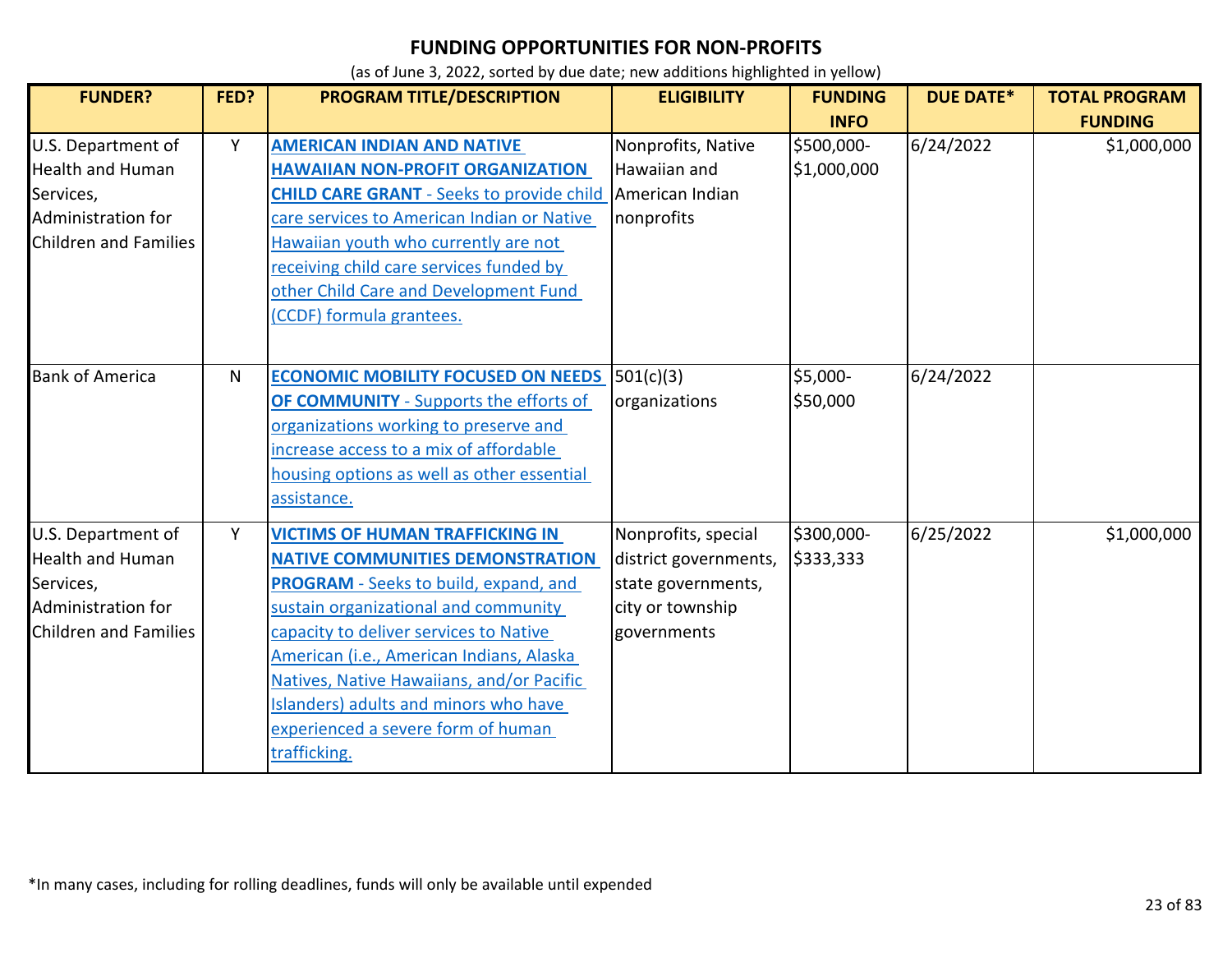| <b>FUNDER?</b>                                                                                                   | FED? | PROGRAM TITLE/DESCRIPTION                                                                                                                                                                                                                                                                                                                                                                                   | <b>ELIGIBILITY</b>                                                                                    | <b>FUNDING</b>                           | <b>DUE DATE*</b> | <b>TOTAL PROGRAM</b>          |
|------------------------------------------------------------------------------------------------------------------|------|-------------------------------------------------------------------------------------------------------------------------------------------------------------------------------------------------------------------------------------------------------------------------------------------------------------------------------------------------------------------------------------------------------------|-------------------------------------------------------------------------------------------------------|------------------------------------------|------------------|-------------------------------|
| U.S. Department of<br>Health and Human<br>Services,<br>Administration for<br><b>Children and Families</b>        | Y    | <b>AMERICAN INDIAN AND NATIVE</b><br><b>HAWAIIAN NON-PROFIT ORGANIZATION</b><br><b>CHILD CARE GRANT - Seeks to provide child</b><br>care services to American Indian or Native<br>Hawaiian youth who currently are not<br>receiving child care services funded by<br>other Child Care and Development Fund<br>(CCDF) formula grantees.                                                                      | Nonprofits, Native<br>Hawaiian and<br>American Indian<br>nonprofits                                   | <b>INFO</b><br>\$500,000-<br>\$1,000,000 | 6/24/2022        | <b>FUNDING</b><br>\$1,000,000 |
| <b>Bank of America</b>                                                                                           | N    | <b>ECONOMIC MOBILITY FOCUSED ON NEEDS</b><br><b>OF COMMUNITY</b> - Supports the efforts of<br>organizations working to preserve and<br>increase access to a mix of affordable<br>housing options as well as other essential<br>assistance.                                                                                                                                                                  | 501(c)(3)<br>organizations                                                                            | \$5,000-<br>\$50,000                     | 6/24/2022        |                               |
| U.S. Department of<br><b>Health and Human</b><br>Services,<br>Administration for<br><b>Children and Families</b> | Y    | <b>VICTIMS OF HUMAN TRAFFICKING IN</b><br><b>NATIVE COMMUNITIES DEMONSTRATION</b><br><b>PROGRAM</b> - Seeks to build, expand, and<br>sustain organizational and community<br>capacity to deliver services to Native<br>American (i.e., American Indians, Alaska<br>Natives, Native Hawaiians, and/or Pacific<br>Islanders) adults and minors who have<br>experienced a severe form of human<br>trafficking. | Nonprofits, special<br>district governments,<br>state governments,<br>city or township<br>governments | \$300,000-<br>\$333,333                  | 6/25/2022        | \$1,000,000                   |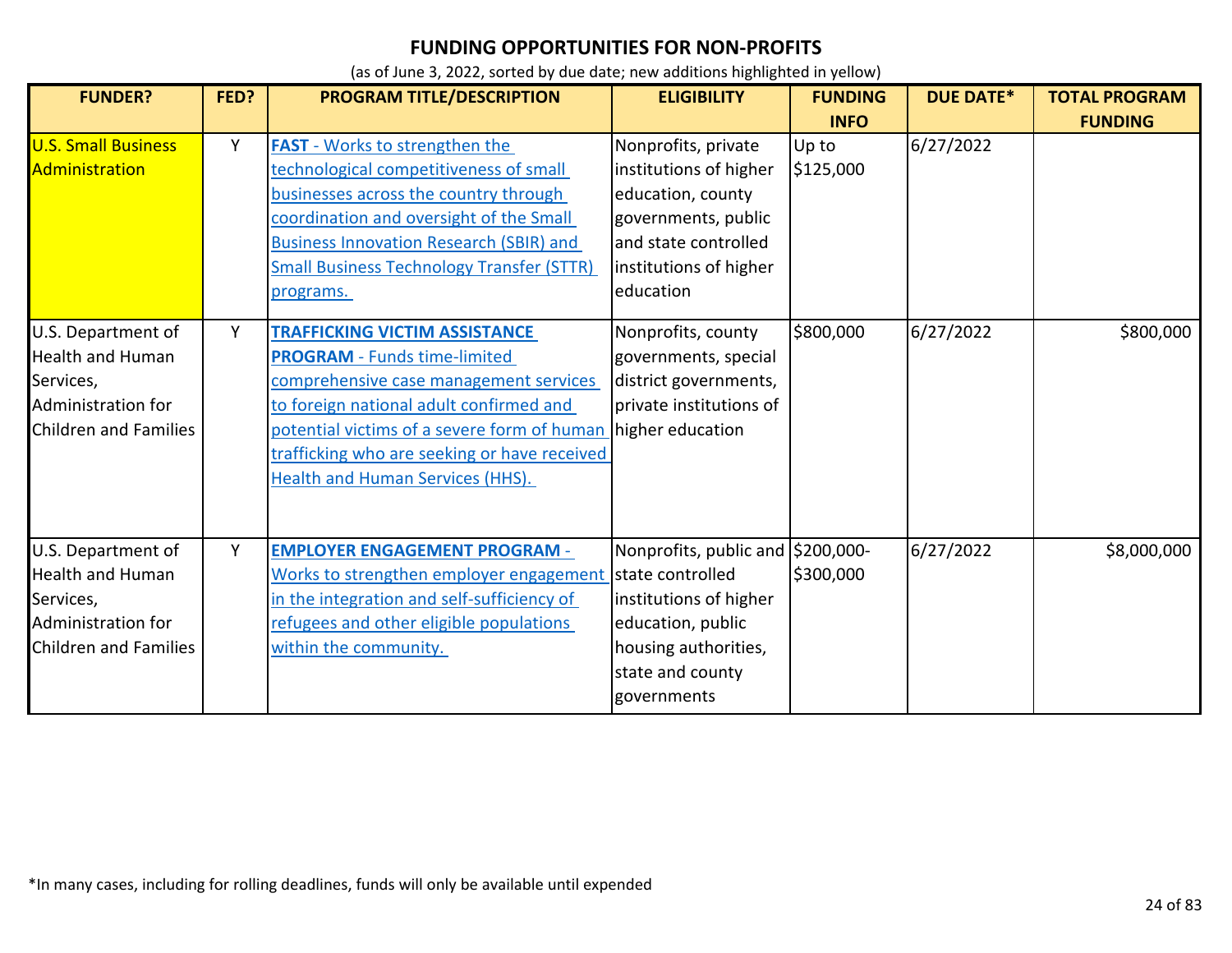| <b>FUNDER?</b>                                                                                                   | FED?   | PROGRAM TITLE/DESCRIPTION                                                                                                                                                                                                                                                                                                      | <b>ELIGIBILITY</b>                                                                                                                                                             | <b>FUNDING</b><br><b>INFO</b>   | <b>DUE DATE*</b>       | <b>TOTAL PROGRAM</b><br><b>FUNDING</b> |
|------------------------------------------------------------------------------------------------------------------|--------|--------------------------------------------------------------------------------------------------------------------------------------------------------------------------------------------------------------------------------------------------------------------------------------------------------------------------------|--------------------------------------------------------------------------------------------------------------------------------------------------------------------------------|---------------------------------|------------------------|----------------------------------------|
| <b>U.S. Small Business</b><br>Administration<br>U.S. Department of                                               | Y<br>Y | <b>FAST</b> - Works to strengthen the<br>technological competitiveness of small<br>businesses across the country through<br>coordination and oversight of the Small<br><b>Business Innovation Research (SBIR) and</b><br><b>Small Business Technology Transfer (STTR)</b><br>programs.<br><b>TRAFFICKING VICTIM ASSISTANCE</b> | Nonprofits, private<br>institutions of higher<br>education, county<br>governments, public<br>and state controlled<br>institutions of higher<br>education<br>Nonprofits, county | Up to<br>\$125,000<br>\$800,000 | 6/27/2022<br>6/27/2022 | \$800,000                              |
| <b>Health and Human</b><br>Services,<br>Administration for<br><b>Children and Families</b>                       |        | <b>PROGRAM</b> - Funds time-limited<br>comprehensive case management services<br>to foreign national adult confirmed and<br>potential victims of a severe form of human higher education<br>trafficking who are seeking or have received<br><b>Health and Human Services (HHS).</b>                                            | governments, special<br>district governments,<br>private institutions of                                                                                                       |                                 |                        |                                        |
| U.S. Department of<br><b>Health and Human</b><br>Services,<br>Administration for<br><b>Children and Families</b> | Υ      | <b>EMPLOYER ENGAGEMENT PROGRAM -</b><br>Works to strengthen employer engagement<br>in the integration and self-sufficiency of<br>refugees and other eligible populations<br>within the community.                                                                                                                              | Nonprofits, public and \$200,000-<br>state controlled<br>institutions of higher<br>education, public<br>housing authorities,<br>state and county<br>governments                | \$300,000                       | 6/27/2022              | \$8,000,000                            |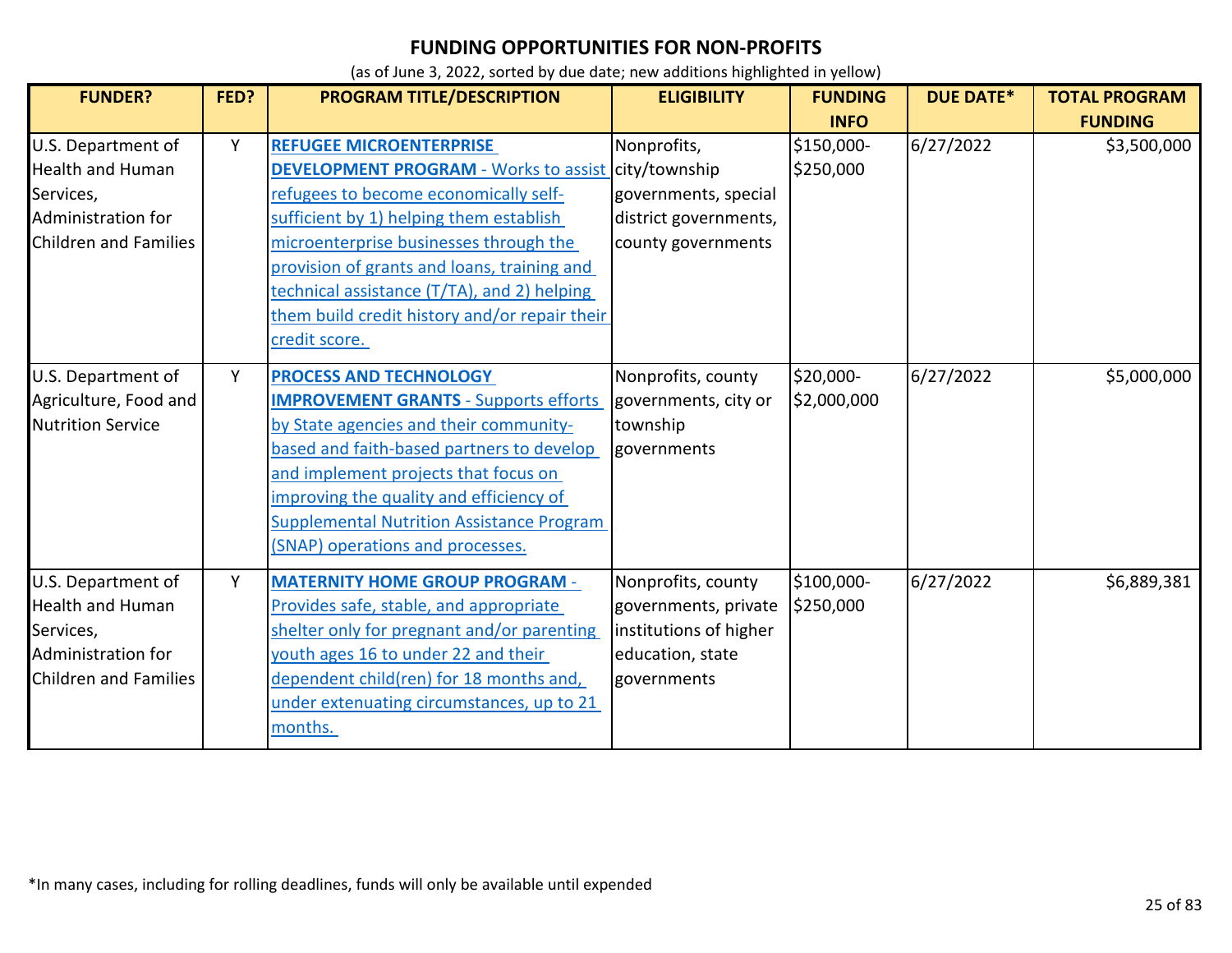| <b>FUNDER?</b>                                                                                                   | FED? | <b>PROGRAM TITLE/DESCRIPTION</b>                                                                                                                                                                                                                                                                                                                                                           | <b>ELIGIBILITY</b>                                                                                      | <b>FUNDING</b>                         | <b>DUE DATE*</b> | <b>TOTAL PROGRAM</b>          |
|------------------------------------------------------------------------------------------------------------------|------|--------------------------------------------------------------------------------------------------------------------------------------------------------------------------------------------------------------------------------------------------------------------------------------------------------------------------------------------------------------------------------------------|---------------------------------------------------------------------------------------------------------|----------------------------------------|------------------|-------------------------------|
| U.S. Department of<br><b>Health and Human</b><br>Services,<br>Administration for<br><b>Children and Families</b> | Y    | <b>REFUGEE MICROENTERPRISE</b><br><b>DEVELOPMENT PROGRAM - Works to assist city/township</b><br>refugees to become economically self-<br>sufficient by 1) helping them establish<br>microenterprise businesses through the<br>provision of grants and loans, training and<br>technical assistance (T/TA), and 2) helping<br>them build credit history and/or repair their<br>credit score. | Nonprofits,<br>governments, special<br>district governments,<br>county governments                      | <b>INFO</b><br>\$150,000-<br>\$250,000 | 6/27/2022        | <b>FUNDING</b><br>\$3,500,000 |
| U.S. Department of<br>Agriculture, Food and<br><b>Nutrition Service</b>                                          | Y    | <b>PROCESS AND TECHNOLOGY</b><br><b>IMPROVEMENT GRANTS - Supports efforts</b><br>by State agencies and their community-<br>based and faith-based partners to develop<br>and implement projects that focus on<br>improving the quality and efficiency of<br><b>Supplemental Nutrition Assistance Program</b><br>(SNAP) operations and processes.                                            | Nonprofits, county<br>governments, city or<br>township<br>governments                                   | \$20,000-<br>\$2,000,000               | 6/27/2022        | \$5,000,000                   |
| U.S. Department of<br><b>Health and Human</b><br>Services,<br>Administration for<br><b>Children and Families</b> | Y    | <b>MATERNITY HOME GROUP PROGRAM -</b><br>Provides safe, stable, and appropriate<br>shelter only for pregnant and/or parenting<br>youth ages 16 to under 22 and their<br>dependent child(ren) for 18 months and,<br>under extenuating circumstances, up to 21<br>months.                                                                                                                    | Nonprofits, county<br>governments, private<br>institutions of higher<br>education, state<br>governments | \$100,000-<br>\$250,000                | 6/27/2022        | \$6,889,381                   |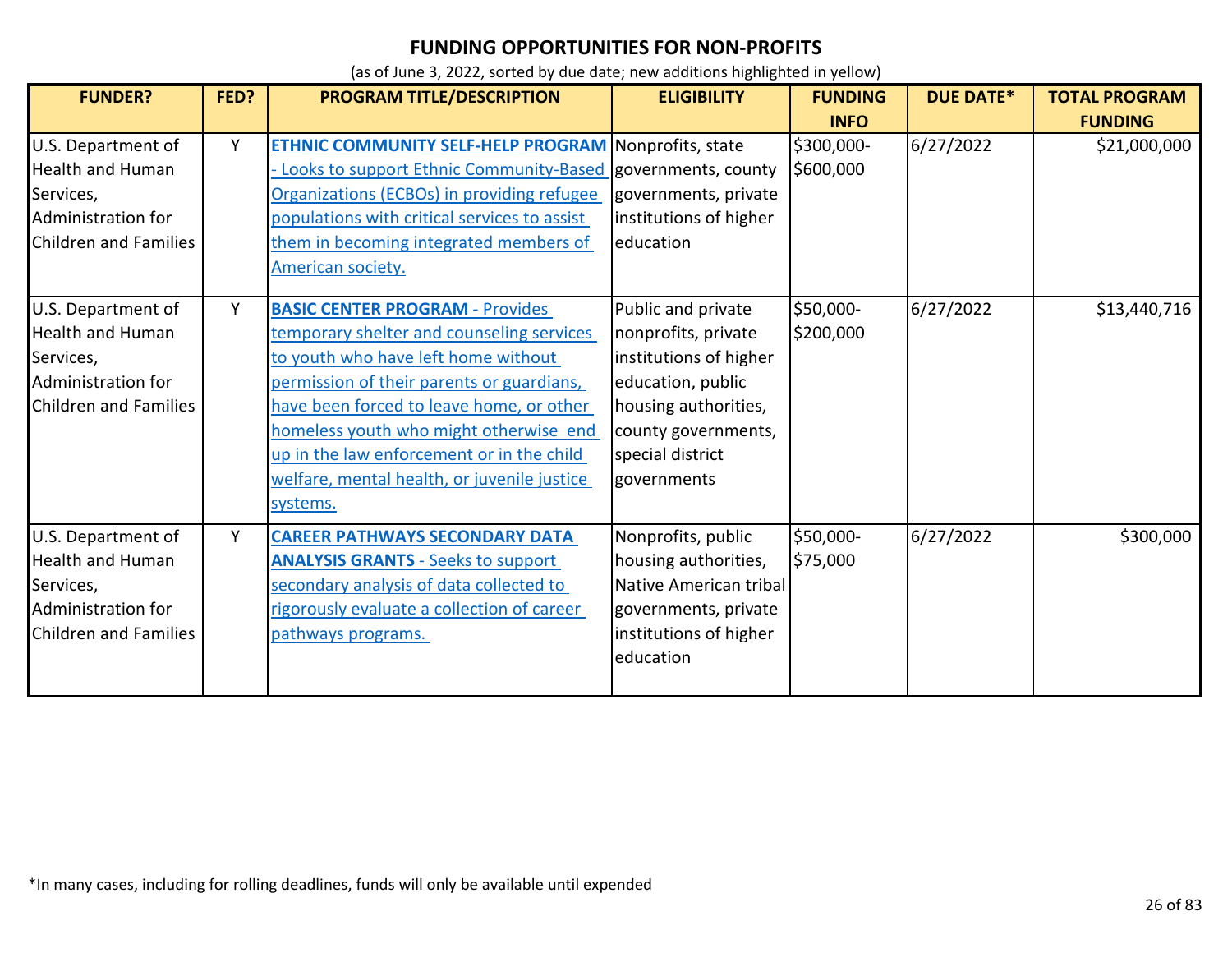| <b>FUNDER?</b>                                                                                                   | FED? | PROGRAM TITLE/DESCRIPTION                                                                                                                                                                                                                                                                                                                                             | <b>ELIGIBILITY</b>                                                                                                                                                         | <b>FUNDING</b>          | <b>DUE DATE*</b> | <b>TOTAL PROGRAM</b> |
|------------------------------------------------------------------------------------------------------------------|------|-----------------------------------------------------------------------------------------------------------------------------------------------------------------------------------------------------------------------------------------------------------------------------------------------------------------------------------------------------------------------|----------------------------------------------------------------------------------------------------------------------------------------------------------------------------|-------------------------|------------------|----------------------|
|                                                                                                                  |      |                                                                                                                                                                                                                                                                                                                                                                       |                                                                                                                                                                            | <b>INFO</b>             |                  | <b>FUNDING</b>       |
| U.S. Department of<br><b>Health and Human</b><br>Services,<br>Administration for<br>Children and Families        | Y    | <b>ETHNIC COMMUNITY SELF-HELP PROGRAM Nonprofits, state</b><br>Looks to support Ethnic Community-Based governments, county<br>Organizations (ECBOs) in providing refugee<br>populations with critical services to assist<br>them in becoming integrated members of<br>American society.                                                                               | governments, private<br>institutions of higher<br>education                                                                                                                | \$300,000-<br>\$600,000 | 6/27/2022        | \$21,000,000         |
| U.S. Department of<br><b>Health and Human</b><br>Services,<br>Administration for<br>Children and Families        | Y    | <b>BASIC CENTER PROGRAM - Provides</b><br>temporary shelter and counseling services<br>to youth who have left home without<br>permission of their parents or guardians,<br>have been forced to leave home, or other<br>homeless youth who might otherwise end<br>up in the law enforcement or in the child<br>welfare, mental health, or juvenile justice<br>systems. | Public and private<br>nonprofits, private<br>institutions of higher<br>education, public<br>housing authorities,<br>county governments,<br>special district<br>governments | \$50,000-<br>\$200,000  | 6/27/2022        | \$13,440,716         |
| U.S. Department of<br><b>Health and Human</b><br>Services,<br>Administration for<br><b>Children and Families</b> | Y    | <b>CAREER PATHWAYS SECONDARY DATA</b><br><b>ANALYSIS GRANTS - Seeks to support</b><br>secondary analysis of data collected to<br>rigorously evaluate a collection of career<br><u>pathways programs.</u>                                                                                                                                                              | Nonprofits, public<br>housing authorities,<br>Native American tribal<br>governments, private<br>institutions of higher<br>education                                        | \$50,000-<br>\$75,000   | 6/27/2022        | \$300,000            |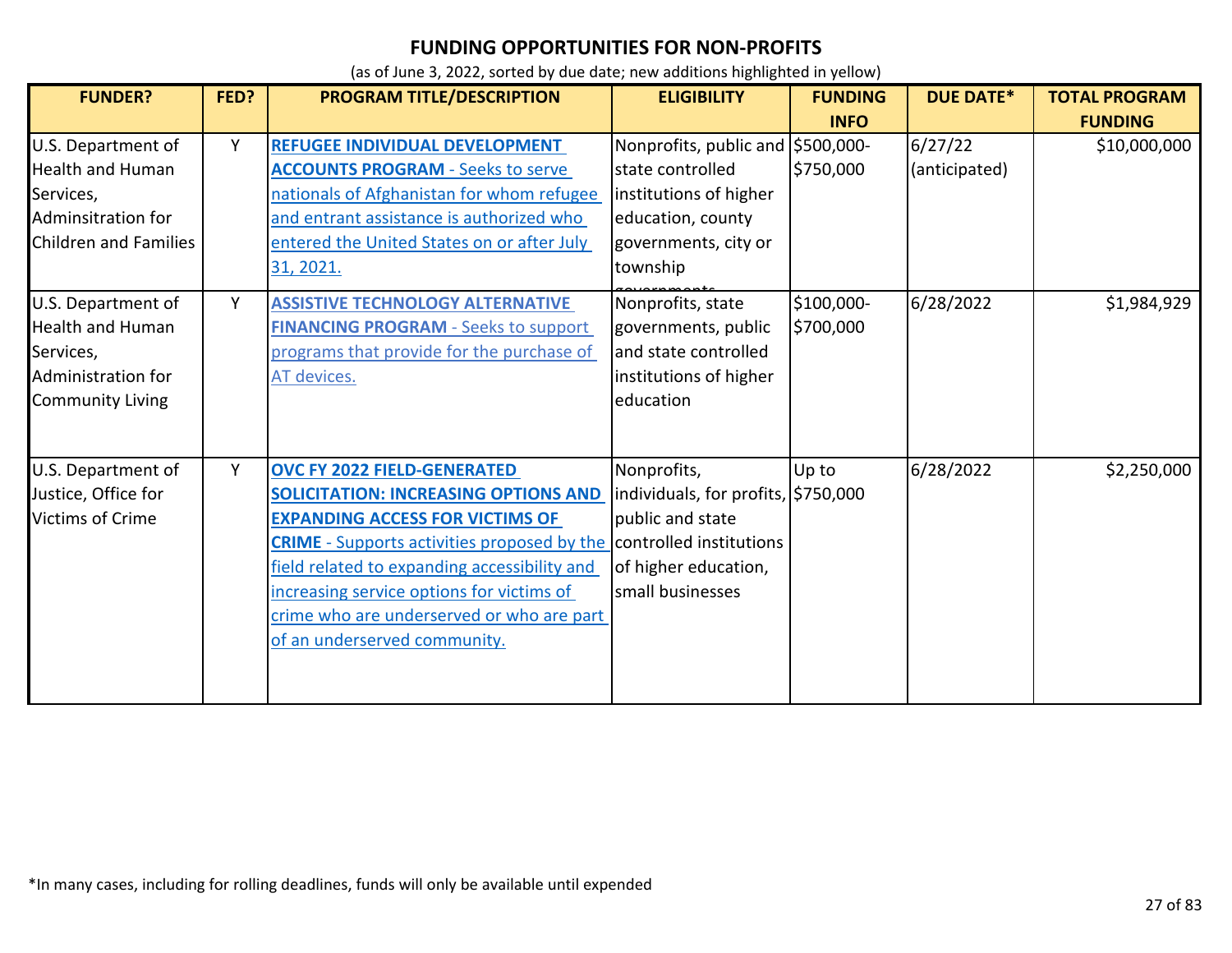| <b>FUNDER?</b>                                                                                                   | FED? | PROGRAM TITLE/DESCRIPTION                                                                                                                                                                                                                                                                                                                                                           | <b>ELIGIBILITY</b>                                                                                                                       | <b>FUNDING</b>          | <b>DUE DATE*</b>         | <b>TOTAL PROGRAM</b> |
|------------------------------------------------------------------------------------------------------------------|------|-------------------------------------------------------------------------------------------------------------------------------------------------------------------------------------------------------------------------------------------------------------------------------------------------------------------------------------------------------------------------------------|------------------------------------------------------------------------------------------------------------------------------------------|-------------------------|--------------------------|----------------------|
|                                                                                                                  |      |                                                                                                                                                                                                                                                                                                                                                                                     |                                                                                                                                          | <b>INFO</b>             |                          | <b>FUNDING</b>       |
| U.S. Department of<br><b>Health and Human</b><br>Services,<br>Adminsitration for<br><b>Children and Families</b> | Y    | REFUGEE INDIVIDUAL DEVELOPMENT<br><b>ACCOUNTS PROGRAM - Seeks to serve</b><br>nationals of Afghanistan for whom refugee<br>and entrant assistance is authorized who<br>entered the United States on or after July<br>31, 2021.                                                                                                                                                      | Nonprofits, public and \$500,000-<br>state controlled<br>institutions of higher<br>education, county<br>governments, city or<br>township | \$750,000               | 6/27/22<br>(anticipated) | \$10,000,000         |
| U.S. Department of<br><b>Health and Human</b><br>Services,<br>Administration for<br><b>Community Living</b>      | Y    | <b>ASSISTIVE TECHNOLOGY ALTERNATIVE</b><br><b>FINANCING PROGRAM - Seeks to support</b><br>programs that provide for the purchase of<br>AT devices.                                                                                                                                                                                                                                  | Nonprofits, state<br>governments, public<br>and state controlled<br>institutions of higher<br>education                                  | \$100,000-<br>\$700,000 | 6/28/2022                | \$1,984,929          |
| U.S. Department of<br>Justice, Office for<br><b>Victims of Crime</b>                                             | Y    | <b>OVC FY 2022 FIELD-GENERATED</b><br><b>SOLICITATION: INCREASING OPTIONS AND</b><br><b>EXPANDING ACCESS FOR VICTIMS OF</b><br><b>CRIME</b> - Supports activities proposed by the controlled institutions<br>field related to expanding accessibility and<br>increasing service options for victims of<br>crime who are underserved or who are part<br>of an underserved community. | Nonprofits,<br>individuals, for profits, \$750,000<br>public and state<br>of higher education,<br>small businesses                       | Up to                   | 6/28/2022                | \$2,250,000          |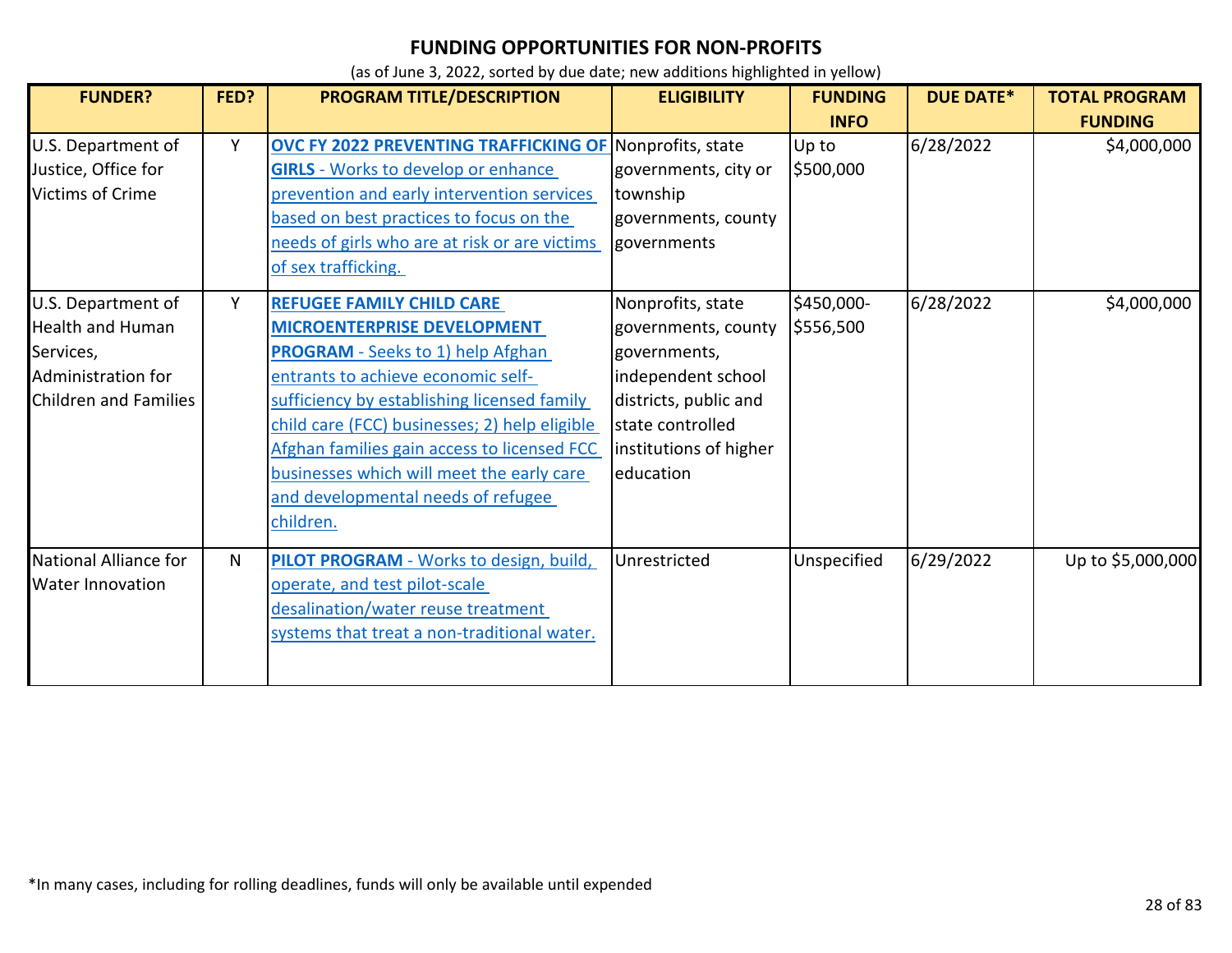| <b>FUNDER?</b>                                                                                                   | FED? | PROGRAM TITLE/DESCRIPTION                                                                                                                                                                                                                                                                                                                                                                               | <b>ELIGIBILITY</b>                                                                                                                                                 | <b>FUNDING</b>          | <b>DUE DATE*</b> | <b>TOTAL PROGRAM</b> |
|------------------------------------------------------------------------------------------------------------------|------|---------------------------------------------------------------------------------------------------------------------------------------------------------------------------------------------------------------------------------------------------------------------------------------------------------------------------------------------------------------------------------------------------------|--------------------------------------------------------------------------------------------------------------------------------------------------------------------|-------------------------|------------------|----------------------|
|                                                                                                                  |      |                                                                                                                                                                                                                                                                                                                                                                                                         |                                                                                                                                                                    | <b>INFO</b>             |                  | <b>FUNDING</b>       |
| U.S. Department of<br>Justice, Office for<br><b>Victims of Crime</b>                                             | Y    | OVC FY 2022 PREVENTING TRAFFICKING OF Nonprofits, state<br><b>GIRLS</b> - Works to develop or enhance<br>prevention and early intervention services<br>based on best practices to focus on the<br>needs of girls who are at risk or are victims<br>of sex trafficking.                                                                                                                                  | governments, city or<br>township<br>governments, county<br>governments                                                                                             | Up to<br>\$500,000      | 6/28/2022        | \$4,000,000          |
| U.S. Department of<br><b>Health and Human</b><br>Services,<br>Administration for<br><b>Children and Families</b> | Y    | <b>REFUGEE FAMILY CHILD CARE</b><br><b>MICROENTERPRISE DEVELOPMENT</b><br><b>PROGRAM</b> - Seeks to 1) help Afghan<br>entrants to achieve economic self-<br>sufficiency by establishing licensed family<br>child care (FCC) businesses; 2) help eligible<br>Afghan families gain access to licensed FCC<br>businesses which will meet the early care<br>and developmental needs of refugee<br>children. | Nonprofits, state<br>governments, county<br>governments,<br>independent school<br>districts, public and<br>state controlled<br>institutions of higher<br>education | \$450,000-<br>\$556,500 | 6/28/2022        | \$4,000,000          |
| National Alliance for<br><b>Water Innovation</b>                                                                 | N.   | PILOT PROGRAM - Works to design, build,<br>operate, and test pilot-scale<br>desalination/water reuse treatment<br>systems that treat a non-traditional water.                                                                                                                                                                                                                                           | Unrestricted                                                                                                                                                       | Unspecified             | 6/29/2022        | Up to \$5,000,000    |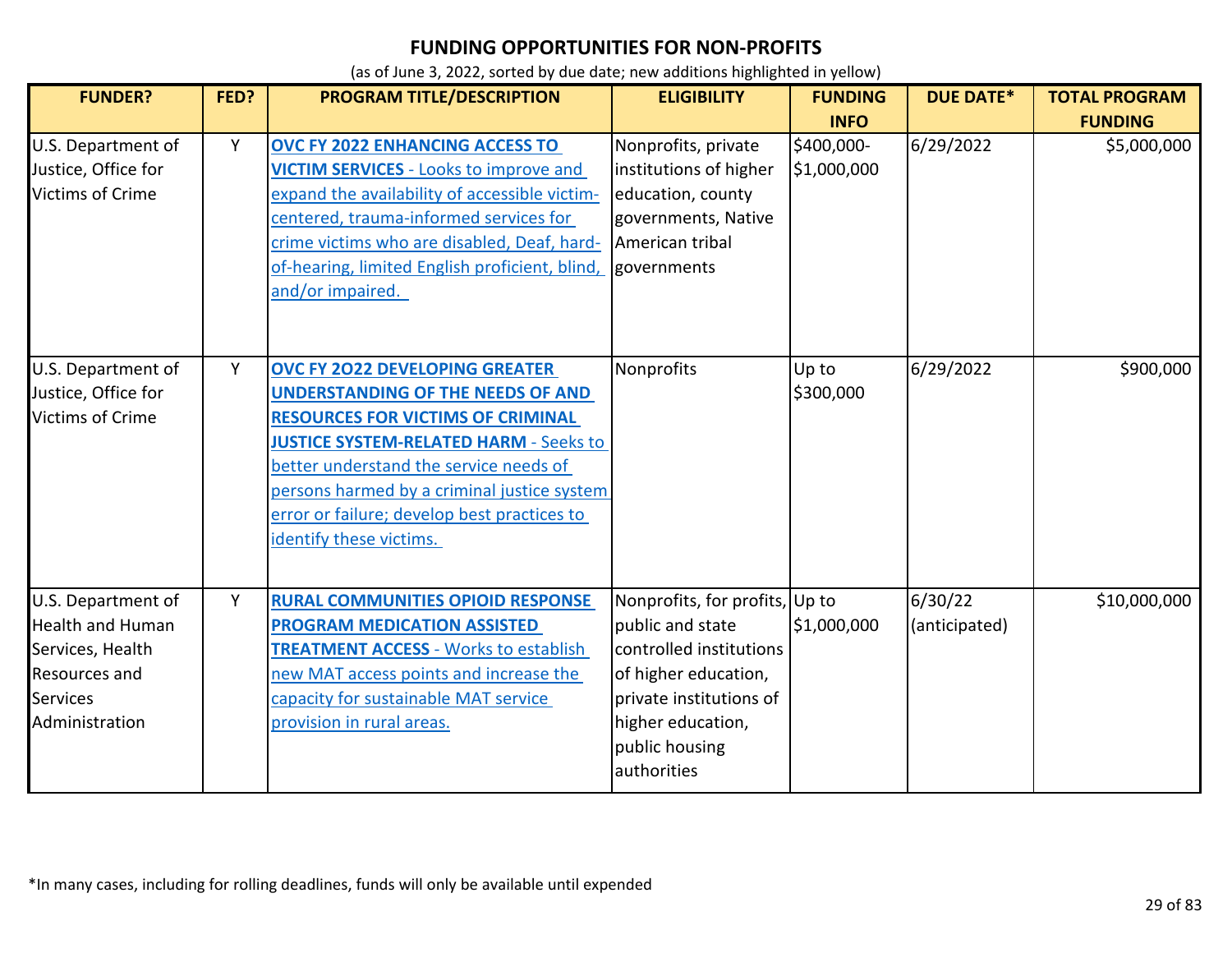| <b>FUNDER?</b>                                                                                                   | FED? | <b>PROGRAM TITLE/DESCRIPTION</b>                                                                                                                                                                                                                                                                                                                  | <b>ELIGIBILITY</b>                                                                                                                                                                     | <b>FUNDING</b><br><b>INFO</b> | <b>DUE DATE*</b>         | <b>TOTAL PROGRAM</b><br><b>FUNDING</b> |
|------------------------------------------------------------------------------------------------------------------|------|---------------------------------------------------------------------------------------------------------------------------------------------------------------------------------------------------------------------------------------------------------------------------------------------------------------------------------------------------|----------------------------------------------------------------------------------------------------------------------------------------------------------------------------------------|-------------------------------|--------------------------|----------------------------------------|
| U.S. Department of<br>Justice, Office for<br>Victims of Crime                                                    | Y    | OVC FY 2022 ENHANCING ACCESS TO<br><b>VICTIM SERVICES - Looks to improve and</b><br>expand the availability of accessible victim-<br>centered, trauma-informed services for<br>crime victims who are disabled, Deaf, hard-<br>of-hearing, limited English proficient, blind,<br>and/or impaired.                                                  | Nonprofits, private<br>institutions of higher<br>education, county<br>governments, Native<br>American tribal<br>governments                                                            | \$400,000-<br>\$1,000,000     | 6/29/2022                | \$5,000,000                            |
| U.S. Department of<br>Justice, Office for<br><b>Victims of Crime</b>                                             | Y    | <b>OVC FY 2022 DEVELOPING GREATER</b><br><b>UNDERSTANDING OF THE NEEDS OF AND</b><br><b>RESOURCES FOR VICTIMS OF CRIMINAL</b><br><b>JUSTICE SYSTEM-RELATED HARM - Seeks to</b><br>better understand the service needs of<br>persons harmed by a criminal justice system<br>error or failure; develop best practices to<br>identify these victims. | Nonprofits                                                                                                                                                                             | Up to<br>\$300,000            | 6/29/2022                | \$900,000                              |
| U.S. Department of<br><b>Health and Human</b><br>Services, Health<br>Resources and<br>Services<br>Administration | Y    | <b>RURAL COMMUNITIES OPIOID RESPONSE</b><br><b>PROGRAM MEDICATION ASSISTED</b><br><b>TREATMENT ACCESS - Works to establish</b><br>new MAT access points and increase the<br>capacity for sustainable MAT service<br>provision in rural areas.                                                                                                     | Nonprofits, for profits, Up to<br>public and state<br>controlled institutions<br>of higher education,<br>private institutions of<br>higher education,<br>public housing<br>authorities | \$1,000,000                   | 6/30/22<br>(anticipated) | \$10,000,000                           |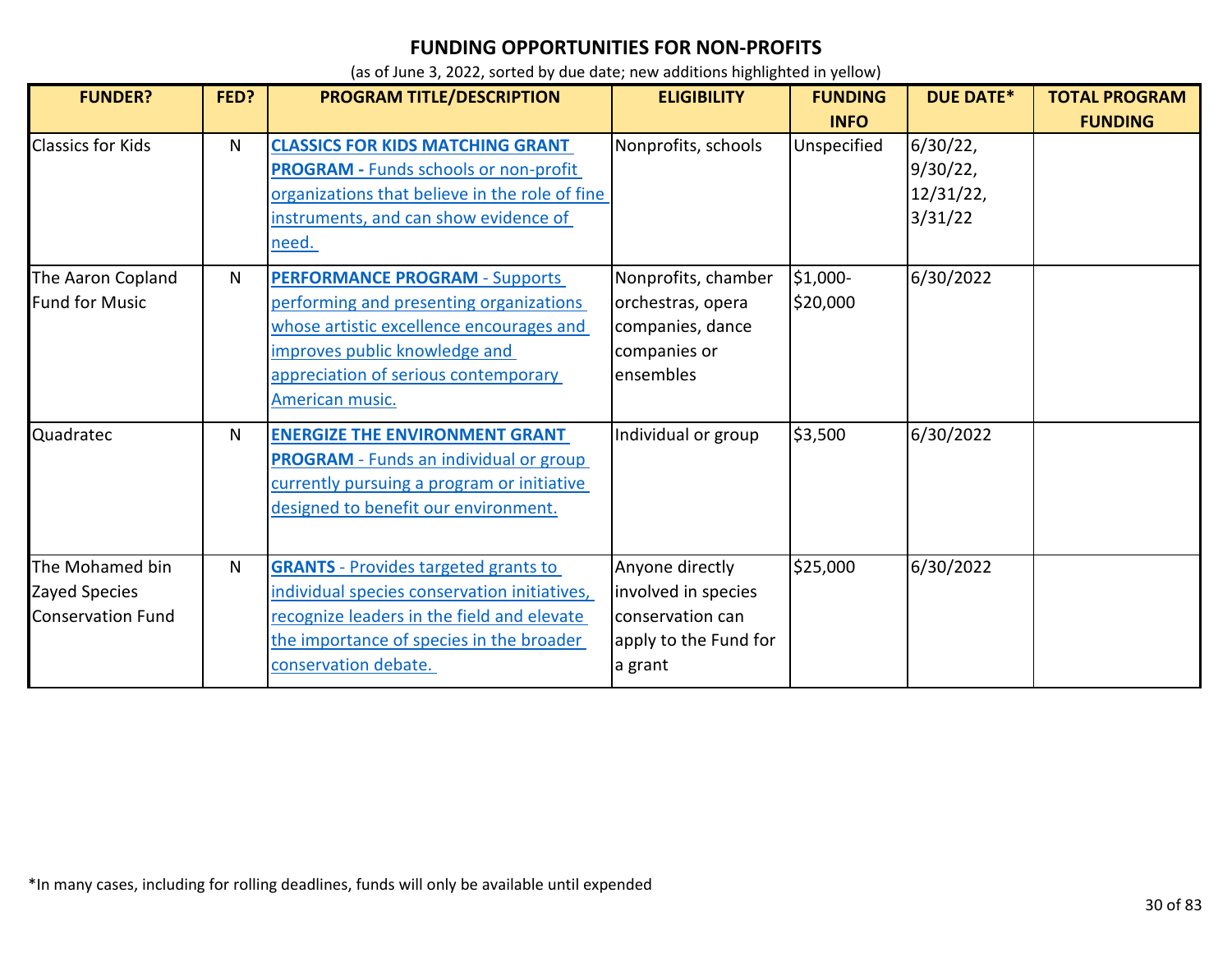| <b>FUNDER?</b>           | FED? | <b>PROGRAM TITLE/DESCRIPTION</b>               | <b>ELIGIBILITY</b>    | <b>FUNDING</b> | <b>DUE DATE*</b> | <b>TOTAL PROGRAM</b> |
|--------------------------|------|------------------------------------------------|-----------------------|----------------|------------------|----------------------|
|                          |      |                                                |                       | <b>INFO</b>    |                  | <b>FUNDING</b>       |
| <b>Classics for Kids</b> | N    | <b>CLASSICS FOR KIDS MATCHING GRANT</b>        | Nonprofits, schools   | Unspecified    | 6/30/22          |                      |
|                          |      | <b>PROGRAM - Funds schools or non-profit</b>   |                       |                | 9/30/22,         |                      |
|                          |      | organizations that believe in the role of fine |                       |                | 12/31/22,        |                      |
|                          |      | instruments, and can show evidence of          |                       |                | 3/31/22          |                      |
|                          |      | need.                                          |                       |                |                  |                      |
| The Aaron Copland        | N    | <b>PERFORMANCE PROGRAM - Supports</b>          | Nonprofits, chamber   | \$1,000-       | 6/30/2022        |                      |
| <b>Fund for Music</b>    |      | performing and presenting organizations        | orchestras, opera     | \$20,000       |                  |                      |
|                          |      | whose artistic excellence encourages and       | companies, dance      |                |                  |                      |
|                          |      | improves public knowledge and                  | companies or          |                |                  |                      |
|                          |      | appreciation of serious contemporary           | ensembles             |                |                  |                      |
|                          |      | American music.                                |                       |                |                  |                      |
| Quadratec                | N    | <b>ENERGIZE THE ENVIRONMENT GRANT</b>          | Individual or group   | \$3,500        | 6/30/2022        |                      |
|                          |      | <b>PROGRAM</b> - Funds an individual or group  |                       |                |                  |                      |
|                          |      | currently pursuing a program or initiative     |                       |                |                  |                      |
|                          |      | designed to benefit our environment.           |                       |                |                  |                      |
|                          |      |                                                |                       |                |                  |                      |
| The Mohamed bin          | N    | <b>GRANTS</b> - Provides targeted grants to    | Anyone directly       | \$25,000       | 6/30/2022        |                      |
| Zayed Species            |      | individual species conservation initiatives,   | involved in species   |                |                  |                      |
| <b>Conservation Fund</b> |      | recognize leaders in the field and elevate     | conservation can      |                |                  |                      |
|                          |      | the importance of species in the broader       | apply to the Fund for |                |                  |                      |
|                          |      | conservation debate.                           | a grant               |                |                  |                      |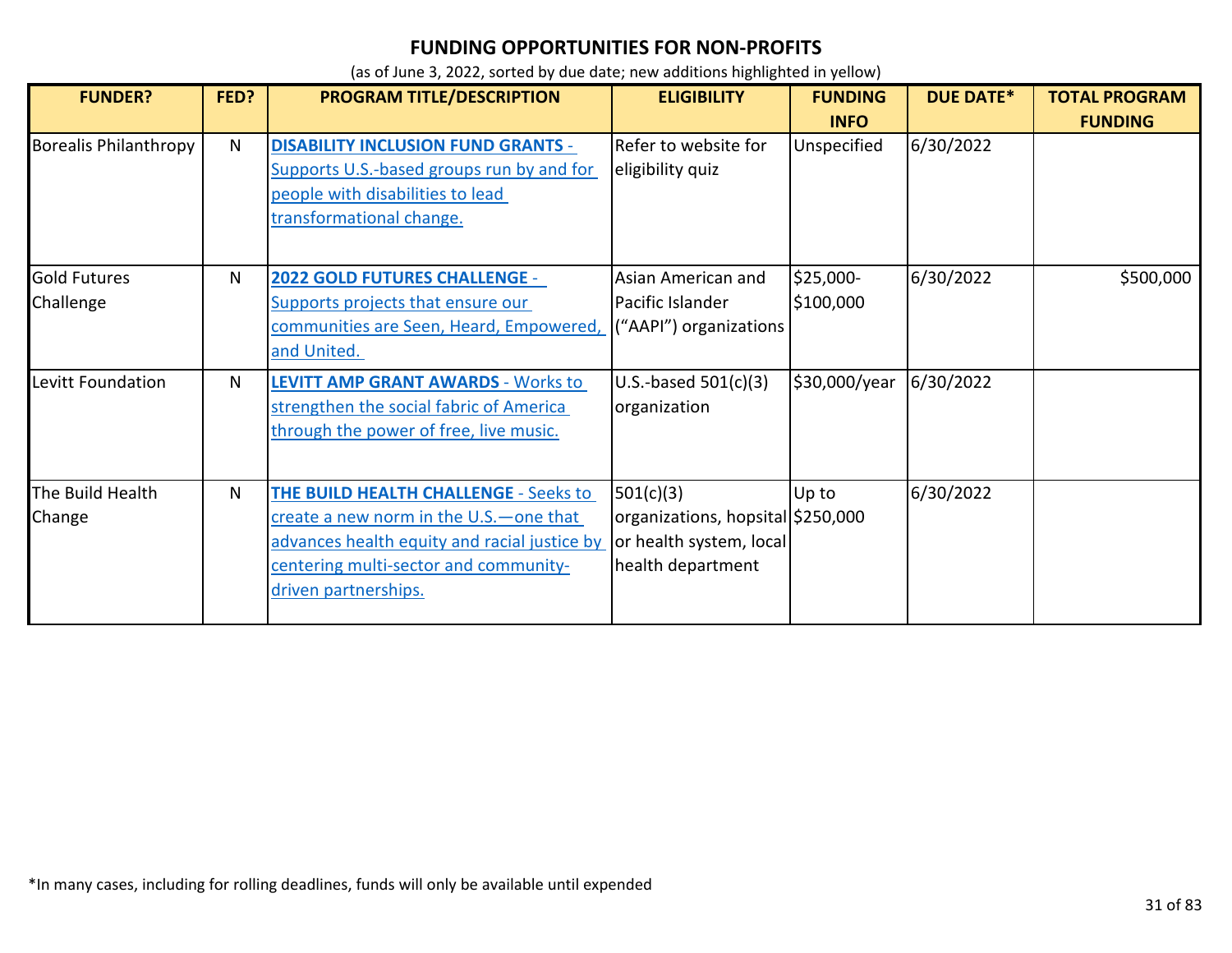| <b>FUNDER?</b>                   | FED? | <b>PROGRAM TITLE/DESCRIPTION</b>                                                                                                                                                                          | <b>ELIGIBILITY</b>                                                                             | <b>FUNDING</b><br><b>INFO</b> | <b>DUE DATE*</b> | <b>TOTAL PROGRAM</b><br><b>FUNDING</b> |
|----------------------------------|------|-----------------------------------------------------------------------------------------------------------------------------------------------------------------------------------------------------------|------------------------------------------------------------------------------------------------|-------------------------------|------------------|----------------------------------------|
| <b>Borealis Philanthropy</b>     | N    | <b>DISABILITY INCLUSION FUND GRANTS -</b><br>Supports U.S.-based groups run by and for<br>people with disabilities to lead<br>transformational change.                                                    | Refer to website for<br>eligibility quiz                                                       | Unspecified                   | 6/30/2022        |                                        |
| <b>Gold Futures</b><br>Challenge | N    | <b>2022 GOLD FUTURES CHALLENGE -</b><br>Supports projects that ensure our<br>communities are Seen, Heard, Empowered,<br>and United.                                                                       | Asian American and<br>Pacific Islander<br>("AAPI") organizations                               | \$25,000-<br>\$100,000        | 6/30/2022        | \$500,000                              |
| Levitt Foundation                | N    | <b>LEVITT AMP GRANT AWARDS - Works to</b><br>strengthen the social fabric of America<br>through the power of free, live music.                                                                            | U.S.-based $501(c)(3)$<br>organization                                                         | \$30,000/year                 | 6/30/2022        |                                        |
| The Build Health<br>Change       | N    | <b>THE BUILD HEALTH CHALLENGE - Seeks to</b><br>create a new norm in the U.S. - one that<br>advances health equity and racial justice by<br>centering multi-sector and community-<br>driven partnerships. | 501(c)(3)<br>organizations, hopsital \$250,000<br>or health system, local<br>health department | Up to                         | 6/30/2022        |                                        |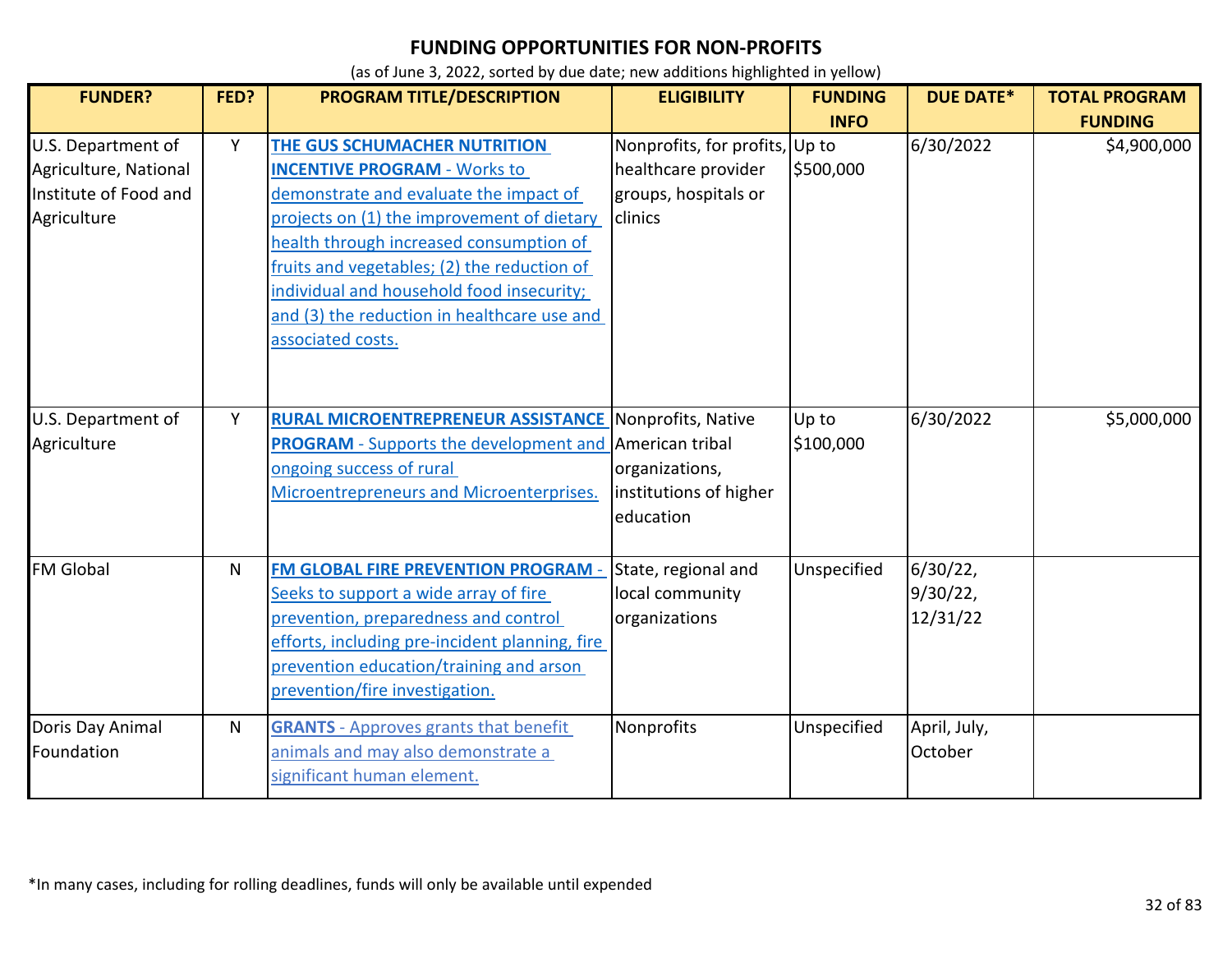| <b>FUNDER?</b>                                                                      | FED? | PROGRAM TITLE/DESCRIPTION                                                                                                                                                                                                                                                                                                                                                     | <b>ELIGIBILITY</b>                                                                       | <b>FUNDING</b><br><b>INFO</b> | <b>DUE DATE*</b>                 | <b>TOTAL PROGRAM</b><br><b>FUNDING</b> |
|-------------------------------------------------------------------------------------|------|-------------------------------------------------------------------------------------------------------------------------------------------------------------------------------------------------------------------------------------------------------------------------------------------------------------------------------------------------------------------------------|------------------------------------------------------------------------------------------|-------------------------------|----------------------------------|----------------------------------------|
| U.S. Department of<br>Agriculture, National<br>Institute of Food and<br>Agriculture | Y    | <b>THE GUS SCHUMACHER NUTRITION</b><br><b>INCENTIVE PROGRAM - Works to</b><br>demonstrate and evaluate the impact of<br>projects on (1) the improvement of dietary<br>health through increased consumption of<br>fruits and vegetables; (2) the reduction of<br>individual and household food insecurity;<br>and (3) the reduction in healthcare use and<br>associated costs. | Nonprofits, for profits, Up to<br>healthcare provider<br>groups, hospitals or<br>clinics | \$500,000                     | 6/30/2022                        | \$4,900,000                            |
| U.S. Department of<br>Agriculture                                                   | Y    | <b>RURAL MICROENTREPRENEUR ASSISTANCE Nonprofits, Native</b><br><b>PROGRAM</b> - Supports the development and American tribal<br>ongoing success of rural<br>Microentrepreneurs and Microenterprises.                                                                                                                                                                         | organizations,<br>institutions of higher<br>education                                    | Up to<br>\$100,000            | 6/30/2022                        | \$5,000,000                            |
| <b>FM Global</b>                                                                    | N.   | <b>FM GLOBAL FIRE PREVENTION PROGRAM -</b><br>Seeks to support a wide array of fire<br>prevention, preparedness and control<br>efforts, including pre-incident planning, fire<br>prevention education/training and arson<br>prevention/fire investigation.                                                                                                                    | State, regional and<br>local community<br>organizations                                  | Unspecified                   | 6/30/22,<br>9/30/22,<br>12/31/22 |                                        |
| Doris Day Animal<br>Foundation                                                      | N    | <b>GRANTS</b> - Approves grants that benefit<br>animals and may also demonstrate a<br>significant human element.                                                                                                                                                                                                                                                              | Nonprofits                                                                               | Unspecified                   | April, July,<br>October          |                                        |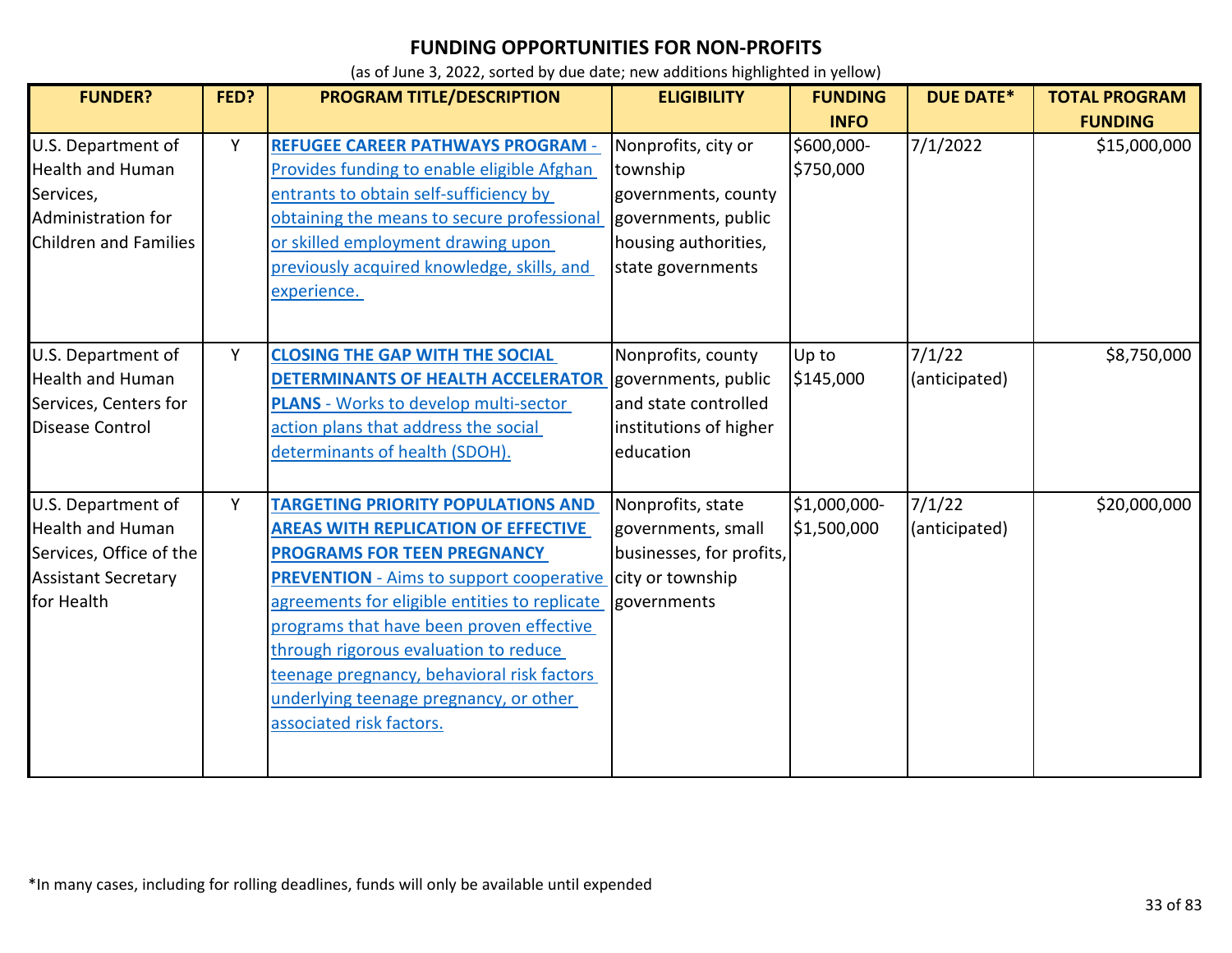| <b>FUNDER?</b>                                                                                                       | FED? | PROGRAM TITLE/DESCRIPTION                                                                                                                                                                                                                                                                                                                                                                                                                  | <b>ELIGIBILITY</b>                                                                                                         | <b>FUNDING</b>              | <b>DUE DATE*</b>        | <b>TOTAL PROGRAM</b> |
|----------------------------------------------------------------------------------------------------------------------|------|--------------------------------------------------------------------------------------------------------------------------------------------------------------------------------------------------------------------------------------------------------------------------------------------------------------------------------------------------------------------------------------------------------------------------------------------|----------------------------------------------------------------------------------------------------------------------------|-----------------------------|-------------------------|----------------------|
|                                                                                                                      |      |                                                                                                                                                                                                                                                                                                                                                                                                                                            |                                                                                                                            | <b>INFO</b>                 |                         | <b>FUNDING</b>       |
| U.S. Department of<br><b>Health and Human</b><br>Services,<br>Administration for<br>Children and Families            | Y    | <b>REFUGEE CAREER PATHWAYS PROGRAM -</b><br>Provides funding to enable eligible Afghan<br>entrants to obtain self-sufficiency by<br>obtaining the means to secure professional<br>or skilled employment drawing upon<br>previously acquired knowledge, skills, and<br>experience.                                                                                                                                                          | Nonprofits, city or<br>township<br>governments, county<br>governments, public<br>housing authorities,<br>state governments | \$600,000-<br>\$750,000     | 7/1/2022                | \$15,000,000         |
| U.S. Department of<br><b>Health and Human</b><br>Services, Centers for<br>Disease Control                            | Y    | <b>CLOSING THE GAP WITH THE SOCIAL</b><br>DETERMINANTS OF HEALTH ACCELERATOR<br><b>PLANS</b> - Works to develop multi-sector<br>action plans that address the social<br>determinants of health (SDOH).                                                                                                                                                                                                                                     | Nonprofits, county<br>governments, public<br>and state controlled<br>institutions of higher<br>education                   | Up to<br>\$145,000          | 7/1/22<br>(anticipated) | \$8,750,000          |
| U.S. Department of<br><b>Health and Human</b><br>Services, Office of the<br><b>Assistant Secretary</b><br>for Health | Y    | <b>TARGETING PRIORITY POPULATIONS AND</b><br><b>AREAS WITH REPLICATION OF EFFECTIVE</b><br><b>PROGRAMS FOR TEEN PREGNANCY</b><br><b>PREVENTION</b> - Aims to support cooperative<br>agreements for eligible entities to replicate<br>programs that have been proven effective<br>through rigorous evaluation to reduce<br>teenage pregnancy, behavioral risk factors<br>underlying teenage pregnancy, or other<br>associated risk factors. | Nonprofits, state<br>governments, small<br>businesses, for profits,<br>city or township<br>governments                     | \$1,000,000-<br>\$1,500,000 | 7/1/22<br>(anticipated) | \$20,000,000         |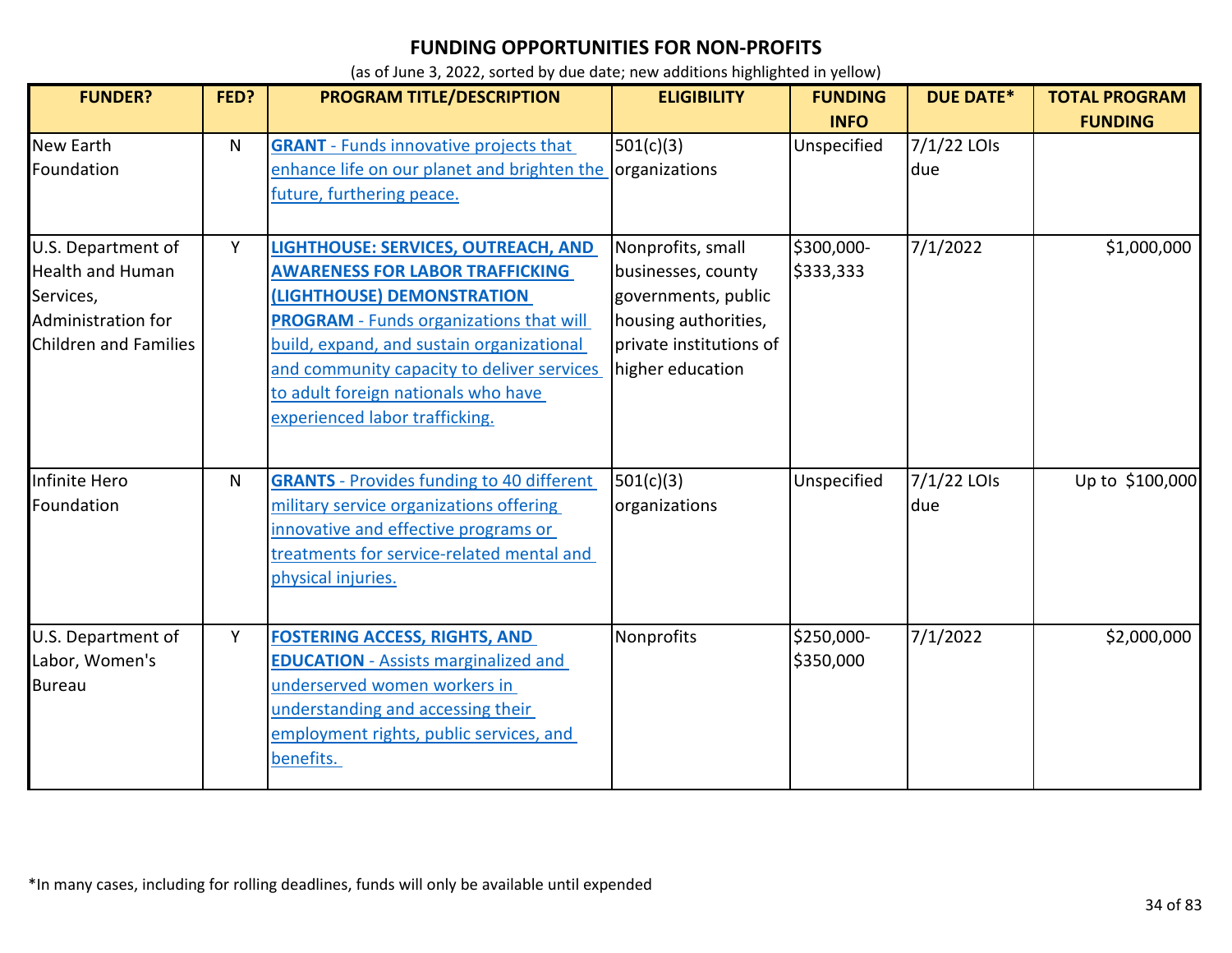| <b>FUNDER?</b>                                                                                                   | FED? | <b>PROGRAM TITLE/DESCRIPTION</b>                                                                                                                                                                                                                                                                                                  | <b>ELIGIBILITY</b>                                                                                                                    | <b>FUNDING</b><br><b>INFO</b> | <b>DUE DATE*</b>   | <b>TOTAL PROGRAM</b><br><b>FUNDING</b> |
|------------------------------------------------------------------------------------------------------------------|------|-----------------------------------------------------------------------------------------------------------------------------------------------------------------------------------------------------------------------------------------------------------------------------------------------------------------------------------|---------------------------------------------------------------------------------------------------------------------------------------|-------------------------------|--------------------|----------------------------------------|
| <b>New Earth</b><br>Foundation                                                                                   | N    | <b>GRANT</b> - Funds innovative projects that<br>enhance life on our planet and brighten the organizations<br>future, furthering peace.                                                                                                                                                                                           | 501(c)(3)                                                                                                                             | Unspecified                   | 7/1/22 LOIs<br>due |                                        |
| U.S. Department of<br><b>Health and Human</b><br>Services,<br>Administration for<br><b>Children and Families</b> | Y    | LIGHTHOUSE: SERVICES, OUTREACH, AND<br><b>AWARENESS FOR LABOR TRAFFICKING</b><br>(LIGHTHOUSE) DEMONSTRATION<br><b>PROGRAM</b> - Funds organizations that will<br>build, expand, and sustain organizational<br>and community capacity to deliver services<br>to adult foreign nationals who have<br>experienced labor trafficking. | Nonprofits, small<br>businesses, county<br>governments, public<br>housing authorities,<br>private institutions of<br>higher education | \$300,000-<br>\$333,333       | 7/1/2022           | \$1,000,000                            |
| Infinite Hero<br>Foundation                                                                                      | N.   | <b>GRANTS</b> - Provides funding to 40 different<br>military service organizations offering<br>innovative and effective programs or<br>treatments for service-related mental and<br>physical injuries.                                                                                                                            | 501(c)(3)<br>organizations                                                                                                            | Unspecified                   | 7/1/22 LOIs<br>due | Up to \$100,000                        |
| U.S. Department of<br>Labor, Women's<br><b>Bureau</b>                                                            | Y    | <b>FOSTERING ACCESS, RIGHTS, AND</b><br><b>EDUCATION</b> - Assists marginalized and<br>underserved women workers in<br>understanding and accessing their<br>employment rights, public services, and<br>benefits.                                                                                                                  | Nonprofits                                                                                                                            | \$250,000-<br>\$350,000       | 7/1/2022           | \$2,000,000                            |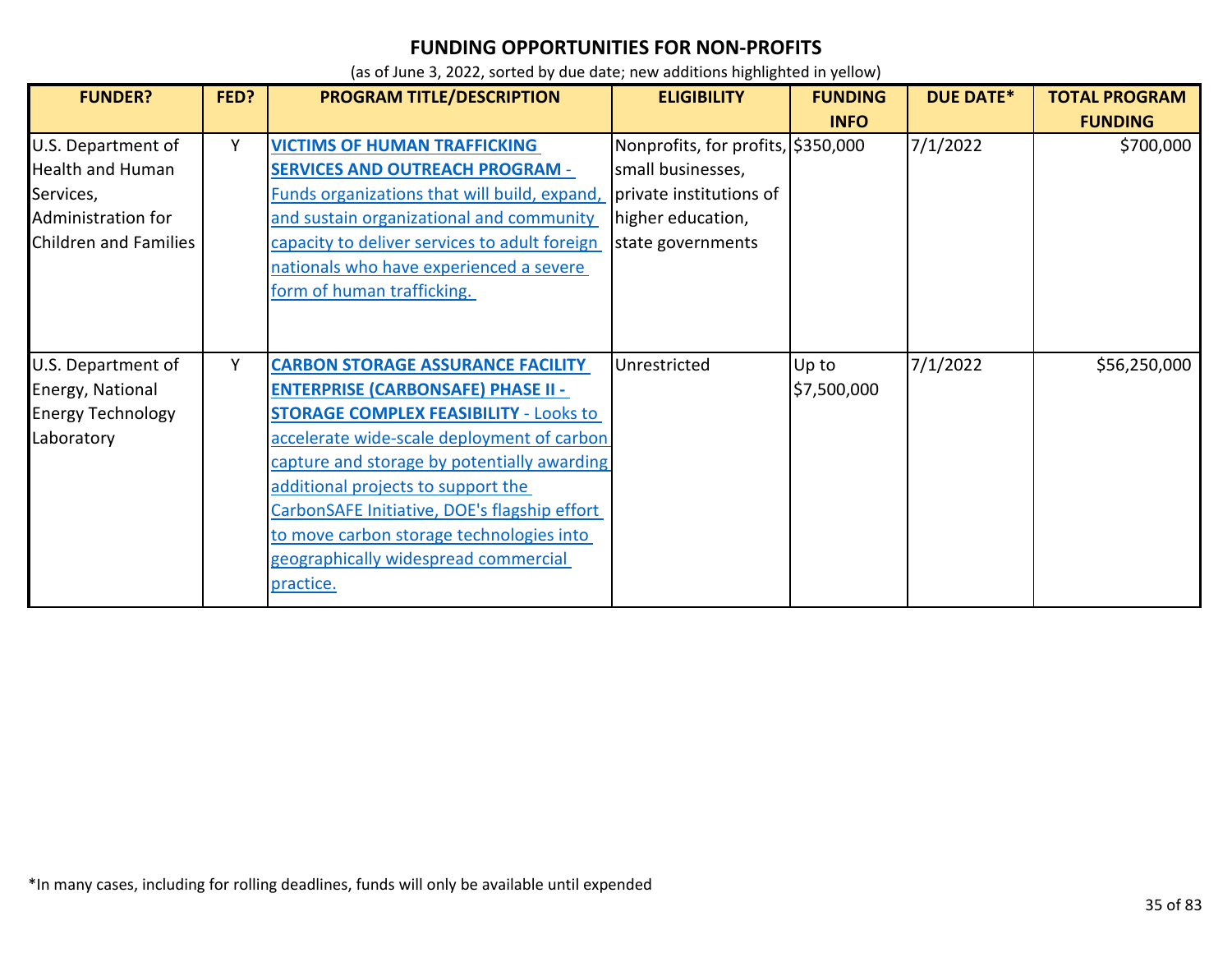| <b>FUNDER?</b>                                                                                                   | FED? | PROGRAM TITLE/DESCRIPTION                                                                                                                                                                                                                                                                                                                                                                                                  | <b>ELIGIBILITY</b>                                                                                                           | <b>FUNDING</b><br><b>INFO</b> | <b>DUE DATE*</b> | <b>TOTAL PROGRAM</b><br><b>FUNDING</b> |
|------------------------------------------------------------------------------------------------------------------|------|----------------------------------------------------------------------------------------------------------------------------------------------------------------------------------------------------------------------------------------------------------------------------------------------------------------------------------------------------------------------------------------------------------------------------|------------------------------------------------------------------------------------------------------------------------------|-------------------------------|------------------|----------------------------------------|
| U.S. Department of<br><b>Health and Human</b><br>Services,<br>Administration for<br><b>Children and Families</b> | Υ    | <b>VICTIMS OF HUMAN TRAFFICKING</b><br><b>SERVICES AND OUTREACH PROGRAM -</b><br>Funds organizations that will build, expand,<br>and sustain organizational and community<br>capacity to deliver services to adult foreign<br>nationals who have experienced a severe<br>form of human trafficking.                                                                                                                        | Nonprofits, for profits, \$350,000<br>small businesses,<br>private institutions of<br>higher education,<br>state governments |                               | 7/1/2022         | \$700,000                              |
| U.S. Department of<br>Energy, National<br><b>Energy Technology</b><br>Laboratory                                 | Υ    | <b>CARBON STORAGE ASSURANCE FACILITY</b><br><b>ENTERPRISE (CARBONSAFE) PHASE II -</b><br><b>STORAGE COMPLEX FEASIBILITY - Looks to</b><br>accelerate wide-scale deployment of carbon<br>capture and storage by potentially awarding<br>additional projects to support the<br>CarbonSAFE Initiative, DOE's flagship effort<br>to move carbon storage technologies into<br>geographically widespread commercial<br>practice. | Unrestricted                                                                                                                 | Up to<br>\$7,500,000          | 7/1/2022         | \$56,250,000                           |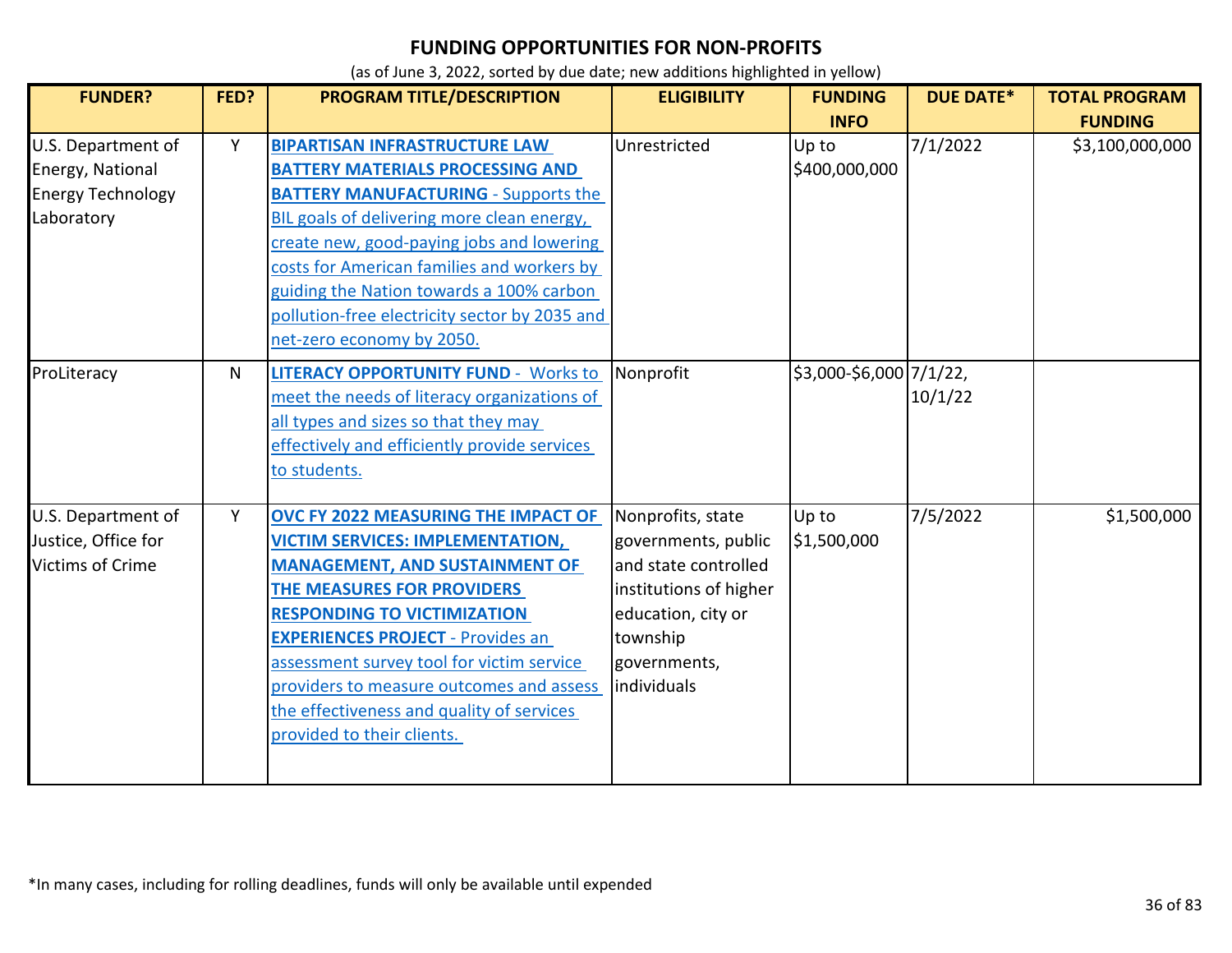| <b>FUNDER?</b>                                                                   | FED? | <b>PROGRAM TITLE/DESCRIPTION</b>                                                                                                                                                                                                                                                                                                                                                                            | <b>ELIGIBILITY</b>                                                                                                                                          | <b>FUNDING</b><br><b>INFO</b> | <b>DUE DATE*</b> | <b>TOTAL PROGRAM</b><br><b>FUNDING</b> |
|----------------------------------------------------------------------------------|------|-------------------------------------------------------------------------------------------------------------------------------------------------------------------------------------------------------------------------------------------------------------------------------------------------------------------------------------------------------------------------------------------------------------|-------------------------------------------------------------------------------------------------------------------------------------------------------------|-------------------------------|------------------|----------------------------------------|
| U.S. Department of<br>Energy, National<br><b>Energy Technology</b><br>Laboratory | Y    | <b>BIPARTISAN INFRASTRUCTURE LAW</b><br><b>BATTERY MATERIALS PROCESSING AND</b><br><b>BATTERY MANUFACTURING - Supports the</b><br>BIL goals of delivering more clean energy,<br>create new, good-paying jobs and lowering<br>costs for American families and workers by<br>guiding the Nation towards a 100% carbon<br>pollution-free electricity sector by 2035 and<br>net-zero economy by 2050.           | Unrestricted                                                                                                                                                | Up to<br>\$400,000,000        | 7/1/2022         | \$3,100,000,000                        |
| ProLiteracy                                                                      | N    | <b>LITERACY OPPORTUNITY FUND - Works to</b><br>meet the needs of literacy organizations of<br>all types and sizes so that they may<br>effectively and efficiently provide services<br>to students.                                                                                                                                                                                                          | Nonprofit                                                                                                                                                   | \$3,000-\$6,000 7/1/22,       | 10/1/22          |                                        |
| U.S. Department of<br>Justice, Office for<br><b>Victims of Crime</b>             | Y    | OVC FY 2022 MEASURING THE IMPACT OF<br><b>VICTIM SERVICES: IMPLEMENTATION,</b><br><b>MANAGEMENT, AND SUSTAINMENT OF</b><br>THE MEASURES FOR PROVIDERS<br><b>RESPONDING TO VICTIMIZATION</b><br><b>EXPERIENCES PROJECT - Provides an</b><br>assessment survey tool for victim service<br>providers to measure outcomes and assess<br>the effectiveness and quality of services<br>provided to their clients. | Nonprofits, state<br>governments, public<br>and state controlled<br>institutions of higher<br>education, city or<br>township<br>governments,<br>individuals | Up to<br>\$1,500,000          | 7/5/2022         | \$1,500,000                            |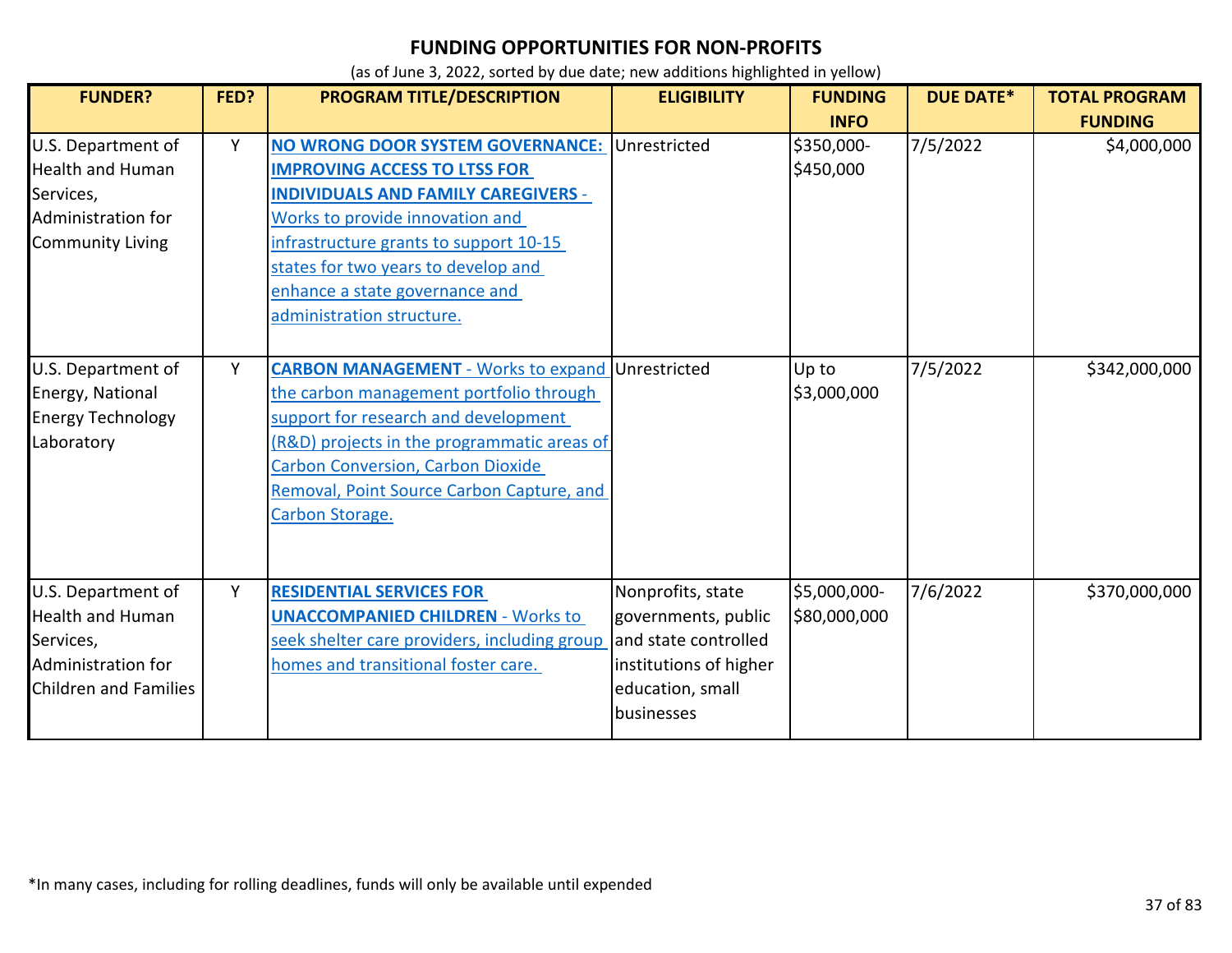| <b>FUNDER?</b>                                                                                                   | FED? | <b>PROGRAM TITLE/DESCRIPTION</b>                                                                                                                                                                                                                                                                                      | <b>ELIGIBILITY</b>                                                                                                           | <b>FUNDING</b><br><b>INFO</b> | <b>DUE DATE*</b> | <b>TOTAL PROGRAM</b><br><b>FUNDING</b> |
|------------------------------------------------------------------------------------------------------------------|------|-----------------------------------------------------------------------------------------------------------------------------------------------------------------------------------------------------------------------------------------------------------------------------------------------------------------------|------------------------------------------------------------------------------------------------------------------------------|-------------------------------|------------------|----------------------------------------|
| U.S. Department of<br><b>Health and Human</b><br>Services,<br>Administration for<br><b>Community Living</b>      | Y    | NO WRONG DOOR SYSTEM GOVERNANCE: Unrestricted<br><b>IMPROVING ACCESS TO LTSS FOR</b><br><b>INDIVIDUALS AND FAMILY CAREGIVERS -</b><br>Works to provide innovation and<br>infrastructure grants to support 10-15<br>states for two years to develop and<br>enhance a state governance and<br>administration structure. |                                                                                                                              | \$350,000-<br>\$450,000       | 7/5/2022         | \$4,000,000                            |
| U.S. Department of<br>Energy, National<br><b>Energy Technology</b><br>Laboratory                                 | Y    | <b>CARBON MANAGEMENT</b> - Works to expand Unrestricted<br>the carbon management portfolio through<br>support for research and development<br>(R&D) projects in the programmatic areas of<br><b>Carbon Conversion, Carbon Dioxide</b><br>Removal, Point Source Carbon Capture, and<br>Carbon Storage.                 |                                                                                                                              | Up to<br>\$3,000,000          | 7/5/2022         | \$342,000,000                          |
| U.S. Department of<br><b>Health and Human</b><br>Services,<br>Administration for<br><b>Children and Families</b> | Υ    | <b>RESIDENTIAL SERVICES FOR</b><br><b>UNACCOMPANIED CHILDREN - Works to</b><br>seek shelter care providers, including group<br>homes and transitional foster care.                                                                                                                                                    | Nonprofits, state<br>governments, public<br>and state controlled<br>institutions of higher<br>education, small<br>businesses | \$5,000,000-<br>\$80,000,000  | 7/6/2022         | \$370,000,000                          |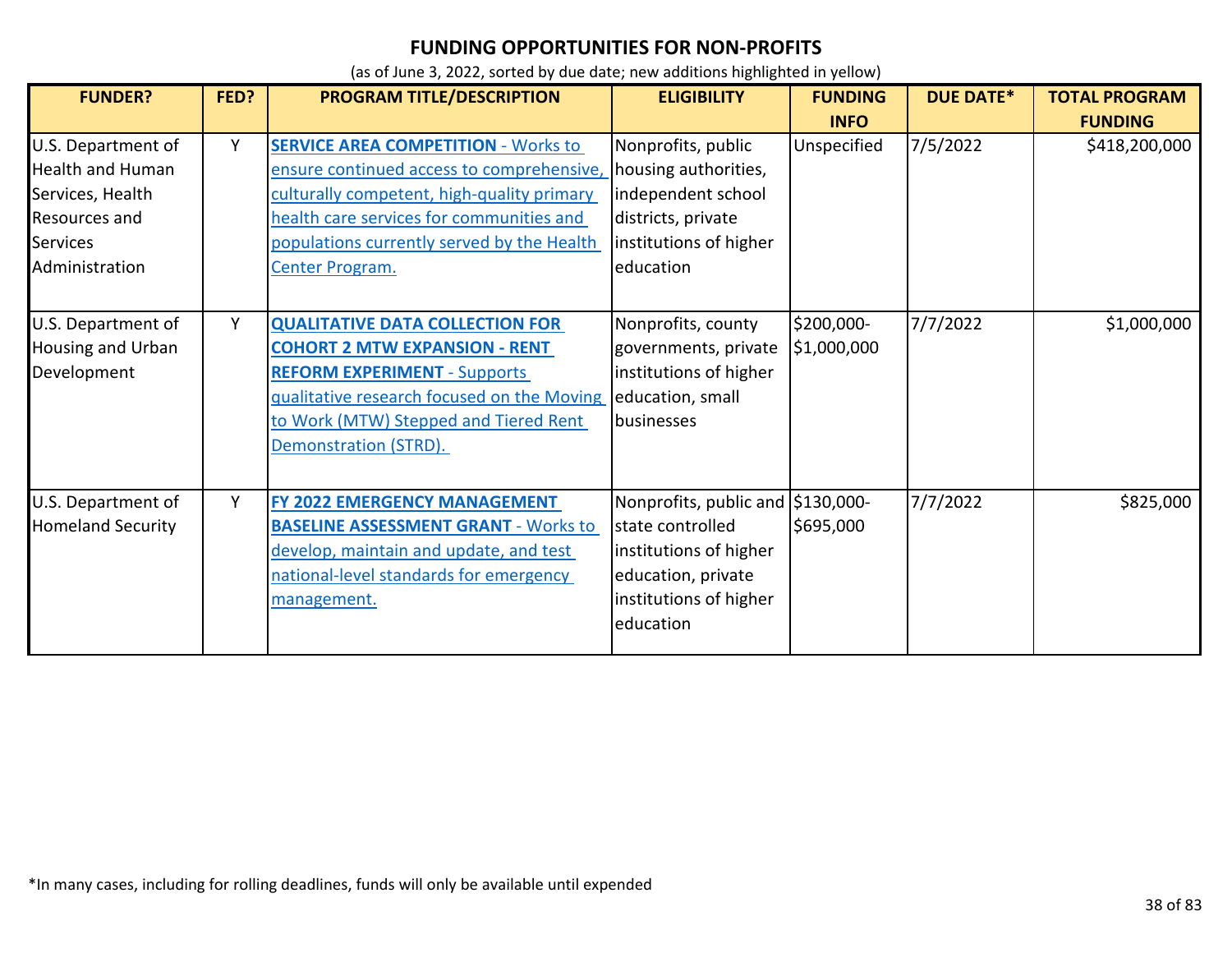| <b>FUNDER?</b>                                                                                                                 | FED? | PROGRAM TITLE/DESCRIPTION                                                                                                                                                                                                                                               | <b>ELIGIBILITY</b>                                                                                                                           | <b>FUNDING</b>            | <b>DUE DATE*</b> | <b>TOTAL PROGRAM</b> |
|--------------------------------------------------------------------------------------------------------------------------------|------|-------------------------------------------------------------------------------------------------------------------------------------------------------------------------------------------------------------------------------------------------------------------------|----------------------------------------------------------------------------------------------------------------------------------------------|---------------------------|------------------|----------------------|
|                                                                                                                                |      |                                                                                                                                                                                                                                                                         |                                                                                                                                              | <b>INFO</b>               |                  | <b>FUNDING</b>       |
| U.S. Department of<br><b>Health and Human</b><br>Services, Health<br><b>Resources and</b><br><b>Services</b><br>Administration | Y    | <b>SERVICE AREA COMPETITION - Works to</b><br>ensure continued access to comprehensive, housing authorities,<br>culturally competent, high-quality primary<br>health care services for communities and<br>populations currently served by the Health<br>Center Program. | Nonprofits, public<br>independent school<br>districts, private<br>institutions of higher<br>education                                        | Unspecified               | 7/5/2022         | \$418,200,000        |
| U.S. Department of<br><b>Housing and Urban</b><br>Development                                                                  | Y    | <b>QUALITATIVE DATA COLLECTION FOR</b><br><b>COHORT 2 MTW EXPANSION - RENT</b><br><b>REFORM EXPERIMENT - Supports</b><br>qualitative research focused on the Moving<br>to Work (MTW) Stepped and Tiered Rent<br>Demonstration (STRD).                                   | Nonprofits, county<br>governments, private<br>institutions of higher<br>education, small<br>businesses                                       | \$200,000-<br>\$1,000,000 | 7/7/2022         | \$1,000,000          |
| U.S. Department of<br><b>Homeland Security</b>                                                                                 | Y    | FY 2022 EMERGENCY MANAGEMENT<br><b>BASELINE ASSESSMENT GRANT - Works to</b><br>develop, maintain and update, and test<br>national-level standards for emergency<br>management.                                                                                          | Nonprofits, public and \$130,000-<br>state controlled<br>institutions of higher<br>education, private<br>institutions of higher<br>education | \$695,000                 | 7/7/2022         | \$825,000            |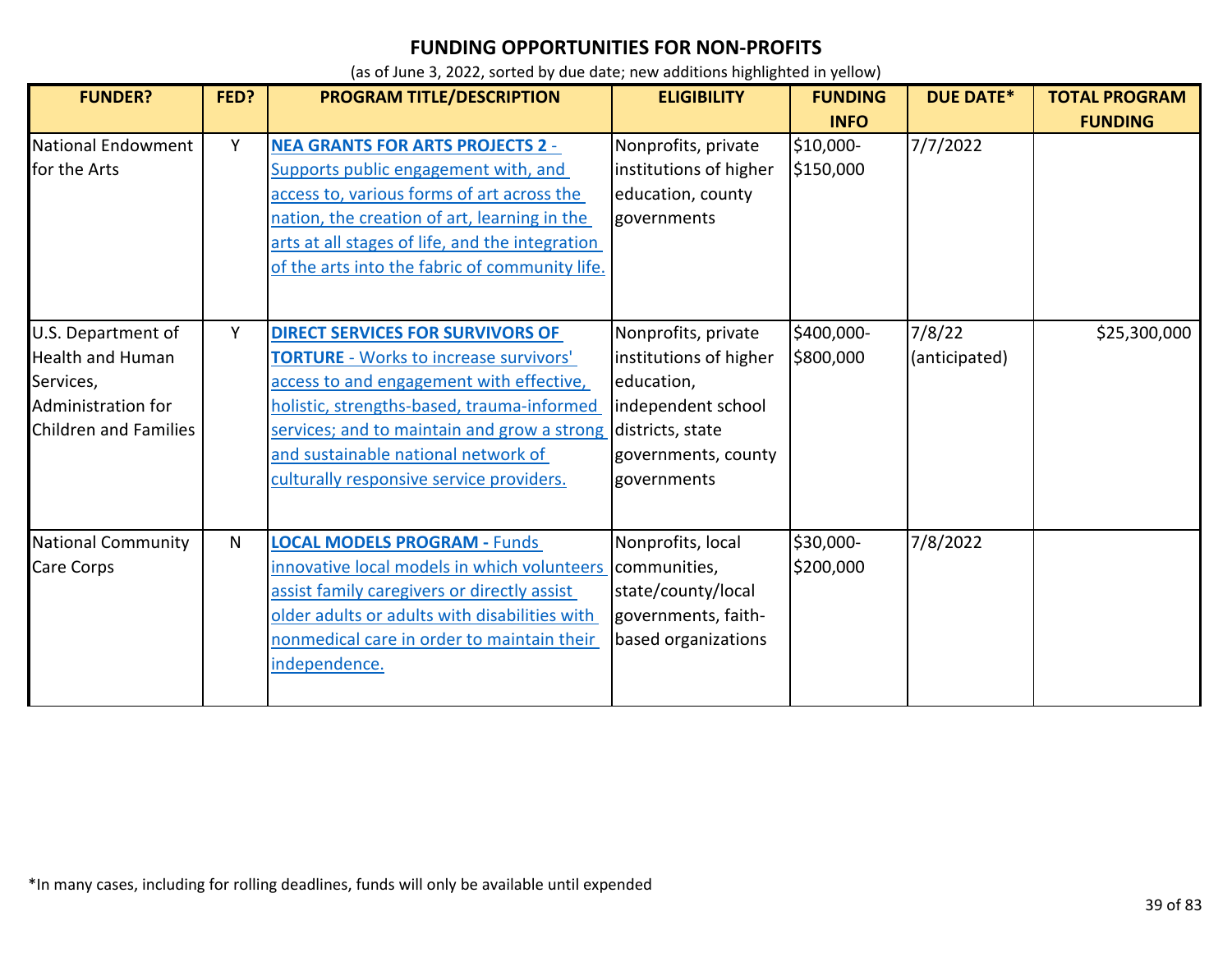| <b>FUNDER?</b>                                                                                                   | FED? | PROGRAM TITLE/DESCRIPTION                                                                                                                                                                                                                                                                                                             | <b>ELIGIBILITY</b>                                                                                                      | <b>FUNDING</b>          | <b>DUE DATE*</b>        | <b>TOTAL PROGRAM</b> |
|------------------------------------------------------------------------------------------------------------------|------|---------------------------------------------------------------------------------------------------------------------------------------------------------------------------------------------------------------------------------------------------------------------------------------------------------------------------------------|-------------------------------------------------------------------------------------------------------------------------|-------------------------|-------------------------|----------------------|
|                                                                                                                  |      |                                                                                                                                                                                                                                                                                                                                       |                                                                                                                         | <b>INFO</b>             |                         | <b>FUNDING</b>       |
| <b>National Endowment</b><br>for the Arts                                                                        | Y    | <b>NEA GRANTS FOR ARTS PROJECTS 2 -</b><br>Supports public engagement with, and<br>access to, various forms of art across the<br>nation, the creation of art, learning in the<br>arts at all stages of life, and the integration<br>of the arts into the fabric of community life.                                                    | Nonprofits, private<br>institutions of higher<br>education, county<br>governments                                       | \$10,000-<br>\$150,000  | 7/7/2022                |                      |
| U.S. Department of<br><b>Health and Human</b><br>Services,<br>Administration for<br><b>Children and Families</b> | Υ    | <b>DIRECT SERVICES FOR SURVIVORS OF</b><br><b>TORTURE</b> - Works to increase survivors'<br>access to and engagement with effective,<br>holistic, strengths-based, trauma-informed<br>services; and to maintain and grow a strong districts, state<br>and sustainable national network of<br>culturally responsive service providers. | Nonprofits, private<br>institutions of higher<br>education,<br>independent school<br>governments, county<br>governments | \$400,000-<br>\$800,000 | 7/8/22<br>(anticipated) | \$25,300,000         |
| <b>National Community</b><br><b>Care Corps</b>                                                                   | N    | <b>LOCAL MODELS PROGRAM - Funds</b><br>innovative local models in which volunteers<br>assist family caregivers or directly assist<br>older adults or adults with disabilities with<br>nonmedical care in order to maintain their<br>independence.                                                                                     | Nonprofits, local<br>communities,<br>state/county/local<br>governments, faith-<br>based organizations                   | \$30,000-<br>\$200,000  | 7/8/2022                |                      |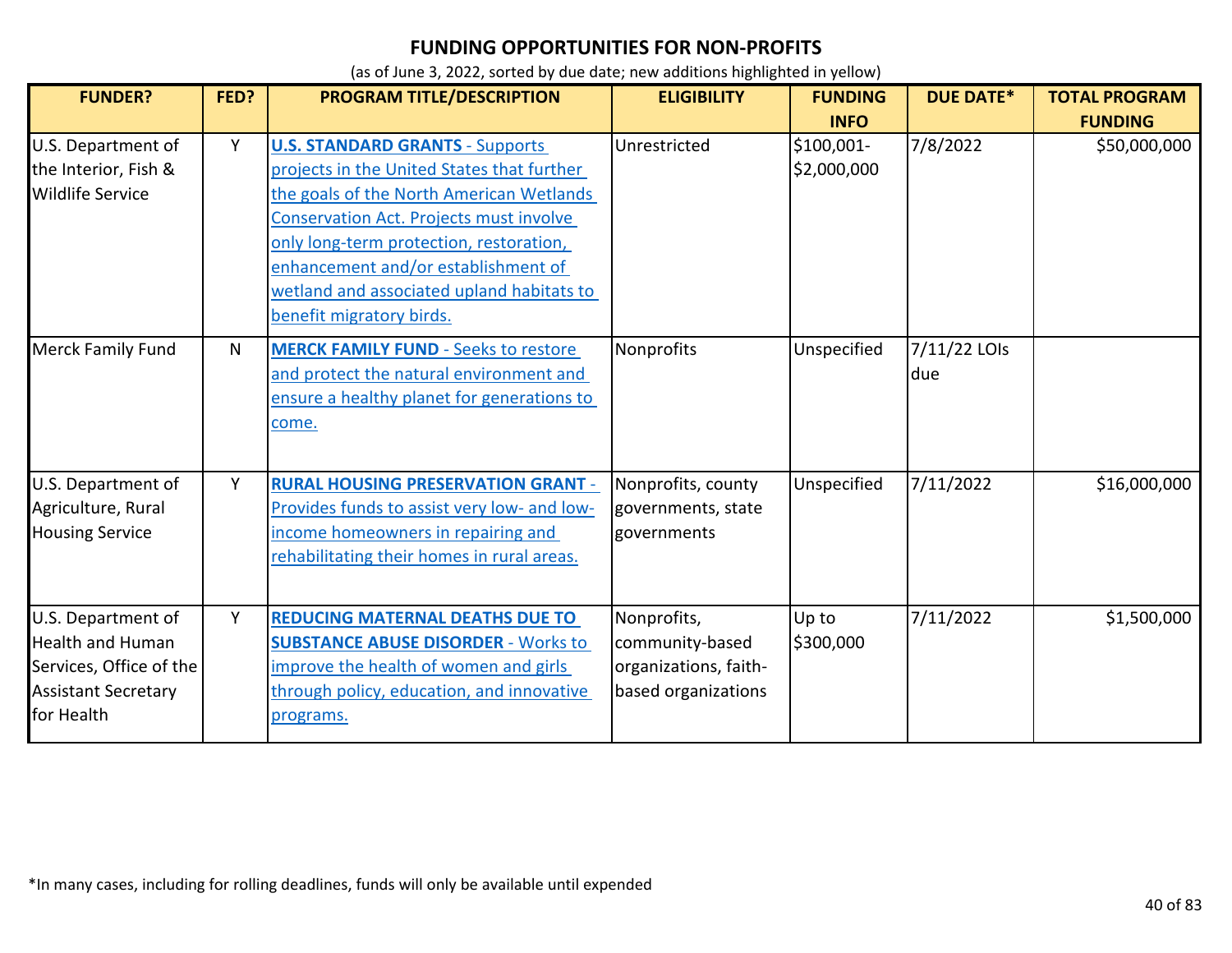| <b>FUNDER?</b>                                                                                                       | FED? | PROGRAM TITLE/DESCRIPTION                                                                                                                                                                                                                                                                                                              | <b>ELIGIBILITY</b>                                                             | <b>FUNDING</b><br><b>INFO</b> | <b>DUE DATE*</b>    | <b>TOTAL PROGRAM</b><br><b>FUNDING</b> |
|----------------------------------------------------------------------------------------------------------------------|------|----------------------------------------------------------------------------------------------------------------------------------------------------------------------------------------------------------------------------------------------------------------------------------------------------------------------------------------|--------------------------------------------------------------------------------|-------------------------------|---------------------|----------------------------------------|
| U.S. Department of<br>the Interior, Fish &<br><b>Wildlife Service</b>                                                | Υ    | <b>U.S. STANDARD GRANTS - Supports</b><br>projects in the United States that further<br>the goals of the North American Wetlands<br>Conservation Act. Projects must involve<br>only long-term protection, restoration,<br>enhancement and/or establishment of<br>wetland and associated upland habitats to<br>benefit migratory birds. | Unrestricted                                                                   | \$100,001-<br>\$2,000,000     | 7/8/2022            | \$50,000,000                           |
| <b>Merck Family Fund</b>                                                                                             | N    | <b>MERCK FAMILY FUND - Seeks to restore</b><br>and protect the natural environment and<br>ensure a healthy planet for generations to<br>come.                                                                                                                                                                                          | Nonprofits                                                                     | Unspecified                   | 7/11/22 LOIs<br>due |                                        |
| U.S. Department of<br>Agriculture, Rural<br><b>Housing Service</b>                                                   | Y    | <b>RURAL HOUSING PRESERVATION GRANT -</b><br>Provides funds to assist very low- and low-<br>income homeowners in repairing and<br>rehabilitating their homes in rural areas.                                                                                                                                                           | Nonprofits, county<br>governments, state<br>governments                        | Unspecified                   | 7/11/2022           | \$16,000,000                           |
| U.S. Department of<br><b>Health and Human</b><br>Services, Office of the<br><b>Assistant Secretary</b><br>for Health | Y    | <b>REDUCING MATERNAL DEATHS DUE TO</b><br><b>SUBSTANCE ABUSE DISORDER - Works to</b><br>improve the health of women and girls<br>through policy, education, and innovative<br>programs.                                                                                                                                                | Nonprofits,<br>community-based<br>organizations, faith-<br>based organizations | Up to<br>\$300,000            | 7/11/2022           | \$1,500,000                            |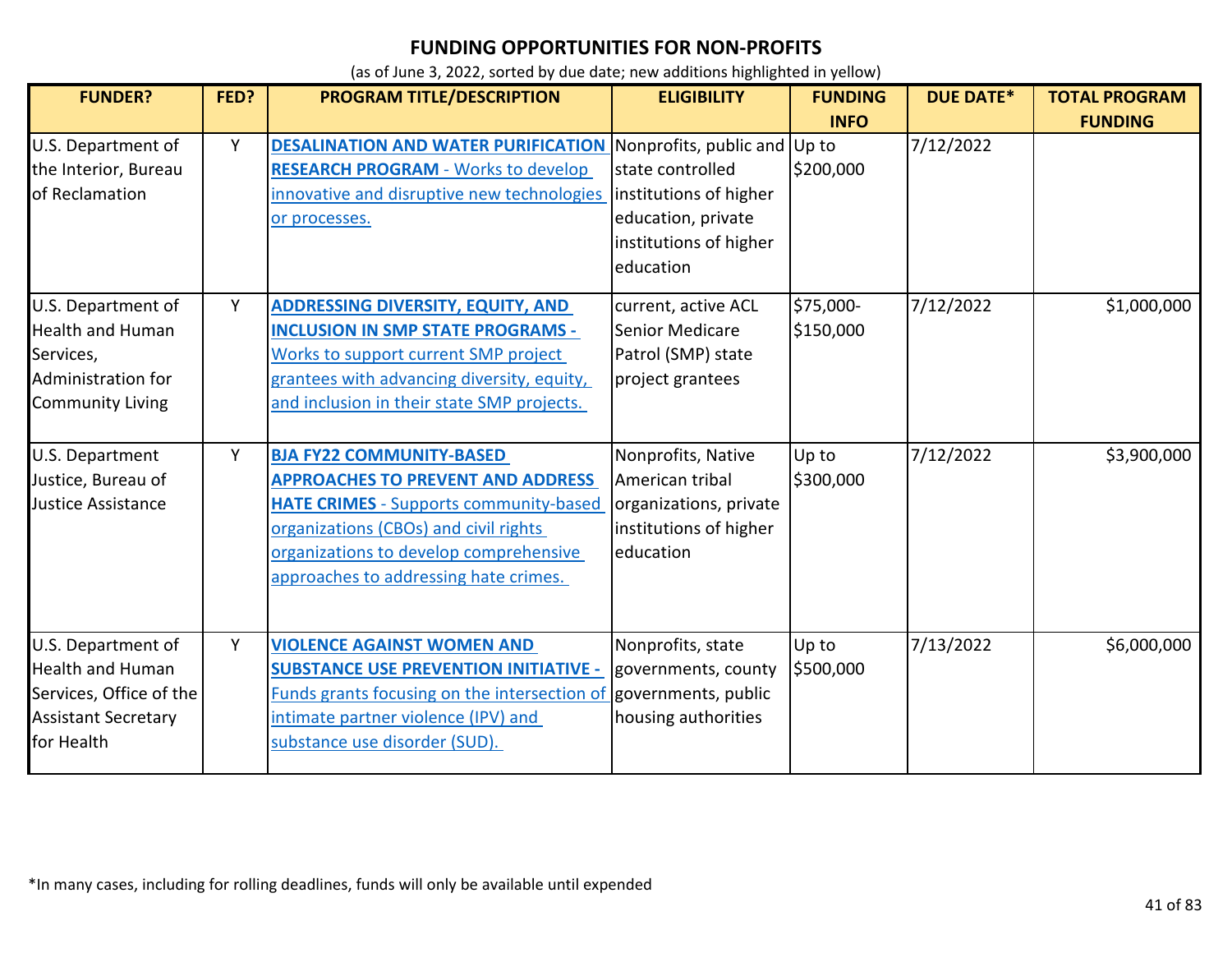| <b>FUNDER?</b>                                                                                                       | FED? | PROGRAM TITLE/DESCRIPTION                                                                                                                                                                                                                                | <b>ELIGIBILITY</b>                                                                                      | <b>FUNDING</b><br><b>INFO</b> | <b>DUE DATE*</b> | <b>TOTAL PROGRAM</b><br><b>FUNDING</b> |
|----------------------------------------------------------------------------------------------------------------------|------|----------------------------------------------------------------------------------------------------------------------------------------------------------------------------------------------------------------------------------------------------------|---------------------------------------------------------------------------------------------------------|-------------------------------|------------------|----------------------------------------|
| U.S. Department of<br>the Interior, Bureau<br>of Reclamation                                                         | Υ    | <b>DESALINATION AND WATER PURIFICATION Nonprofits, public and Up to</b><br><b>RESEARCH PROGRAM - Works to develop</b><br>innovative and disruptive new technologies<br>or processes.                                                                     | state controlled<br>institutions of higher<br>education, private<br>institutions of higher<br>education | \$200,000                     | 7/12/2022        |                                        |
| U.S. Department of<br><b>Health and Human</b><br>Services,<br>Administration for<br><b>Community Living</b>          | Y    | <b>ADDRESSING DIVERSITY, EQUITY, AND</b><br><b>INCLUSION IN SMP STATE PROGRAMS -</b><br>Works to support current SMP project<br>grantees with advancing diversity, equity,<br>and inclusion in their state SMP projects.                                 | current, active ACL<br>Senior Medicare<br>Patrol (SMP) state<br>project grantees                        | \$75,000-<br>\$150,000        | 7/12/2022        | \$1,000,000                            |
| U.S. Department<br>Justice, Bureau of<br>Justice Assistance                                                          | Y    | <b>BJA FY22 COMMUNITY-BASED</b><br><b>APPROACHES TO PREVENT AND ADDRESS</b><br><b>HATE CRIMES - Supports community-based</b><br>organizations (CBOs) and civil rights<br>organizations to develop comprehensive<br>approaches to addressing hate crimes. | Nonprofits, Native<br>American tribal<br>organizations, private<br>institutions of higher<br>education  | Up to<br>\$300,000            | 7/12/2022        | \$3,900,000                            |
| U.S. Department of<br><b>Health and Human</b><br>Services, Office of the<br><b>Assistant Secretary</b><br>for Health | Y    | <b>VIOLENCE AGAINST WOMEN AND</b><br><b>SUBSTANCE USE PREVENTION INITIATIVE -</b><br>Funds grants focusing on the intersection of governments, public<br>intimate partner violence (IPV) and<br>substance use disorder (SUD).                            | Nonprofits, state<br>governments, county<br>housing authorities                                         | Up to<br>\$500,000            | 7/13/2022        | \$6,000,000                            |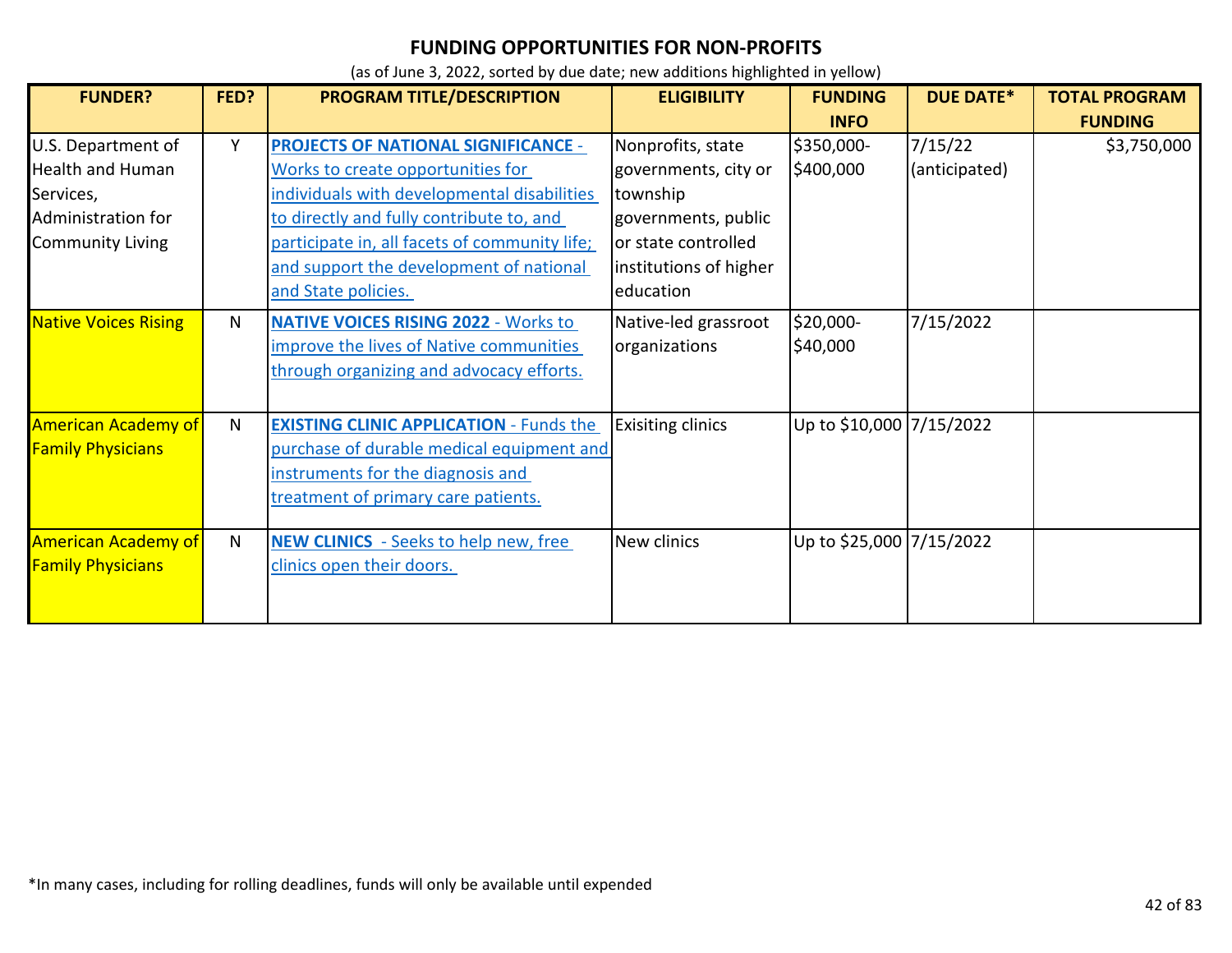| <b>FUNDER?</b>              | FED?         | PROGRAM TITLE/DESCRIPTION                      | <b>ELIGIBILITY</b>       | <b>FUNDING</b>           | <b>DUE DATE*</b> | <b>TOTAL PROGRAM</b> |
|-----------------------------|--------------|------------------------------------------------|--------------------------|--------------------------|------------------|----------------------|
|                             |              |                                                |                          | <b>INFO</b>              |                  | <b>FUNDING</b>       |
| U.S. Department of          | Y            | <b>PROJECTS OF NATIONAL SIGNIFICANCE -</b>     | Nonprofits, state        | \$350,000-               | 7/15/22          | \$3,750,000          |
| <b>Health and Human</b>     |              | Works to create opportunities for              | governments, city or     | \$400,000                | (anticipated)    |                      |
| Services,                   |              | individuals with developmental disabilities    | township                 |                          |                  |                      |
| Administration for          |              | to directly and fully contribute to, and       | governments, public      |                          |                  |                      |
| <b>Community Living</b>     |              | participate in, all facets of community life;  | or state controlled      |                          |                  |                      |
|                             |              | and support the development of national        | institutions of higher   |                          |                  |                      |
|                             |              | and State policies.                            | education                |                          |                  |                      |
| <b>Native Voices Rising</b> | N.           | <b>NATIVE VOICES RISING 2022 - Works to</b>    | Native-led grassroot     | \$20,000-                | 7/15/2022        |                      |
|                             |              | improve the lives of Native communities        | organizations            | \$40,000                 |                  |                      |
|                             |              | through organizing and advocacy efforts.       |                          |                          |                  |                      |
|                             |              |                                                |                          |                          |                  |                      |
| <b>American Academy of</b>  | $\mathsf{N}$ | <b>EXISTING CLINIC APPLICATION - Funds the</b> | <b>Exisiting clinics</b> | Up to \$10,000 7/15/2022 |                  |                      |
| <b>Family Physicians</b>    |              | purchase of durable medical equipment and      |                          |                          |                  |                      |
|                             |              | instruments for the diagnosis and              |                          |                          |                  |                      |
|                             |              | treatment of primary care patients.            |                          |                          |                  |                      |
|                             |              |                                                |                          |                          |                  |                      |
| <b>American Academy of</b>  | $\mathsf{N}$ | <b>NEW CLINICS</b> - Seeks to help new, free   | New clinics              | Up to \$25,000 7/15/2022 |                  |                      |
| <b>Family Physicians</b>    |              | clinics open their doors.                      |                          |                          |                  |                      |
|                             |              |                                                |                          |                          |                  |                      |
|                             |              |                                                |                          |                          |                  |                      |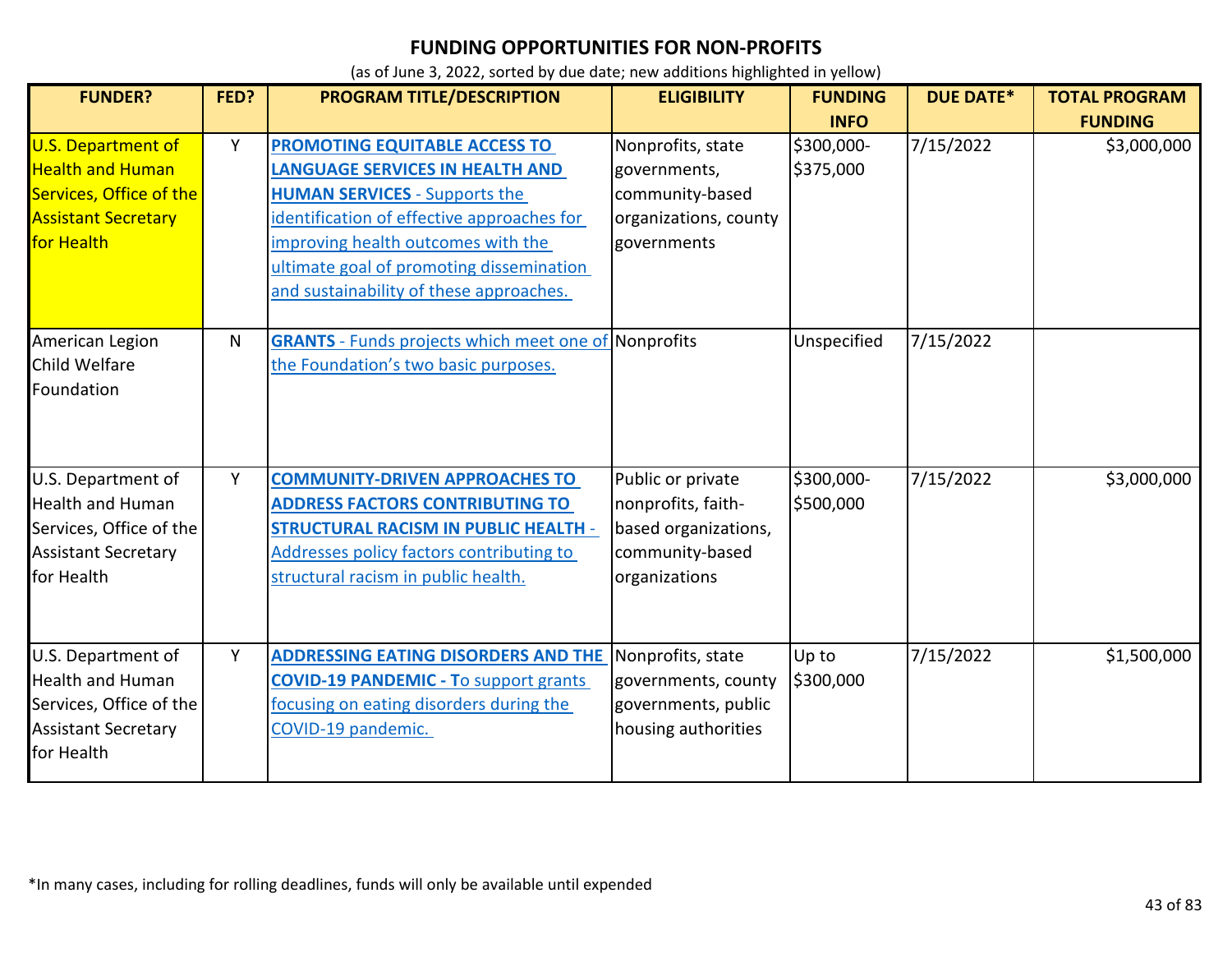| <b>FUNDER?</b>                                                                                                              | FED? | PROGRAM TITLE/DESCRIPTION                                                                                                                                                                                                                                                                         | <b>ELIGIBILITY</b>                                                                                  | <b>FUNDING</b>                         | <b>DUE DATE*</b> | <b>TOTAL PROGRAM</b>          |
|-----------------------------------------------------------------------------------------------------------------------------|------|---------------------------------------------------------------------------------------------------------------------------------------------------------------------------------------------------------------------------------------------------------------------------------------------------|-----------------------------------------------------------------------------------------------------|----------------------------------------|------------------|-------------------------------|
| <b>U.S. Department of</b><br><b>Health and Human</b><br>Services, Office of the<br><b>Assistant Secretary</b><br>for Health | Y    | <b>PROMOTING EQUITABLE ACCESS TO</b><br><b>LANGUAGE SERVICES IN HEALTH AND</b><br><b>HUMAN SERVICES</b> - Supports the<br>identification of effective approaches for<br>improving health outcomes with the<br>ultimate goal of promoting dissemination<br>and sustainability of these approaches. | Nonprofits, state<br>governments,<br>community-based<br>organizations, county<br>governments        | <b>INFO</b><br>\$300,000-<br>\$375,000 | 7/15/2022        | <b>FUNDING</b><br>\$3,000,000 |
| American Legion<br><b>Child Welfare</b><br>Foundation                                                                       | N    | <b>GRANTS</b> - Funds projects which meet one of Nonprofits<br>the Foundation's two basic purposes.                                                                                                                                                                                               |                                                                                                     | Unspecified                            | 7/15/2022        |                               |
| U.S. Department of<br><b>Health and Human</b><br>Services, Office of the<br><b>Assistant Secretary</b><br>for Health        | Y    | <b>COMMUNITY-DRIVEN APPROACHES TO</b><br><b>ADDRESS FACTORS CONTRIBUTING TO</b><br><b>STRUCTURAL RACISM IN PUBLIC HEALTH -</b><br>Addresses policy factors contributing to<br>structural racism in public health.                                                                                 | Public or private<br>nonprofits, faith-<br>based organizations,<br>community-based<br>organizations | \$300,000-<br>\$500,000                | 7/15/2022        | \$3,000,000                   |
| U.S. Department of<br><b>Health and Human</b><br>Services, Office of the<br><b>Assistant Secretary</b><br>for Health        | Y    | <b>ADDRESSING EATING DISORDERS AND THE</b><br><b>COVID-19 PANDEMIC - To support grants</b><br>focusing on eating disorders during the<br>COVID-19 pandemic.                                                                                                                                       | Nonprofits, state<br>governments, county<br>governments, public<br>housing authorities              | Up to<br>\$300,000                     | 7/15/2022        | \$1,500,000                   |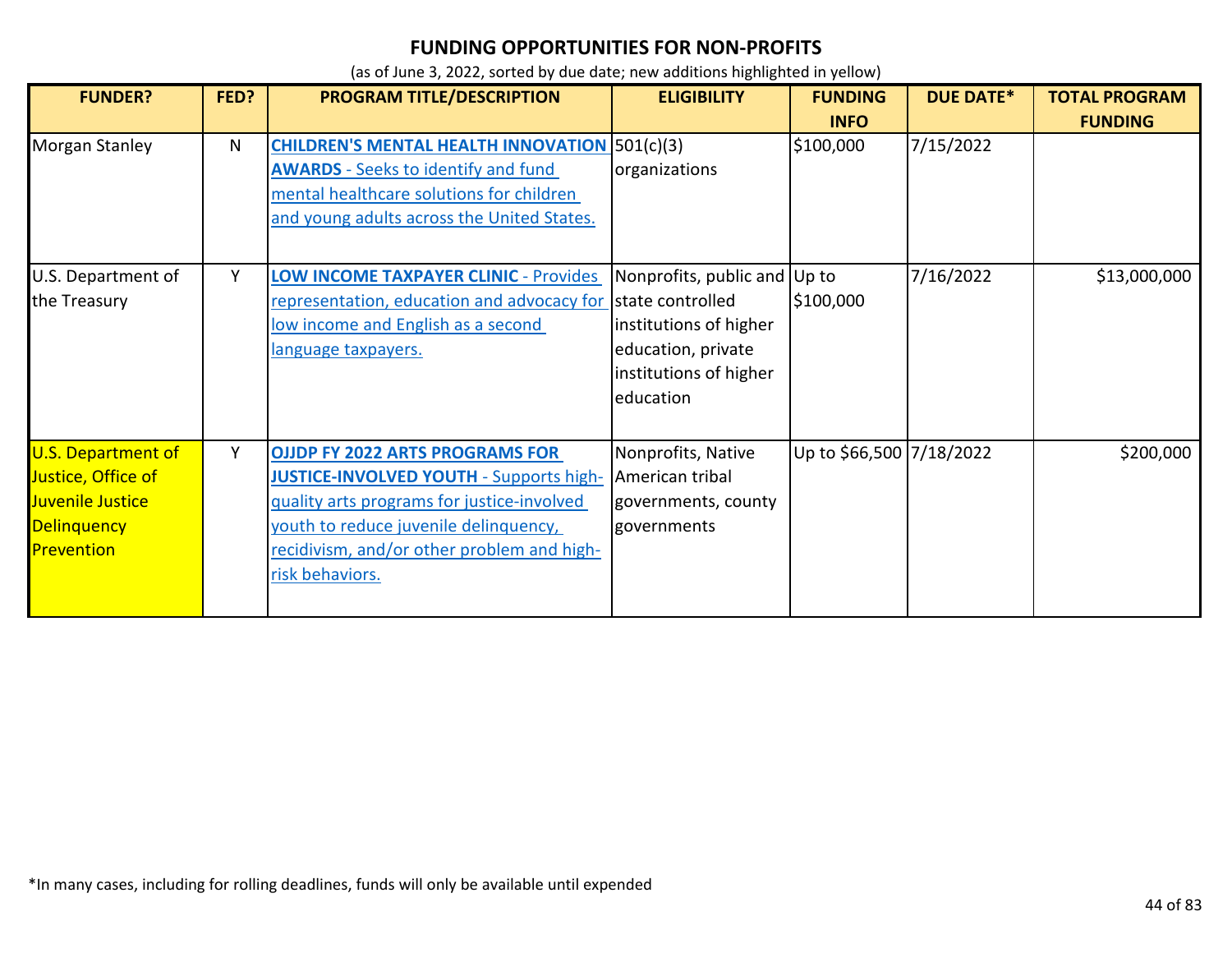| <b>FUNDER?</b>                                                                                   | FED? | PROGRAM TITLE/DESCRIPTION                                                                                                                                                                                                                        | <b>ELIGIBILITY</b>                                                                                                                      | <b>FUNDING</b>           | <b>DUE DATE*</b> | <b>TOTAL PROGRAM</b> |
|--------------------------------------------------------------------------------------------------|------|--------------------------------------------------------------------------------------------------------------------------------------------------------------------------------------------------------------------------------------------------|-----------------------------------------------------------------------------------------------------------------------------------------|--------------------------|------------------|----------------------|
|                                                                                                  |      |                                                                                                                                                                                                                                                  |                                                                                                                                         | <b>INFO</b>              |                  | <b>FUNDING</b>       |
| <b>Morgan Stanley</b>                                                                            | N    | <b>CHILDREN'S MENTAL HEALTH INNOVATION 501(c)(3)</b><br><b>AWARDS</b> - Seeks to identify and fund<br>mental healthcare solutions for children<br>and young adults across the United States.                                                     | organizations                                                                                                                           | \$100,000                | 7/15/2022        |                      |
| U.S. Department of<br>the Treasury                                                               | Y    | <b>LOW INCOME TAXPAYER CLINIC - Provides</b><br>representation, education and advocacy for<br>low income and English as a second<br>language taxpayers.                                                                                          | Nonprofits, public and Up to<br>state controlled<br>institutions of higher<br>education, private<br>institutions of higher<br>education | \$100,000                | 7/16/2022        | \$13,000,000         |
| U.S. Department of<br>Justice, Office of<br>Juvenile Justice<br><b>Delinquency</b><br>Prevention | Y    | <b>OJJDP FY 2022 ARTS PROGRAMS FOR</b><br><b>JUSTICE-INVOLVED YOUTH - Supports high-</b><br>quality arts programs for justice-involved<br>youth to reduce juvenile delinquency,<br>recidivism, and/or other problem and high-<br>risk behaviors. | Nonprofits, Native<br>American tribal<br>governments, county<br>governments                                                             | Up to \$66,500 7/18/2022 |                  | \$200,000            |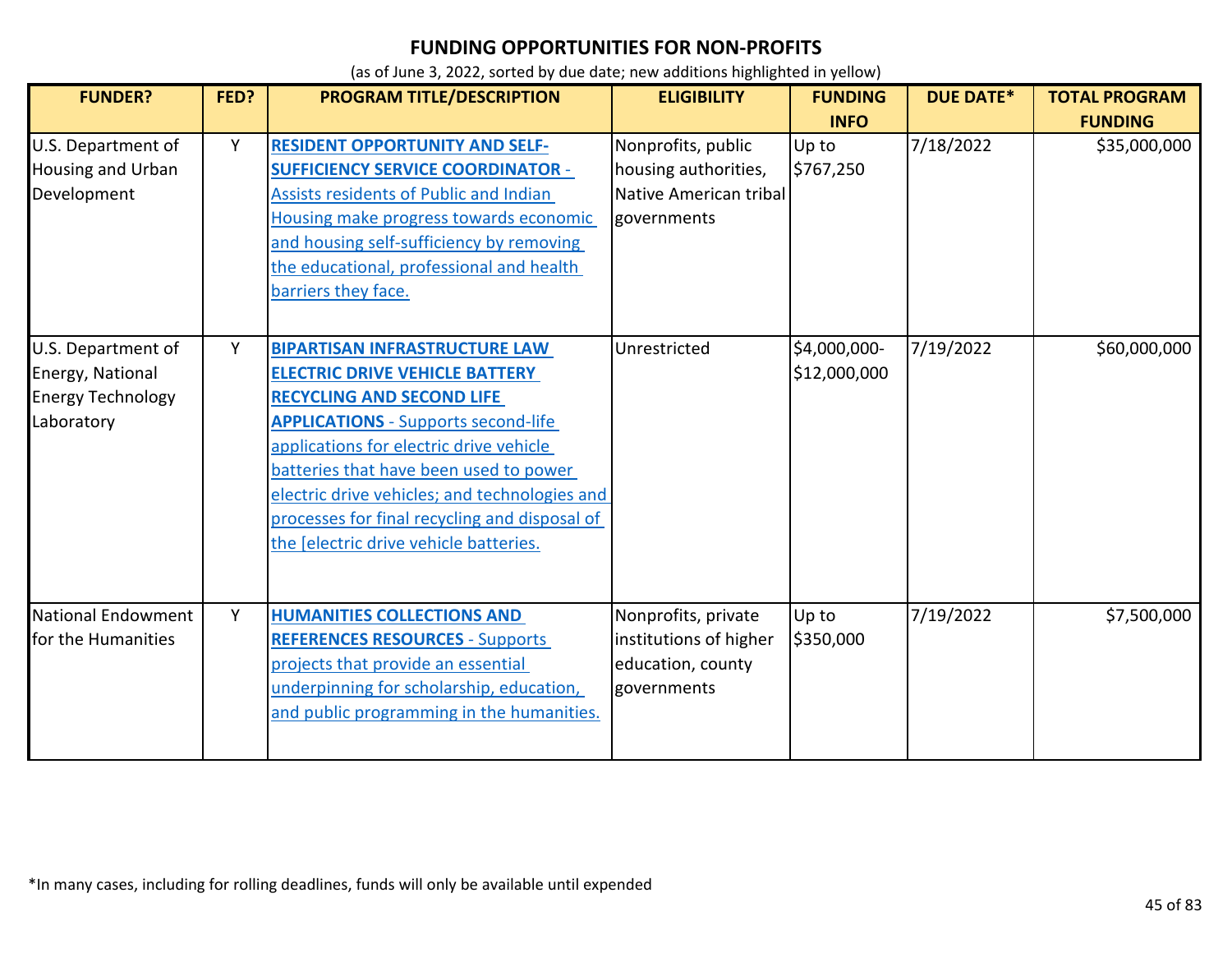| <b>FUNDER?</b>                                                                   | FED? | <b>PROGRAM TITLE/DESCRIPTION</b>                                                                                                                                                                                                                                                                                                                                                                 | <b>ELIGIBILITY</b>                                                                  | <b>FUNDING</b><br><b>INFO</b> | <b>DUE DATE*</b> | <b>TOTAL PROGRAM</b><br><b>FUNDING</b> |
|----------------------------------------------------------------------------------|------|--------------------------------------------------------------------------------------------------------------------------------------------------------------------------------------------------------------------------------------------------------------------------------------------------------------------------------------------------------------------------------------------------|-------------------------------------------------------------------------------------|-------------------------------|------------------|----------------------------------------|
| U.S. Department of<br>Housing and Urban<br>Development                           | Y    | <b>RESIDENT OPPORTUNITY AND SELF-</b><br><b>SUFFICIENCY SERVICE COORDINATOR -</b><br>Assists residents of Public and Indian<br>Housing make progress towards economic<br>and housing self-sufficiency by removing<br>the educational, professional and health<br>barriers they face.                                                                                                             | Nonprofits, public<br>housing authorities,<br>Native American tribal<br>governments | Up to<br>\$767,250            | 7/18/2022        | \$35,000,000                           |
| U.S. Department of<br>Energy, National<br><b>Energy Technology</b><br>Laboratory | Y    | <b>BIPARTISAN INFRASTRUCTURE LAW</b><br><b>ELECTRIC DRIVE VEHICLE BATTERY</b><br><b>RECYCLING AND SECOND LIFE</b><br><b>APPLICATIONS</b> - Supports second-life<br>applications for electric drive vehicle<br>batteries that have been used to power<br>electric drive vehicles; and technologies and<br>processes for final recycling and disposal of<br>the Jelectric drive vehicle batteries. | Unrestricted                                                                        | \$4,000,000-<br>\$12,000,000  | 7/19/2022        | \$60,000,000                           |
| <b>National Endowment</b><br>for the Humanities                                  | Y    | <b>HUMANITIES COLLECTIONS AND</b><br><b>REFERENCES RESOURCES - Supports</b><br>projects that provide an essential<br>underpinning for scholarship, education,<br>and public programming in the humanities.                                                                                                                                                                                       | Nonprofits, private<br>institutions of higher<br>education, county<br>governments   | Up to<br>\$350,000            | 7/19/2022        | \$7,500,000                            |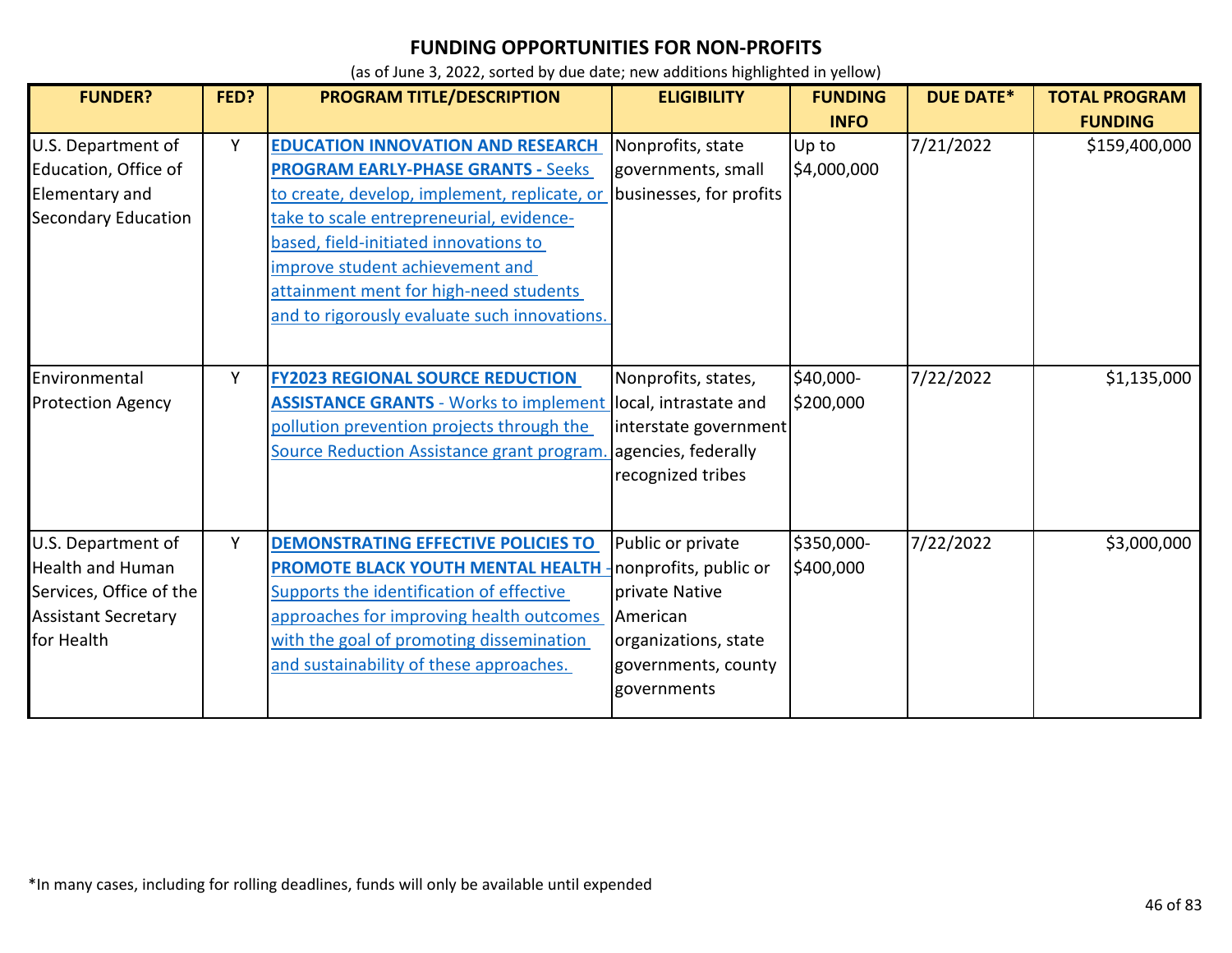| <b>FUNDER?</b>                                                                                                       | FED? | <b>PROGRAM TITLE/DESCRIPTION</b>                                                                                                                                                                                                                                                                                                                        | <b>ELIGIBILITY</b>                                                                                                                     | <b>FUNDING</b>          | <b>DUE DATE*</b> | <b>TOTAL PROGRAM</b> |
|----------------------------------------------------------------------------------------------------------------------|------|---------------------------------------------------------------------------------------------------------------------------------------------------------------------------------------------------------------------------------------------------------------------------------------------------------------------------------------------------------|----------------------------------------------------------------------------------------------------------------------------------------|-------------------------|------------------|----------------------|
|                                                                                                                      |      |                                                                                                                                                                                                                                                                                                                                                         |                                                                                                                                        | <b>INFO</b>             |                  | <b>FUNDING</b>       |
| U.S. Department of<br>Education, Office of<br>Elementary and<br><b>Secondary Education</b>                           | Y    | <b>EDUCATION INNOVATION AND RESEARCH</b><br><b>PROGRAM EARLY-PHASE GRANTS - Seeks</b><br>to create, develop, implement, replicate, or<br>take to scale entrepreneurial, evidence-<br>based, field-initiated innovations to<br>improve student achievement and<br>attainment ment for high-need students<br>and to rigorously evaluate such innovations. | Nonprofits, state<br>governments, small<br>businesses, for profits                                                                     | Up to<br>\$4,000,000    | 7/21/2022        | \$159,400,000        |
| Environmental<br><b>Protection Agency</b>                                                                            | Y    | <b>FY2023 REGIONAL SOURCE REDUCTION</b><br><b>ASSISTANCE GRANTS</b> - Works to implement local, intrastate and<br>pollution prevention projects through the<br>Source Reduction Assistance grant program.                                                                                                                                               | Nonprofits, states,<br>interstate government<br>agencies, federally<br>recognized tribes                                               | \$40,000-<br>\$200,000  | 7/22/2022        | \$1,135,000          |
| U.S. Department of<br><b>Health and Human</b><br>Services, Office of the<br><b>Assistant Secretary</b><br>for Health | Y    | <b>DEMONSTRATING EFFECTIVE POLICIES TO</b><br>PROMOTE BLACK YOUTH MENTAL HEALTH<br>Supports the identification of effective<br>approaches for improving health outcomes<br>with the goal of promoting dissemination<br>and sustainability of these approaches.                                                                                          | Public or private<br>nonprofits, public or<br>private Native<br>American<br>organizations, state<br>governments, county<br>governments | \$350,000-<br>\$400,000 | 7/22/2022        | \$3,000,000          |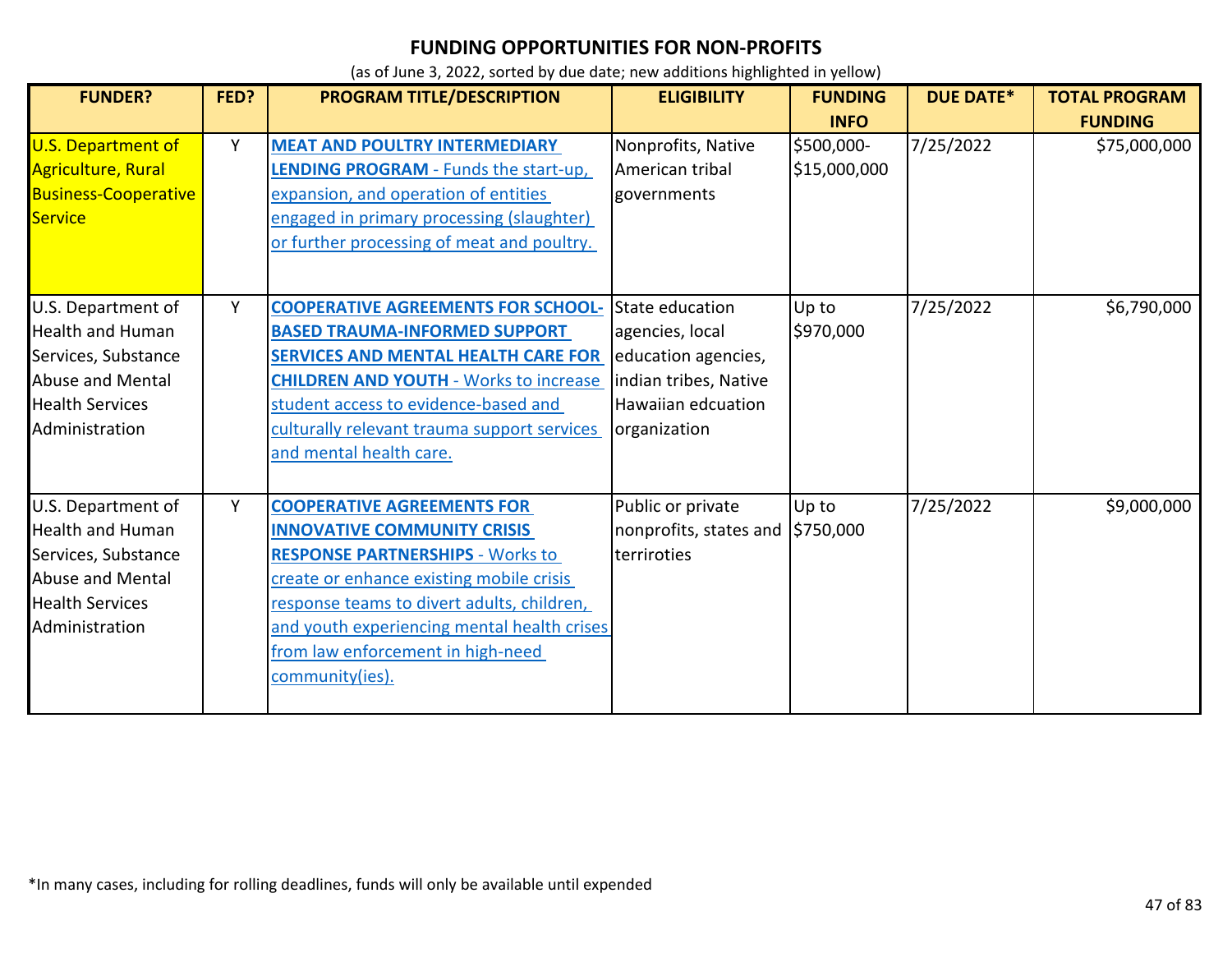| <b>FUNDER?</b>                                                                                                                       | FED? | <b>PROGRAM TITLE/DESCRIPTION</b>                                                                                                                                                                                                                                                                                    | <b>ELIGIBILITY</b>                                                                                                       | <b>FUNDING</b>             | <b>DUE DATE*</b> | <b>TOTAL PROGRAM</b> |
|--------------------------------------------------------------------------------------------------------------------------------------|------|---------------------------------------------------------------------------------------------------------------------------------------------------------------------------------------------------------------------------------------------------------------------------------------------------------------------|--------------------------------------------------------------------------------------------------------------------------|----------------------------|------------------|----------------------|
|                                                                                                                                      |      |                                                                                                                                                                                                                                                                                                                     |                                                                                                                          | <b>INFO</b>                |                  | <b>FUNDING</b>       |
| <b>U.S. Department of</b><br>Agriculture, Rural<br><b>Business-Cooperative</b><br>Service                                            | Y    | <b>MEAT AND POULTRY INTERMEDIARY</b><br><b>LENDING PROGRAM</b> - Funds the start-up,<br>expansion, and operation of entities<br>engaged in primary processing (slaughter)<br>or further processing of meat and poultry.                                                                                             | Nonprofits, Native<br>American tribal<br>governments                                                                     | \$500,000-<br>\$15,000,000 | 7/25/2022        | \$75,000,000         |
| U.S. Department of<br><b>Health and Human</b><br>Services, Substance<br>Abuse and Mental<br><b>Health Services</b><br>Administration | Y    | <b>COOPERATIVE AGREEMENTS FOR SCHOOL-</b><br><b>BASED TRAUMA-INFORMED SUPPORT</b><br><b>SERVICES AND MENTAL HEALTH CARE FOR</b><br><b>CHILDREN AND YOUTH - Works to increase</b><br>student access to evidence-based and<br>culturally relevant trauma support services<br>and mental health care.                  | State education<br>agencies, local<br>education agencies,<br>indian tribes, Native<br>Hawaiian edcuation<br>organization | Up to<br>\$970,000         | 7/25/2022        | \$6,790,000          |
| U.S. Department of<br><b>Health and Human</b><br>Services, Substance<br>Abuse and Mental<br><b>Health Services</b><br>Administration | Υ    | <b>COOPERATIVE AGREEMENTS FOR</b><br><b>INNOVATIVE COMMUNITY CRISIS</b><br><b>RESPONSE PARTNERSHIPS - Works to</b><br>create or enhance existing mobile crisis<br>response teams to divert adults, children,<br>and youth experiencing mental health crises<br>from law enforcement in high-need<br>community(ies). | Public or private<br>nonprofits, states and 5750,000<br>terriroties                                                      | Up to                      | 7/25/2022        | \$9,000,000          |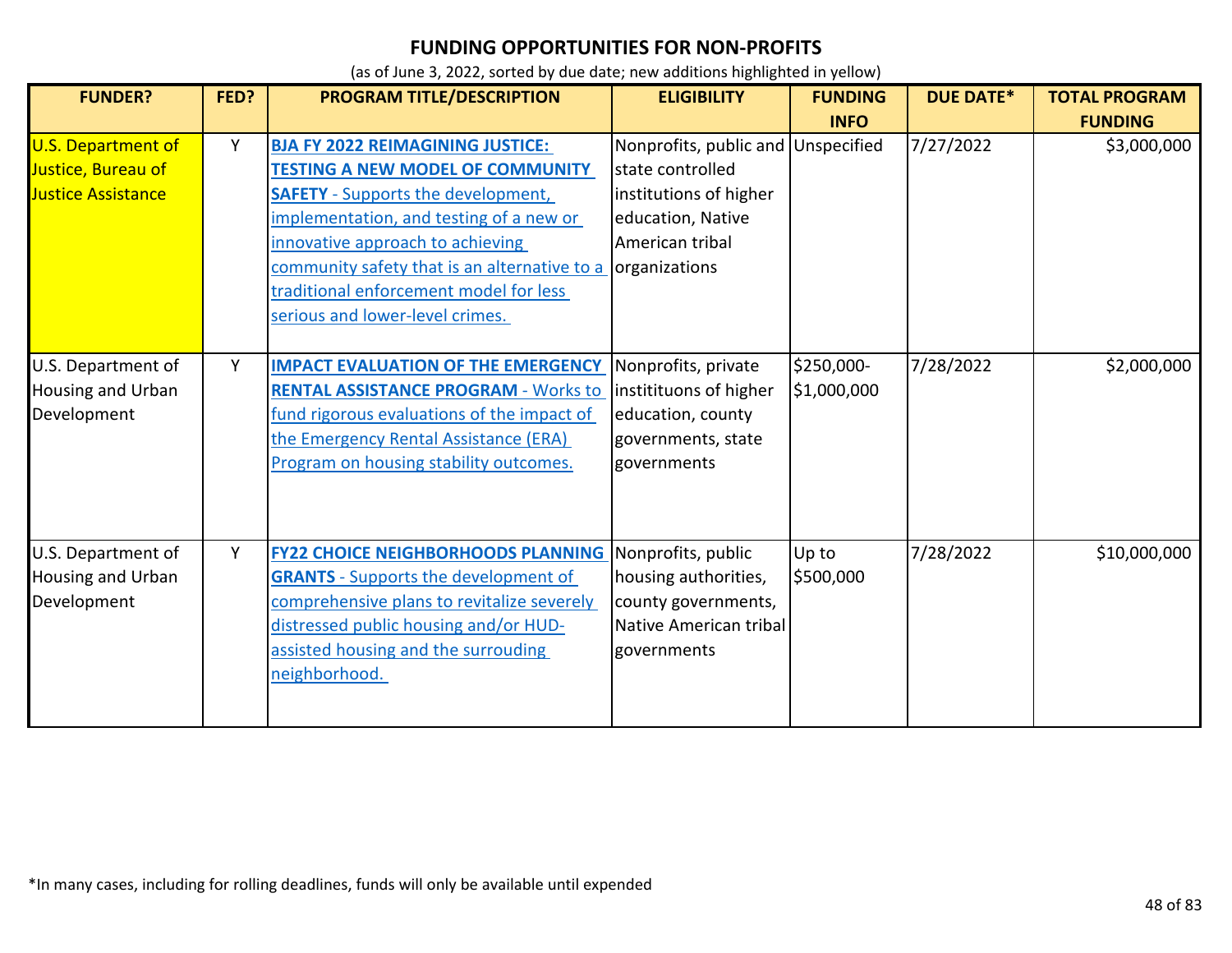| <b>FUNDER?</b>                                                               | FED? | PROGRAM TITLE/DESCRIPTION                                                                                                                                                                                                                                                                                                                   | <b>ELIGIBILITY</b>                                                                                                            | <b>FUNDING</b>            | <b>DUE DATE*</b> | <b>TOTAL PROGRAM</b> |
|------------------------------------------------------------------------------|------|---------------------------------------------------------------------------------------------------------------------------------------------------------------------------------------------------------------------------------------------------------------------------------------------------------------------------------------------|-------------------------------------------------------------------------------------------------------------------------------|---------------------------|------------------|----------------------|
|                                                                              |      |                                                                                                                                                                                                                                                                                                                                             |                                                                                                                               | <b>INFO</b>               |                  | <b>FUNDING</b>       |
| <b>U.S. Department of</b><br>Justice, Bureau of<br><b>Justice Assistance</b> | Y    | <b>BJA FY 2022 REIMAGINING JUSTICE:</b><br><b>TESTING A NEW MODEL OF COMMUNITY</b><br><b>SAFETY</b> - Supports the development,<br>implementation, and testing of a new or<br>innovative approach to achieving<br>community safety that is an alternative to a<br>traditional enforcement model for less<br>serious and lower-level crimes. | Nonprofits, public and<br>state controlled<br>institutions of higher<br>education, Native<br>American tribal<br>organizations | Unspecified               | 7/27/2022        | \$3,000,000          |
| U.S. Department of<br>Housing and Urban<br>Development                       | Y    | <b>IMPACT EVALUATION OF THE EMERGENCY</b><br><b>RENTAL ASSISTANCE PROGRAM - Works to</b><br>fund rigorous evaluations of the impact of<br>the Emergency Rental Assistance (ERA)<br>Program on housing stability outcomes.                                                                                                                   | Nonprofits, private<br>institituons of higher<br>education, county<br>governments, state<br>governments                       | \$250,000-<br>\$1,000,000 | 7/28/2022        | \$2,000,000          |
| U.S. Department of<br><b>Housing and Urban</b><br>Development                | Y    | <b>FY22 CHOICE NEIGHBORHOODS PLANNING</b><br><b>GRANTS</b> - Supports the development of<br>comprehensive plans to revitalize severely<br>distressed public housing and/or HUD-<br>assisted housing and the surrouding<br>neighborhood.                                                                                                     | Nonprofits, public<br>housing authorities,<br>county governments,<br>Native American tribal<br>governments                    | Up to<br>\$500,000        | 7/28/2022        | \$10,000,000         |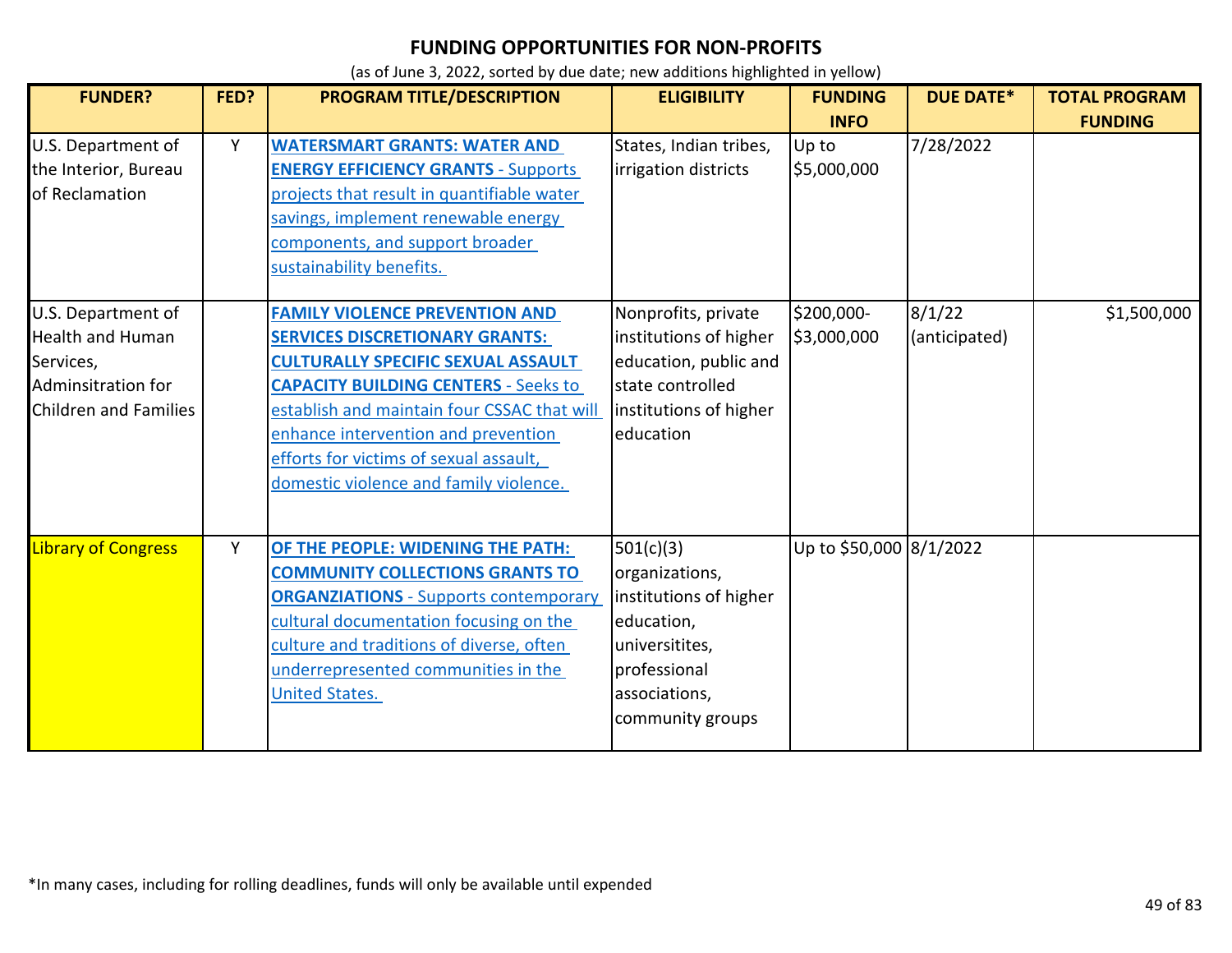| <b>FUNDER?</b>                                                                                                   | FED? | PROGRAM TITLE/DESCRIPTION                                                                                                                                                                                                                                                                                                                            | <b>ELIGIBILITY</b>                                                                                                                         | <b>FUNDING</b><br><b>INFO</b> | <b>DUE DATE*</b>        | <b>TOTAL PROGRAM</b><br><b>FUNDING</b> |
|------------------------------------------------------------------------------------------------------------------|------|------------------------------------------------------------------------------------------------------------------------------------------------------------------------------------------------------------------------------------------------------------------------------------------------------------------------------------------------------|--------------------------------------------------------------------------------------------------------------------------------------------|-------------------------------|-------------------------|----------------------------------------|
| U.S. Department of<br>the Interior, Bureau<br>of Reclamation                                                     | Υ    | <b>WATERSMART GRANTS: WATER AND</b><br><b>ENERGY EFFICIENCY GRANTS - Supports</b><br>projects that result in quantifiable water<br>savings, implement renewable energy<br>components, and support broader<br>sustainability benefits.                                                                                                                | States, Indian tribes,<br>irrigation districts                                                                                             | Up to<br>\$5,000,000          | 7/28/2022               |                                        |
| U.S. Department of<br><b>Health and Human</b><br>Services,<br>Adminsitration for<br><b>Children and Families</b> |      | <b>FAMILY VIOLENCE PREVENTION AND</b><br><b>SERVICES DISCRETIONARY GRANTS:</b><br><b>CULTURALLY SPECIFIC SEXUAL ASSAULT</b><br><b>CAPACITY BUILDING CENTERS - Seeks to</b><br>establish and maintain four CSSAC that will<br>enhance intervention and prevention<br>efforts for victims of sexual assault,<br>domestic violence and family violence. | Nonprofits, private<br>institutions of higher<br>education, public and<br>state controlled<br>institutions of higher<br>education          | \$200,000-<br>\$3,000,000     | 8/1/22<br>(anticipated) | \$1,500,000                            |
| <b>Library of Congress</b>                                                                                       | Y    | OF THE PEOPLE: WIDENING THE PATH:<br><b>COMMUNITY COLLECTIONS GRANTS TO</b><br><b>ORGANZIATIONS - Supports contemporary</b><br>cultural documentation focusing on the<br>culture and traditions of diverse, often<br>underrepresented communities in the<br><b>United States.</b>                                                                    | 501(c)(3)<br>organizations,<br>institutions of higher<br>education,<br>universitites,<br>professional<br>associations,<br>community groups | Up to \$50,000 8/1/2022       |                         |                                        |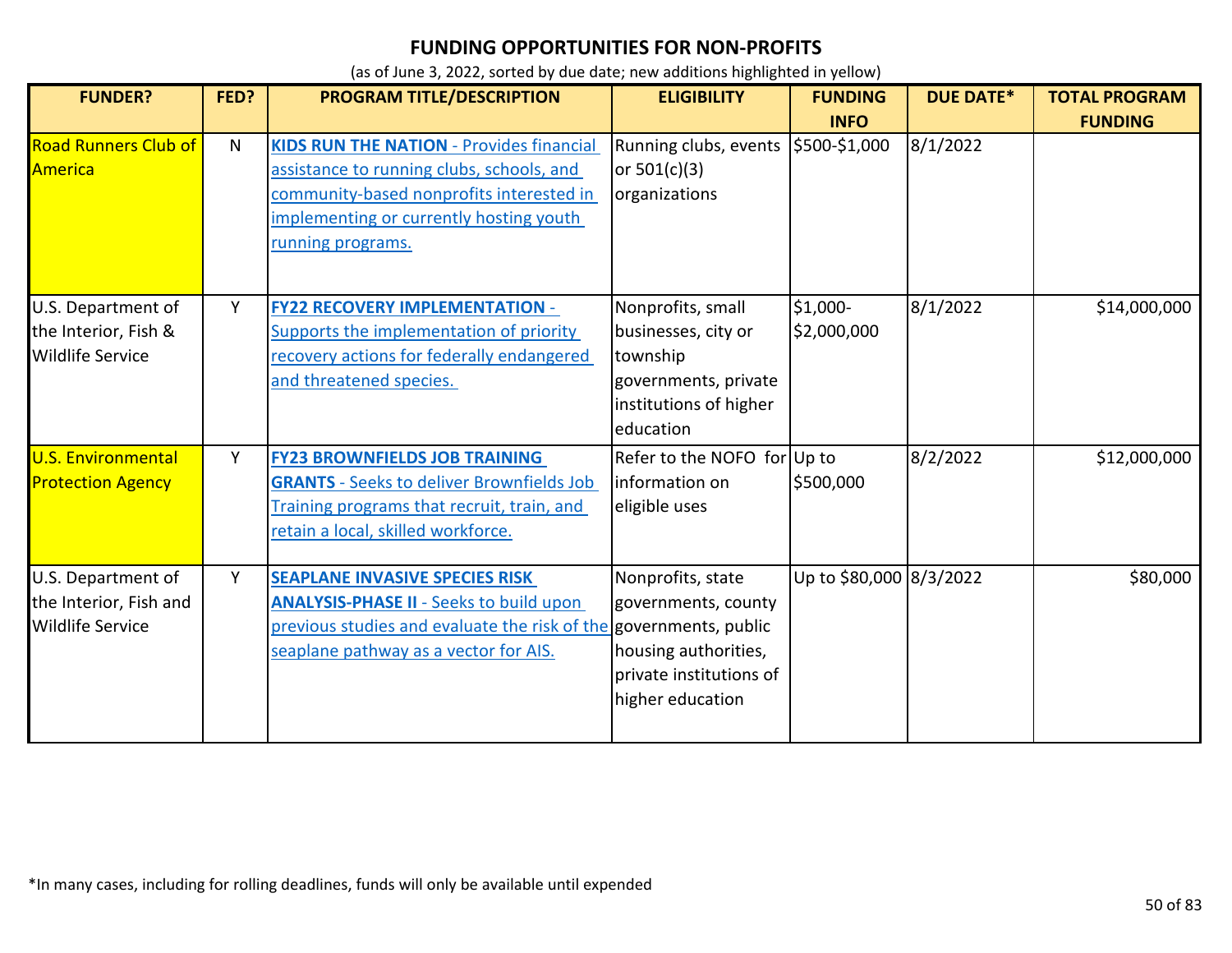| <b>FUNDER?</b>                                                          | FED? | PROGRAM TITLE/DESCRIPTION                                                                                                                                                                                | <b>ELIGIBILITY</b>                                                                                                  | <b>FUNDING</b><br><b>INFO</b> | <b>DUE DATE*</b> | <b>TOTAL PROGRAM</b><br><b>FUNDING</b> |
|-------------------------------------------------------------------------|------|----------------------------------------------------------------------------------------------------------------------------------------------------------------------------------------------------------|---------------------------------------------------------------------------------------------------------------------|-------------------------------|------------------|----------------------------------------|
| <b>Road Runners Club of</b><br>America                                  | N    | <b>KIDS RUN THE NATION - Provides financial</b><br>assistance to running clubs, schools, and<br>community-based nonprofits interested in<br>implementing or currently hosting youth<br>running programs. | Running clubs, events \$500-\$1,000<br>or $501(c)(3)$<br>organizations                                              |                               | 8/1/2022         |                                        |
| U.S. Department of<br>the Interior, Fish &<br><b>Wildlife Service</b>   | Y    | <b>FY22 RECOVERY IMPLEMENTATION -</b><br>Supports the implementation of priority<br>recovery actions for federally endangered<br>and threatened species.                                                 | Nonprofits, small<br>businesses, city or<br>township<br>governments, private<br>institutions of higher<br>education | \$1,000-<br>\$2,000,000       | 8/1/2022         | \$14,000,000                           |
| <b>U.S. Environmental</b><br><b>Protection Agency</b>                   | Y    | <b>FY23 BROWNFIELDS JOB TRAINING</b><br><b>GRANTS</b> - Seeks to deliver Brownfields Job<br>Training programs that recruit, train, and<br>retain a local, skilled workforce.                             | Refer to the NOFO for Up to<br>information on<br>eligible uses                                                      | \$500,000                     | 8/2/2022         | \$12,000,000                           |
| U.S. Department of<br>the Interior, Fish and<br><b>Wildlife Service</b> | Y    | <b>SEAPLANE INVASIVE SPECIES RISK</b><br><b>ANALYSIS-PHASE II - Seeks to build upon</b><br>previous studies and evaluate the risk of the governments, public<br>seaplane pathway as a vector for AIS.    | Nonprofits, state<br>governments, county<br>housing authorities,<br>private institutions of<br>higher education     | Up to \$80,000 8/3/2022       |                  | \$80,000                               |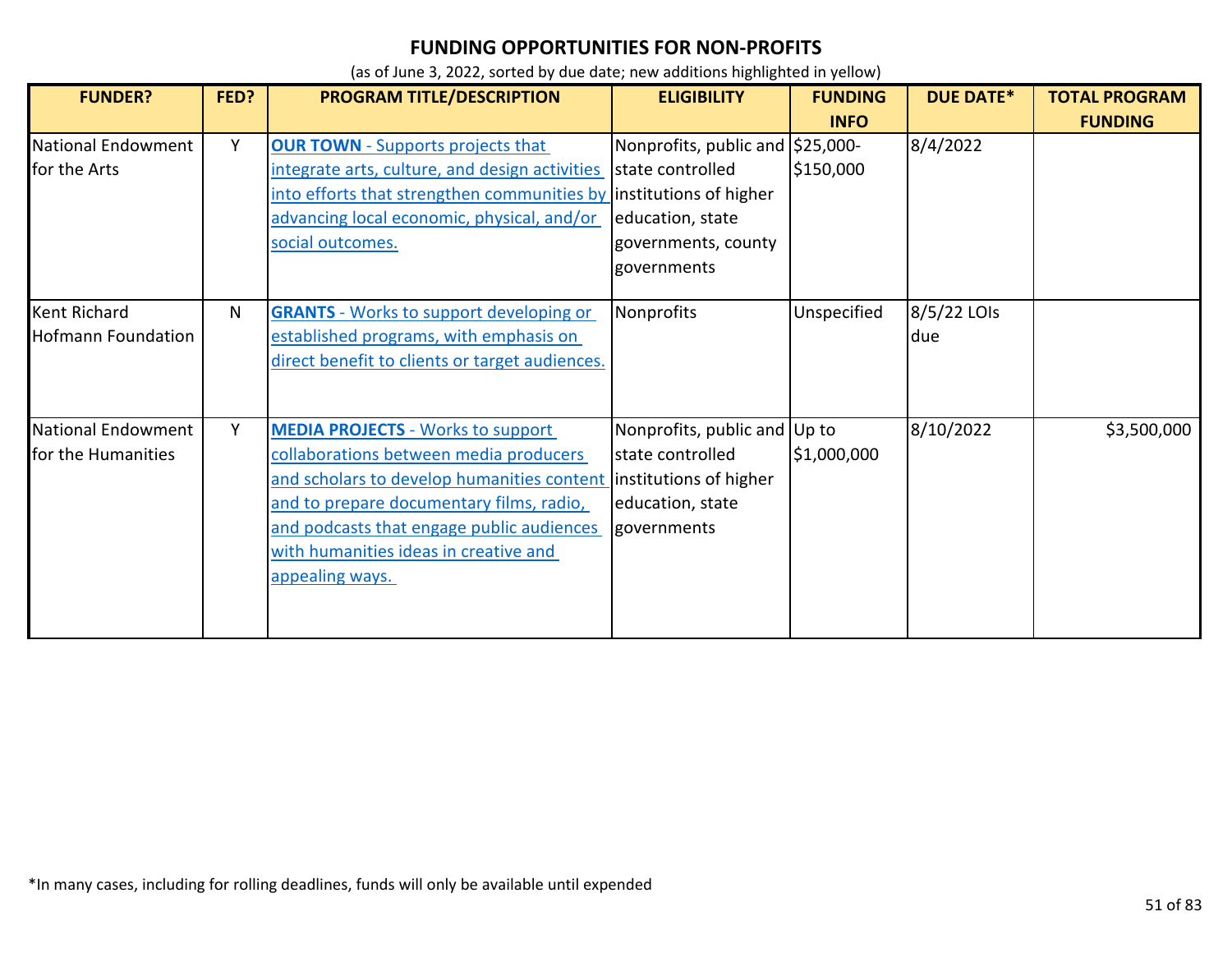| <b>FUNDER?</b>                                   | FED? | <b>PROGRAM TITLE/DESCRIPTION</b>                                                                                                                                                                                                                                                                             | <b>ELIGIBILITY</b>                                                                                             | <b>FUNDING</b> | <b>DUE DATE*</b>   | <b>TOTAL PROGRAM</b> |
|--------------------------------------------------|------|--------------------------------------------------------------------------------------------------------------------------------------------------------------------------------------------------------------------------------------------------------------------------------------------------------------|----------------------------------------------------------------------------------------------------------------|----------------|--------------------|----------------------|
|                                                  |      |                                                                                                                                                                                                                                                                                                              |                                                                                                                | <b>INFO</b>    |                    | <b>FUNDING</b>       |
| National Endowment<br>for the Arts               | Y    | <b>OUR TOWN</b> - Supports projects that<br>integrate arts, culture, and design activities<br>into efforts that strengthen communities by institutions of higher<br>advancing local economic, physical, and/or<br>social outcomes.                                                                           | Nonprofits, public and \$25,000-<br>state controlled<br>education, state<br>governments, county<br>governments | \$150,000      | 8/4/2022           |                      |
| <b>Kent Richard</b><br><b>Hofmann Foundation</b> | N    | <b>GRANTS</b> - Works to support developing or<br>established programs, with emphasis on<br>direct benefit to clients or target audiences.                                                                                                                                                                   | Nonprofits                                                                                                     | Unspecified    | 8/5/22 LOIs<br>due |                      |
| National Endowment<br>for the Humanities         | Y    | <b>MEDIA PROJECTS - Works to support</b><br>collaborations between media producers<br>and scholars to develop humanities content institutions of higher<br>and to prepare documentary films, radio,<br>and podcasts that engage public audiences<br>with humanities ideas in creative and<br>appealing ways. | Nonprofits, public and Up to<br>state controlled<br>education, state<br>governments                            | \$1,000,000    | 8/10/2022          | \$3,500,000          |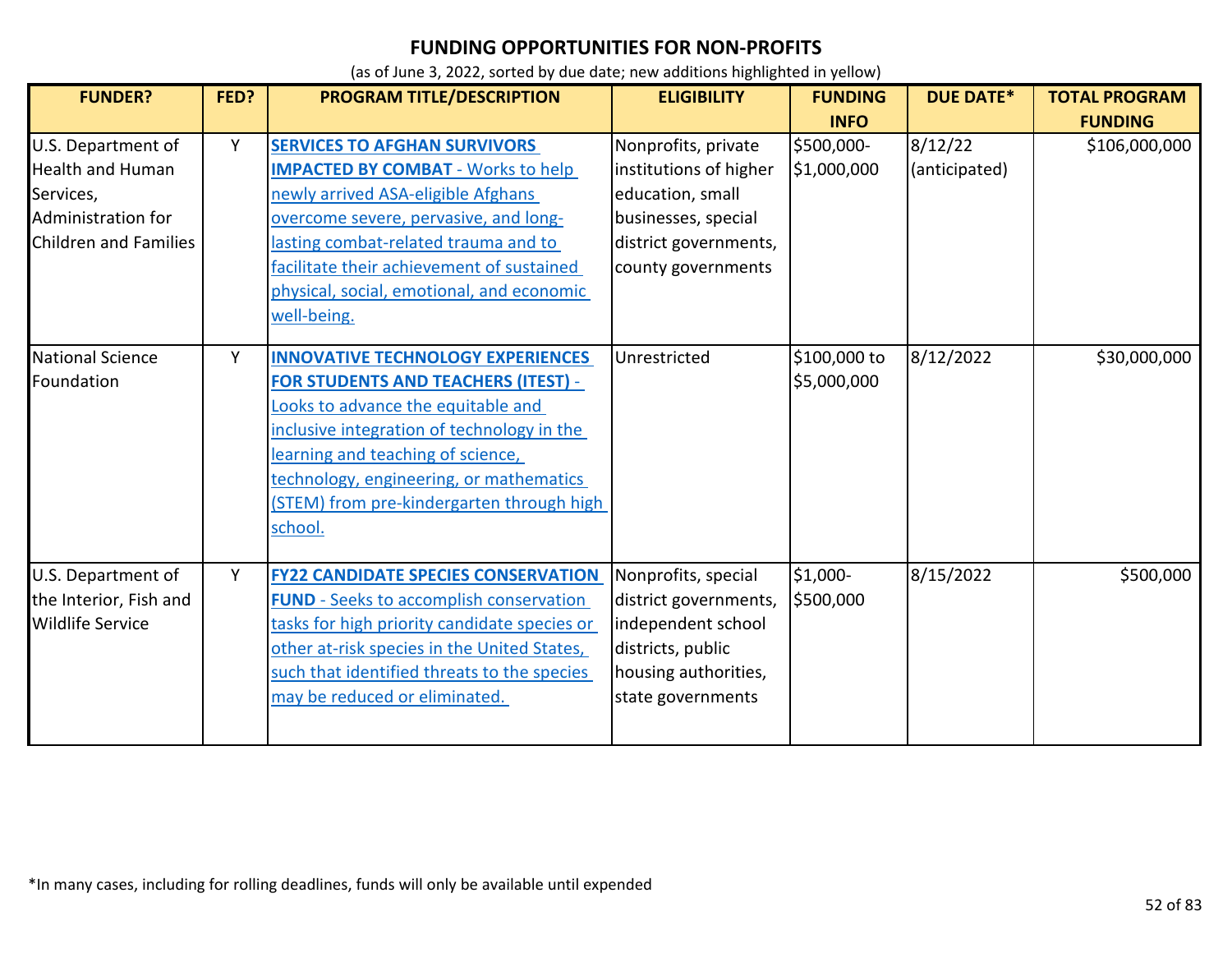| <b>FUNDER?</b>               | FED? | PROGRAM TITLE/DESCRIPTION                      | <b>ELIGIBILITY</b>     | <b>FUNDING</b> | <b>DUE DATE*</b> | <b>TOTAL PROGRAM</b> |
|------------------------------|------|------------------------------------------------|------------------------|----------------|------------------|----------------------|
|                              |      |                                                |                        | <b>INFO</b>    |                  | <b>FUNDING</b>       |
| U.S. Department of           | Y    | <b>SERVICES TO AFGHAN SURVIVORS</b>            | Nonprofits, private    | \$500,000-     | 8/12/22          | \$106,000,000        |
| <b>Health and Human</b>      |      | <b>IMPACTED BY COMBAT - Works to help</b>      | institutions of higher | \$1,000,000    | (anticipated)    |                      |
| Services,                    |      | newly arrived ASA-eligible Afghans             | education, small       |                |                  |                      |
| Administration for           |      | overcome severe, pervasive, and long-          | businesses, special    |                |                  |                      |
| <b>Children and Families</b> |      | lasting combat-related trauma and to           | district governments,  |                |                  |                      |
|                              |      | facilitate their achievement of sustained      | county governments     |                |                  |                      |
|                              |      | physical, social, emotional, and economic      |                        |                |                  |                      |
|                              |      | well-being.                                    |                        |                |                  |                      |
| National Science             | Υ    | <b>INNOVATIVE TECHNOLOGY EXPERIENCES</b>       | Unrestricted           | \$100,000 to   | 8/12/2022        | \$30,000,000         |
| Foundation                   |      | <b>FOR STUDENTS AND TEACHERS (ITEST) -</b>     |                        | \$5,000,000    |                  |                      |
|                              |      | Looks to advance the equitable and             |                        |                |                  |                      |
|                              |      | inclusive integration of technology in the     |                        |                |                  |                      |
|                              |      | learning and teaching of science,              |                        |                |                  |                      |
|                              |      | technology, engineering, or mathematics        |                        |                |                  |                      |
|                              |      | (STEM) from pre-kindergarten through high      |                        |                |                  |                      |
|                              |      | school.                                        |                        |                |                  |                      |
| U.S. Department of           | Y    | <b>FY22 CANDIDATE SPECIES CONSERVATION</b>     | Nonprofits, special    | \$1,000-       | 8/15/2022        | \$500,000            |
| the Interior, Fish and       |      | <b>FUND</b> - Seeks to accomplish conservation | district governments,  | \$500,000      |                  |                      |
| <b>Wildlife Service</b>      |      | tasks for high priority candidate species or   | independent school     |                |                  |                      |
|                              |      | other at-risk species in the United States,    | districts, public      |                |                  |                      |
|                              |      | such that identified threats to the species    | housing authorities,   |                |                  |                      |
|                              |      | may be reduced or eliminated.                  | state governments      |                |                  |                      |
|                              |      |                                                |                        |                |                  |                      |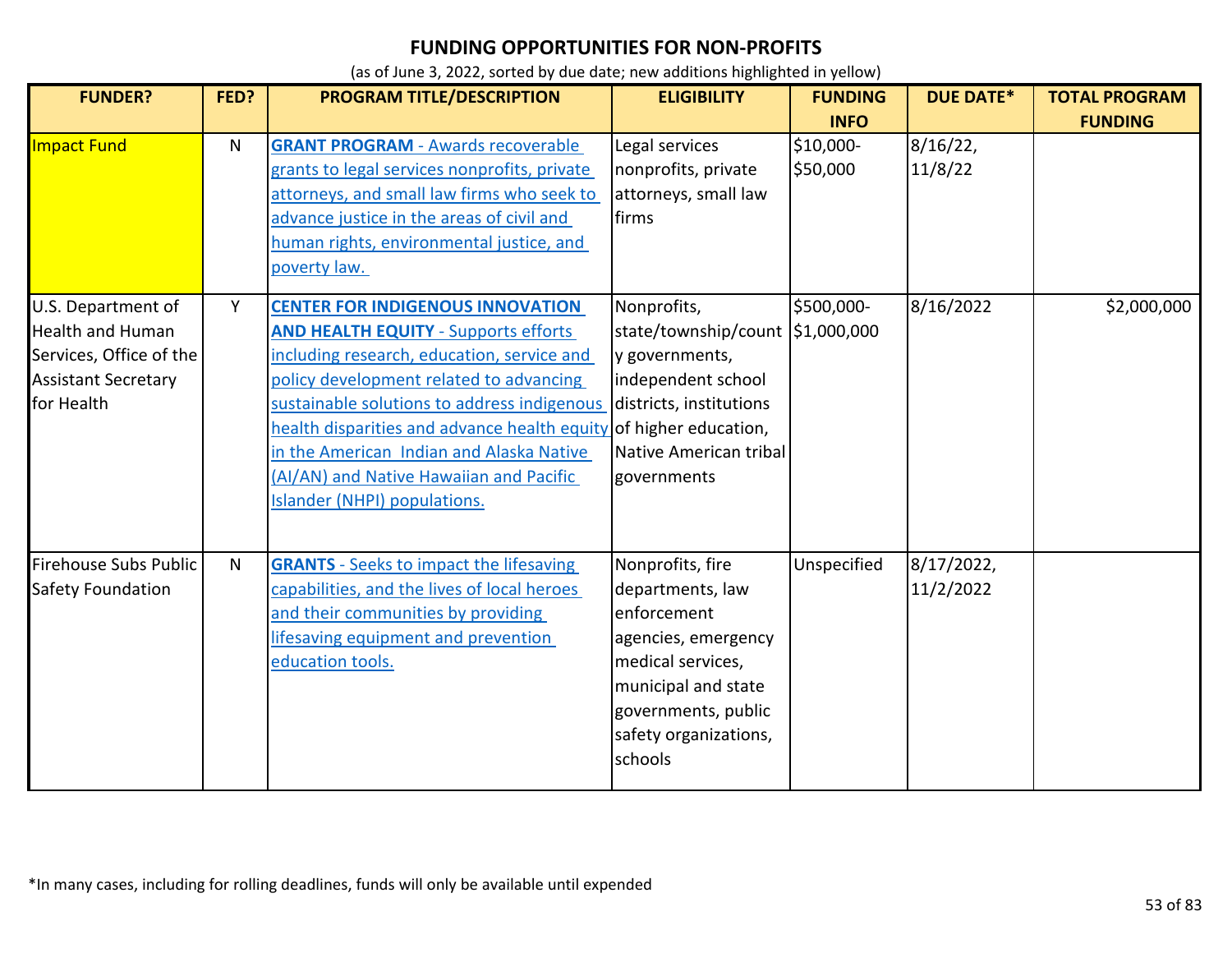| <b>FUNDER?</b>                                                                                                       | FED?         | PROGRAM TITLE/DESCRIPTION                                                                                                                                                                                                                                                                                                                                                                                                  | <b>ELIGIBILITY</b>                                                                                                                                                                | <b>FUNDING</b>        | <b>DUE DATE*</b>        | <b>TOTAL PROGRAM</b> |
|----------------------------------------------------------------------------------------------------------------------|--------------|----------------------------------------------------------------------------------------------------------------------------------------------------------------------------------------------------------------------------------------------------------------------------------------------------------------------------------------------------------------------------------------------------------------------------|-----------------------------------------------------------------------------------------------------------------------------------------------------------------------------------|-----------------------|-------------------------|----------------------|
|                                                                                                                      |              |                                                                                                                                                                                                                                                                                                                                                                                                                            |                                                                                                                                                                                   | <b>INFO</b>           |                         | <b>FUNDING</b>       |
| Impact Fund                                                                                                          | N            | <b>GRANT PROGRAM - Awards recoverable</b><br>grants to legal services nonprofits, private<br>attorneys, and small law firms who seek to<br>advance justice in the areas of civil and<br>human rights, environmental justice, and<br>poverty law.                                                                                                                                                                           | Legal services<br>nonprofits, private<br>attorneys, small law<br>firms                                                                                                            | \$10,000-<br>\$50,000 | 8/16/22<br>11/8/22      |                      |
| U.S. Department of<br><b>Health and Human</b><br>Services, Office of the<br><b>Assistant Secretary</b><br>for Health | Y            | <b>CENTER FOR INDIGENOUS INNOVATION</b><br><b>AND HEALTH EQUITY - Supports efforts</b><br>including research, education, service and<br>policy development related to advancing<br>sustainable solutions to address indigenous<br>health disparities and advance health equity of higher education,<br>in the American Indian and Alaska Native<br>(AI/AN) and Native Hawaiian and Pacific<br>Islander (NHPI) populations. | Nonprofits,<br>state/township/count \$1,000,000<br>y governments,<br>independent school<br>districts, institutions<br>Native American tribal<br>governments                       | \$500,000-            | 8/16/2022               | \$2,000,000          |
| Firehouse Subs Public<br><b>Safety Foundation</b>                                                                    | $\mathsf{N}$ | <b>GRANTS</b> - Seeks to impact the lifesaving<br>capabilities, and the lives of local heroes<br>and their communities by providing<br>lifesaving equipment and prevention<br>education tools.                                                                                                                                                                                                                             | Nonprofits, fire<br>departments, law<br>enforcement<br>agencies, emergency<br>medical services,<br>municipal and state<br>governments, public<br>safety organizations,<br>schools | Unspecified           | 8/17/2022,<br>11/2/2022 |                      |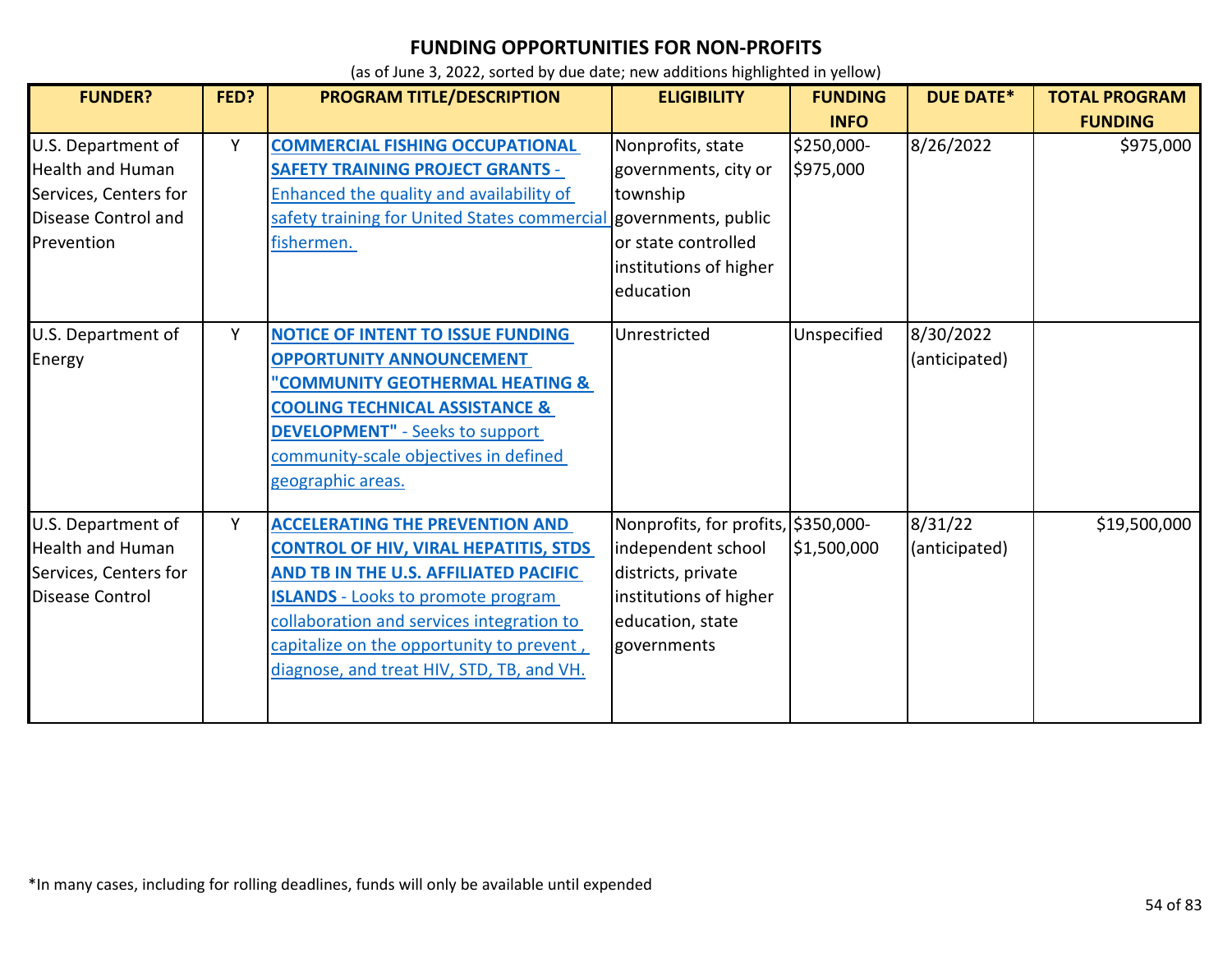| <b>FUNDER?</b>                                                                                              | FED? | PROGRAM TITLE/DESCRIPTION                                                                                                                                                                                                                                                                                           | <b>ELIGIBILITY</b>                                                                                                                           | <b>FUNDING</b>          | <b>DUE DATE*</b>           | <b>TOTAL PROGRAM</b> |
|-------------------------------------------------------------------------------------------------------------|------|---------------------------------------------------------------------------------------------------------------------------------------------------------------------------------------------------------------------------------------------------------------------------------------------------------------------|----------------------------------------------------------------------------------------------------------------------------------------------|-------------------------|----------------------------|----------------------|
|                                                                                                             |      |                                                                                                                                                                                                                                                                                                                     |                                                                                                                                              | <b>INFO</b>             |                            | <b>FUNDING</b>       |
| U.S. Department of<br><b>Health and Human</b><br>Services, Centers for<br>Disease Control and<br>Prevention | Y    | <b>COMMERCIAL FISHING OCCUPATIONAL</b><br><b>SAFETY TRAINING PROJECT GRANTS -</b><br>Enhanced the quality and availability of<br>safety training for United States commercial governments, public<br>fishermen.                                                                                                     | Nonprofits, state<br>governments, city or<br>township<br>or state controlled<br>institutions of higher<br>education                          | \$250,000-<br>\$975,000 | 8/26/2022                  | \$975,000            |
| U.S. Department of<br>Energy                                                                                | Y    | <b>NOTICE OF INTENT TO ISSUE FUNDING</b><br><b>OPPORTUNITY ANNOUNCEMENT</b><br><b>COMMUNITY GEOTHERMAL HEATING &amp;</b><br><b>COOLING TECHNICAL ASSISTANCE &amp;</b><br><b>DEVELOPMENT"</b> - Seeks to support<br>community-scale objectives in defined<br>geographic areas.                                       | Unrestricted                                                                                                                                 | Unspecified             | 8/30/2022<br>(anticipated) |                      |
| U.S. Department of<br><b>Health and Human</b><br>Services, Centers for<br>Disease Control                   | Y    | <b>ACCELERATING THE PREVENTION AND</b><br><b>CONTROL OF HIV, VIRAL HEPATITIS, STDS</b><br>AND TB IN THE U.S. AFFILIATED PACIFIC<br><b>ISLANDS</b> - Looks to promote program<br>collaboration and services integration to<br>capitalize on the opportunity to prevent,<br>diagnose, and treat HIV, STD, TB, and VH. | Nonprofits, for profits, \$350,000-<br>independent school<br>districts, private<br>institutions of higher<br>education, state<br>governments | \$1,500,000             | 8/31/22<br>(anticipated)   | \$19,500,000         |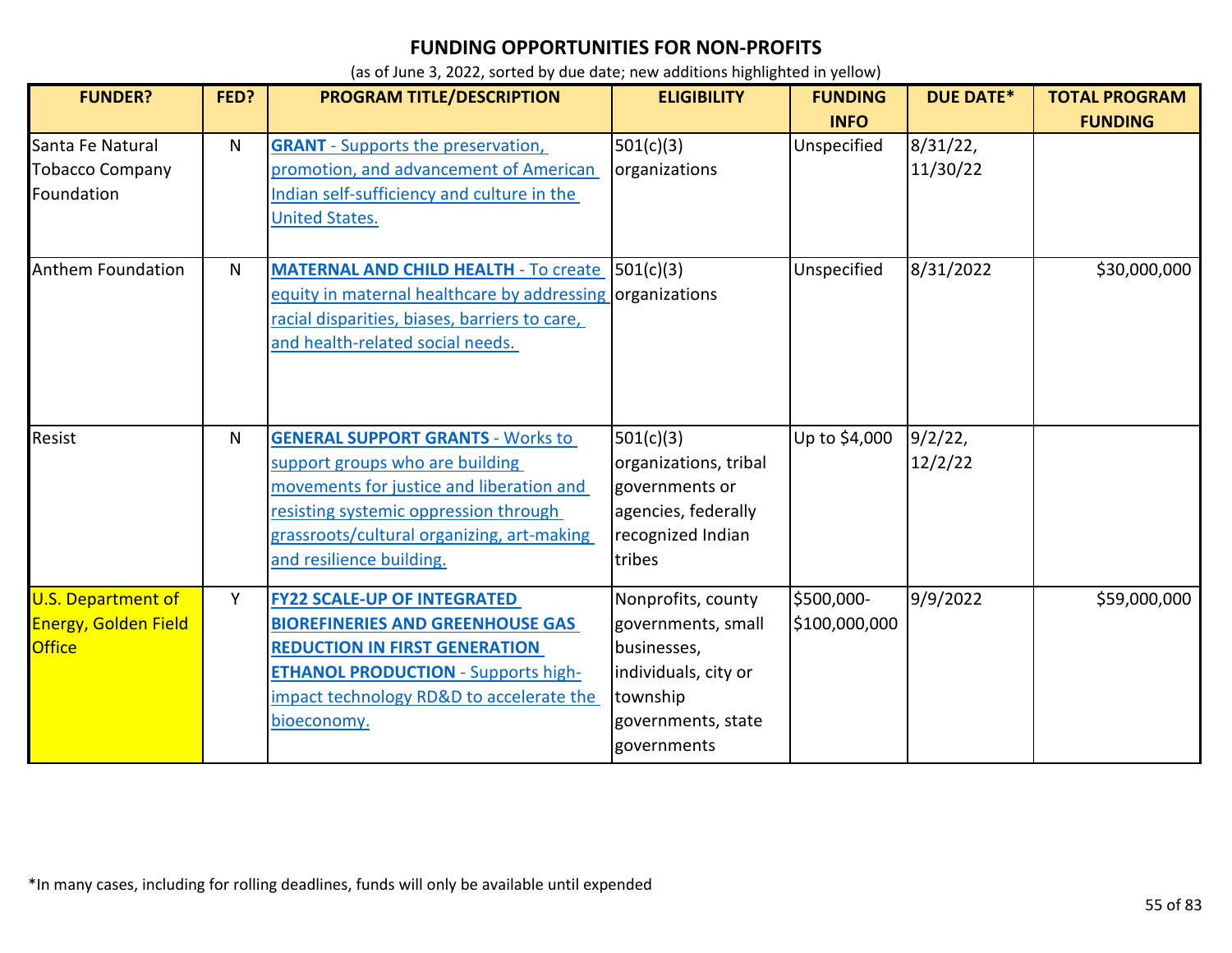| <b>FUNDER?</b>                                                            | FED? | PROGRAM TITLE/DESCRIPTION                                                                                                                                                                                                                  | <b>ELIGIBILITY</b>                                                                                                               | <b>FUNDING</b><br><b>INFO</b> | <b>DUE DATE*</b>      | <b>TOTAL PROGRAM</b><br><b>FUNDING</b> |
|---------------------------------------------------------------------------|------|--------------------------------------------------------------------------------------------------------------------------------------------------------------------------------------------------------------------------------------------|----------------------------------------------------------------------------------------------------------------------------------|-------------------------------|-----------------------|----------------------------------------|
| Santa Fe Natural<br><b>Tobacco Company</b><br>Foundation                  | N    | <b>GRANT</b> - Supports the preservation,<br>promotion, and advancement of American<br>Indian self-sufficiency and culture in the<br><b>United States.</b>                                                                                 | 501(c)(3)<br>organizations                                                                                                       | Unspecified                   | 8/31/22,<br>11/30/22  |                                        |
| Anthem Foundation                                                         | N.   | <b>MATERNAL AND CHILD HEALTH</b> - To create 501(c)(3)<br>equity in maternal healthcare by addressing organizations<br>racial disparities, biases, barriers to care,<br>and health-related social needs.                                   |                                                                                                                                  | Unspecified                   | 8/31/2022             | \$30,000,000                           |
| Resist                                                                    | N.   | <b>GENERAL SUPPORT GRANTS - Works to</b><br>support groups who are building<br>movements for justice and liberation and<br>resisting systemic oppression through<br>grassroots/cultural organizing, art-making<br>and resilience building. | 501(c)(3)<br>organizations, tribal<br>governments or<br>agencies, federally<br>recognized Indian<br>tribes                       | Up to \$4,000                 | $9/2/22$ ,<br>12/2/22 |                                        |
| <b>U.S. Department of</b><br><b>Energy, Golden Field</b><br><b>Office</b> | Y    | <b>FY22 SCALE-UP OF INTEGRATED</b><br><b>BIOREFINERIES AND GREENHOUSE GAS</b><br><b>REDUCTION IN FIRST GENERATION</b><br><b>ETHANOL PRODUCTION - Supports high-</b><br>impact technology RD&D to accelerate the<br>bioeconomy.             | Nonprofits, county<br>governments, small<br>businesses,<br>individuals, city or<br>township<br>governments, state<br>governments | \$500,000-<br>\$100,000,000   | 9/9/2022              | \$59,000,000                           |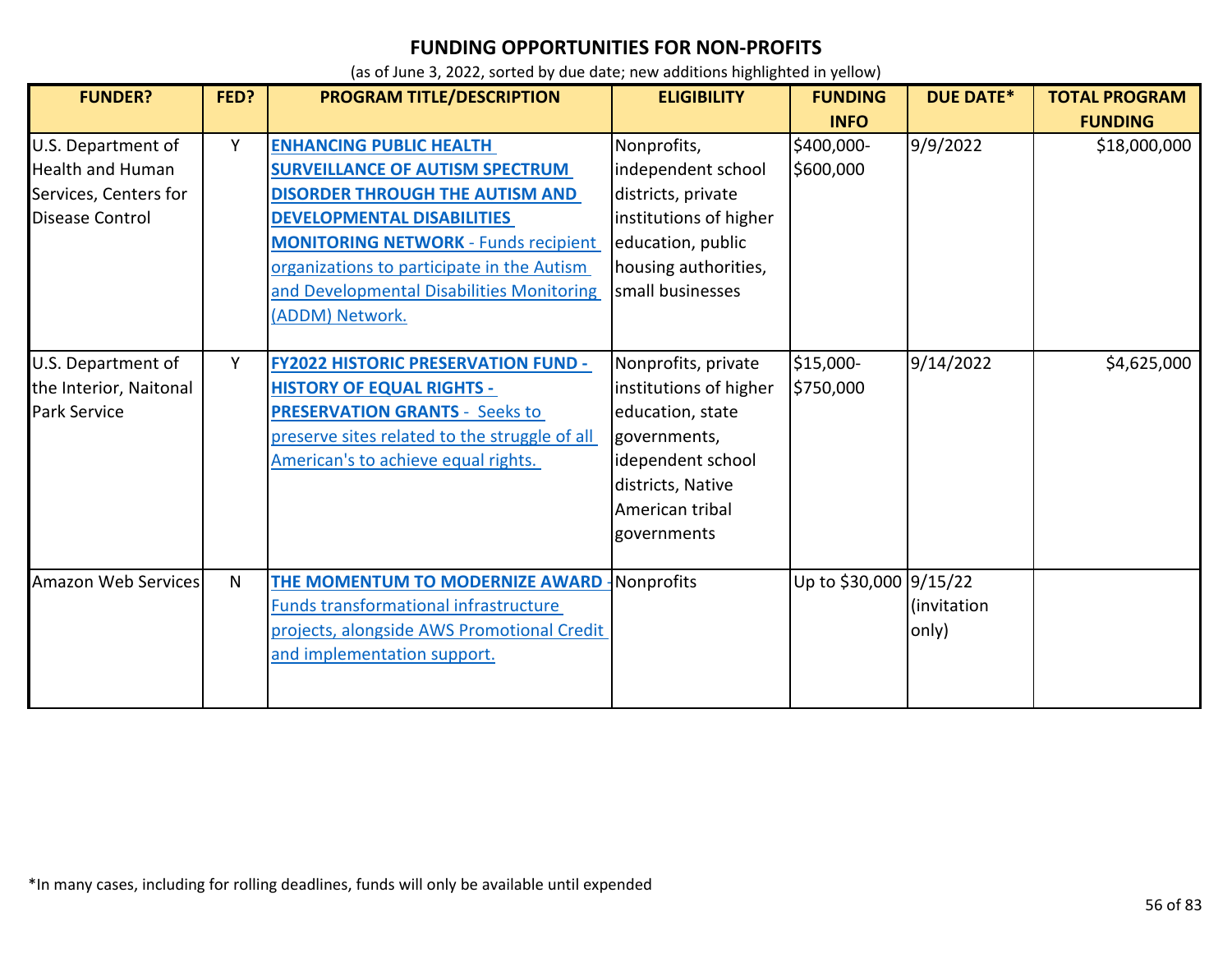| <b>FUNDER?</b>                                                                                   | FED?         | <b>PROGRAM TITLE/DESCRIPTION</b>                                                                                                                                                                                                                                                                                     | <b>ELIGIBILITY</b>                                                                                                                                            | <b>FUNDING</b>          | <b>DUE DATE*</b>     | <b>TOTAL PROGRAM</b> |
|--------------------------------------------------------------------------------------------------|--------------|----------------------------------------------------------------------------------------------------------------------------------------------------------------------------------------------------------------------------------------------------------------------------------------------------------------------|---------------------------------------------------------------------------------------------------------------------------------------------------------------|-------------------------|----------------------|----------------------|
|                                                                                                  |              |                                                                                                                                                                                                                                                                                                                      |                                                                                                                                                               | <b>INFO</b>             |                      | <b>FUNDING</b>       |
| U.S. Department of<br><b>Health and Human</b><br>Services, Centers for<br><b>Disease Control</b> | Y            | <b>ENHANCING PUBLIC HEALTH</b><br><b>SURVEILLANCE OF AUTISM SPECTRUM</b><br><b>DISORDER THROUGH THE AUTISM AND</b><br><b>DEVELOPMENTAL DISABILITIES</b><br><b>MONITORING NETWORK - Funds recipient</b><br>organizations to participate in the Autism<br>and Developmental Disabilities Monitoring<br>(ADDM) Network. | Nonprofits,<br>independent school<br>districts, private<br>institutions of higher<br>education, public<br>housing authorities,<br>small businesses            | \$400,000-<br>\$600,000 | 9/9/2022             | \$18,000,000         |
| U.S. Department of<br>the Interior, Naitonal<br><b>Park Service</b>                              | Y            | <b>FY2022 HISTORIC PRESERVATION FUND -</b><br><b>HISTORY OF EQUAL RIGHTS -</b><br><b>PRESERVATION GRANTS - Seeks to</b><br>preserve sites related to the struggle of all<br>American's to achieve equal rights.                                                                                                      | Nonprofits, private<br>institutions of higher<br>education, state<br>governments,<br>idependent school<br>districts, Native<br>American tribal<br>governments | \$15,000-<br>\$750,000  | 9/14/2022            | \$4,625,000          |
| <b>Amazon Web Services</b>                                                                       | $\mathsf{N}$ | THE MOMENTUM TO MODERNIZE AWARD<br><b>Funds transformational infrastructure</b><br>projects, alongside AWS Promotional Credit<br>and implementation support.                                                                                                                                                         | Nonprofits                                                                                                                                                    | Up to \$30,000 9/15/22  | (invitation<br>only) |                      |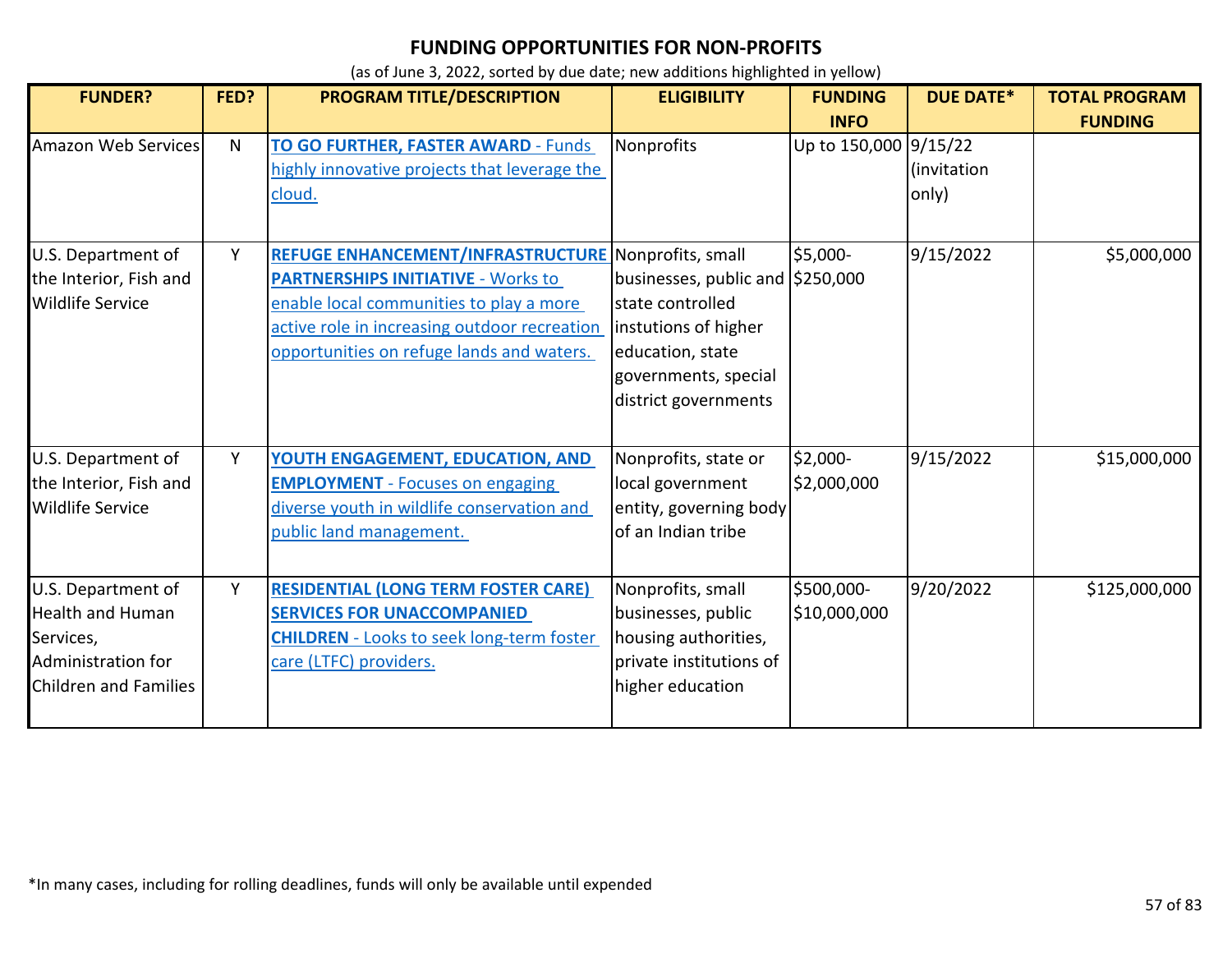| <b>FUNDER?</b>                                                                                            | FED? | <b>PROGRAM TITLE/DESCRIPTION</b>                                                                                                                                                                                                                | <b>ELIGIBILITY</b>                                                                                                                                | <b>FUNDING</b><br><b>INFO</b> | <b>DUE DATE*</b>     | <b>TOTAL PROGRAM</b><br><b>FUNDING</b> |
|-----------------------------------------------------------------------------------------------------------|------|-------------------------------------------------------------------------------------------------------------------------------------------------------------------------------------------------------------------------------------------------|---------------------------------------------------------------------------------------------------------------------------------------------------|-------------------------------|----------------------|----------------------------------------|
| Amazon Web Services                                                                                       | N.   | <b>TO GO FURTHER, FASTER AWARD - Funds</b><br>highly innovative projects that leverage the<br>cloud.                                                                                                                                            | Nonprofits                                                                                                                                        | Up to 150,000 9/15/22         | (invitation<br>only) |                                        |
| U.S. Department of<br>the Interior, Fish and<br><b>Wildlife Service</b>                                   | Y    | <b>REFUGE ENHANCEMENT/INFRASTRUCTURE Nonprofits, small</b><br><b>PARTNERSHIPS INITIATIVE - Works to</b><br>enable local communities to play a more<br>active role in increasing outdoor recreation<br>opportunities on refuge lands and waters. | businesses, public and \$250,000<br>Istate controlled<br>instutions of higher<br>education, state<br>governments, special<br>district governments | \$5,000-                      | 9/15/2022            | \$5,000,000                            |
| U.S. Department of<br>the Interior, Fish and<br><b>Wildlife Service</b>                                   | Y    | YOUTH ENGAGEMENT, EDUCATION, AND<br><b>EMPLOYMENT</b> - Focuses on engaging<br>diverse youth in wildlife conservation and<br>public land management.                                                                                            | Nonprofits, state or<br>local government<br>entity, governing body<br>of an Indian tribe                                                          | \$2,000-<br>\$2,000,000       | 9/15/2022            | \$15,000,000                           |
| U.S. Department of<br><b>Health and Human</b><br>Services,<br>Administration for<br>Children and Families | Y    | <b>RESIDENTIAL (LONG TERM FOSTER CARE)</b><br><b>SERVICES FOR UNACCOMPANIED</b><br><b>CHILDREN</b> - Looks to seek long-term foster<br>care (LTFC) providers.                                                                                   | Nonprofits, small<br>businesses, public<br>housing authorities,<br>private institutions of<br>higher education                                    | \$500,000-<br>\$10,000,000    | 9/20/2022            | \$125,000,000                          |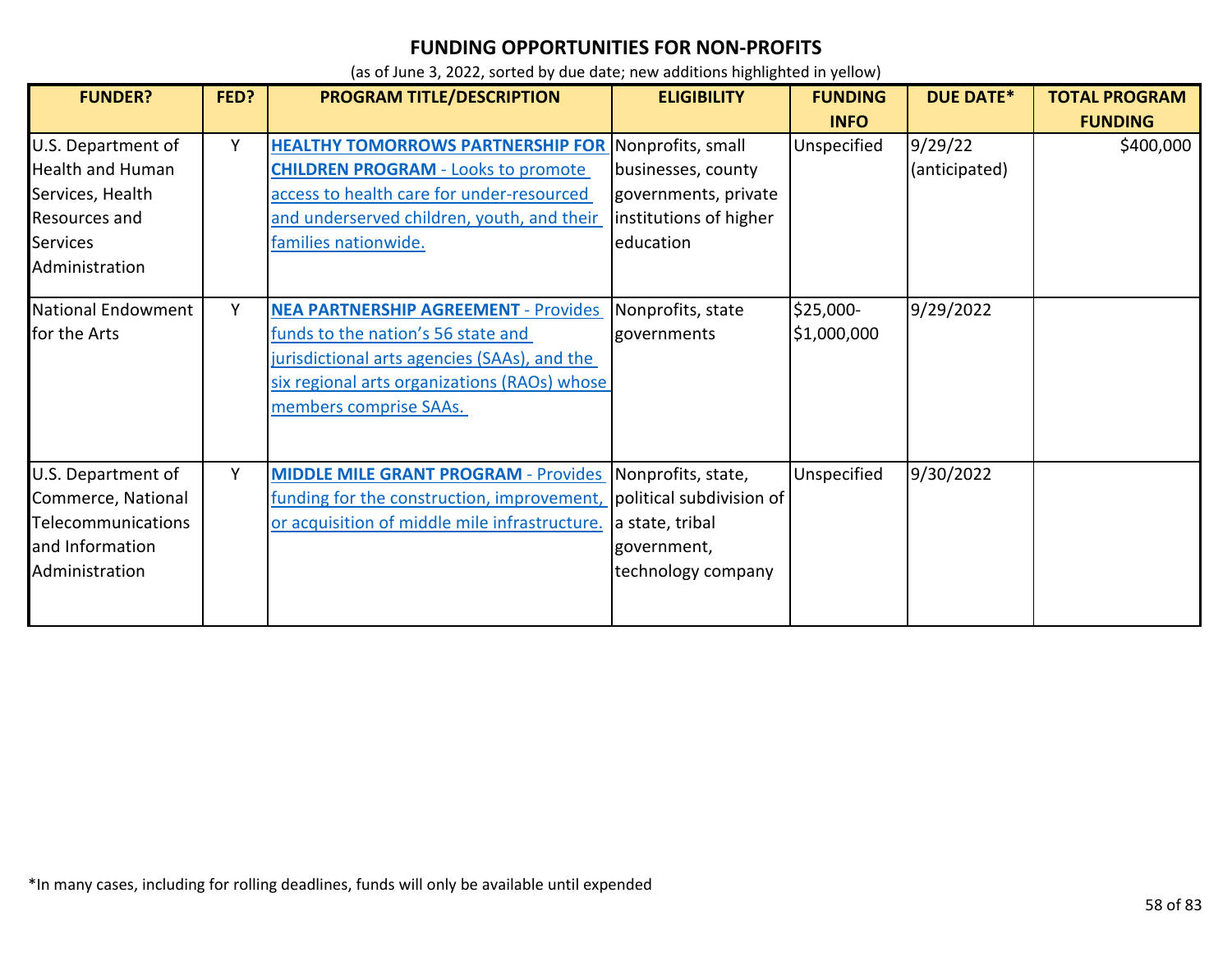| <b>FUNDER?</b>                                                                                                          | FED? | <b>PROGRAM TITLE/DESCRIPTION</b>                                                                                                                                                                                            | <b>ELIGIBILITY</b>                                                                                     | <b>FUNDING</b><br><b>INFO</b> | <b>DUE DATE*</b>         | <b>TOTAL PROGRAM</b><br><b>FUNDING</b> |
|-------------------------------------------------------------------------------------------------------------------------|------|-----------------------------------------------------------------------------------------------------------------------------------------------------------------------------------------------------------------------------|--------------------------------------------------------------------------------------------------------|-------------------------------|--------------------------|----------------------------------------|
| U.S. Department of<br><b>Health and Human</b><br>Services, Health<br>Resources and<br><b>Services</b><br>Administration | Y    | <b>HEALTHY TOMORROWS PARTNERSHIP FOR Nonprofits, small</b><br><b>CHILDREN PROGRAM - Looks to promote</b><br>access to health care for under-resourced<br>and underserved children, youth, and their<br>families nationwide. | businesses, county<br>governments, private<br>institutions of higher<br>education                      | Unspecified                   | 9/29/22<br>(anticipated) | \$400,000                              |
| <b>National Endowment</b><br>for the Arts                                                                               | Y    | <b>NEA PARTNERSHIP AGREEMENT - Provides</b><br>funds to the nation's 56 state and<br>jurisdictional arts agencies (SAAs), and the<br>six regional arts organizations (RAOs) whose<br>members comprise SAAs.                 | Nonprofits, state<br>governments                                                                       | $$25,000-$<br>\$1,000,000     | 9/29/2022                |                                        |
| U.S. Department of<br>Commerce, National<br><b>Telecommunications</b><br>and Information<br>Administration              | Y    | <b>MIDDLE MILE GRANT PROGRAM - Provides</b><br>funding for the construction, improvement,<br>or acquisition of middle mile infrastructure.                                                                                  | Nonprofits, state,<br>political subdivision of<br>a state, tribal<br>government,<br>technology company | Unspecified                   | 9/30/2022                |                                        |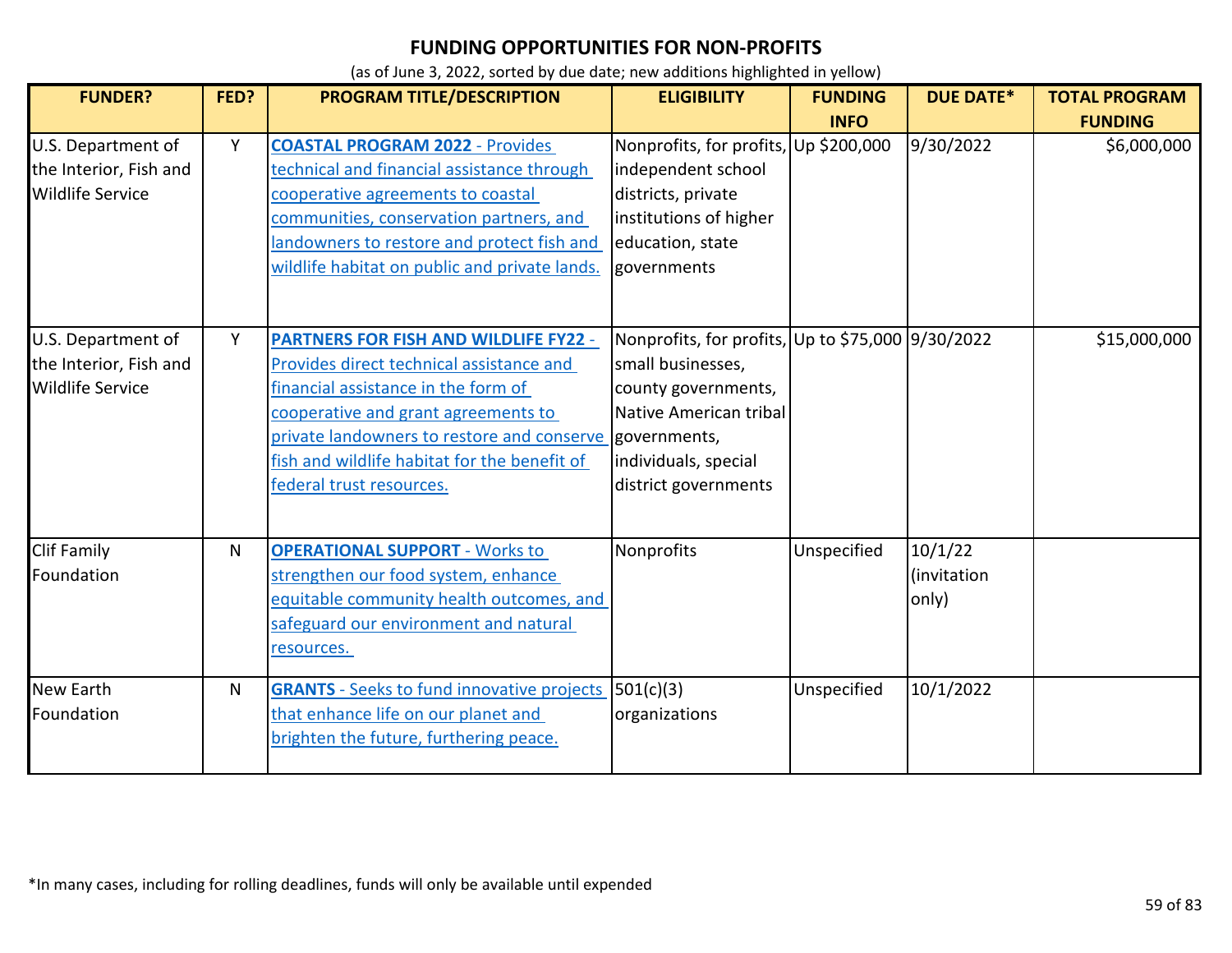| <b>FUNDER?</b>                                                          | FED? | PROGRAM TITLE/DESCRIPTION                                                                                                                                                                                                                                                                                     | <b>ELIGIBILITY</b>                                                                                                                                                      | <b>FUNDING</b> | <b>DUE DATE*</b>                | <b>TOTAL PROGRAM</b> |
|-------------------------------------------------------------------------|------|---------------------------------------------------------------------------------------------------------------------------------------------------------------------------------------------------------------------------------------------------------------------------------------------------------------|-------------------------------------------------------------------------------------------------------------------------------------------------------------------------|----------------|---------------------------------|----------------------|
|                                                                         |      |                                                                                                                                                                                                                                                                                                               |                                                                                                                                                                         | <b>INFO</b>    |                                 | <b>FUNDING</b>       |
| U.S. Department of<br>the Interior, Fish and<br><b>Wildlife Service</b> | Y    | <b>COASTAL PROGRAM 2022 - Provides</b><br>technical and financial assistance through<br>cooperative agreements to coastal<br>communities, conservation partners, and<br>landowners to restore and protect fish and<br>wildlife habitat on public and private lands.                                           | Nonprofits, for profits, Up \$200,000<br>independent school<br>districts, private<br>institutions of higher<br>education, state<br>governments                          |                | 9/30/2022                       | \$6,000,000          |
| U.S. Department of<br>the Interior, Fish and<br><b>Wildlife Service</b> | Y    | <b>PARTNERS FOR FISH AND WILDLIFE FY22 -</b><br>Provides direct technical assistance and<br>financial assistance in the form of<br>cooperative and grant agreements to<br>private landowners to restore and conserve governments,<br>fish and wildlife habitat for the benefit of<br>federal trust resources. | Nonprofits, for profits, Up to \$75,000 9/30/2022<br>small businesses,<br>county governments,<br>Native American tribal<br>individuals, special<br>district governments |                |                                 | \$15,000,000         |
| <b>Clif Family</b><br>Foundation                                        | N    | <b>OPERATIONAL SUPPORT - Works to</b><br>strengthen our food system, enhance<br>equitable community health outcomes, and<br>safeguard our environment and natural<br>resources.                                                                                                                               | Nonprofits                                                                                                                                                              | Unspecified    | 10/1/22<br>(invitation<br>only) |                      |
| <b>New Earth</b><br>Foundation                                          | N    | <b>GRANTS</b> - Seeks to fund innovative projects<br>that enhance life on our planet and<br>brighten the future, furthering peace.                                                                                                                                                                            | 501(c)(3)<br>organizations                                                                                                                                              | Unspecified    | 10/1/2022                       |                      |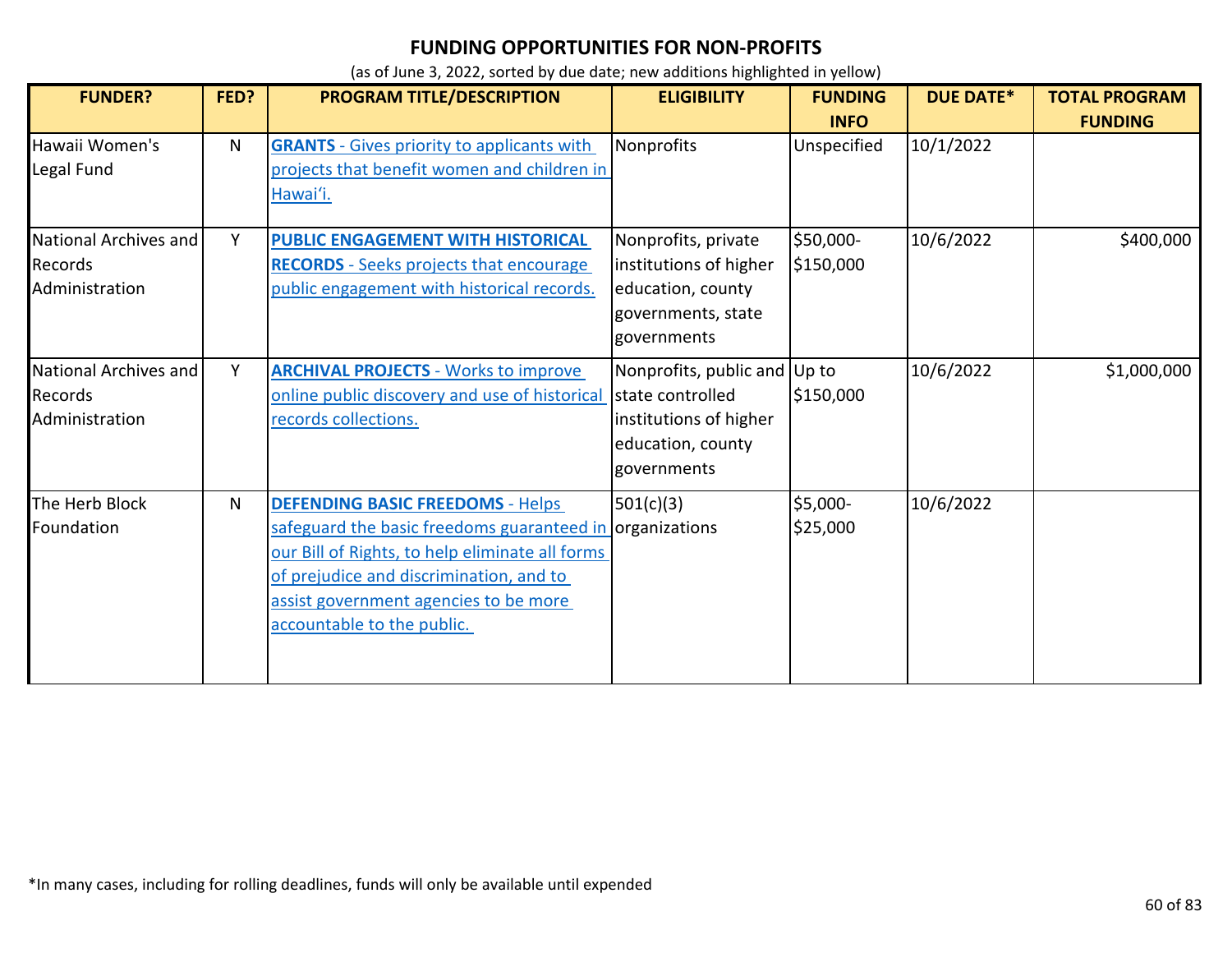| <b>FUNDER?</b>                                     | FED? | PROGRAM TITLE/DESCRIPTION                                                                                                                                                                                                                                                | <b>ELIGIBILITY</b>                                                                                              | <b>FUNDING</b>             | <b>DUE DATE*</b> | <b>TOTAL PROGRAM</b> |
|----------------------------------------------------|------|--------------------------------------------------------------------------------------------------------------------------------------------------------------------------------------------------------------------------------------------------------------------------|-----------------------------------------------------------------------------------------------------------------|----------------------------|------------------|----------------------|
| Hawaii Women's<br>Legal Fund                       | N    | <b>GRANTS</b> - Gives priority to applicants with<br>projects that benefit women and children in<br>Hawai'i.                                                                                                                                                             | Nonprofits                                                                                                      | <b>INFO</b><br>Unspecified | 10/1/2022        | <b>FUNDING</b>       |
| National Archives and<br>Records<br>Administration | Y    | PUBLIC ENGAGEMENT WITH HISTORICAL<br><b>RECORDS</b> - Seeks projects that encourage<br>public engagement with historical records.                                                                                                                                        | Nonprofits, private<br>institutions of higher<br>education, county<br>governments, state<br>governments         | \$50,000-<br>\$150,000     | 10/6/2022        | \$400,000            |
| National Archives and<br>Records<br>Administration | Y    | <b>ARCHIVAL PROJECTS - Works to improve</b><br>online public discovery and use of historical<br><u>records collections.</u>                                                                                                                                              | Nonprofits, public and Up to<br>Istate controlled<br>institutions of higher<br>education, county<br>governments | \$150,000                  | 10/6/2022        | \$1,000,000          |
| The Herb Block<br>Foundation                       | N    | <b>DEFENDING BASIC FREEDOMS - Helps</b><br>safeguard the basic freedoms guaranteed in organizations<br>our Bill of Rights, to help eliminate all forms<br>of prejudice and discrimination, and to<br>assist government agencies to be more<br>accountable to the public. | 501(c)(3)                                                                                                       | \$5,000-<br>\$25,000       | 10/6/2022        |                      |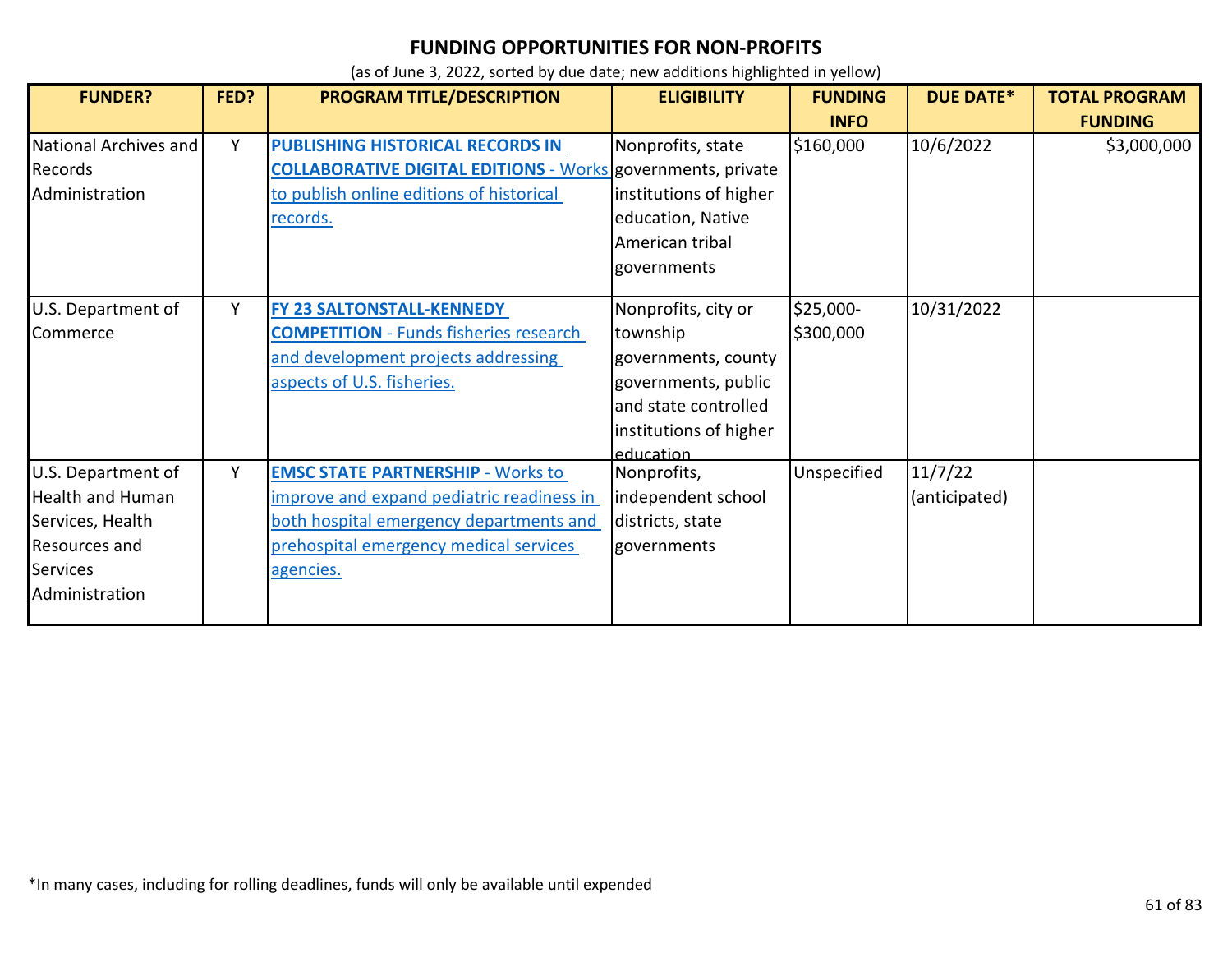| <b>FUNDER?</b>          | FED? | PROGRAM TITLE/DESCRIPTION                                          | <b>ELIGIBILITY</b>     | <b>FUNDING</b> | <b>DUE DATE*</b> | <b>TOTAL PROGRAM</b> |
|-------------------------|------|--------------------------------------------------------------------|------------------------|----------------|------------------|----------------------|
|                         |      |                                                                    |                        | <b>INFO</b>    |                  | <b>FUNDING</b>       |
| National Archives and   | Y    | PUBLISHING HISTORICAL RECORDS IN                                   | Nonprofits, state      | \$160,000      | 10/6/2022        | \$3,000,000          |
| Records                 |      | <b>COLLABORATIVE DIGITAL EDITIONS - Works governments, private</b> |                        |                |                  |                      |
| Administration          |      | to publish online editions of historical                           | institutions of higher |                |                  |                      |
|                         |      | <u>records.</u>                                                    | education, Native      |                |                  |                      |
|                         |      |                                                                    | American tribal        |                |                  |                      |
|                         |      |                                                                    | governments            |                |                  |                      |
|                         |      |                                                                    |                        |                |                  |                      |
| U.S. Department of      | Y    | <b>FY 23 SALTONSTALL-KENNEDY</b>                                   | Nonprofits, city or    | $$25,000-$     | 10/31/2022       |                      |
| Commerce                |      | <b>COMPETITION</b> - Funds fisheries research                      | township               | \$300,000      |                  |                      |
|                         |      | and development projects addressing                                | governments, county    |                |                  |                      |
|                         |      | aspects of U.S. fisheries.                                         | governments, public    |                |                  |                      |
|                         |      |                                                                    | and state controlled   |                |                  |                      |
|                         |      |                                                                    | institutions of higher |                |                  |                      |
|                         |      |                                                                    | education              |                |                  |                      |
| U.S. Department of      | Y    | <b>EMSC STATE PARTNERSHIP - Works to</b>                           | Nonprofits,            | Unspecified    | 11/7/22          |                      |
| <b>Health and Human</b> |      | improve and expand pediatric readiness in                          | independent school     |                | (anticipated)    |                      |
| Services, Health        |      | both hospital emergency departments and                            | districts, state       |                |                  |                      |
| Resources and           |      | prehospital emergency medical services                             | governments            |                |                  |                      |
| <b>Services</b>         |      | agencies.                                                          |                        |                |                  |                      |
| Administration          |      |                                                                    |                        |                |                  |                      |
|                         |      |                                                                    |                        |                |                  |                      |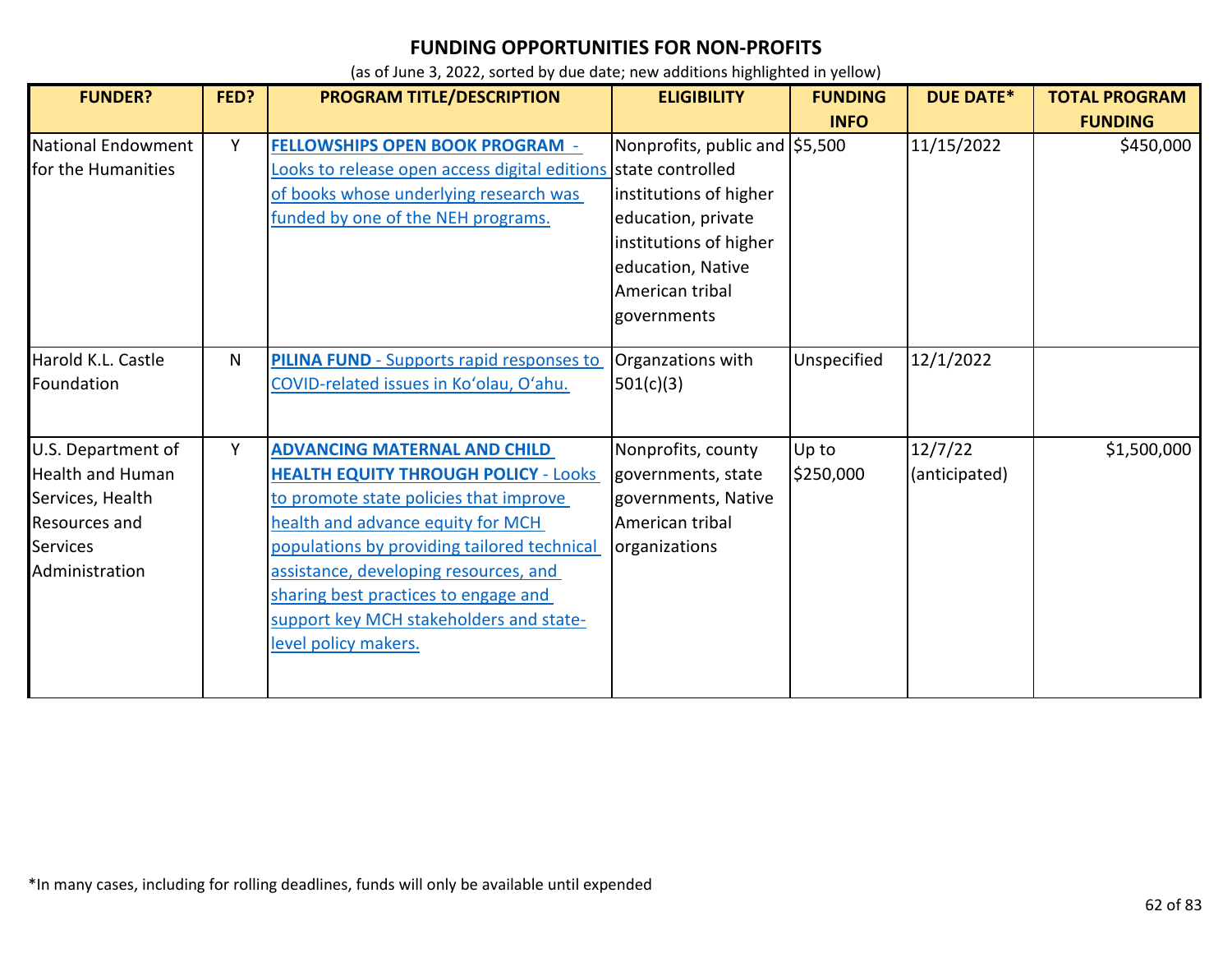| <b>FUNDER?</b>                                                                                                                 | FED? | PROGRAM TITLE/DESCRIPTION                                                                                                                                                                                                                                                                                                                                            | <b>ELIGIBILITY</b>                                                                                                                                              | <b>FUNDING</b>     | <b>DUE DATE*</b>         | <b>TOTAL PROGRAM</b> |
|--------------------------------------------------------------------------------------------------------------------------------|------|----------------------------------------------------------------------------------------------------------------------------------------------------------------------------------------------------------------------------------------------------------------------------------------------------------------------------------------------------------------------|-----------------------------------------------------------------------------------------------------------------------------------------------------------------|--------------------|--------------------------|----------------------|
|                                                                                                                                |      |                                                                                                                                                                                                                                                                                                                                                                      |                                                                                                                                                                 | <b>INFO</b>        |                          | <b>FUNDING</b>       |
| National Endowment<br>for the Humanities                                                                                       | Y    | <b>FELLOWSHIPS OPEN BOOK PROGRAM -</b><br>Looks to release open access digital editions state controlled<br>of books whose underlying research was<br>funded by one of the NEH programs.                                                                                                                                                                             | Nonprofits, public and \$5,500<br>institutions of higher<br>education, private<br>institutions of higher<br>education, Native<br>American tribal<br>governments |                    | 11/15/2022               | \$450,000            |
| Harold K.L. Castle<br>Foundation                                                                                               | N    | <b>PILINA FUND</b> - Supports rapid responses to<br>COVID-related issues in Ko'olau, O'ahu.                                                                                                                                                                                                                                                                          | Organzations with<br>501(c)(3)                                                                                                                                  | Unspecified        | 12/1/2022                |                      |
| U.S. Department of<br><b>Health and Human</b><br>Services, Health<br><b>Resources and</b><br><b>Services</b><br>Administration | Y    | <b>ADVANCING MATERNAL AND CHILD</b><br><b>HEALTH EQUITY THROUGH POLICY - Looks</b><br>to promote state policies that improve<br>health and advance equity for MCH<br>populations by providing tailored technical<br>assistance, developing resources, and<br>sharing best practices to engage and<br>support key MCH stakeholders and state-<br>level policy makers. | Nonprofits, county<br>governments, state<br>governments, Native<br>American tribal<br>organizations                                                             | Up to<br>\$250,000 | 12/7/22<br>(anticipated) | \$1,500,000          |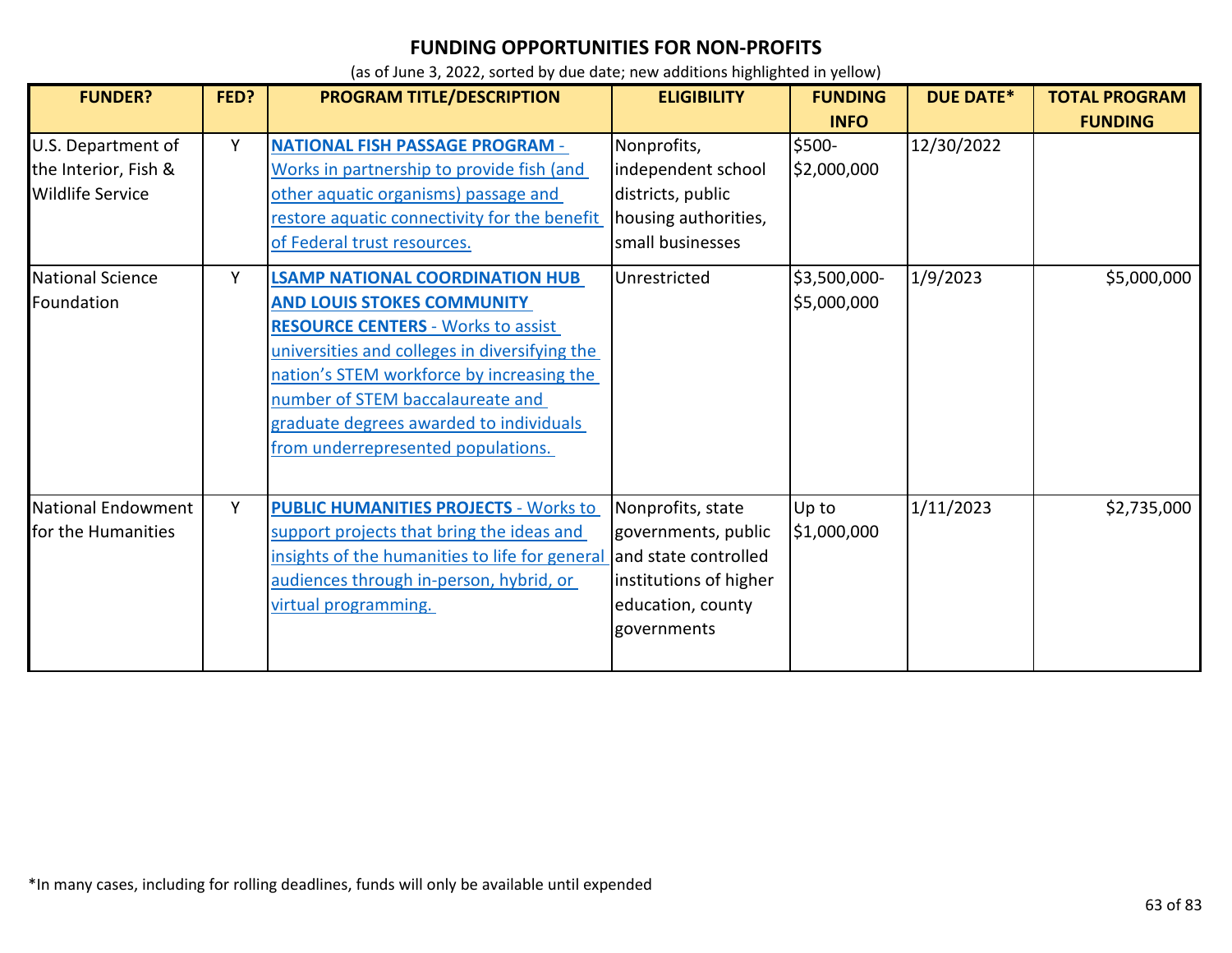| <b>FUNDER?</b>                                                        | FED? | PROGRAM TITLE/DESCRIPTION                                                                                                                                                                                                                                                                                                                   | <b>ELIGIBILITY</b>                                                                                                             | <b>FUNDING</b>              | <b>DUE DATE*</b> | <b>TOTAL PROGRAM</b> |
|-----------------------------------------------------------------------|------|---------------------------------------------------------------------------------------------------------------------------------------------------------------------------------------------------------------------------------------------------------------------------------------------------------------------------------------------|--------------------------------------------------------------------------------------------------------------------------------|-----------------------------|------------------|----------------------|
|                                                                       |      |                                                                                                                                                                                                                                                                                                                                             |                                                                                                                                | <b>INFO</b>                 |                  | <b>FUNDING</b>       |
| U.S. Department of<br>the Interior, Fish &<br><b>Wildlife Service</b> | Y    | <b>NATIONAL FISH PASSAGE PROGRAM -</b><br>Works in partnership to provide fish (and<br>other aquatic organisms) passage and<br>restore aquatic connectivity for the benefit<br>of Federal trust resources.                                                                                                                                  | Nonprofits,<br>independent school<br>districts, public<br>housing authorities,<br>small businesses                             | \$500-<br>\$2,000,000       | 12/30/2022       |                      |
| <b>National Science</b><br>Foundation                                 | Y    | <b>LSAMP NATIONAL COORDINATION HUB</b><br><b>AND LOUIS STOKES COMMUNITY</b><br><b>RESOURCE CENTERS - Works to assist</b><br>universities and colleges in diversifying the<br>nation's STEM workforce by increasing the<br>number of STEM baccalaureate and<br>graduate degrees awarded to individuals<br>from underrepresented populations. | Unrestricted                                                                                                                   | \$3,500,000-<br>\$5,000,000 | 1/9/2023         | \$5,000,000          |
| National Endowment<br>for the Humanities                              | Y    | <b>PUBLIC HUMANITIES PROJECTS - Works to</b><br>support projects that bring the ideas and<br>insights of the humanities to life for general<br>audiences through in-person, hybrid, or<br>virtual programming.                                                                                                                              | Nonprofits, state<br>governments, public<br>and state controlled<br>institutions of higher<br>education, county<br>governments | Up to<br>\$1,000,000        | 1/11/2023        | \$2,735,000          |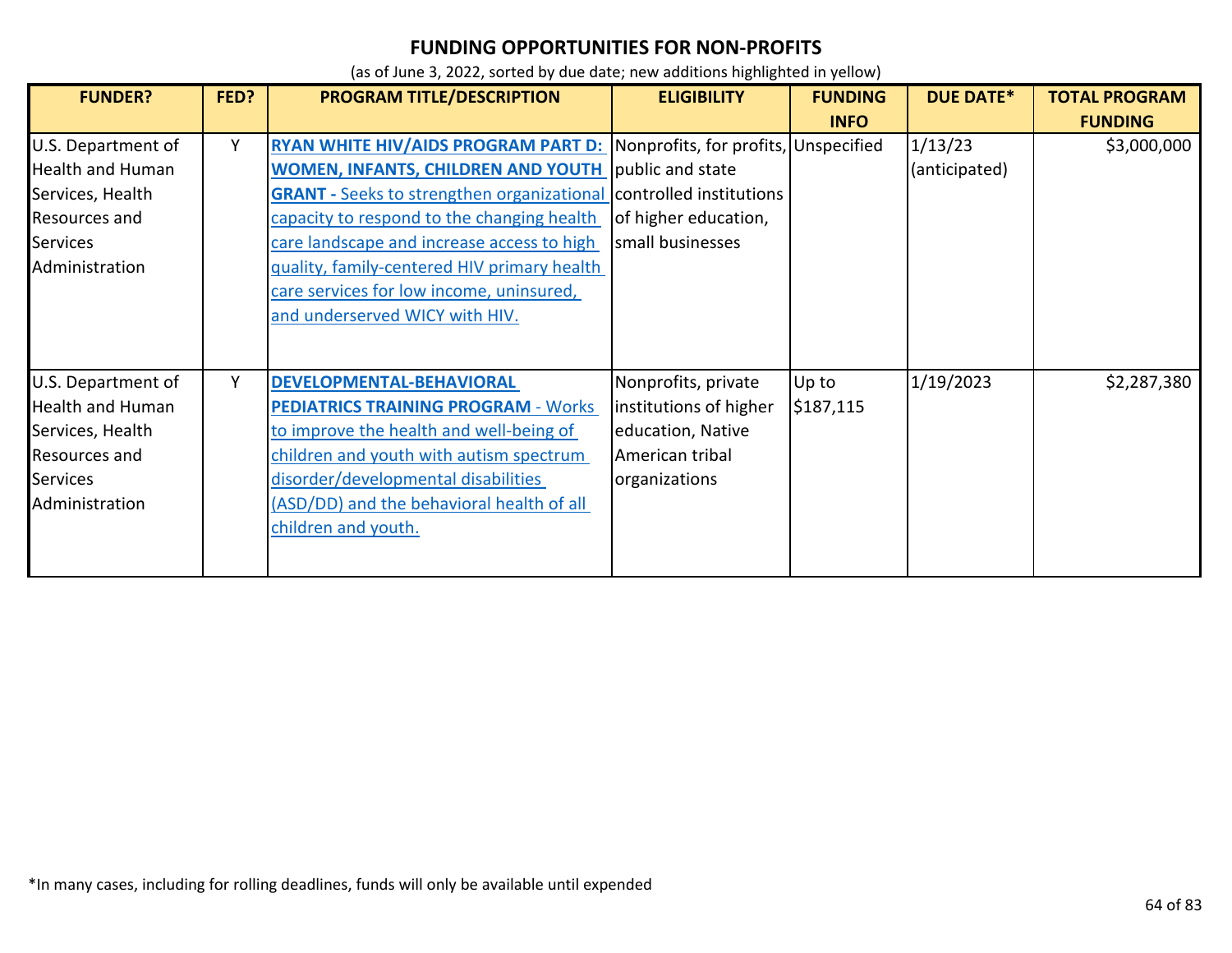| <b>FUNDER?</b>                                                                                                          | FED? | PROGRAM TITLE/DESCRIPTION                                                                                                                                                                                                                                                                                                                                                                                      | <b>ELIGIBILITY</b>                                                                                     | <b>FUNDING</b><br><b>INFO</b> | <b>DUE DATE*</b>         | <b>TOTAL PROGRAM</b><br><b>FUNDING</b> |
|-------------------------------------------------------------------------------------------------------------------------|------|----------------------------------------------------------------------------------------------------------------------------------------------------------------------------------------------------------------------------------------------------------------------------------------------------------------------------------------------------------------------------------------------------------------|--------------------------------------------------------------------------------------------------------|-------------------------------|--------------------------|----------------------------------------|
| U.S. Department of<br><b>Health and Human</b><br>Services, Health<br>Resources and<br>Services<br>Administration        | Y    | <b>RYAN WHITE HIV/AIDS PROGRAM PART D:</b><br><b>WOMEN, INFANTS, CHILDREN AND YOUTH public and state</b><br><b>GRANT</b> - Seeks to strengthen organizational controlled institutions<br>capacity to respond to the changing health<br>care landscape and increase access to high<br>quality, family-centered HIV primary health<br>care services for low income, uninsured,<br>and underserved WICY with HIV. | Nonprofits, for profits, Unspecified<br>of higher education,<br>small businesses                       |                               | 1/13/23<br>(anticipated) | \$3,000,000                            |
| U.S. Department of<br><b>Health and Human</b><br>Services, Health<br>Resources and<br><b>Services</b><br>Administration | Υ    | DEVELOPMENTAL-BEHAVIORAL<br><b>PEDIATRICS TRAINING PROGRAM - Works</b><br>to improve the health and well-being of<br>children and youth with autism spectrum<br>disorder/developmental disabilities<br>(ASD/DD) and the behavioral health of all<br>children and youth.                                                                                                                                        | Nonprofits, private<br>institutions of higher<br>education, Native<br>American tribal<br>organizations | Up to<br>\$187,115            | 1/19/2023                | \$2,287,380                            |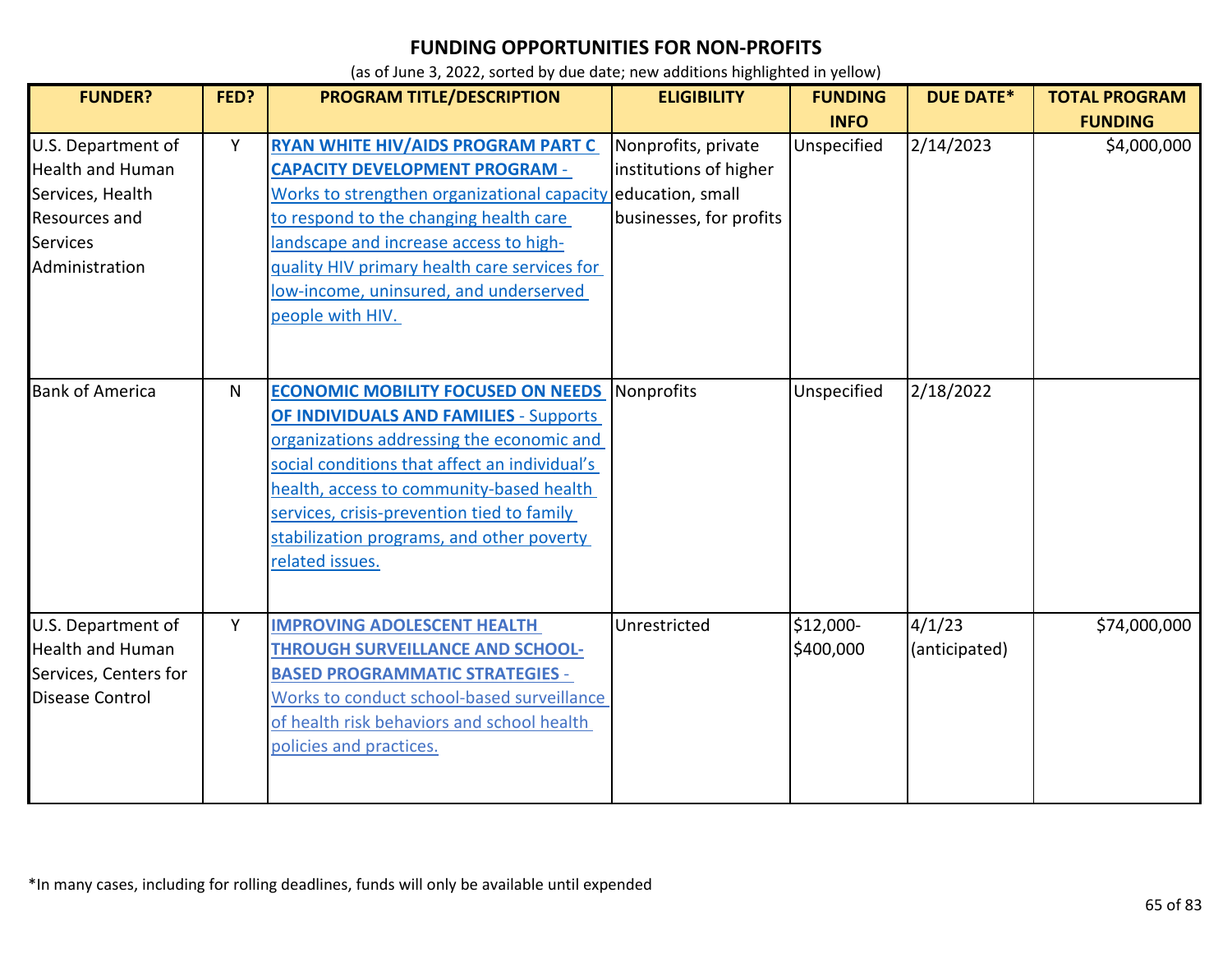| <b>FUNDER?</b>                                                                                                                 | FED? | PROGRAM TITLE/DESCRIPTION                                                                                                                                                                                                                                                                                                                          | <b>ELIGIBILITY</b>                                                       | <b>FUNDING</b><br><b>INFO</b> | <b>DUE DATE*</b>        | <b>TOTAL PROGRAM</b><br><b>FUNDING</b> |
|--------------------------------------------------------------------------------------------------------------------------------|------|----------------------------------------------------------------------------------------------------------------------------------------------------------------------------------------------------------------------------------------------------------------------------------------------------------------------------------------------------|--------------------------------------------------------------------------|-------------------------------|-------------------------|----------------------------------------|
| U.S. Department of<br><b>Health and Human</b><br>Services, Health<br><b>Resources and</b><br><b>Services</b><br>Administration | Y    | RYAN WHITE HIV/AIDS PROGRAM PART C<br><b>CAPACITY DEVELOPMENT PROGRAM -</b><br>Works to strengthen organizational capacity education, small<br>to respond to the changing health care<br>landscape and increase access to high-<br>quality HIV primary health care services for<br>low-income, uninsured, and underserved<br>people with HIV.      | Nonprofits, private<br>institutions of higher<br>businesses, for profits | Unspecified                   | 2/14/2023               | \$4,000,000                            |
| <b>Bank of America</b>                                                                                                         | N    | <b>ECONOMIC MOBILITY FOCUSED ON NEEDS</b><br><b>OF INDIVIDUALS AND FAMILIES - Supports</b><br>organizations addressing the economic and<br>social conditions that affect an individual's<br>health, access to community-based health<br>services, crisis-prevention tied to family<br>stabilization programs, and other poverty<br>related issues. | Nonprofits                                                               | Unspecified                   | 2/18/2022               |                                        |
| U.S. Department of<br><b>Health and Human</b><br>Services, Centers for<br><b>Disease Control</b>                               | Y    | <b>IMPROVING ADOLESCENT HEALTH</b><br><b>THROUGH SURVEILLANCE AND SCHOOL-</b><br><b>BASED PROGRAMMATIC STRATEGIES -</b><br>Works to conduct school-based surveillance<br>of health risk behaviors and school health<br>policies and practices.                                                                                                     | Unrestricted                                                             | \$12,000-<br>\$400,000        | 4/1/23<br>(anticipated) | \$74,000,000                           |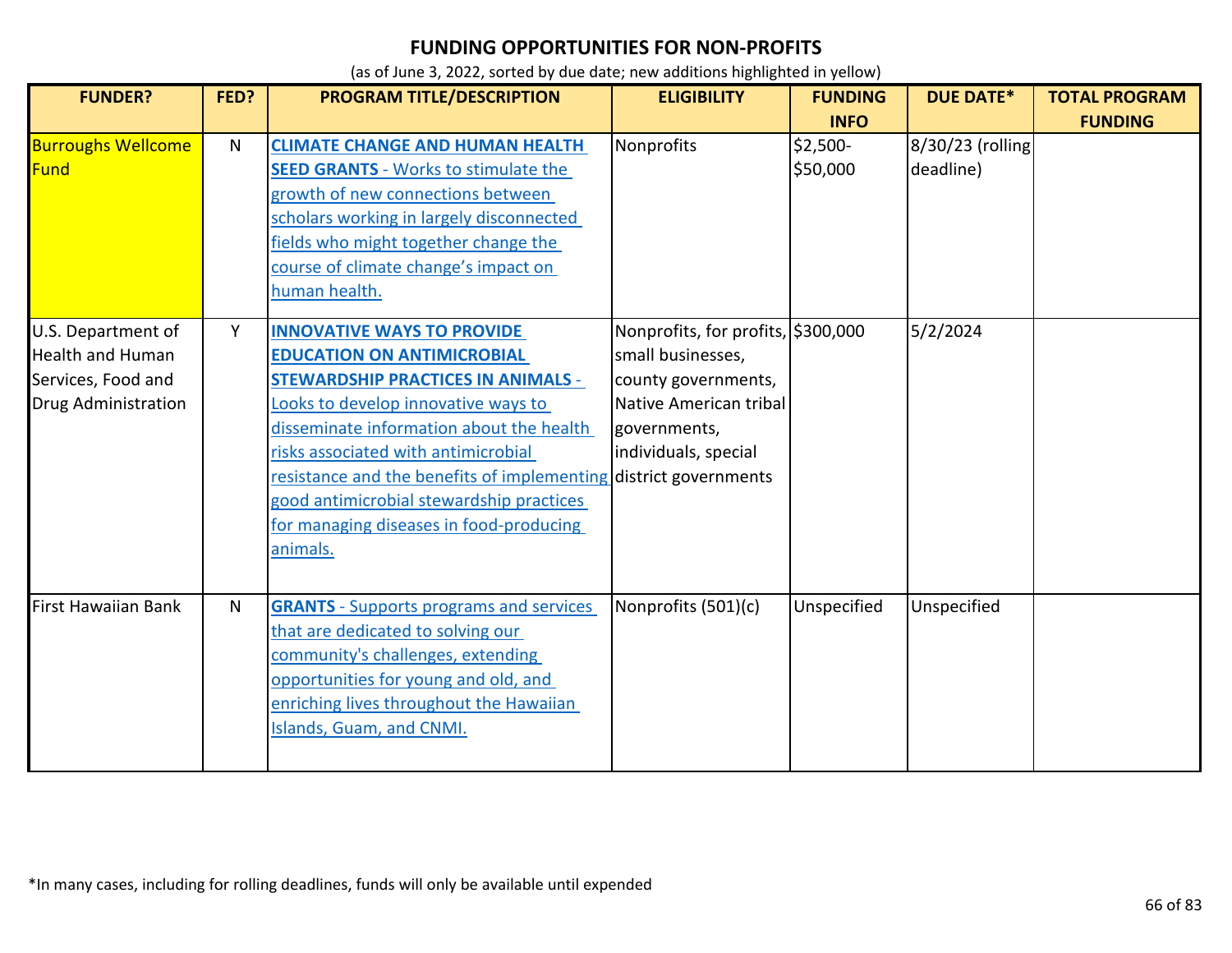| <b>FUNDER?</b>                                                                                    | FED? | PROGRAM TITLE/DESCRIPTION                                                                                                                                                                                                                                                                                                                                                                                            | <b>ELIGIBILITY</b>                                                                                                                               | <b>FUNDING</b>       | <b>DUE DATE*</b>              | <b>TOTAL PROGRAM</b> |
|---------------------------------------------------------------------------------------------------|------|----------------------------------------------------------------------------------------------------------------------------------------------------------------------------------------------------------------------------------------------------------------------------------------------------------------------------------------------------------------------------------------------------------------------|--------------------------------------------------------------------------------------------------------------------------------------------------|----------------------|-------------------------------|----------------------|
|                                                                                                   |      |                                                                                                                                                                                                                                                                                                                                                                                                                      |                                                                                                                                                  | <b>INFO</b>          |                               | <b>FUNDING</b>       |
| <b>Burroughs Wellcome</b><br>Fund                                                                 | N.   | <b>CLIMATE CHANGE AND HUMAN HEALTH</b><br><b>SEED GRANTS - Works to stimulate the</b><br>growth of new connections between<br>scholars working in largely disconnected<br>fields who might together change the<br>course of climate change's impact on<br>human health.                                                                                                                                              | Nonprofits                                                                                                                                       | \$2,500-<br>\$50,000 | 8/30/23 (rolling<br>deadline) |                      |
| U.S. Department of<br><b>Health and Human</b><br>Services, Food and<br><b>Drug Administration</b> | Y    | <b>INNOVATIVE WAYS TO PROVIDE</b><br><b>EDUCATION ON ANTIMICROBIAL</b><br><b>STEWARDSHIP PRACTICES IN ANIMALS -</b><br>Looks to develop innovative ways to<br>disseminate information about the health<br>risks associated with antimicrobial<br>resistance and the benefits of implementing district governments<br>good antimicrobial stewardship practices<br>for managing diseases in food-producing<br>animals. | Nonprofits, for profits, \$300,000<br>small businesses,<br>county governments,<br>Native American tribal<br>governments,<br>individuals, special |                      | 5/2/2024                      |                      |
| <b>First Hawaiian Bank</b>                                                                        | N    | <b>GRANTS</b> - Supports programs and services<br>that are dedicated to solving our<br>community's challenges, extending<br>opportunities for young and old, and<br>enriching lives throughout the Hawaiian<br><b>Islands, Guam, and CNMI.</b>                                                                                                                                                                       | Nonprofits (501)(c)                                                                                                                              | Unspecified          | Unspecified                   |                      |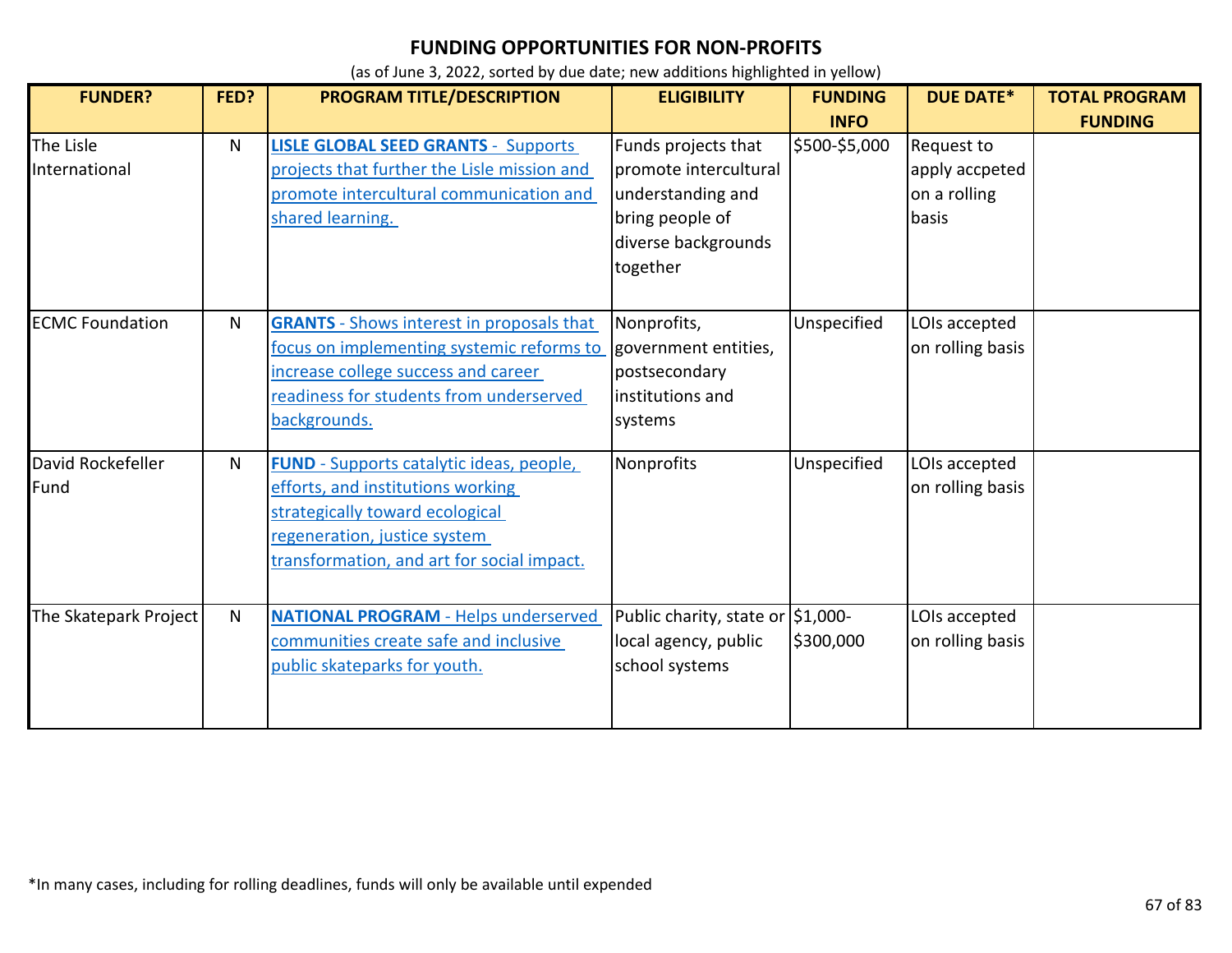| <b>FUNDER?</b>             | FED?         | PROGRAM TITLE/DESCRIPTION                                                                                                                                                                             | <b>ELIGIBILITY</b>                                                                                                      | <b>FUNDING</b><br><b>INFO</b> | <b>DUE DATE*</b>                                      | <b>TOTAL PROGRAM</b><br><b>FUNDING</b> |
|----------------------------|--------------|-------------------------------------------------------------------------------------------------------------------------------------------------------------------------------------------------------|-------------------------------------------------------------------------------------------------------------------------|-------------------------------|-------------------------------------------------------|----------------------------------------|
| The Lisle<br>International | $\mathsf{N}$ | <b>LISLE GLOBAL SEED GRANTS - Supports</b><br>projects that further the Lisle mission and<br>promote intercultural communication and<br>shared learning.                                              | Funds projects that<br>promote intercultural<br>understanding and<br>bring people of<br>diverse backgrounds<br>together | \$500-\$5,000                 | Request to<br>apply accpeted<br>on a rolling<br>basis |                                        |
| <b>ECMC Foundation</b>     | N            | <b>GRANTS</b> - Shows interest in proposals that<br>focus on implementing systemic reforms to<br>increase college success and career<br>readiness for students from underserved<br>backgrounds.       | Nonprofits,<br>government entities,<br>postsecondary<br>institutions and<br>systems                                     | Unspecified                   | LOIs accepted<br>on rolling basis                     |                                        |
| David Rockefeller<br>Fund  | N            | <b>FUND</b> - Supports catalytic ideas, people,<br>efforts, and institutions working<br>strategically toward ecological<br>regeneration, justice system<br>transformation, and art for social impact. | Nonprofits                                                                                                              | Unspecified                   | LOIs accepted<br>on rolling basis                     |                                        |
| The Skatepark Project      | N            | <b>NATIONAL PROGRAM - Helps underserved</b><br>communities create safe and inclusive<br>public skateparks for youth.                                                                                  | Public charity, state or \$1,000-<br>local agency, public<br>school systems                                             | \$300,000                     | LOIs accepted<br>on rolling basis                     |                                        |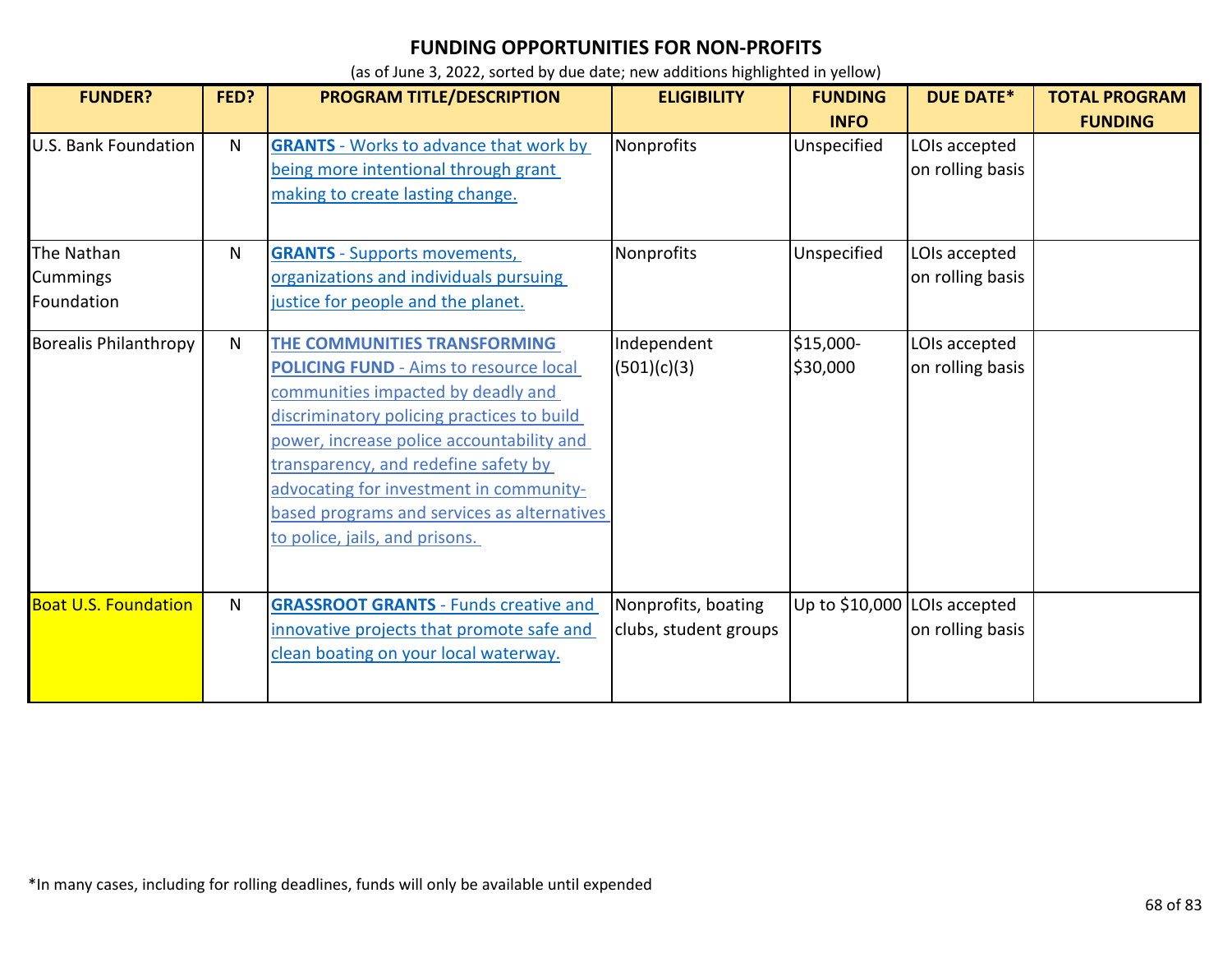| <b>FUNDER?</b>               | FED?         | PROGRAM TITLE/DESCRIPTION                     | <b>ELIGIBILITY</b>    | <b>FUNDING</b>               | <b>DUE DATE*</b> | <b>TOTAL PROGRAM</b> |
|------------------------------|--------------|-----------------------------------------------|-----------------------|------------------------------|------------------|----------------------|
|                              |              |                                               |                       | <b>INFO</b>                  |                  | <b>FUNDING</b>       |
| <b>U.S. Bank Foundation</b>  | N            | <b>GRANTS</b> - Works to advance that work by | Nonprofits            | Unspecified                  | LOIs accepted    |                      |
|                              |              | being more intentional through grant          |                       |                              | on rolling basis |                      |
|                              |              | making to create lasting change.              |                       |                              |                  |                      |
|                              |              |                                               |                       |                              |                  |                      |
| The Nathan                   | N            | <b>GRANTS</b> - Supports movements,           | Nonprofits            | Unspecified                  | LOIs accepted    |                      |
| Cummings                     |              | organizations and individuals pursuing        |                       |                              | on rolling basis |                      |
| Foundation                   |              | justice for people and the planet.            |                       |                              |                  |                      |
|                              |              |                                               |                       |                              |                  |                      |
| <b>Borealis Philanthropy</b> | $\mathsf{N}$ | THE COMMUNITIES TRANSFORMING                  | Independent           | \$15,000-                    | LOIs accepted    |                      |
|                              |              | <b>POLICING FUND - Aims to resource local</b> | (501)(c)(3)           | \$30,000                     | on rolling basis |                      |
|                              |              | communities impacted by deadly and            |                       |                              |                  |                      |
|                              |              | discriminatory policing practices to build    |                       |                              |                  |                      |
|                              |              | power, increase police accountability and     |                       |                              |                  |                      |
|                              |              | transparency, and redefine safety by          |                       |                              |                  |                      |
|                              |              | advocating for investment in community-       |                       |                              |                  |                      |
|                              |              | based programs and services as alternatives   |                       |                              |                  |                      |
|                              |              | to police, jails, and prisons.                |                       |                              |                  |                      |
|                              |              |                                               |                       |                              |                  |                      |
| <b>Boat U.S. Foundation</b>  | N            | <b>GRASSROOT GRANTS - Funds creative and</b>  | Nonprofits, boating   | Up to \$10,000 LOIs accepted |                  |                      |
|                              |              | innovative projects that promote safe and     | clubs, student groups |                              | on rolling basis |                      |
|                              |              | clean boating on your local waterway.         |                       |                              |                  |                      |
|                              |              |                                               |                       |                              |                  |                      |
|                              |              |                                               |                       |                              |                  |                      |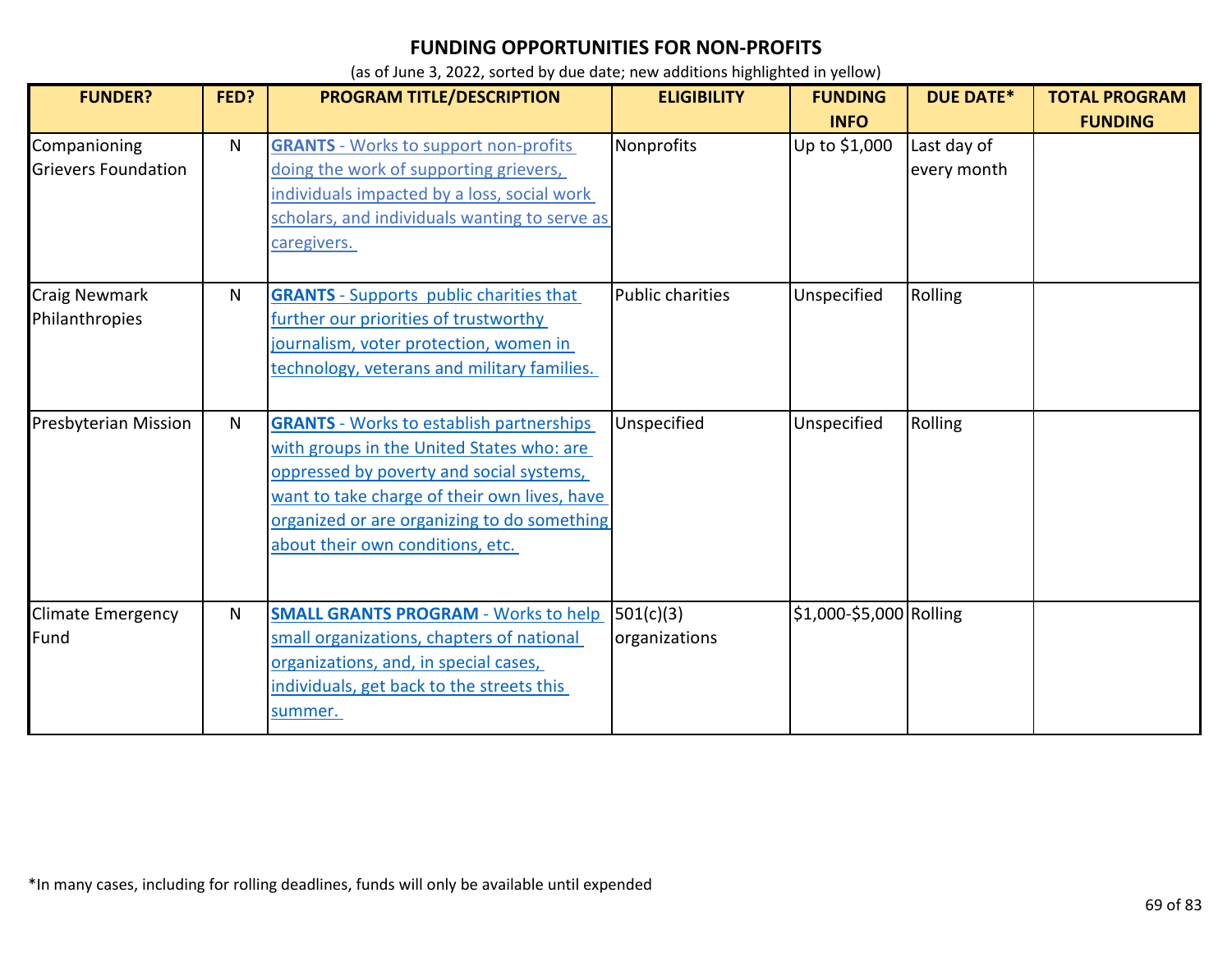| <b>FUNDER?</b>                             | FED? | <b>PROGRAM TITLE/DESCRIPTION</b>                                                                                                                                                                                                                                            | <b>ELIGIBILITY</b>         | <b>FUNDING</b><br><b>INFO</b> | <b>DUE DATE*</b>           | <b>TOTAL PROGRAM</b><br><b>FUNDING</b> |
|--------------------------------------------|------|-----------------------------------------------------------------------------------------------------------------------------------------------------------------------------------------------------------------------------------------------------------------------------|----------------------------|-------------------------------|----------------------------|----------------------------------------|
| Companioning<br><b>Grievers Foundation</b> | N    | <b>GRANTS</b> - Works to support non-profits<br>doing the work of supporting grievers,<br>individuals impacted by a loss, social work<br>scholars, and individuals wanting to serve as<br>caregivers.                                                                       | Nonprofits                 | Up to \$1,000                 | Last day of<br>every month |                                        |
| <b>Craig Newmark</b><br>Philanthropies     | N    | <b>GRANTS</b> - Supports public charities that<br>further our priorities of trustworthy<br>journalism, voter protection, women in<br>technology, veterans and military families.                                                                                            | <b>Public charities</b>    | Unspecified                   | Rolling                    |                                        |
| <b>Presbyterian Mission</b>                | N    | <b>GRANTS</b> - Works to establish partnerships<br>with groups in the United States who: are<br>oppressed by poverty and social systems,<br>want to take charge of their own lives, have<br>organized or are organizing to do something<br>about their own conditions, etc. | Unspecified                | Unspecified                   | Rolling                    |                                        |
| <b>Climate Emergency</b><br>Fund           | Ν    | <b>SMALL GRANTS PROGRAM - Works to help</b><br>small organizations, chapters of national<br>organizations, and, in special cases,<br>individuals, get back to the streets this<br>summer.                                                                                   | 501(c)(3)<br>organizations | \$1,000-\$5,000 Rolling       |                            |                                        |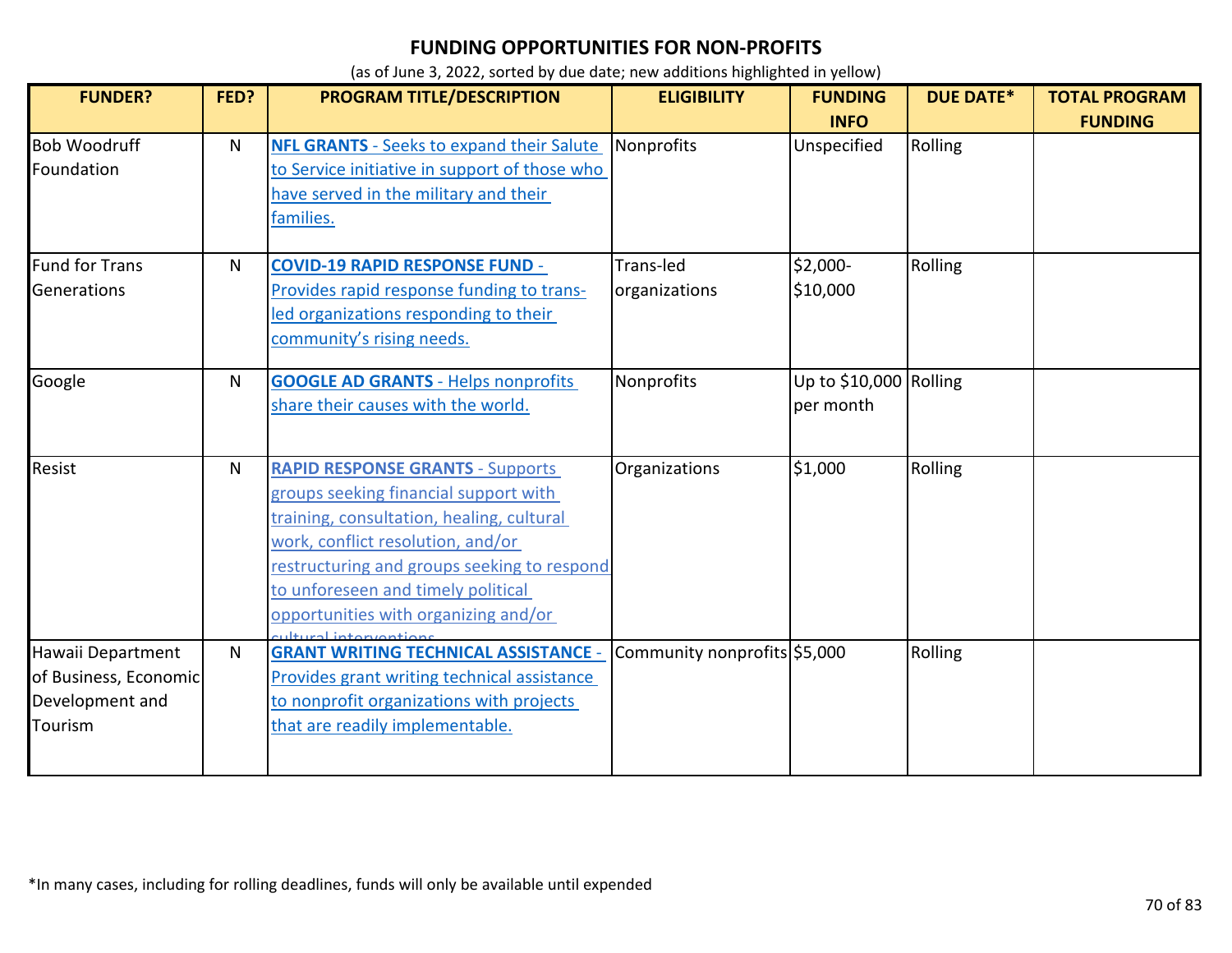| <b>FUNDER?</b>                                                           | FED? | PROGRAM TITLE/DESCRIPTION                                                                                                                                                                                                                                                                                                     | <b>ELIGIBILITY</b>           | <b>FUNDING</b>                      | <b>DUE DATE*</b> | <b>TOTAL PROGRAM</b> |
|--------------------------------------------------------------------------|------|-------------------------------------------------------------------------------------------------------------------------------------------------------------------------------------------------------------------------------------------------------------------------------------------------------------------------------|------------------------------|-------------------------------------|------------------|----------------------|
|                                                                          |      |                                                                                                                                                                                                                                                                                                                               |                              | <b>INFO</b>                         |                  | <b>FUNDING</b>       |
| <b>Bob Woodruff</b><br>Foundation                                        | N    | <b>NFL GRANTS</b> - Seeks to expand their Salute<br>to Service initiative in support of those who<br>have served in the military and their<br>families.                                                                                                                                                                       | Nonprofits                   | Unspecified                         | Rolling          |                      |
| Fund for Trans<br>Generations                                            | N    | <b>COVID-19 RAPID RESPONSE FUND -</b><br>Provides rapid response funding to trans-<br>led organizations responding to their<br>community's rising needs.                                                                                                                                                                      | Trans-led<br>organizations   | \$2,000-<br>\$10,000                | Rolling          |                      |
| Google                                                                   | N    | <b>GOOGLE AD GRANTS - Helps nonprofits</b><br>share their causes with the world.                                                                                                                                                                                                                                              | Nonprofits                   | Up to \$10,000 Rolling<br>per month |                  |                      |
| <b>Resist</b>                                                            | N    | <b>RAPID RESPONSE GRANTS - Supports</b><br>groups seeking financial support with<br>training, consultation, healing, cultural<br>work, conflict resolution, and/or<br>restructuring and groups seeking to respond<br>to unforeseen and timely political<br>opportunities with organizing and/or<br><b>Itural</b> intervention | Organizations                | \$1,000                             | Rolling          |                      |
| Hawaii Department<br>of Business, Economic<br>Development and<br>Tourism | N    | <b>GRANT WRITING TECHNICAL ASSISTANCE -</b><br>Provides grant writing technical assistance<br>to nonprofit organizations with projects<br>that are readily implementable.                                                                                                                                                     | Community nonprofits \$5,000 |                                     | Rolling          |                      |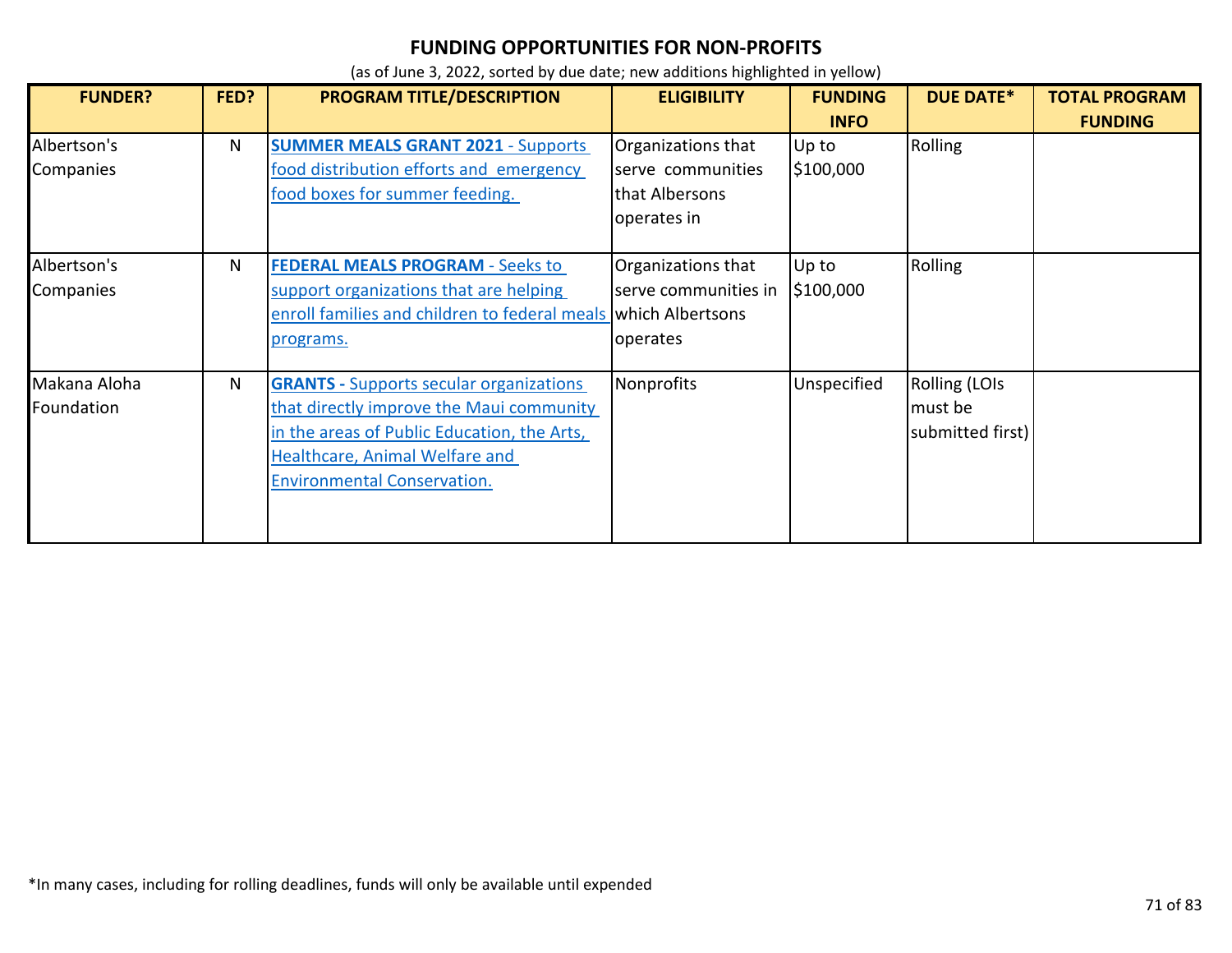| <b>FUNDER?</b>             | FED? | <b>PROGRAM TITLE/DESCRIPTION</b>                                                                                                                                                                                  | <b>ELIGIBILITY</b>                                                       | <b>FUNDING</b><br><b>INFO</b> | <b>DUE DATE*</b>                             | <b>TOTAL PROGRAM</b><br><b>FUNDING</b> |
|----------------------------|------|-------------------------------------------------------------------------------------------------------------------------------------------------------------------------------------------------------------------|--------------------------------------------------------------------------|-------------------------------|----------------------------------------------|----------------------------------------|
| Albertson's<br>Companies   | N.   | <b>SUMMER MEALS GRANT 2021 - Supports</b><br>food distribution efforts and emergency<br>food boxes for summer feeding.                                                                                            | Organizations that<br>serve communities<br>that Albersons<br>operates in | Up to<br>\$100,000            | Rolling                                      |                                        |
| Albertson's<br>Companies   | N    | <b>FEDERAL MEALS PROGRAM - Seeks to</b><br>support organizations that are helping<br>enroll families and children to federal meals which Albertsons<br>programs.                                                  | Organizations that<br>serve communities in<br>operates                   | Up to<br>\$100,000            | Rolling                                      |                                        |
| Makana Aloha<br>Foundation | N    | <b>GRANTS</b> - Supports secular organizations<br>that directly improve the Maui community<br>in the areas of Public Education, the Arts,<br>Healthcare, Animal Welfare and<br><b>Environmental Conservation.</b> | Nonprofits                                                               | Unspecified                   | Rolling (LOIs<br>must be<br>submitted first) |                                        |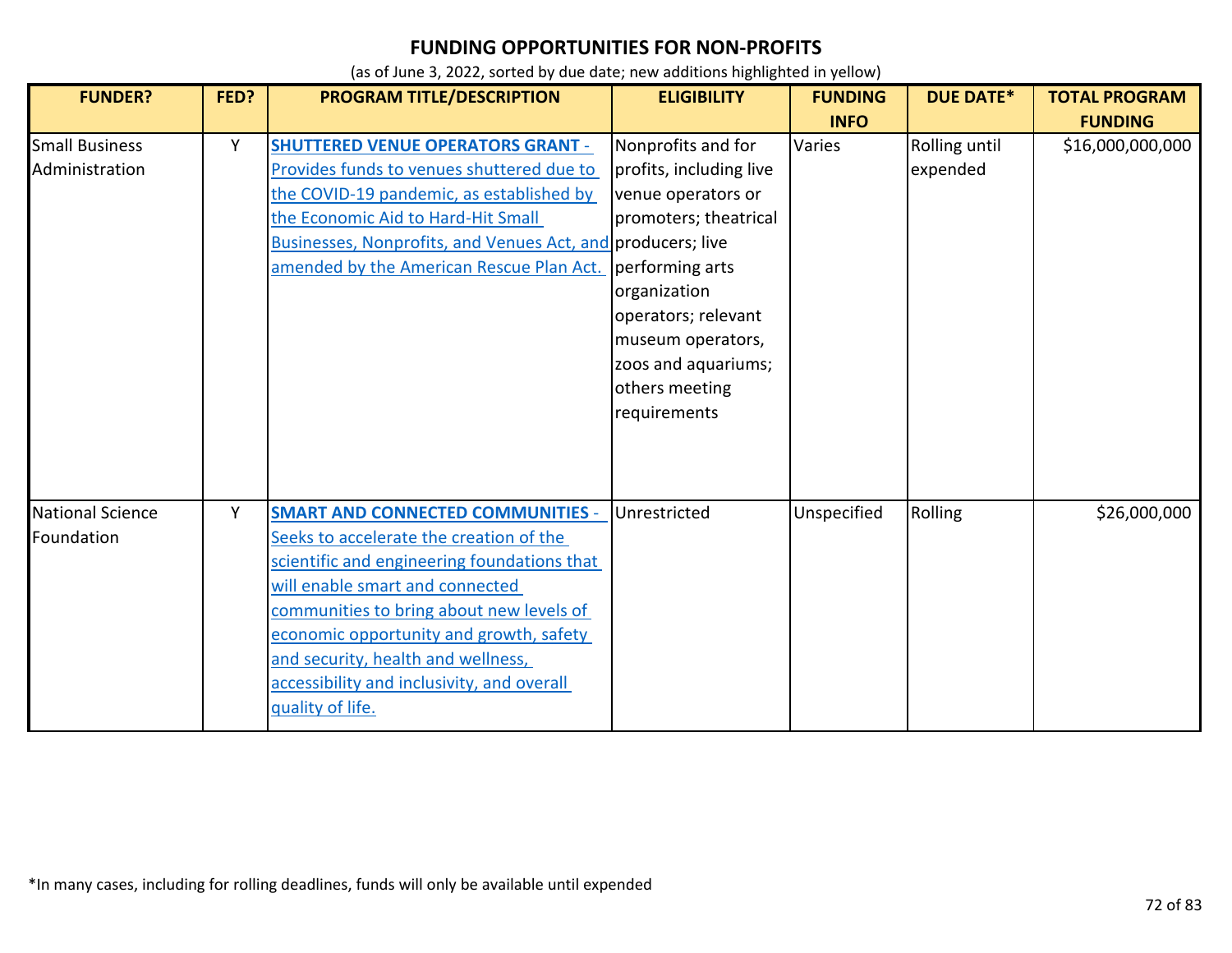| <b>FUNDER?</b>                          | FED? | PROGRAM TITLE/DESCRIPTION                                                                                                                                                                                                                                                                                                                                            | <b>ELIGIBILITY</b>                                                                                                                                                                                                                   | <b>FUNDING</b><br><b>INFO</b> | <b>DUE DATE*</b>          | <b>TOTAL PROGRAM</b><br><b>FUNDING</b> |
|-----------------------------------------|------|----------------------------------------------------------------------------------------------------------------------------------------------------------------------------------------------------------------------------------------------------------------------------------------------------------------------------------------------------------------------|--------------------------------------------------------------------------------------------------------------------------------------------------------------------------------------------------------------------------------------|-------------------------------|---------------------------|----------------------------------------|
| <b>Small Business</b><br>Administration | Υ    | <b>SHUTTERED VENUE OPERATORS GRANT -</b><br>Provides funds to venues shuttered due to<br>the COVID-19 pandemic, as established by<br>the Economic Aid to Hard-Hit Small<br>Businesses, Nonprofits, and Venues Act, and producers; live<br>amended by the American Rescue Plan Act.                                                                                   | Nonprofits and for<br>profits, including live<br>venue operators or<br>promoters; theatrical<br>performing arts<br>organization<br>operators; relevant<br>museum operators,<br>zoos and aquariums;<br>others meeting<br>requirements | Varies                        | Rolling until<br>expended | \$16,000,000,000                       |
| <b>National Science</b><br>Foundation   | Y    | <b>SMART AND CONNECTED COMMUNITIES -</b><br>Seeks to accelerate the creation of the<br>scientific and engineering foundations that<br>will enable smart and connected<br>communities to bring about new levels of<br>economic opportunity and growth, safety<br>and security, health and wellness,<br>accessibility and inclusivity, and overall<br>quality of life. | Unrestricted                                                                                                                                                                                                                         | Unspecified                   | Rolling                   | \$26,000,000                           |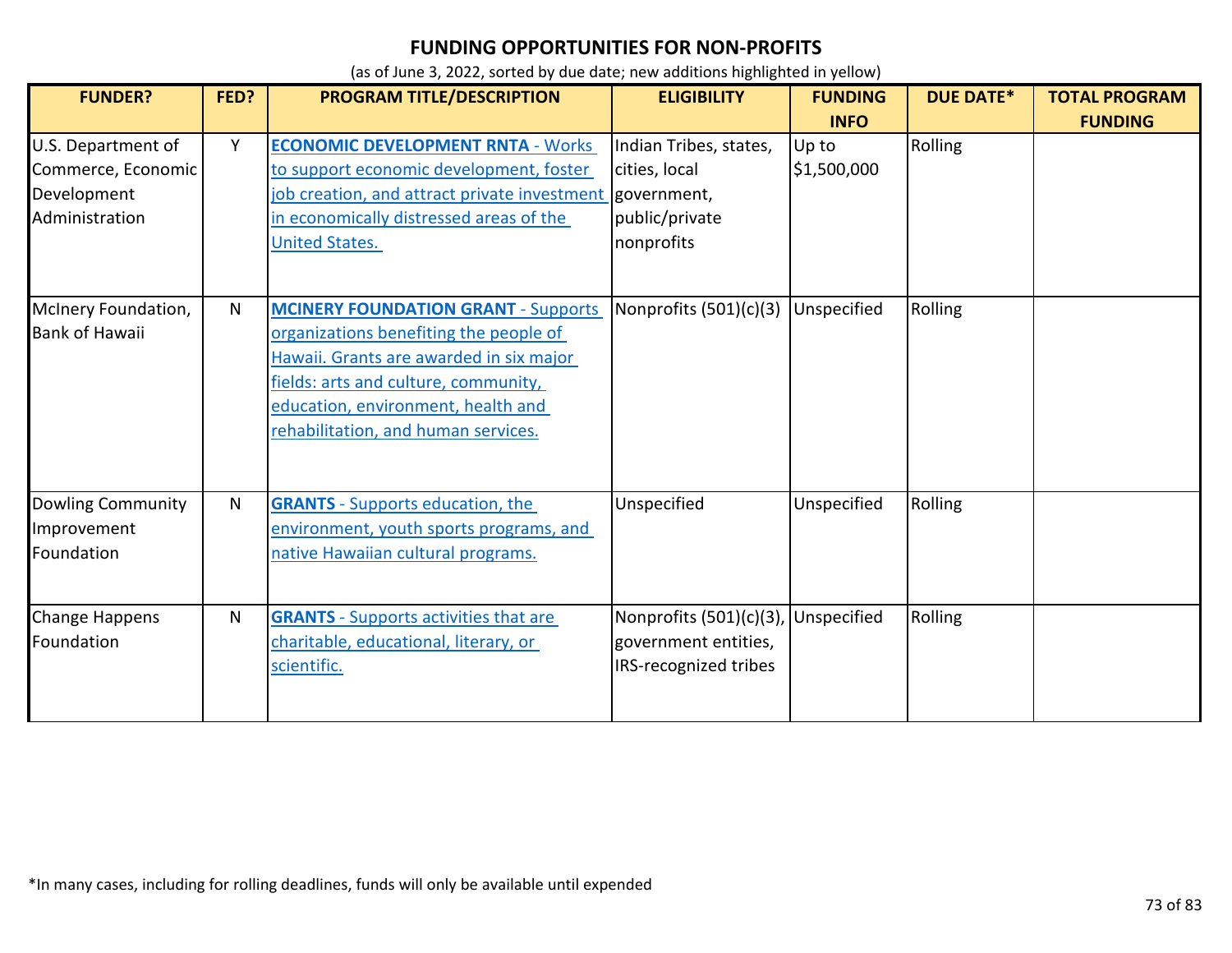| <b>FUNDER?</b>                                                            | FED?         | PROGRAM TITLE/DESCRIPTION                                                                                                                                                                                                                            | <b>ELIGIBILITY</b>                                                                     | <b>FUNDING</b>                      | <b>DUE DATE*</b> | <b>TOTAL PROGRAM</b> |
|---------------------------------------------------------------------------|--------------|------------------------------------------------------------------------------------------------------------------------------------------------------------------------------------------------------------------------------------------------------|----------------------------------------------------------------------------------------|-------------------------------------|------------------|----------------------|
| U.S. Department of<br>Commerce, Economic<br>Development<br>Administration | Y            | <b>ECONOMIC DEVELOPMENT RNTA - Works</b><br>to support economic development, foster<br>job creation, and attract private investment<br>in economically distressed areas of the<br><b>United States.</b>                                              | Indian Tribes, states,<br>cities, local<br>government,<br>public/private<br>nonprofits | <b>INFO</b><br>Up to<br>\$1,500,000 | Rolling          | <b>FUNDING</b>       |
| McInery Foundation,<br><b>Bank of Hawaii</b>                              | $\mathsf{N}$ | <b>MCINERY FOUNDATION GRANT - Supports</b><br>organizations benefiting the people of<br>Hawaii. Grants are awarded in six major<br>fields: arts and culture, community,<br>education, environment, health and<br>rehabilitation, and human services. | Nonprofits (501)(c)(3)                                                                 | Unspecified                         | Rolling          |                      |
| Dowling Community<br>Improvement<br>Foundation                            | N            | <b>GRANTS</b> - Supports education, the<br>environment, youth sports programs, and<br>native Hawaiian cultural programs.                                                                                                                             | Unspecified                                                                            | Unspecified                         | Rolling          |                      |
| Change Happens<br>Foundation                                              | N            | <b>GRANTS</b> - Supports activities that are<br>charitable, educational, literary, or<br>scientific.                                                                                                                                                 | Nonprofits (501)(c)(3),<br>government entities,<br>IRS-recognized tribes               | Unspecified                         | Rolling          |                      |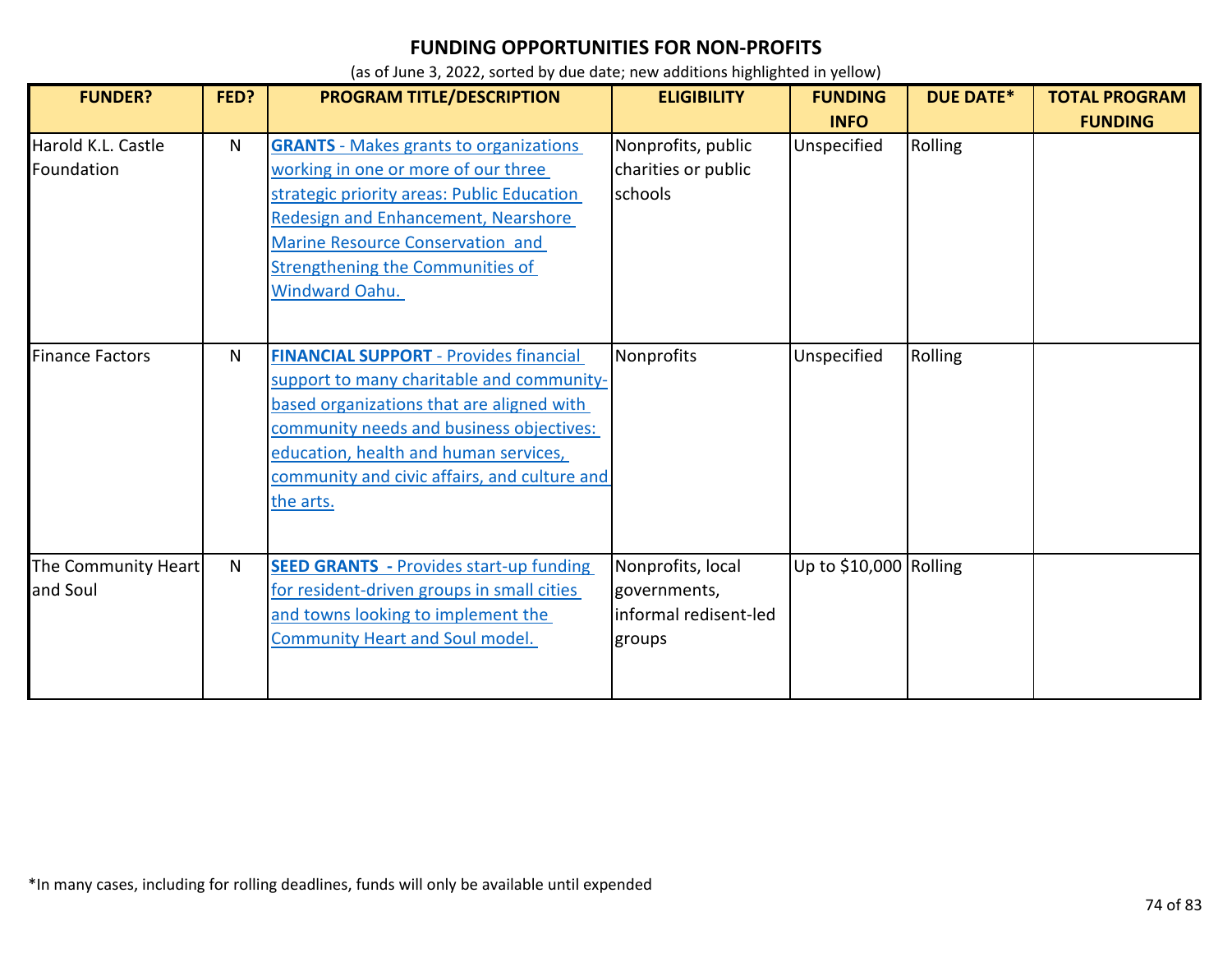| <b>FUNDER?</b>                   | FED? | <b>PROGRAM TITLE/DESCRIPTION</b>                                                                                                                                                                                                                                                          | <b>ELIGIBILITY</b>                                                   | <b>FUNDING</b>             | <b>DUE DATE*</b> | <b>TOTAL PROGRAM</b> |
|----------------------------------|------|-------------------------------------------------------------------------------------------------------------------------------------------------------------------------------------------------------------------------------------------------------------------------------------------|----------------------------------------------------------------------|----------------------------|------------------|----------------------|
| Harold K.L. Castle<br>Foundation | N    | <b>GRANTS</b> - Makes grants to organizations<br>working in one or more of our three<br>strategic priority areas: Public Education<br><b>Redesign and Enhancement, Nearshore</b><br>Marine Resource Conservation and<br><b>Strengthening the Communities of</b><br><b>Windward Oahu.</b>  | Nonprofits, public<br>charities or public<br>schools                 | <b>INFO</b><br>Unspecified | Rolling          | <b>FUNDING</b>       |
| <b>Finance Factors</b>           | N    | <b>FINANCIAL SUPPORT - Provides financial</b><br>support to many charitable and community-<br>based organizations that are aligned with<br>community needs and business objectives:<br>education, health and human services,<br>community and civic affairs, and culture and<br>the arts. | Nonprofits                                                           | Unspecified                | Rolling          |                      |
| The Community Heart<br>and Soul  | N    | <b>SEED GRANTS</b> - Provides start-up funding<br>for resident-driven groups in small cities<br>and towns looking to implement the<br><b>Community Heart and Soul model.</b>                                                                                                              | Nonprofits, local<br>governments,<br>informal redisent-led<br>groups | Up to \$10,000 Rolling     |                  |                      |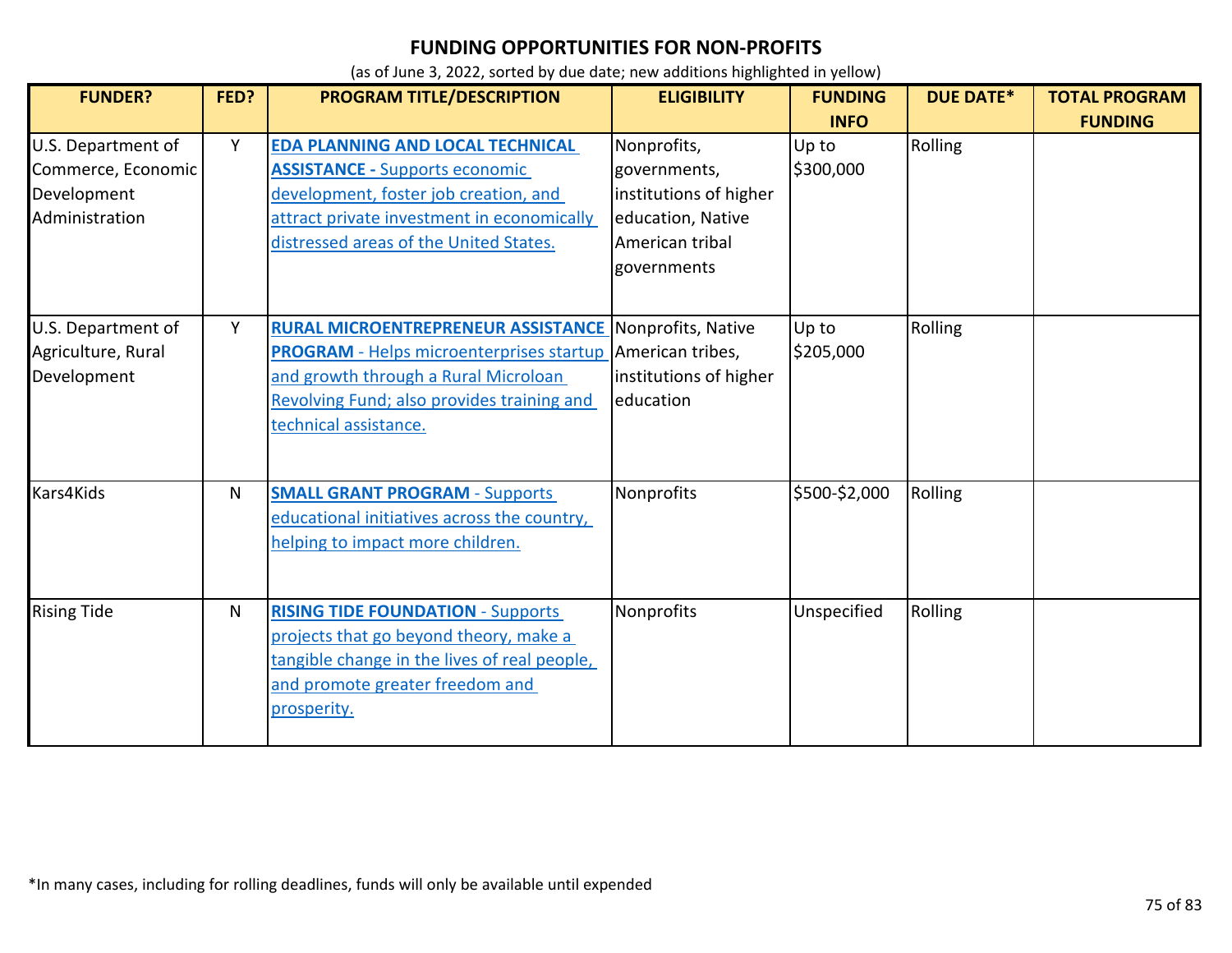| <b>FUNDER?</b>                                                            | FED? | PROGRAM TITLE/DESCRIPTION                                                                                                                                                                                                                       | <b>ELIGIBILITY</b>                                                                                           | <b>FUNDING</b><br><b>INFO</b> | <b>DUE DATE*</b> | <b>TOTAL PROGRAM</b><br><b>FUNDING</b> |
|---------------------------------------------------------------------------|------|-------------------------------------------------------------------------------------------------------------------------------------------------------------------------------------------------------------------------------------------------|--------------------------------------------------------------------------------------------------------------|-------------------------------|------------------|----------------------------------------|
| U.S. Department of<br>Commerce, Economic<br>Development<br>Administration | Y    | EDA PLANNING AND LOCAL TECHNICAL<br><b>ASSISTANCE - Supports economic</b><br>development, foster job creation, and<br>attract private investment in economically<br>distressed areas of the United States.                                      | Nonprofits,<br>governments,<br>institutions of higher<br>education, Native<br>American tribal<br>governments | Up to<br>\$300,000            | Rolling          |                                        |
| U.S. Department of<br>Agriculture, Rural<br>Development                   | Y    | <b>RURAL MICROENTREPRENEUR ASSISTANCE Nonprofits, Native</b><br><b>PROGRAM</b> - Helps microenterprises startup American tribes,<br>and growth through a Rural Microloan<br>Revolving Fund; also provides training and<br>technical assistance. | institutions of higher<br>education                                                                          | Up to<br>\$205,000            | Rolling          |                                        |
| Kars4Kids                                                                 | N.   | <b>SMALL GRANT PROGRAM - Supports</b><br>educational initiatives across the country,<br>helping to impact more children.                                                                                                                        | Nonprofits                                                                                                   | \$500-\$2,000                 | Rolling          |                                        |
| <b>Rising Tide</b>                                                        | N    | <b>RISING TIDE FOUNDATION - Supports</b><br>projects that go beyond theory, make a<br>tangible change in the lives of real people,<br>and promote greater freedom and<br>prosperity.                                                            | Nonprofits                                                                                                   | Unspecified                   | Rolling          |                                        |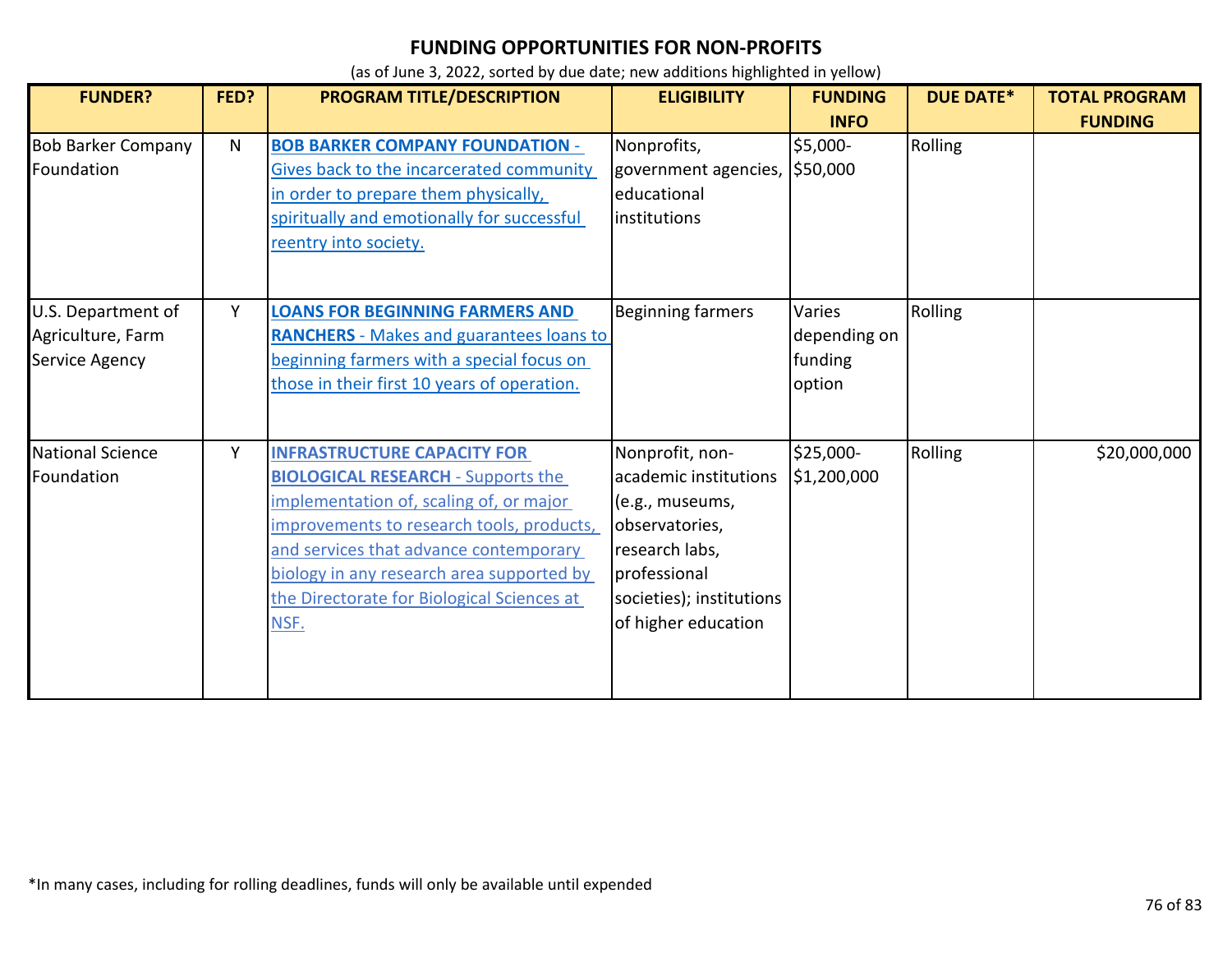| <b>FUNDER?</b>                                            | FED? | PROGRAM TITLE/DESCRIPTION                                                                                                                                                                                                                                                                                            | <b>ELIGIBILITY</b>                                                                                                                                                 | <b>FUNDING</b>                              | <b>DUE DATE*</b> | <b>TOTAL PROGRAM</b> |
|-----------------------------------------------------------|------|----------------------------------------------------------------------------------------------------------------------------------------------------------------------------------------------------------------------------------------------------------------------------------------------------------------------|--------------------------------------------------------------------------------------------------------------------------------------------------------------------|---------------------------------------------|------------------|----------------------|
|                                                           |      |                                                                                                                                                                                                                                                                                                                      |                                                                                                                                                                    | <b>INFO</b>                                 |                  | <b>FUNDING</b>       |
| <b>Bob Barker Company</b><br>Foundation                   | N    | <b>BOB BARKER COMPANY FOUNDATION -</b><br>Gives back to the incarcerated community<br>in order to prepare them physically,<br>spiritually and emotionally for successful<br>reentry into society.                                                                                                                    | Nonprofits,<br>government agencies, \$50,000<br>educational<br>institutions                                                                                        | \$5,000-                                    | Rolling          |                      |
| U.S. Department of<br>Agriculture, Farm<br>Service Agency | Y    | <b>LOANS FOR BEGINNING FARMERS AND</b><br><b>RANCHERS</b> - Makes and guarantees loans to<br>beginning farmers with a special focus on<br>those in their first 10 years of operation.                                                                                                                                | <b>Beginning farmers</b>                                                                                                                                           | Varies<br>depending on<br>funding<br>option | Rolling          |                      |
| <b>National Science</b><br>Foundation                     | Y    | <b>INFRASTRUCTURE CAPACITY FOR</b><br><b>BIOLOGICAL RESEARCH - Supports the</b><br>implementation of, scaling of, or major<br>improvements to research tools, products,<br>and services that advance contemporary<br>biology in any research area supported by<br>the Directorate for Biological Sciences at<br>NSF. | Nonprofit, non-<br>academic institutions<br>(e.g., museums,<br>observatories,<br>research labs,<br>professional<br>societies); institutions<br>of higher education | \$25,000-<br>\$1,200,000                    | Rolling          | \$20,000,000         |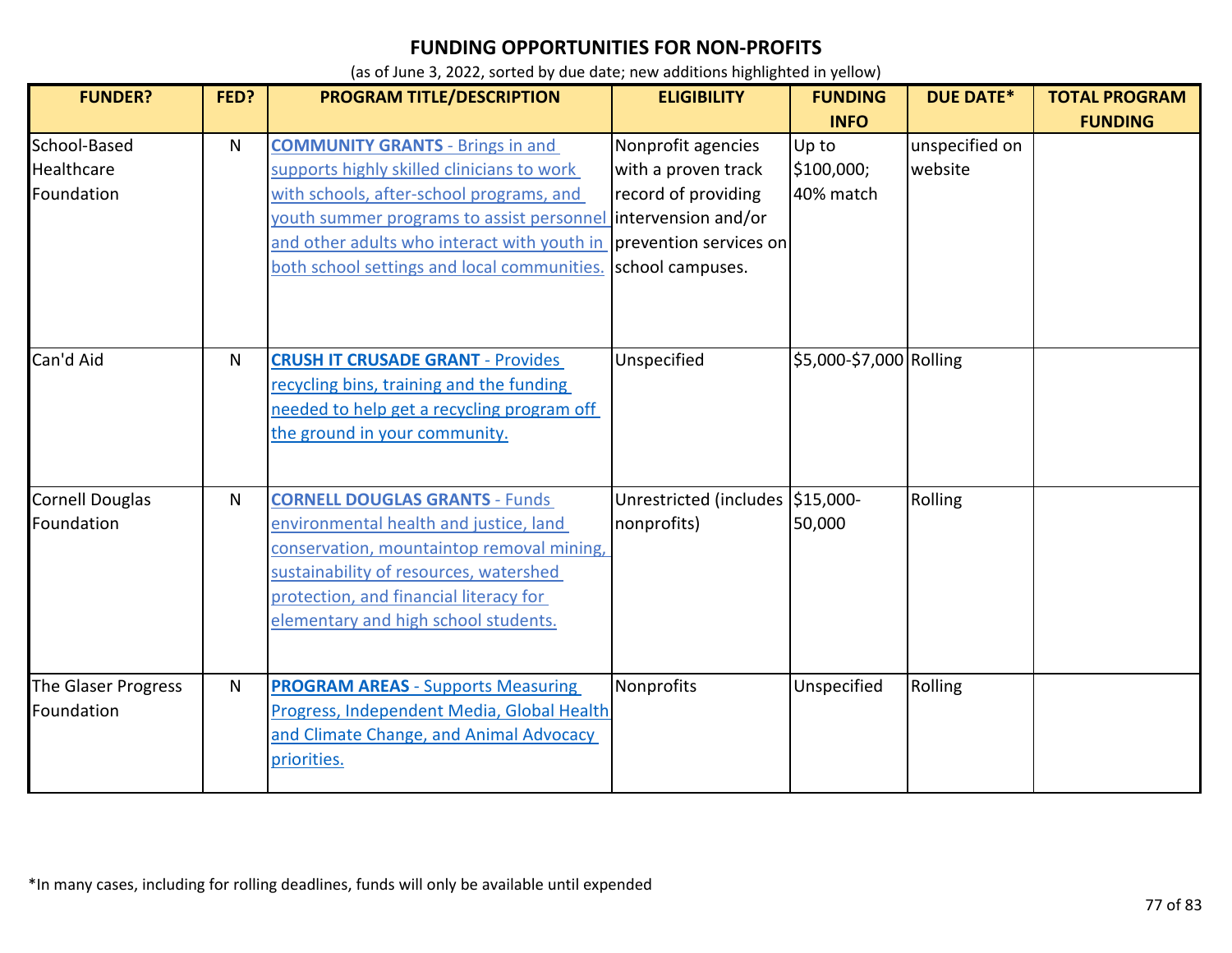| <b>FUNDER?</b>                           | FED? | <b>PROGRAM TITLE/DESCRIPTION</b>                                                                                                                                                                                                                                                                                        | <b>ELIGIBILITY</b>                                                                   | <b>FUNDING</b>                                  | <b>DUE DATE*</b>          | <b>TOTAL PROGRAM</b> |
|------------------------------------------|------|-------------------------------------------------------------------------------------------------------------------------------------------------------------------------------------------------------------------------------------------------------------------------------------------------------------------------|--------------------------------------------------------------------------------------|-------------------------------------------------|---------------------------|----------------------|
| School-Based<br>Healthcare<br>Foundation | N    | <b>COMMUNITY GRANTS - Brings in and</b><br>supports highly skilled clinicians to work<br>with schools, after-school programs, and<br>youth summer programs to assist personnel intervension and/or<br>and other adults who interact with youth in prevention services on<br>both school settings and local communities. | Nonprofit agencies<br>with a proven track<br>record of providing<br>school campuses. | <b>INFO</b><br>Up to<br>\$100,000;<br>40% match | unspecified on<br>website | <b>FUNDING</b>       |
| Can'd Aid                                | N    | <b>CRUSH IT CRUSADE GRANT - Provides</b><br>recycling bins, training and the funding<br>needed to help get a recycling program off<br>the ground in your community.                                                                                                                                                     | Unspecified                                                                          | \$5,000-\$7,000 Rolling                         |                           |                      |
| <b>Cornell Douglas</b><br>Foundation     | N    | <b>CORNELL DOUGLAS GRANTS - Funds</b><br>environmental health and justice, land<br>conservation, mountaintop removal mining,<br>sustainability of resources, watershed<br>protection, and financial literacy for<br>elementary and high school students.                                                                | Unrestricted (includes \$15,000-<br>nonprofits)                                      | 50,000                                          | Rolling                   |                      |
| The Glaser Progress<br>Foundation        | N    | <b>PROGRAM AREAS - Supports Measuring</b><br>Progress, Independent Media, Global Health<br>and Climate Change, and Animal Advocacy<br>priorities.                                                                                                                                                                       | Nonprofits                                                                           | Unspecified                                     | Rolling                   |                      |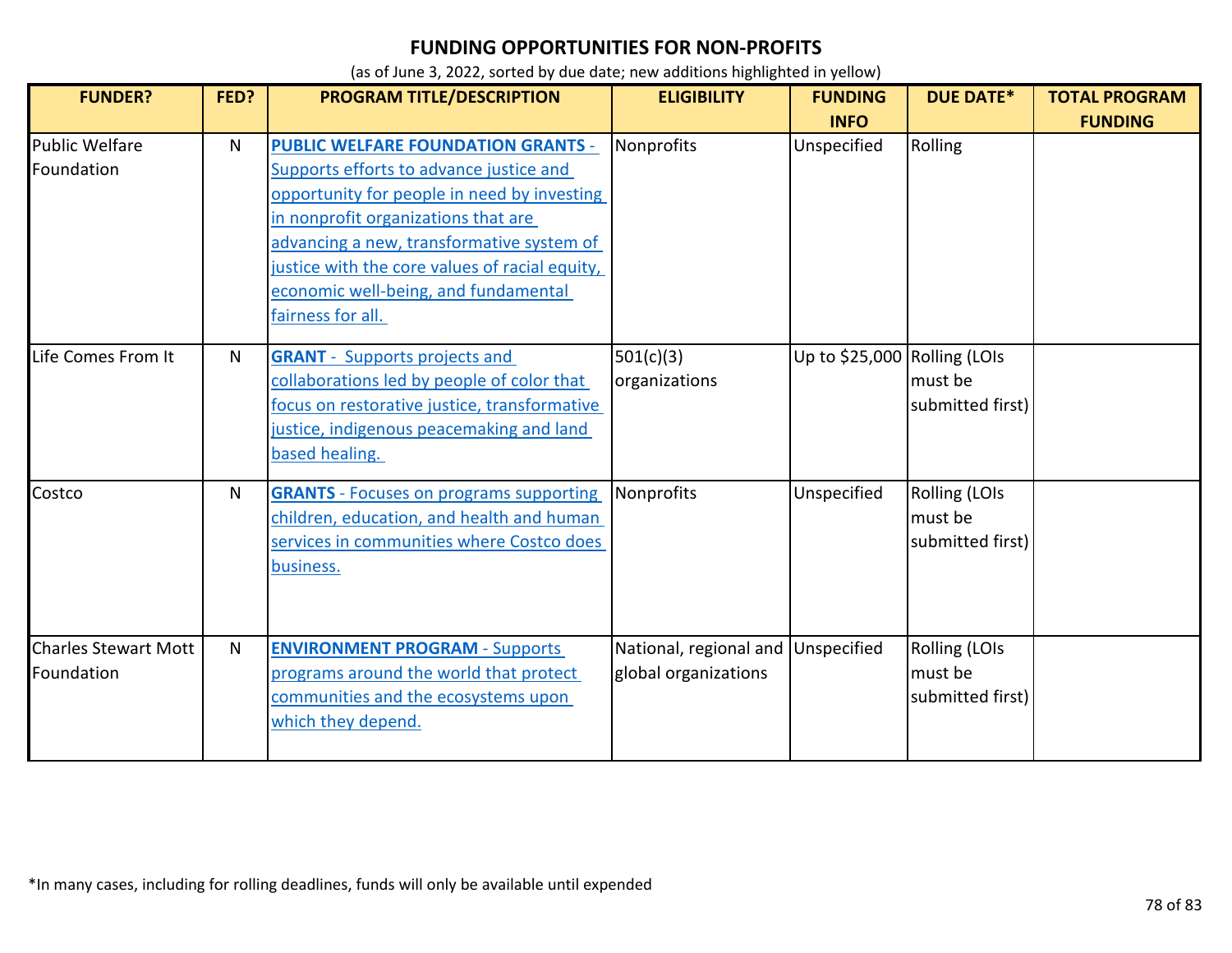| <b>FUNDER?</b>                            | FED?         | PROGRAM TITLE/DESCRIPTION                                                                                                                                                                                                                                                                                                              | <b>ELIGIBILITY</b>                             | <b>FUNDING</b><br><b>INFO</b> | <b>DUE DATE*</b>                                    | <b>TOTAL PROGRAM</b><br><b>FUNDING</b> |
|-------------------------------------------|--------------|----------------------------------------------------------------------------------------------------------------------------------------------------------------------------------------------------------------------------------------------------------------------------------------------------------------------------------------|------------------------------------------------|-------------------------------|-----------------------------------------------------|----------------------------------------|
| <b>Public Welfare</b><br>Foundation       | N            | <b>PUBLIC WELFARE FOUNDATION GRANTS -</b><br>Supports efforts to advance justice and<br>opportunity for people in need by investing<br>in nonprofit organizations that are<br>advancing a new, transformative system of<br>justice with the core values of racial equity,<br>economic well-being, and fundamental<br>fairness for all. | Nonprofits                                     | Unspecified                   | Rolling                                             |                                        |
| Life Comes From It                        | N            | <b>GRANT</b> - Supports projects and<br>collaborations led by people of color that<br>focus on restorative justice, transformative<br>justice, indigenous peacemaking and land<br>based healing.                                                                                                                                       | 501(c)(3)<br>organizations                     | Up to \$25,000 Rolling (LOIs  | must be<br>submitted first)                         |                                        |
| Costco                                    | N            | <b>GRANTS</b> - Focuses on programs supporting<br>children, education, and health and human<br>services in communities where Costco does<br>business.                                                                                                                                                                                  | Nonprofits                                     | Unspecified                   | <b>Rolling (LOIs</b><br>must be<br>submitted first) |                                        |
| <b>Charles Stewart Mott</b><br>Foundation | $\mathsf{N}$ | <b>ENVIRONMENT PROGRAM - Supports</b><br>programs around the world that protect<br>communities and the ecosystems upon<br>which they depend.                                                                                                                                                                                           | National, regional and<br>global organizations | Unspecified                   | Rolling (LOIs<br>must be<br>submitted first)        |                                        |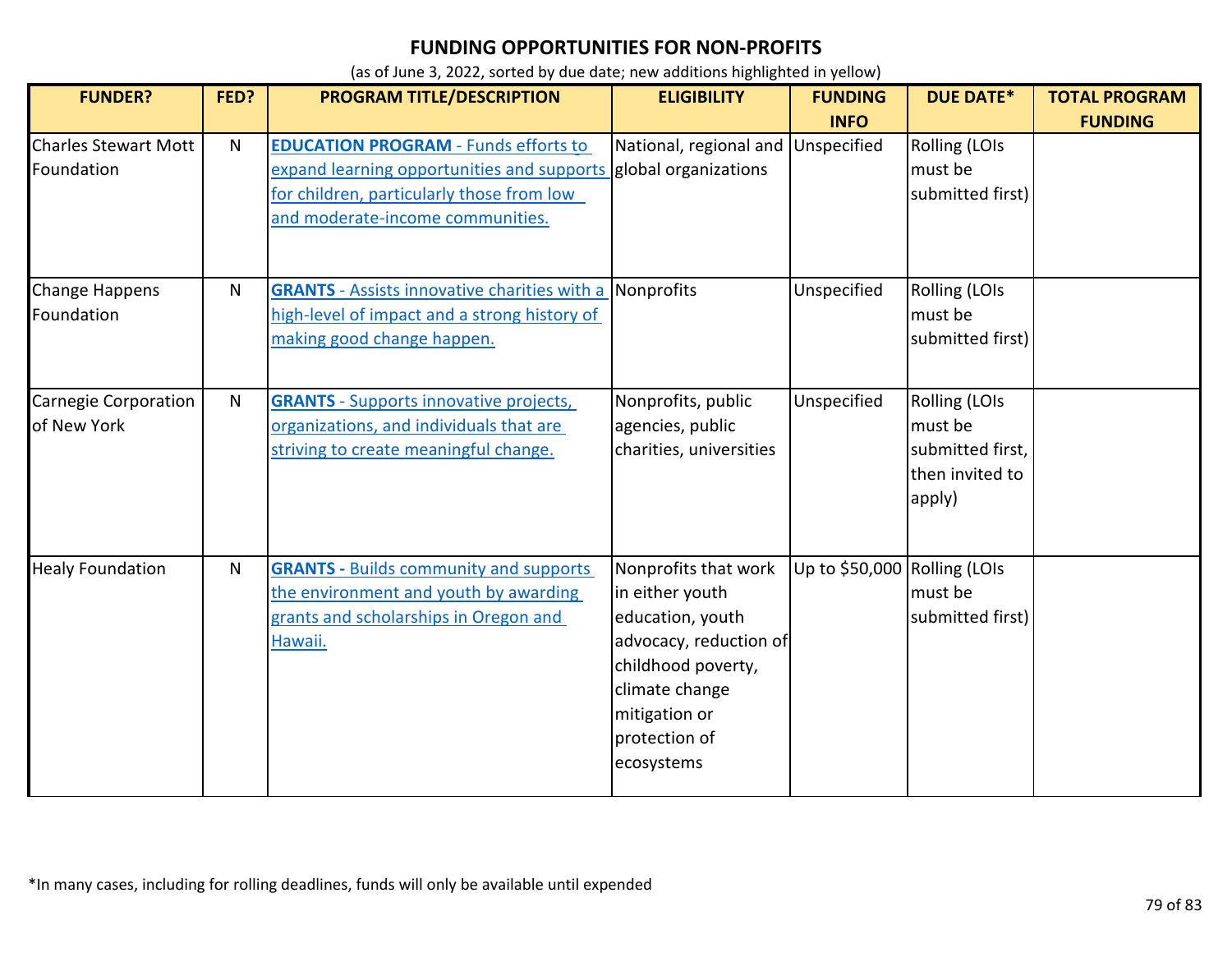| <b>FUNDER?</b>                             | FED?         | PROGRAM TITLE/DESCRIPTION                                                                                                                                                                       | <b>ELIGIBILITY</b>                                                                                                                                                            | <b>FUNDING</b><br><b>INFO</b> | <b>DUE DATE*</b>                                                                 | <b>TOTAL PROGRAM</b><br><b>FUNDING</b> |
|--------------------------------------------|--------------|-------------------------------------------------------------------------------------------------------------------------------------------------------------------------------------------------|-------------------------------------------------------------------------------------------------------------------------------------------------------------------------------|-------------------------------|----------------------------------------------------------------------------------|----------------------------------------|
| <b>Charles Stewart Mott</b><br>Foundation  | N.           | <b>EDUCATION PROGRAM - Funds efforts to</b><br>expand learning opportunities and supports global organizations<br>for children, particularly those from low<br>and moderate-income communities. | National, regional and                                                                                                                                                        | Unspecified                   | Rolling (LOIs<br>must be<br>submitted first)                                     |                                        |
| Change Happens<br>Foundation               | N            | <b>GRANTS</b> - Assists innovative charities with a Nonprofits<br>high-level of impact and a strong history of<br>making good change happen.                                                    |                                                                                                                                                                               | Unspecified                   | Rolling (LOIs<br>must be<br>submitted first)                                     |                                        |
| <b>Carnegie Corporation</b><br>of New York | $\mathsf{N}$ | <b>GRANTS</b> - Supports innovative projects,<br>organizations, and individuals that are<br>striving to create meaningful change.                                                               | Nonprofits, public<br>agencies, public<br>charities, universities                                                                                                             | Unspecified                   | <b>Rolling (LOIs</b><br>must be<br>submitted first,<br>then invited to<br>apply) |                                        |
| <b>Healy Foundation</b>                    | $\mathsf{N}$ | <b>GRANTS - Builds community and supports</b><br>the environment and youth by awarding<br>grants and scholarships in Oregon and<br>Hawaii.                                                      | Nonprofits that work<br>in either youth<br>education, youth<br>advocacy, reduction of<br>childhood poverty,<br>climate change<br>mitigation or<br>protection of<br>ecosystems | Up to \$50,000 Rolling (LOIs  | must be<br>submitted first)                                                      |                                        |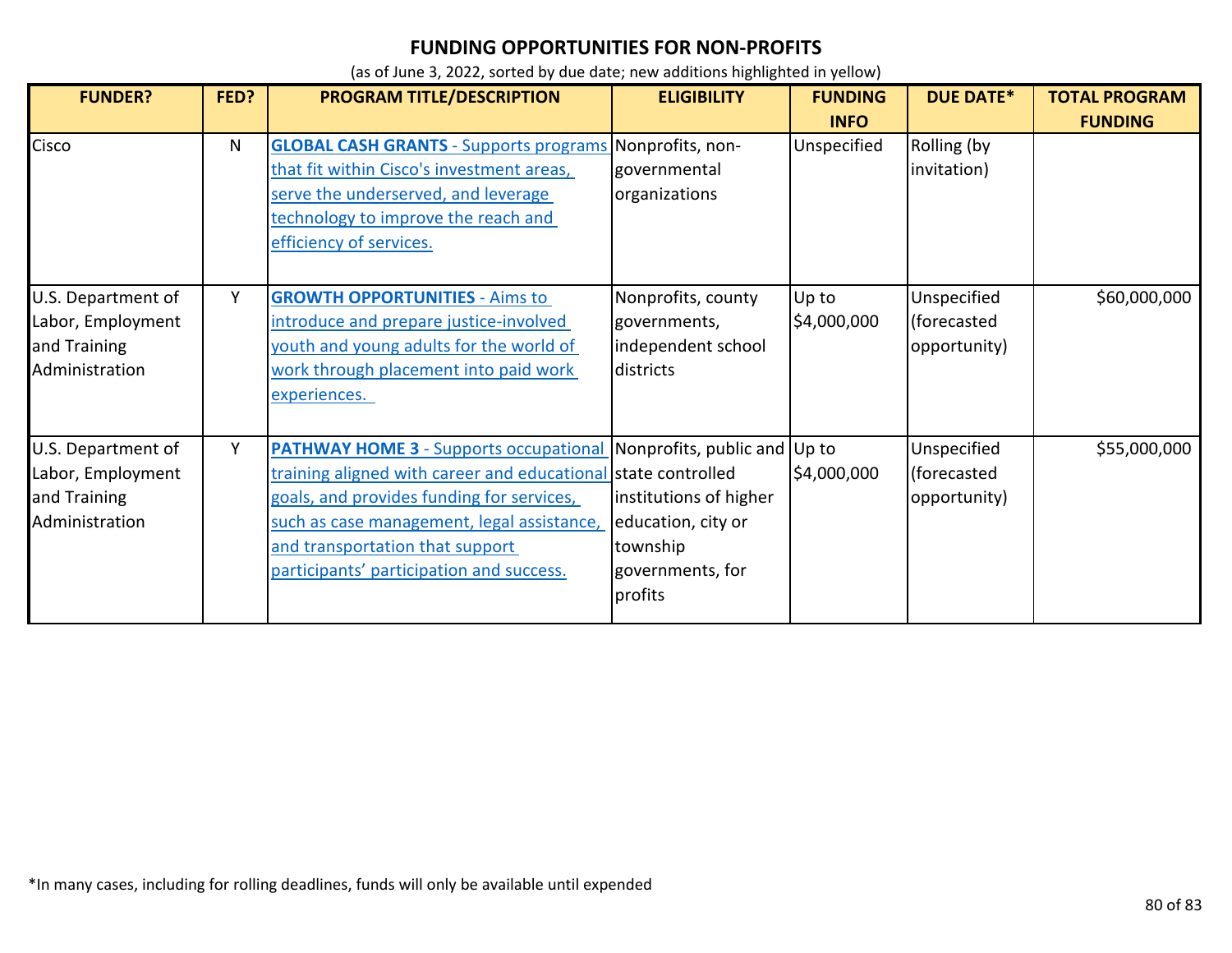| <b>FUNDER?</b>                                                            | FED? | PROGRAM TITLE/DESCRIPTION                                                                                                                                                                                                                                                                                             | <b>ELIGIBILITY</b>                                                                      | <b>FUNDING</b>       | <b>DUE DATE*</b>                           | <b>TOTAL PROGRAM</b> |
|---------------------------------------------------------------------------|------|-----------------------------------------------------------------------------------------------------------------------------------------------------------------------------------------------------------------------------------------------------------------------------------------------------------------------|-----------------------------------------------------------------------------------------|----------------------|--------------------------------------------|----------------------|
|                                                                           |      |                                                                                                                                                                                                                                                                                                                       |                                                                                         | <b>INFO</b>          |                                            | <b>FUNDING</b>       |
| Cisco                                                                     | N    | <b>GLOBAL CASH GRANTS - Supports programs Nonprofits, non-</b><br>that fit within Cisco's investment areas,<br>serve the underserved, and leverage<br>technology to improve the reach and<br>efficiency of services.                                                                                                  | governmental<br>organizations                                                           | Unspecified          | Rolling (by<br>invitation)                 |                      |
| U.S. Department of<br>Labor, Employment<br>and Training<br>Administration | Υ    | <b>GROWTH OPPORTUNITIES - Aims to</b><br>introduce and prepare justice-involved<br>youth and young adults for the world of<br>work through placement into paid work<br>experiences.                                                                                                                                   | Nonprofits, county<br>governments,<br>independent school<br>districts                   | Up to<br>\$4,000,000 | Unspecified<br>(forecasted<br>opportunity) | \$60,000,000         |
| U.S. Department of<br>Labor, Employment<br>and Training<br>Administration | Y    | <b>PATHWAY HOME 3</b> - Supports occupational Nonprofits, public and Up to<br>training aligned with career and educational state controlled<br>goals, and provides funding for services,<br>such as case management, legal assistance,<br>and transportation that support<br>participants' participation and success. | institutions of higher<br>education, city or<br>township<br>governments, for<br>profits | \$4,000,000          | Unspecified<br>(forecasted<br>opportunity) | \$55,000,000         |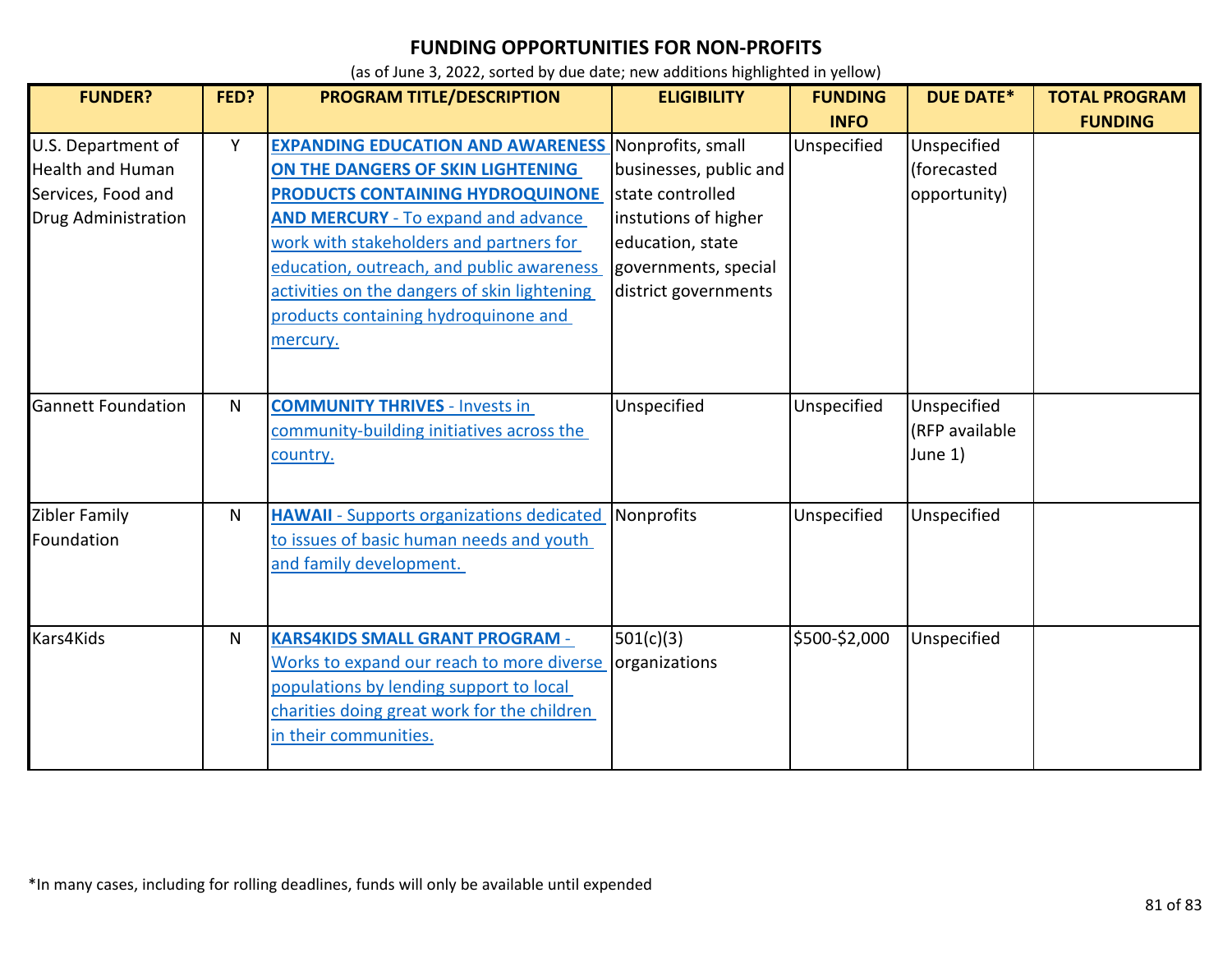| <b>FUNDER?</b>                                                                                    | FED?         | PROGRAM TITLE/DESCRIPTION                                                                                                                                                                                                                                                                                                                                                     | <b>ELIGIBILITY</b>                                                                                                                     | <b>FUNDING</b> | <b>DUE DATE*</b>                           | <b>TOTAL PROGRAM</b> |
|---------------------------------------------------------------------------------------------------|--------------|-------------------------------------------------------------------------------------------------------------------------------------------------------------------------------------------------------------------------------------------------------------------------------------------------------------------------------------------------------------------------------|----------------------------------------------------------------------------------------------------------------------------------------|----------------|--------------------------------------------|----------------------|
|                                                                                                   |              |                                                                                                                                                                                                                                                                                                                                                                               |                                                                                                                                        | <b>INFO</b>    |                                            | <b>FUNDING</b>       |
| U.S. Department of<br><b>Health and Human</b><br>Services, Food and<br><b>Drug Administration</b> | Y            | <b>EXPANDING EDUCATION AND AWARENESS Nonprofits, small</b><br>ON THE DANGERS OF SKIN LIGHTENING<br>PRODUCTS CONTAINING HYDROQUINONE<br><b>AND MERCURY</b> - To expand and advance<br>work with stakeholders and partners for<br>education, outreach, and public awareness<br>activities on the dangers of skin lightening<br>products containing hydroquinone and<br>mercury. | businesses, public and<br>state controlled<br>instutions of higher<br>education, state<br>governments, special<br>district governments | Unspecified    | Unspecified<br>(forecasted<br>opportunity) |                      |
| <b>Gannett Foundation</b>                                                                         | $\mathsf{N}$ | <b>COMMUNITY THRIVES - Invests in</b><br>community-building initiatives across the<br>country.                                                                                                                                                                                                                                                                                | Unspecified                                                                                                                            | Unspecified    | Unspecified<br>(RFP available<br>June 1)   |                      |
| Zibler Family<br>Foundation                                                                       | N            | <b>HAWAII</b> - Supports organizations dedicated<br>to issues of basic human needs and youth<br>and family development.                                                                                                                                                                                                                                                       | Nonprofits                                                                                                                             | Unspecified    | Unspecified                                |                      |
| Kars4Kids                                                                                         | $\mathsf{N}$ | <b>KARS4KIDS SMALL GRANT PROGRAM -</b><br>Works to expand our reach to more diverse<br>populations by lending support to local<br>charities doing great work for the children<br>in their communities.                                                                                                                                                                        | 501(c)(3)<br>organizations                                                                                                             | \$500-\$2,000  | Unspecified                                |                      |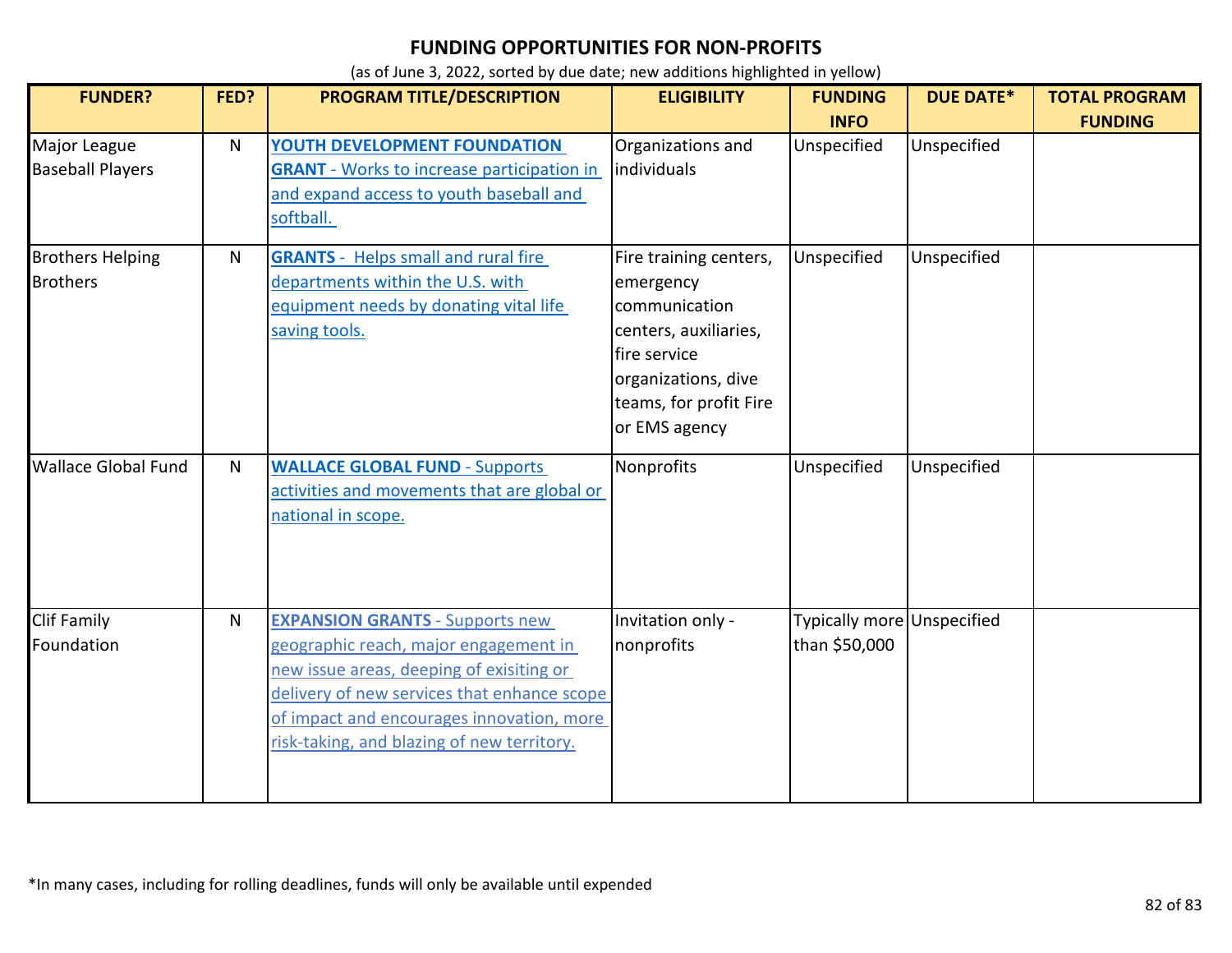| <b>FUNDER?</b>                             | FED?         | PROGRAM TITLE/DESCRIPTION                                                                                                                                                                                                                                             | <b>ELIGIBILITY</b>                                                                                                                                              | <b>FUNDING</b><br><b>INFO</b>               | <b>DUE DATE*</b> | <b>TOTAL PROGRAM</b><br><b>FUNDING</b> |
|--------------------------------------------|--------------|-----------------------------------------------------------------------------------------------------------------------------------------------------------------------------------------------------------------------------------------------------------------------|-----------------------------------------------------------------------------------------------------------------------------------------------------------------|---------------------------------------------|------------------|----------------------------------------|
| Major League<br><b>Baseball Players</b>    | N            | YOUTH DEVELOPMENT FOUNDATION<br><b>GRANT</b> - Works to increase participation in<br>and expand access to youth baseball and<br>softball.                                                                                                                             | Organizations and<br>individuals                                                                                                                                | Unspecified                                 | Unspecified      |                                        |
| <b>Brothers Helping</b><br><b>Brothers</b> | N            | <b>GRANTS</b> - Helps small and rural fire<br>departments within the U.S. with<br>equipment needs by donating vital life<br>saving tools.                                                                                                                             | Fire training centers,<br>emergency<br>communication<br>centers, auxiliaries,<br>fire service<br>organizations, dive<br>teams, for profit Fire<br>or EMS agency | Unspecified                                 | Unspecified      |                                        |
| <b>Wallace Global Fund</b>                 | $\mathsf{N}$ | <b>WALLACE GLOBAL FUND - Supports</b><br>activities and movements that are global or<br>national in scope.                                                                                                                                                            | Nonprofits                                                                                                                                                      | Unspecified                                 | Unspecified      |                                        |
| <b>Clif Family</b><br>Foundation           | N            | <b>EXPANSION GRANTS - Supports new</b><br>geographic reach, major engagement in<br>new issue areas, deeping of exisiting or<br>delivery of new services that enhance scope<br>of impact and encourages innovation, more<br>risk-taking, and blazing of new territory. | Invitation only -<br>nonprofits                                                                                                                                 | Typically more Unspecified<br>than \$50,000 |                  |                                        |